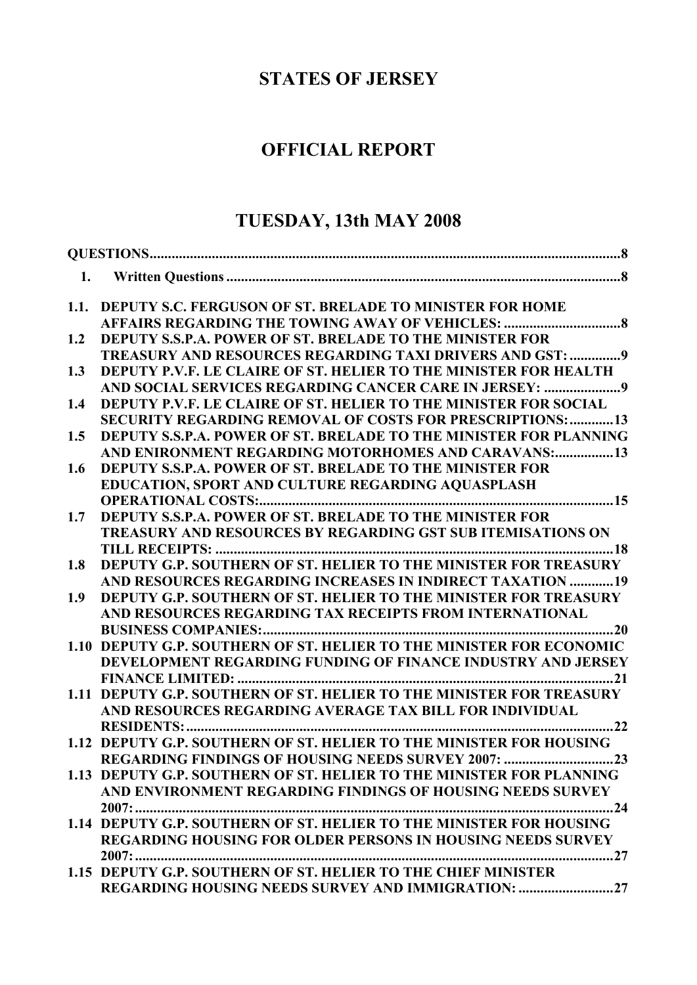# **STATES OF JERSEY**

# **OFFICIAL REPORT**

# **TUESDAY, 13th MAY 2008**

| 1.1. | <b>DEPUTY S.C. FERGUSON OF ST. BRELADE TO MINISTER FOR HOME</b>          |
|------|--------------------------------------------------------------------------|
|      |                                                                          |
| 1.2  | <b>DEPUTY S.S.P.A. POWER OF ST. BRELADE TO THE MINISTER FOR</b>          |
|      | TREASURY AND RESOURCES REGARDING TAXI DRIVERS AND GST: 9                 |
| 1.3  | DEPUTY P.V.F. LE CLAIRE OF ST. HELIER TO THE MINISTER FOR HEALTH         |
|      |                                                                          |
| 1.4  | DEPUTY P.V.F. LE CLAIRE OF ST. HELIER TO THE MINISTER FOR SOCIAL         |
|      | <b>SECURITY REGARDING REMOVAL OF COSTS FOR PRESCRIPTIONS: 13</b>         |
| 1.5  | <b>DEPUTY S.S.P.A. POWER OF ST. BRELADE TO THE MINISTER FOR PLANNING</b> |
|      | AND ENIRONMENT REGARDING MOTORHOMES AND CARAVANS:13                      |
| 1.6  | <b>DEPUTY S.S.P.A. POWER OF ST. BRELADE TO THE MINISTER FOR</b>          |
|      | EDUCATION, SPORT AND CULTURE REGARDING AQUASPLASH                        |
|      |                                                                          |
| 1.7  | DEPUTY S.S.P.A. POWER OF ST. BRELADE TO THE MINISTER FOR                 |
|      | <b>TREASURY AND RESOURCES BY REGARDING GST SUB ITEMISATIONS ON</b>       |
|      |                                                                          |
| 1.8  | DEPUTY G.P. SOUTHERN OF ST. HELIER TO THE MINISTER FOR TREASURY          |
|      | AND RESOURCES REGARDING INCREASES IN INDIRECT TAXATION 19                |
| 1.9  | DEPUTY G.P. SOUTHERN OF ST. HELIER TO THE MINISTER FOR TREASURY          |
|      | AND RESOURCES REGARDING TAX RECEIPTS FROM INTERNATIONAL                  |
|      |                                                                          |
|      | 1.10 DEPUTY G.P. SOUTHERN OF ST. HELIER TO THE MINISTER FOR ECONOMIC     |
|      | DEVELOPMENT REGARDING FUNDING OF FINANCE INDUSTRY AND JERSEY             |
|      |                                                                          |
|      | 1.11 DEPUTY G.P. SOUTHERN OF ST. HELIER TO THE MINISTER FOR TREASURY     |
|      | AND RESOURCES REGARDING AVERAGE TAX BILL FOR INDIVIDUAL                  |
|      | <b>RESIDENTS:.</b>                                                       |
|      | 1.12 DEPUTY G.P. SOUTHERN OF ST. HELIER TO THE MINISTER FOR HOUSING      |
|      | REGARDING FINDINGS OF HOUSING NEEDS SURVEY 2007: 23                      |
|      | 1.13 DEPUTY G.P. SOUTHERN OF ST. HELIER TO THE MINISTER FOR PLANNING     |
|      | AND ENVIRONMENT REGARDING FINDINGS OF HOUSING NEEDS SURVEY               |
|      | $2007:$<br>. 24                                                          |
|      | 1.14 DEPUTY G.P. SOUTHERN OF ST. HELIER TO THE MINISTER FOR HOUSING      |
|      | <b>REGARDING HOUSING FOR OLDER PERSONS IN HOUSING NEEDS SURVEY</b>       |
|      | $2007:$                                                                  |
|      | 1.15 DEPUTY G.P. SOUTHERN OF ST. HELIER TO THE CHIEF MINISTER            |
|      | REGARDING HOUSING NEEDS SURVEY AND IMMIGRATION: 27                       |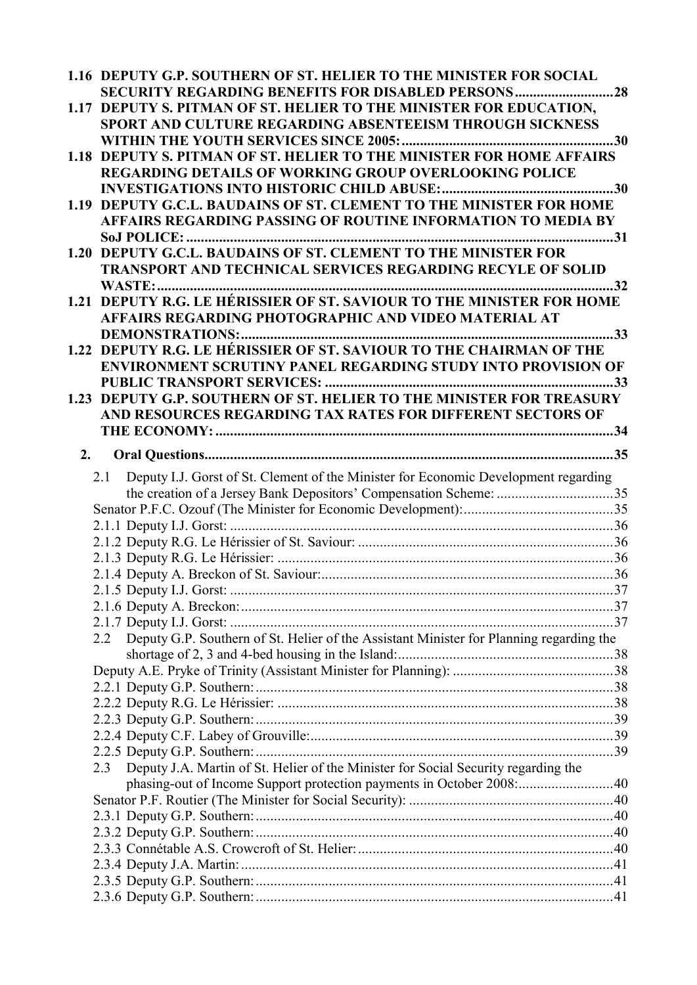| 1.16 DEPUTY G.P. SOUTHERN OF ST. HELIER TO THE MINISTER FOR SOCIAL<br><b>SECURITY REGARDING BENEFITS FOR DISABLED PERSONS28</b>       |  |
|---------------------------------------------------------------------------------------------------------------------------------------|--|
| 1.17 DEPUTY S. PITMAN OF ST. HELIER TO THE MINISTER FOR EDUCATION,<br><b>SPORT AND CULTURE REGARDING ABSENTEEISM THROUGH SICKNESS</b> |  |
|                                                                                                                                       |  |
| 1.18 DEPUTY S. PITMAN OF ST. HELIER TO THE MINISTER FOR HOME AFFAIRS                                                                  |  |
| <b>REGARDING DETAILS OF WORKING GROUP OVERLOOKING POLICE</b>                                                                          |  |
|                                                                                                                                       |  |
| 1.19 DEPUTY G.C.L. BAUDAINS OF ST. CLEMENT TO THE MINISTER FOR HOME<br>AFFAIRS REGARDING PASSING OF ROUTINE INFORMATION TO MEDIA BY   |  |
|                                                                                                                                       |  |
| 1.20 DEPUTY G.C.L. BAUDAINS OF ST. CLEMENT TO THE MINISTER FOR                                                                        |  |
| TRANSPORT AND TECHNICAL SERVICES REGARDING RECYLE OF SOLID                                                                            |  |
|                                                                                                                                       |  |
| 1.21 DEPUTY R.G. LE HÉRISSIER OF ST. SAVIOUR TO THE MINISTER FOR HOME                                                                 |  |
| AFFAIRS REGARDING PHOTOGRAPHIC AND VIDEO MATERIAL AT                                                                                  |  |
| <b>DEMONSTRATIONS:</b>                                                                                                                |  |
| 1.22 DEPUTY R.G. LE HÉRISSIER OF ST. SAVIOUR TO THE CHAIRMAN OF THE<br>ENVIRONMENT SCRUTINY PANEL REGARDING STUDY INTO PROVISION OF   |  |
|                                                                                                                                       |  |
| 1.23 DEPUTY G.P. SOUTHERN OF ST. HELIER TO THE MINISTER FOR TREASURY                                                                  |  |
| AND RESOURCES REGARDING TAX RATES FOR DIFFERENT SECTORS OF                                                                            |  |
|                                                                                                                                       |  |
| 2.                                                                                                                                    |  |
| Deputy I.J. Gorst of St. Clement of the Minister for Economic Development regarding<br>2.1                                            |  |
| the creation of a Jersey Bank Depositors' Compensation Scheme: 35                                                                     |  |
|                                                                                                                                       |  |
|                                                                                                                                       |  |
|                                                                                                                                       |  |
|                                                                                                                                       |  |
|                                                                                                                                       |  |
|                                                                                                                                       |  |
|                                                                                                                                       |  |
|                                                                                                                                       |  |
| Deputy G.P. Southern of St. Helier of the Assistant Minister for Planning regarding the<br>2.2                                        |  |
|                                                                                                                                       |  |
|                                                                                                                                       |  |
|                                                                                                                                       |  |
|                                                                                                                                       |  |
|                                                                                                                                       |  |
|                                                                                                                                       |  |
| Deputy J.A. Martin of St. Helier of the Minister for Social Security regarding the<br>2.3                                             |  |
| phasing-out of Income Support protection payments in October 2008: 40                                                                 |  |
|                                                                                                                                       |  |
|                                                                                                                                       |  |
|                                                                                                                                       |  |
|                                                                                                                                       |  |
|                                                                                                                                       |  |
|                                                                                                                                       |  |
|                                                                                                                                       |  |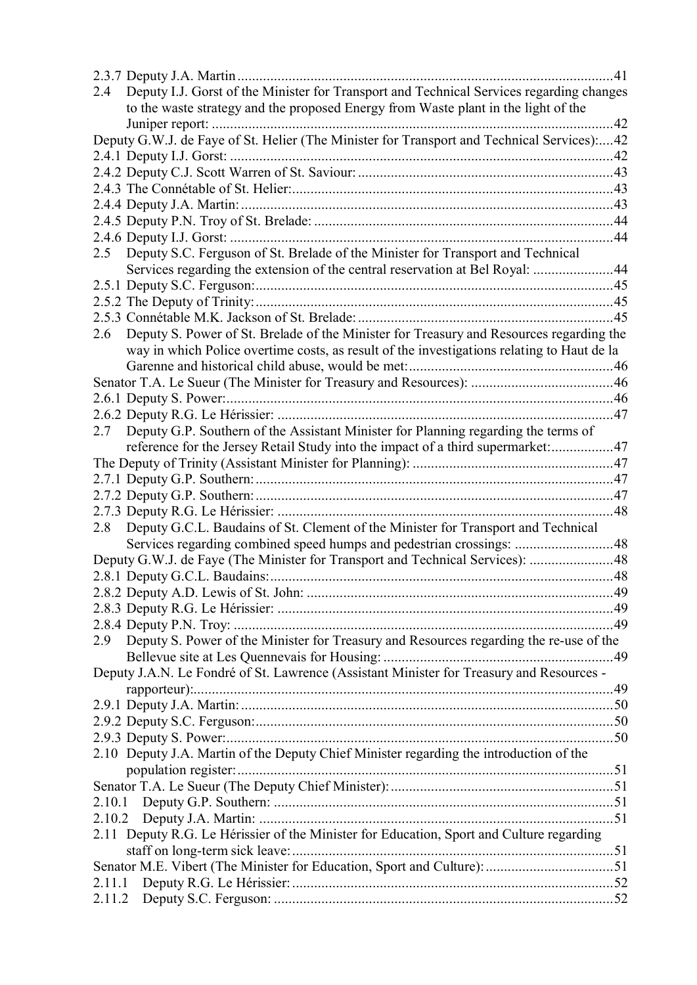|        |                                                                                            | .41 |
|--------|--------------------------------------------------------------------------------------------|-----|
| 2.4    | Deputy I.J. Gorst of the Minister for Transport and Technical Services regarding changes   |     |
|        | to the waste strategy and the proposed Energy from Waste plant in the light of the         |     |
|        |                                                                                            | .42 |
|        | Deputy G.W.J. de Faye of St. Helier (The Minister for Transport and Technical Services):42 |     |
|        |                                                                                            |     |
|        |                                                                                            |     |
|        |                                                                                            |     |
|        |                                                                                            |     |
|        |                                                                                            |     |
|        |                                                                                            | .44 |
| 2.5    | Deputy S.C. Ferguson of St. Brelade of the Minister for Transport and Technical            |     |
|        | Services regarding the extension of the central reservation at Bel Royal: 44               |     |
|        |                                                                                            |     |
|        |                                                                                            |     |
|        |                                                                                            |     |
| 2.6    | Deputy S. Power of St. Brelade of the Minister for Treasury and Resources regarding the    |     |
|        | way in which Police overtime costs, as result of the investigations relating to Haut de la |     |
|        |                                                                                            |     |
|        |                                                                                            |     |
|        |                                                                                            |     |
|        |                                                                                            |     |
| 2.7    | Deputy G.P. Southern of the Assistant Minister for Planning regarding the terms of         |     |
|        | reference for the Jersey Retail Study into the impact of a third supermarket:47            |     |
|        |                                                                                            |     |
|        |                                                                                            |     |
|        |                                                                                            |     |
|        |                                                                                            |     |
| 2.8    | Deputy G.C.L. Baudains of St. Clement of the Minister for Transport and Technical          |     |
|        | Services regarding combined speed humps and pedestrian crossings: 48                       |     |
|        | Deputy G.W.J. de Faye (The Minister for Transport and Technical Services): 48              |     |
|        |                                                                                            |     |
|        |                                                                                            |     |
|        |                                                                                            |     |
|        |                                                                                            |     |
| 2.9    | Deputy S. Power of the Minister for Treasury and Resources regarding the re-use of the     |     |
|        |                                                                                            |     |
|        | Deputy J.A.N. Le Fondré of St. Lawrence (Assistant Minister for Treasury and Resources -   |     |
|        |                                                                                            |     |
|        |                                                                                            |     |
|        |                                                                                            |     |
|        |                                                                                            |     |
|        | 2.10 Deputy J.A. Martin of the Deputy Chief Minister regarding the introduction of the     |     |
|        |                                                                                            |     |
|        |                                                                                            |     |
|        |                                                                                            |     |
|        |                                                                                            |     |
|        | 2.11 Deputy R.G. Le Hérissier of the Minister for Education, Sport and Culture regarding   |     |
|        |                                                                                            |     |
|        |                                                                                            |     |
| 2.11.1 |                                                                                            |     |
| 2.11.2 |                                                                                            |     |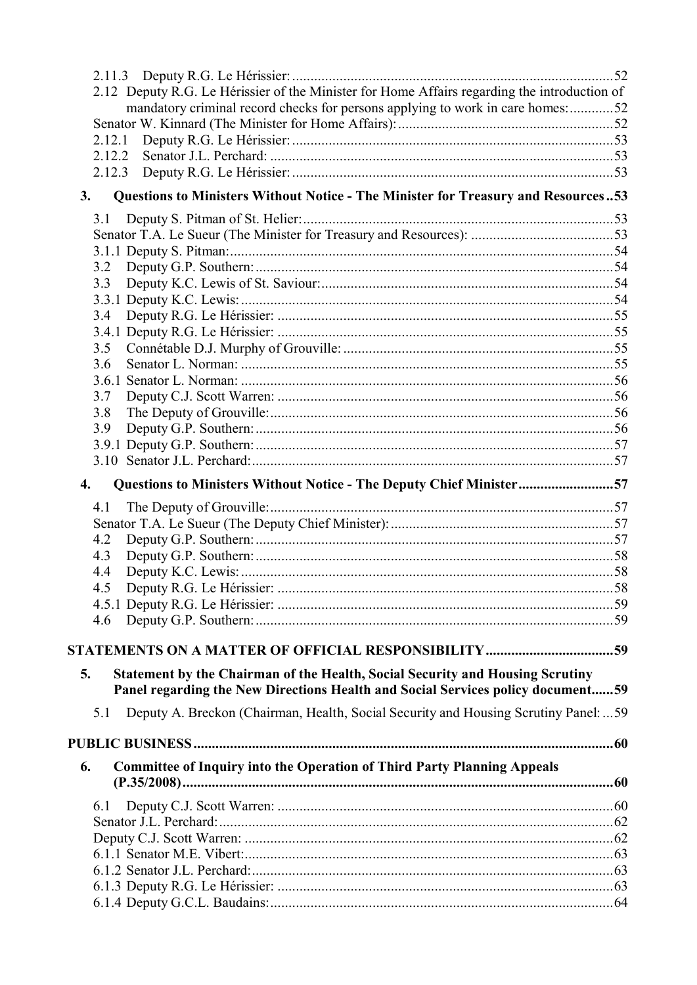| 2.12 Deputy R.G. Le Hérissier of the Minister for Home Affairs regarding the introduction of |  |
|----------------------------------------------------------------------------------------------|--|
| mandatory criminal record checks for persons applying to work in care homes:52               |  |
|                                                                                              |  |
| 2.12.1                                                                                       |  |
| 2.12.2                                                                                       |  |
| 2.12.3                                                                                       |  |
| Questions to Ministers Without Notice - The Minister for Treasury and Resources53<br>3.      |  |
| 3.1                                                                                          |  |
|                                                                                              |  |
|                                                                                              |  |
| 3.2                                                                                          |  |
| 3.3                                                                                          |  |
|                                                                                              |  |
| 3.4                                                                                          |  |
|                                                                                              |  |
| 3.5                                                                                          |  |
| 3.6                                                                                          |  |
|                                                                                              |  |
| 3.7                                                                                          |  |
| 3.8                                                                                          |  |
| 3.9                                                                                          |  |
|                                                                                              |  |
|                                                                                              |  |
| Questions to Ministers Without Notice - The Deputy Chief Minister57<br>4.                    |  |
| 4.1                                                                                          |  |
|                                                                                              |  |
| 4.2                                                                                          |  |
| 4.3                                                                                          |  |
| 4.4                                                                                          |  |
| 4.5                                                                                          |  |
|                                                                                              |  |
| 4.6                                                                                          |  |
|                                                                                              |  |
| <b>Statement by the Chairman of the Health, Social Security and Housing Scrutiny</b><br>5.   |  |
| Panel regarding the New Directions Health and Social Services policy document59              |  |
| Deputy A. Breckon (Chairman, Health, Social Security and Housing Scrutiny Panel:  59<br>5.1  |  |
|                                                                                              |  |
|                                                                                              |  |
| <b>Committee of Inquiry into the Operation of Third Party Planning Appeals</b><br>6.         |  |
| 6.1                                                                                          |  |
|                                                                                              |  |
|                                                                                              |  |
|                                                                                              |  |
|                                                                                              |  |
|                                                                                              |  |
|                                                                                              |  |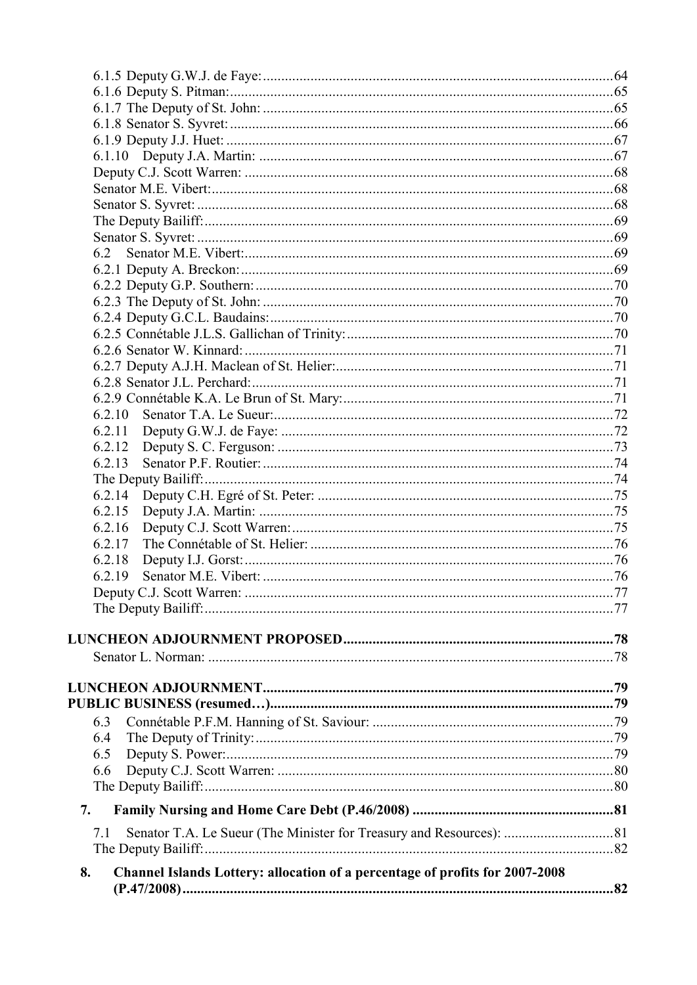| 6.2.10                                                                             |  |
|------------------------------------------------------------------------------------|--|
| 6.2.11                                                                             |  |
| 6.2.12                                                                             |  |
| 6.2.13                                                                             |  |
|                                                                                    |  |
| 6.2.14                                                                             |  |
| 6.2.15                                                                             |  |
| 6.2.16                                                                             |  |
| 6.2.17                                                                             |  |
| 6.2.18                                                                             |  |
| 6.2.19                                                                             |  |
|                                                                                    |  |
|                                                                                    |  |
|                                                                                    |  |
|                                                                                    |  |
|                                                                                    |  |
|                                                                                    |  |
|                                                                                    |  |
|                                                                                    |  |
| 6.3                                                                                |  |
| 6.4                                                                                |  |
| 6.5                                                                                |  |
| 6.6                                                                                |  |
|                                                                                    |  |
| 7.                                                                                 |  |
| 7.1                                                                                |  |
|                                                                                    |  |
| Channel Islands Lottery: allocation of a percentage of profits for 2007-2008<br>8. |  |
|                                                                                    |  |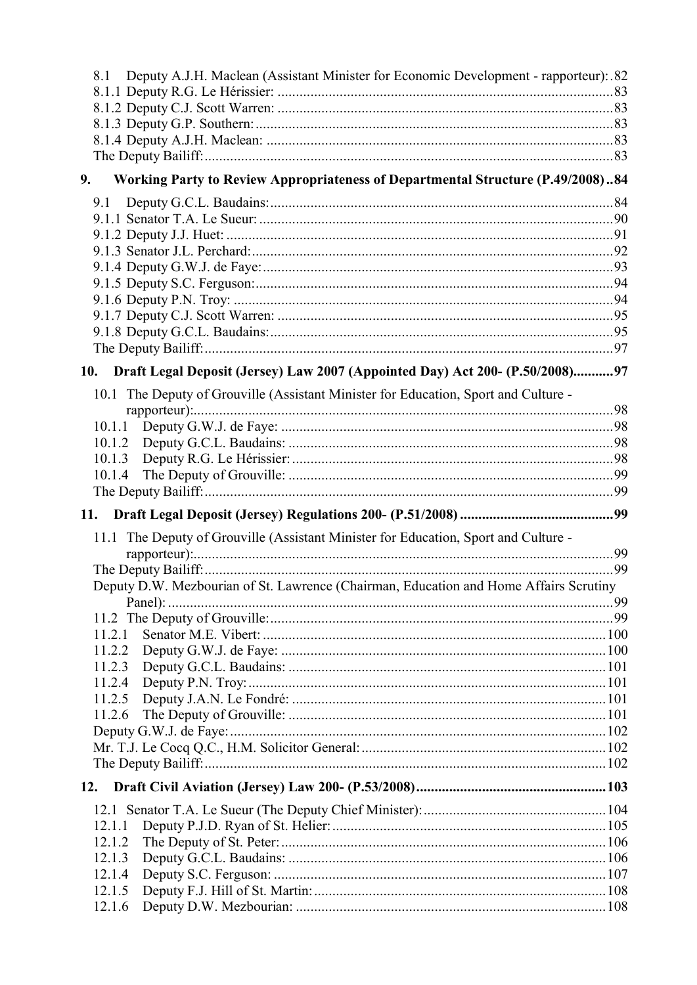| Deputy A.J.H. Maclean (Assistant Minister for Economic Development - rapporteur): 82<br>8.1 |  |
|---------------------------------------------------------------------------------------------|--|
|                                                                                             |  |
|                                                                                             |  |
|                                                                                             |  |
|                                                                                             |  |
|                                                                                             |  |
| Working Party to Review Appropriateness of Departmental Structure (P.49/2008)84<br>9.       |  |
| 9.1                                                                                         |  |
|                                                                                             |  |
|                                                                                             |  |
|                                                                                             |  |
|                                                                                             |  |
|                                                                                             |  |
|                                                                                             |  |
|                                                                                             |  |
|                                                                                             |  |
|                                                                                             |  |
| 10. Draft Legal Deposit (Jersey) Law 2007 (Appointed Day) Act 200- (P.50/2008)97            |  |
| 10.1 The Deputy of Grouville (Assistant Minister for Education, Sport and Culture -         |  |
|                                                                                             |  |
| 10.1.1                                                                                      |  |
| 10.1.2                                                                                      |  |
|                                                                                             |  |
| 10.1.4                                                                                      |  |
|                                                                                             |  |
|                                                                                             |  |
| 11.                                                                                         |  |
| 11.1 The Deputy of Grouville (Assistant Minister for Education, Sport and Culture -         |  |
|                                                                                             |  |
|                                                                                             |  |
| Deputy D.W. Mezbourian of St. Lawrence (Chairman, Education and Home Affairs Scrutiny       |  |
|                                                                                             |  |
|                                                                                             |  |
| 11.2.1                                                                                      |  |
| 11.2.2                                                                                      |  |
| 11.2.3                                                                                      |  |
| 11.2.4                                                                                      |  |
| 11.2.5                                                                                      |  |
| 11.2.6                                                                                      |  |
|                                                                                             |  |
|                                                                                             |  |
|                                                                                             |  |
|                                                                                             |  |
| 12.1                                                                                        |  |
| 12.1.1                                                                                      |  |
| 12.1.2                                                                                      |  |
| 12.1.3                                                                                      |  |
| 12.1.4                                                                                      |  |
| 12.1.5<br>12.1.6                                                                            |  |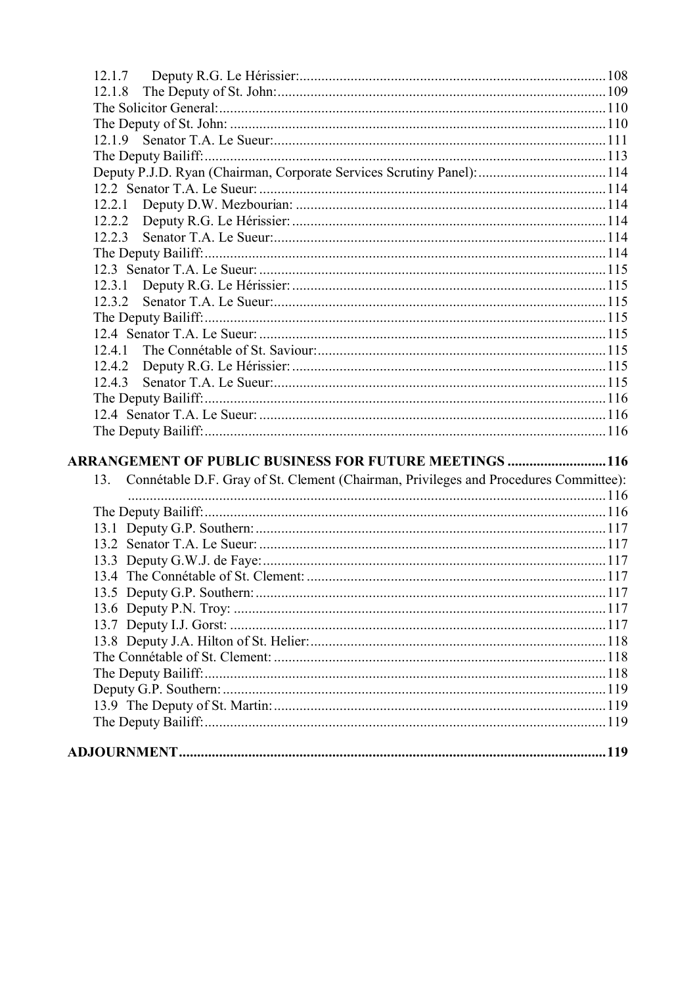| Deputy P.J.D. Ryan (Chairman, Corporate Services Scrutiny Panel):  114                      |  |
|---------------------------------------------------------------------------------------------|--|
|                                                                                             |  |
|                                                                                             |  |
|                                                                                             |  |
|                                                                                             |  |
|                                                                                             |  |
|                                                                                             |  |
| 12.3.1                                                                                      |  |
|                                                                                             |  |
|                                                                                             |  |
|                                                                                             |  |
| 12.4.1                                                                                      |  |
| 12.4.2                                                                                      |  |
| 12.4.3                                                                                      |  |
|                                                                                             |  |
|                                                                                             |  |
|                                                                                             |  |
| <b>ARRANGEMENT OF PUBLIC BUSINESS FOR FUTURE MEETINGS 116</b>                               |  |
|                                                                                             |  |
| Connétable D.F. Gray of St. Clement (Chairman, Privileges and Procedures Committee):<br>13. |  |
|                                                                                             |  |
|                                                                                             |  |
|                                                                                             |  |
|                                                                                             |  |
|                                                                                             |  |
|                                                                                             |  |
|                                                                                             |  |
|                                                                                             |  |
|                                                                                             |  |
|                                                                                             |  |
|                                                                                             |  |
|                                                                                             |  |
|                                                                                             |  |
|                                                                                             |  |
|                                                                                             |  |
|                                                                                             |  |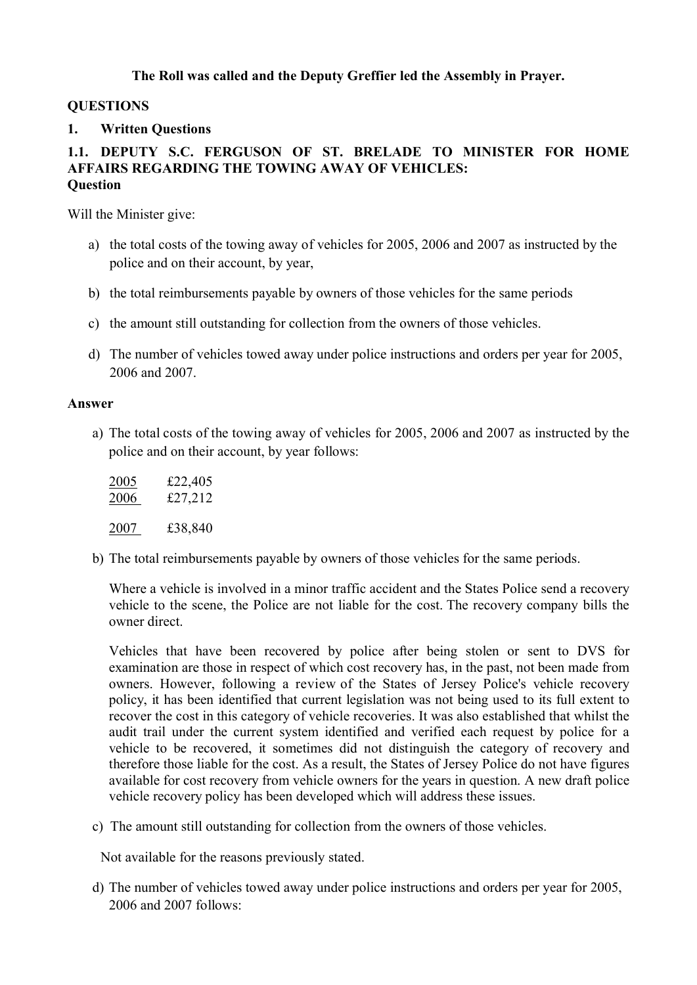# **The Roll was called and the Deputy Greffier led the Assembly in Prayer.**

# **QUESTIONS**

# **1. Written Questions**

# **1.1. DEPUTY S.C. FERGUSON OF ST. BRELADE TO MINISTER FOR HOME AFFAIRS REGARDING THE TOWING AWAY OF VEHICLES: Question**

Will the Minister give:

- a) the total costs of the towing away of vehicles for 2005, 2006 and 2007 as instructed by the police and on their account, by year,
- b) the total reimbursements payable by owners of those vehicles for the same periods
- c) the amount still outstanding for collection from the owners of those vehicles.
- d) The number of vehicles towed away under police instructions and orders per year for 2005, 2006 and 2007.

### **Answer**

a) The total costs of the towing away of vehicles for 2005, 2006 and 2007 as instructed by the police and on their account, by year follows:

| 2005 | £22,405 |
|------|---------|
| 2006 | £27,212 |
| 2007 | £38,840 |

b) The total reimbursements payable by owners of those vehicles for the same periods.

Where a vehicle is involved in a minor traffic accident and the States Police send a recovery vehicle to the scene, the Police are not liable for the cost. The recovery company bills the owner direct.

Vehicles that have been recovered by police after being stolen or sent to DVS for examination are those in respect of which cost recovery has, in the past, not been made from owners. However, following a review of the States of Jersey Police's vehicle recovery policy, it has been identified that current legislation was not being used to its full extent to recover the cost in this category of vehicle recoveries. It was also established that whilst the audit trail under the current system identified and verified each request by police for a vehicle to be recovered, it sometimes did not distinguish the category of recovery and therefore those liable for the cost. As a result, the States of Jersey Police do not have figures available for cost recovery from vehicle owners for the years in question. A new draft police vehicle recovery policy has been developed which will address these issues.

c) The amount still outstanding for collection from the owners of those vehicles.

Not available for the reasons previously stated.

d) The number of vehicles towed away under police instructions and orders per year for 2005, 2006 and 2007 follows: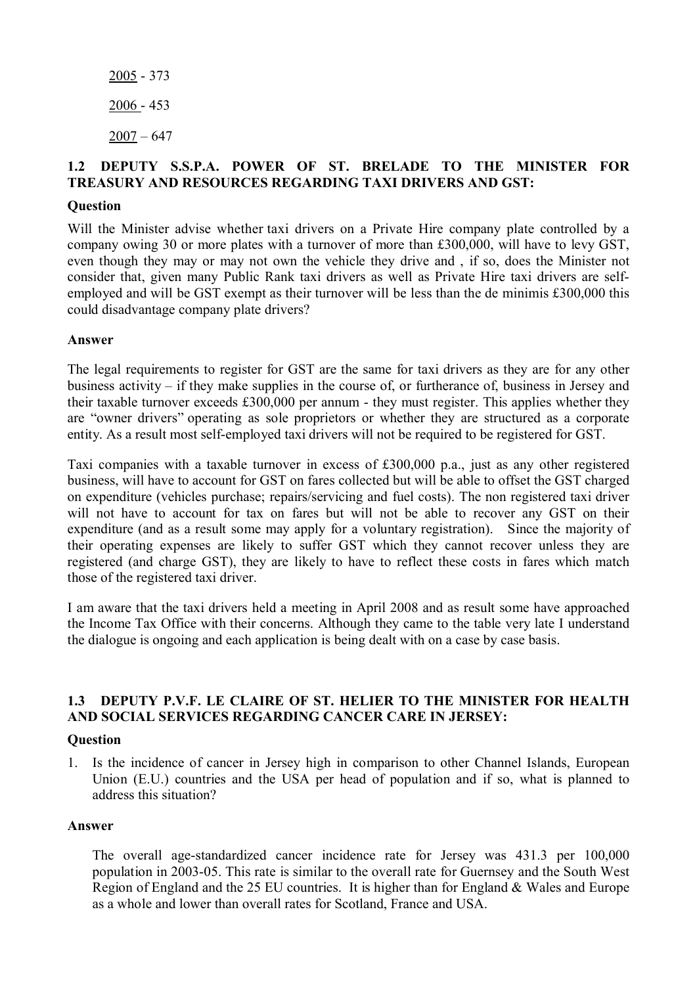# **1.2 DEPUTY S.S.P.A. POWER OF ST. BRELADE TO THE MINISTER FOR TREASURY AND RESOURCES REGARDING TAXI DRIVERS AND GST:**

### **Question**

Will the Minister advise whether taxi drivers on a Private Hire company plate controlled by a company owing 30 or more plates with a turnover of more than £300,000, will have to levy GST, even though they may or may not own the vehicle they drive and , if so, does the Minister not consider that, given many Public Rank taxi drivers as well as Private Hire taxi drivers are selfemployed and will be GST exempt as their turnover will be less than the de minimis £300,000 this could disadvantage company plate drivers?

### **Answer**

The legal requirements to register for GST are the same for taxi drivers as they are for any other business activity – if they make supplies in the course of, or furtherance of, business in Jersey and their taxable turnover exceeds £300,000 per annum - they must register. This applies whether they are "owner drivers" operating as sole proprietors or whether they are structured as a corporate entity. As a result most self-employed taxi drivers will not be required to be registered for GST.

Taxi companies with a taxable turnover in excess of £300,000 p.a., just as any other registered business, will have to account for GST on fares collected but will be able to offset the GST charged on expenditure (vehicles purchase; repairs/servicing and fuel costs). The non registered taxi driver will not have to account for tax on fares but will not be able to recover any GST on their expenditure (and as a result some may apply for a voluntary registration). Since the majority of their operating expenses are likely to suffer GST which they cannot recover unless they are registered (and charge GST), they are likely to have to reflect these costs in fares which match those of the registered taxi driver.

I am aware that the taxi drivers held a meeting in April 2008 and as result some have approached the Income Tax Office with their concerns. Although they came to the table very late I understand the dialogue is ongoing and each application is being dealt with on a case by case basis.

# **1.3 DEPUTY P.V.F. LE CLAIRE OF ST. HELIER TO THE MINISTER FOR HEALTH AND SOCIAL SERVICES REGARDING CANCER CARE IN JERSEY:**

### **Question**

1. Is the incidence of cancer in Jersey high in comparison to other Channel Islands, European Union (E.U.) countries and the USA per head of population and if so, what is planned to address this situation?

### **Answer**

The overall age-standardized cancer incidence rate for Jersey was 431.3 per 100,000 population in 2003-05. This rate is similar to the overall rate for Guernsey and the South West Region of England and the 25 EU countries. It is higher than for England & Wales and Europe as a whole and lower than overall rates for Scotland, France and USA.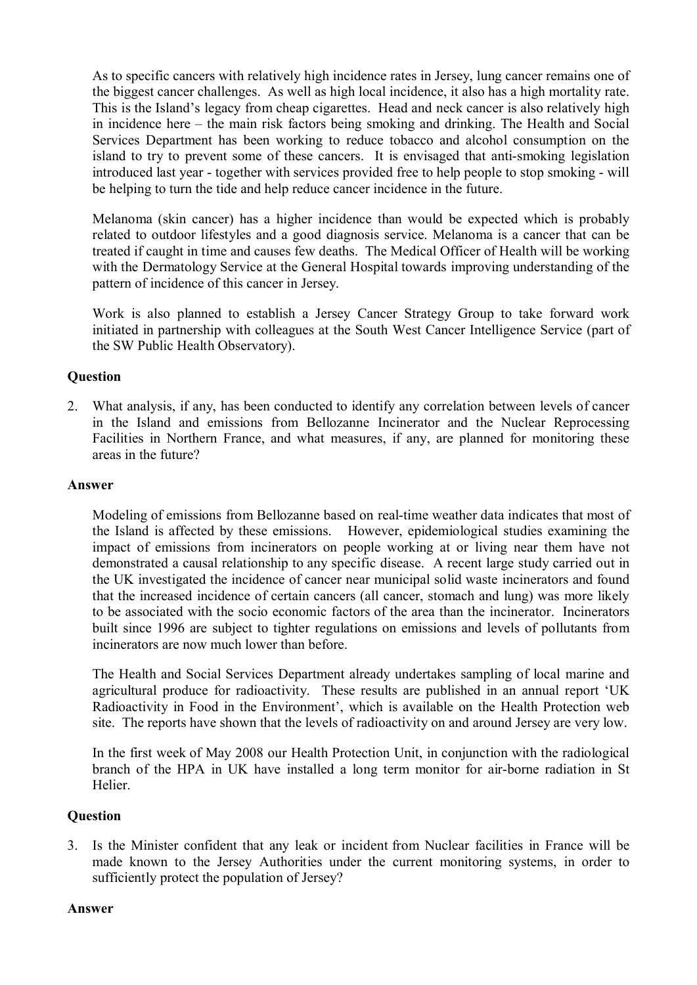As to specific cancers with relatively high incidence rates in Jersey, lung cancer remains one of the biggest cancer challenges. As well as high local incidence, it also has a high mortality rate. This is the Island's legacy from cheap cigarettes. Head and neck cancer is also relatively high in incidence here – the main risk factors being smoking and drinking. The Health and Social Services Department has been working to reduce tobacco and alcohol consumption on the island to try to prevent some of these cancers. It is envisaged that anti-smoking legislation introduced last year - together with services provided free to help people to stop smoking - will be helping to turn the tide and help reduce cancer incidence in the future.

Melanoma (skin cancer) has a higher incidence than would be expected which is probably related to outdoor lifestyles and a good diagnosis service. Melanoma is a cancer that can be treated if caught in time and causes few deaths. The Medical Officer of Health will be working with the Dermatology Service at the General Hospital towards improving understanding of the pattern of incidence of this cancer in Jersey.

Work is also planned to establish a Jersey Cancer Strategy Group to take forward work initiated in partnership with colleagues at the South West Cancer Intelligence Service (part of the SW Public Health Observatory).

# **Question**

2. What analysis, if any, has been conducted to identify any correlation between levels of cancer in the Island and emissions from Bellozanne Incinerator and the Nuclear Reprocessing Facilities in Northern France, and what measures, if any, are planned for monitoring these areas in the future?

### **Answer**

Modeling of emissions from Bellozanne based on real-time weather data indicates that most of the Island is affected by these emissions. However, epidemiological studies examining the impact of emissions from incinerators on people working at or living near them have not demonstrated a causal relationship to any specific disease. A recent large study carried out in the UK investigated the incidence of cancer near municipal solid waste incinerators and found that the increased incidence of certain cancers (all cancer, stomach and lung) was more likely to be associated with the socio economic factors of the area than the incinerator. Incinerators built since 1996 are subject to tighter regulations on emissions and levels of pollutants from incinerators are now much lower than before.

The Health and Social Services Department already undertakes sampling of local marine and agricultural produce for radioactivity. These results are published in an annual report 'UK Radioactivity in Food in the Environment', which is available on the Health Protection web site. The reports have shown that the levels of radioactivity on and around Jersey are very low.

In the first week of May 2008 our Health Protection Unit, in conjunction with the radiological branch of the HPA in UK have installed a long term monitor for air-borne radiation in St Helier.

# **Question**

3. Is the Minister confident that any leak or incident from Nuclear facilities in France will be made known to the Jersey Authorities under the current monitoring systems, in order to sufficiently protect the population of Jersey?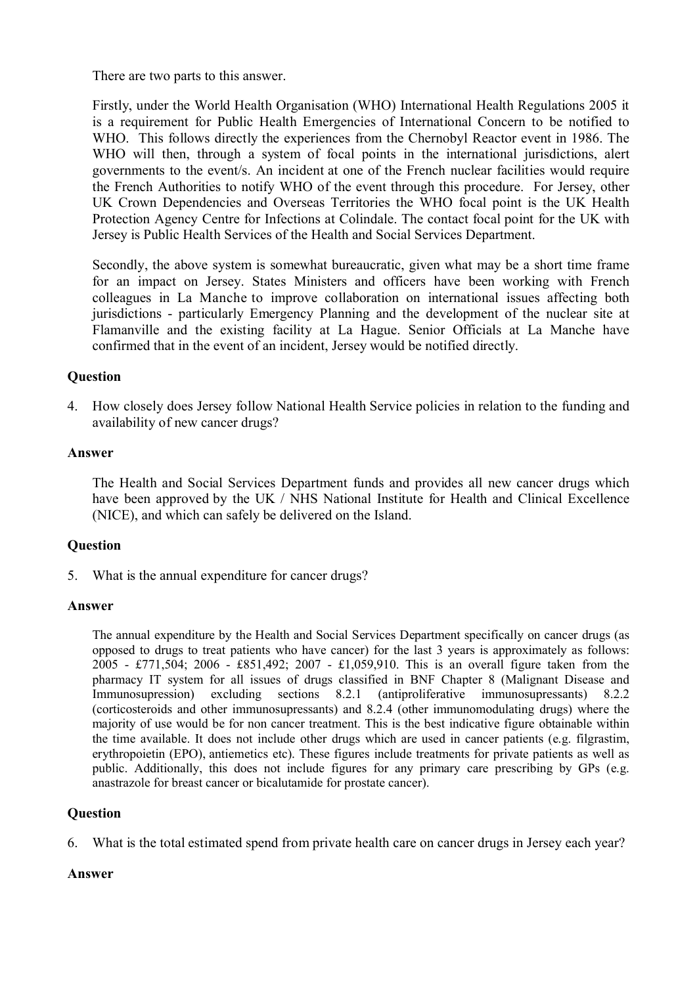There are two parts to this answer.

Firstly, under the World Health Organisation (WHO) International Health Regulations 2005 it is a requirement for Public Health Emergencies of International Concern to be notified to WHO. This follows directly the experiences from the Chernobyl Reactor event in 1986. The WHO will then, through a system of focal points in the international jurisdictions, alert governments to the event/s. An incident at one of the French nuclear facilities would require the French Authorities to notify WHO of the event through this procedure. For Jersey, other UK Crown Dependencies and Overseas Territories the WHO focal point is the UK Health Protection Agency Centre for Infections at Colindale. The contact focal point for the UK with Jersey is Public Health Services of the Health and Social Services Department.

Secondly, the above system is somewhat bureaucratic, given what may be a short time frame for an impact on Jersey. States Ministers and officers have been working with French colleagues in La Manche to improve collaboration on international issues affecting both jurisdictions - particularly Emergency Planning and the development of the nuclear site at Flamanville and the existing facility at La Hague. Senior Officials at La Manche have confirmed that in the event of an incident, Jersey would be notified directly.

# **Question**

4. How closely does Jersey follow National Health Service policies in relation to the funding and availability of new cancer drugs?

# **Answer**

The Health and Social Services Department funds and provides all new cancer drugs which have been approved by the UK / NHS National Institute for Health and Clinical Excellence (NICE), and which can safely be delivered on the Island.

# **Question**

5. What is the annual expenditure for cancer drugs?

### **Answer**

The annual expenditure by the Health and Social Services Department specifically on cancer drugs (as opposed to drugs to treat patients who have cancer) for the last 3 years is approximately as follows: 2005 - £771,504; 2006 - £851,492; 2007 - £1,059,910. This is an overall figure taken from the pharmacy IT system for all issues of drugs classified in BNF Chapter 8 (Malignant Disease and Immunosupression) excluding sections 8.2.1 (antiproliferative immunosupressants) 8.2.2 (corticosteroids and other immunosupressants) and 8.2.4 (other immunomodulating drugs) where the majority of use would be for non cancer treatment. This is the best indicative figure obtainable within the time available. It does not include other drugs which are used in cancer patients (e.g. filgrastim, erythropoietin (EPO), antiemetics etc). These figures include treatments for private patients as well as public. Additionally, this does not include figures for any primary care prescribing by GPs (e.g. anastrazole for breast cancer or bicalutamide for prostate cancer).

# **Question**

6. What is the total estimated spend from private health care on cancer drugs in Jersey each year?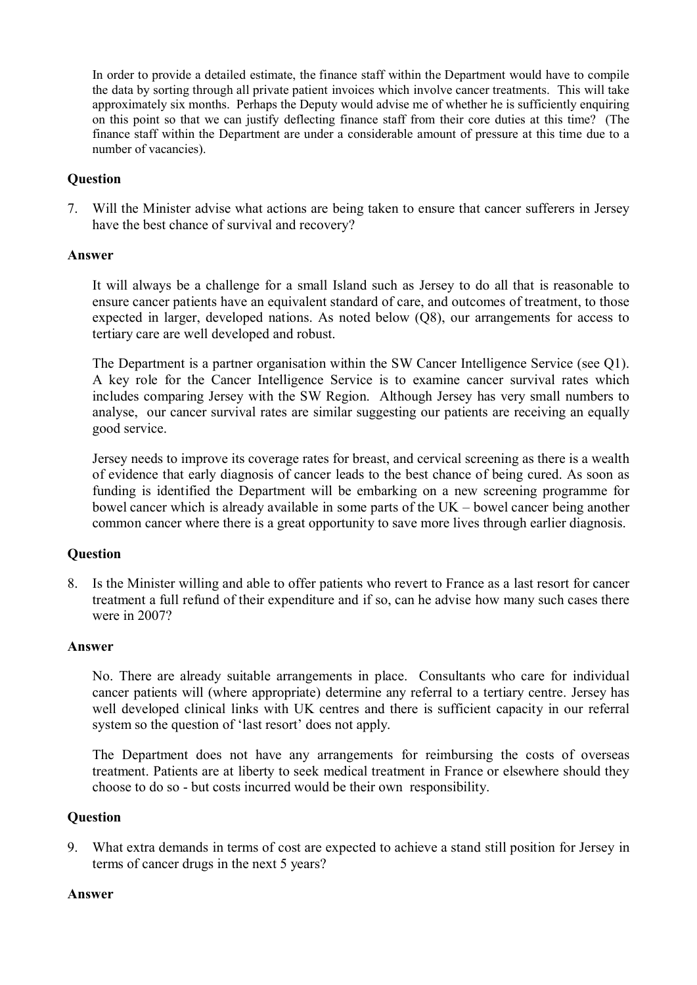In order to provide a detailed estimate, the finance staff within the Department would have to compile the data by sorting through all private patient invoices which involve cancer treatments. This will take approximately six months. Perhaps the Deputy would advise me of whether he is sufficiently enquiring on this point so that we can justify deflecting finance staff from their core duties at this time? (The finance staff within the Department are under a considerable amount of pressure at this time due to a number of vacancies).

# **Question**

7. Will the Minister advise what actions are being taken to ensure that cancer sufferers in Jersey have the best chance of survival and recovery?

### **Answer**

It will always be a challenge for a small Island such as Jersey to do all that is reasonable to ensure cancer patients have an equivalent standard of care, and outcomes of treatment, to those expected in larger, developed nations. As noted below (Q8), our arrangements for access to tertiary care are well developed and robust.

The Department is a partner organisation within the SW Cancer Intelligence Service (see Q1). A key role for the Cancer Intelligence Service is to examine cancer survival rates which includes comparing Jersey with the SW Region. Although Jersey has very small numbers to analyse, our cancer survival rates are similar suggesting our patients are receiving an equally good service.

Jersey needs to improve its coverage rates for breast, and cervical screening as there is a wealth of evidence that early diagnosis of cancer leads to the best chance of being cured. As soon as funding is identified the Department will be embarking on a new screening programme for bowel cancer which is already available in some parts of the UK – bowel cancer being another common cancer where there is a great opportunity to save more lives through earlier diagnosis.

### **Question**

8. Is the Minister willing and able to offer patients who revert to France as a last resort for cancer treatment a full refund of their expenditure and if so, can he advise how many such cases there were in 2007?

### **Answer**

No. There are already suitable arrangements in place. Consultants who care for individual cancer patients will (where appropriate) determine any referral to a tertiary centre. Jersey has well developed clinical links with UK centres and there is sufficient capacity in our referral system so the question of 'last resort' does not apply.

The Department does not have any arrangements for reimbursing the costs of overseas treatment. Patients are at liberty to seek medical treatment in France or elsewhere should they choose to do so - but costs incurred would be their own responsibility.

### **Question**

9. What extra demands in terms of cost are expected to achieve a stand still position for Jersey in terms of cancer drugs in the next 5 years?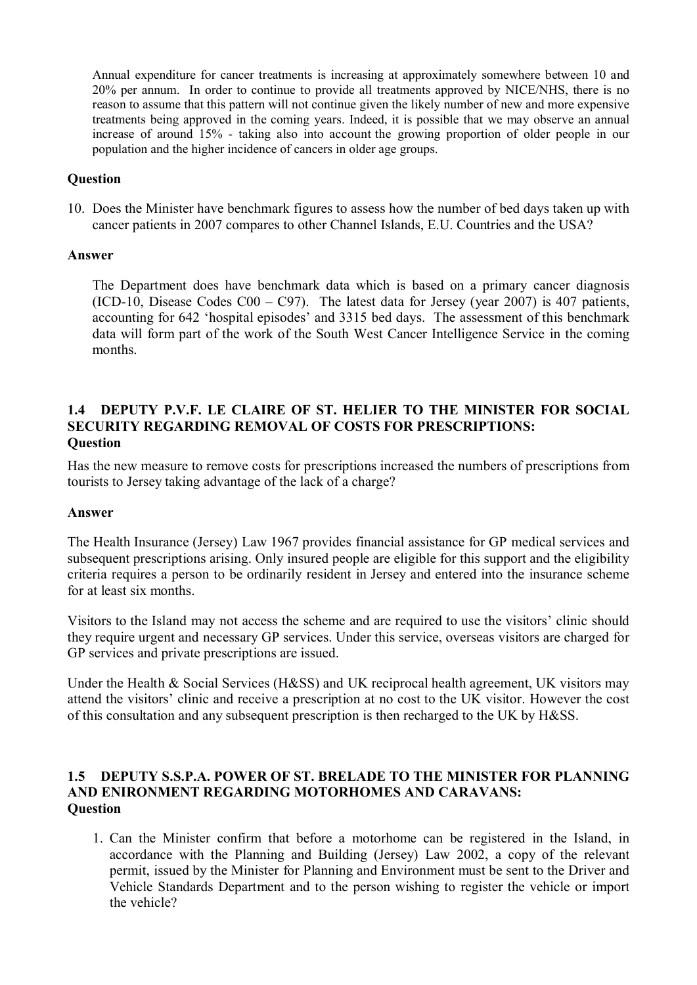Annual expenditure for cancer treatments is increasing at approximately somewhere between 10 and 20% per annum. In order to continue to provide all treatments approved by NICE/NHS, there is no reason to assume that this pattern will not continue given the likely number of new and more expensive treatments being approved in the coming years. Indeed, it is possible that we may observe an annual increase of around 15% - taking also into account the growing proportion of older people in our population and the higher incidence of cancers in older age groups.

# **Question**

10. Does the Minister have benchmark figures to assess how the number of bed days taken up with cancer patients in 2007 compares to other Channel Islands, E.U. Countries and the USA?

# **Answer**

The Department does have benchmark data which is based on a primary cancer diagnosis (ICD-10, Disease Codes  $C00 - C97$ ). The latest data for Jersey (year 2007) is 407 patients, accounting for 642 'hospital episodes' and 3315 bed days. The assessment of this benchmark data will form part of the work of the South West Cancer Intelligence Service in the coming months.

### **1.4 DEPUTY P.V.F. LE CLAIRE OF ST. HELIER TO THE MINISTER FOR SOCIAL SECURITY REGARDING REMOVAL OF COSTS FOR PRESCRIPTIONS: Question**

Has the new measure to remove costs for prescriptions increased the numbers of prescriptions from tourists to Jersey taking advantage of the lack of a charge?

### **Answer**

The Health Insurance (Jersey) Law 1967 provides financial assistance for GP medical services and subsequent prescriptions arising. Only insured people are eligible for this support and the eligibility criteria requires a person to be ordinarily resident in Jersey and entered into the insurance scheme for at least six months.

Visitors to the Island may not access the scheme and are required to use the visitors' clinic should they require urgent and necessary GP services. Under this service, overseas visitors are charged for GP services and private prescriptions are issued.

Under the Health & Social Services (H&SS) and UK reciprocal health agreement, UK visitors may attend the visitors' clinic and receive a prescription at no cost to the UK visitor. However the cost of this consultation and any subsequent prescription is then recharged to the UK by H&SS.

# **1.5 DEPUTY S.S.P.A. POWER OF ST. BRELADE TO THE MINISTER FOR PLANNING AND ENIRONMENT REGARDING MOTORHOMES AND CARAVANS: Question**

1. Can the Minister confirm that before a motorhome can be registered in the Island, in accordance with the Planning and Building (Jersey) Law 2002, a copy of the relevant permit, issued by the Minister for Planning and Environment must be sent to the Driver and Vehicle Standards Department and to the person wishing to register the vehicle or import the vehicle?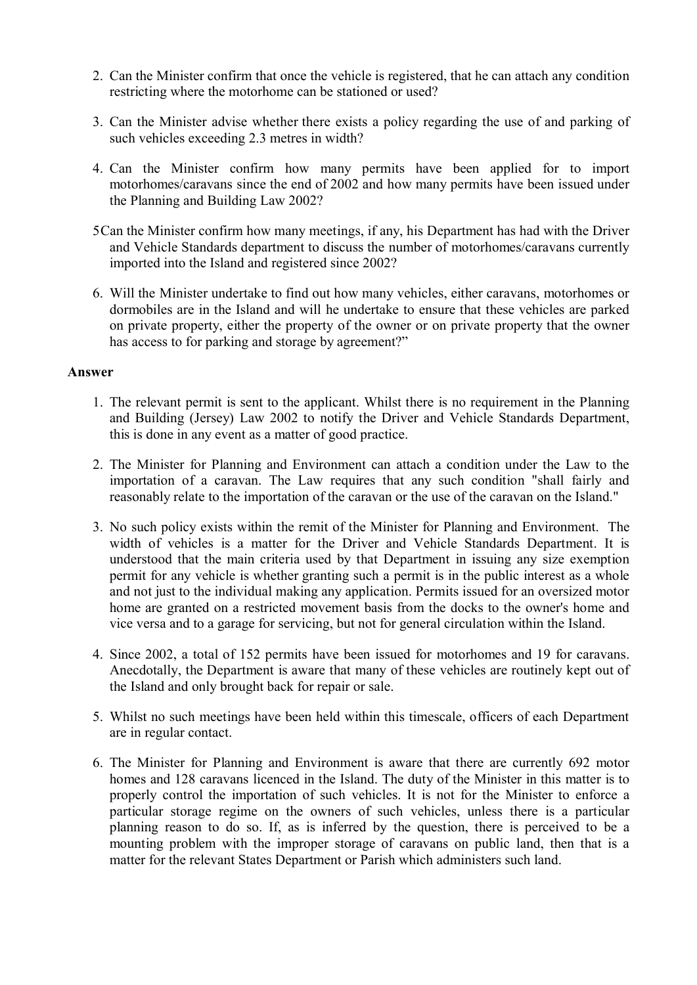- 2. Can the Minister confirm that once the vehicle is registered, that he can attach any condition restricting where the motorhome can be stationed or used?
- 3. Can the Minister advise whether there exists a policy regarding the use of and parking of such vehicles exceeding 2.3 metres in width?
- 4. Can the Minister confirm how many permits have been applied for to import motorhomes/caravans since the end of 2002 and how many permits have been issued under the Planning and Building Law 2002?
- 5Can the Minister confirm how many meetings, if any, his Department has had with the Driver and Vehicle Standards department to discuss the number of motorhomes/caravans currently imported into the Island and registered since 2002?
- 6. Will the Minister undertake to find out how many vehicles, either caravans, motorhomes or dormobiles are in the Island and will he undertake to ensure that these vehicles are parked on private property, either the property of the owner or on private property that the owner has access to for parking and storage by agreement?"

- 1. The relevant permit is sent to the applicant. Whilst there is no requirement in the Planning and Building (Jersey) Law 2002 to notify the Driver and Vehicle Standards Department, this is done in any event as a matter of good practice.
- 2. The Minister for Planning and Environment can attach a condition under the Law to the importation of a caravan. The Law requires that any such condition "shall fairly and reasonably relate to the importation of the caravan or the use of the caravan on the Island."
- 3. No such policy exists within the remit of the Minister for Planning and Environment. The width of vehicles is a matter for the Driver and Vehicle Standards Department. It is understood that the main criteria used by that Department in issuing any size exemption permit for any vehicle is whether granting such a permit is in the public interest as a whole and not just to the individual making any application. Permits issued for an oversized motor home are granted on a restricted movement basis from the docks to the owner's home and vice versa and to a garage for servicing, but not for general circulation within the Island.
- 4. Since 2002, a total of 152 permits have been issued for motorhomes and 19 for caravans. Anecdotally, the Department is aware that many of these vehicles are routinely kept out of the Island and only brought back for repair or sale.
- 5. Whilst no such meetings have been held within this timescale, officers of each Department are in regular contact.
- 6. The Minister for Planning and Environment is aware that there are currently 692 motor homes and 128 caravans licenced in the Island. The duty of the Minister in this matter is to properly control the importation of such vehicles. It is not for the Minister to enforce a particular storage regime on the owners of such vehicles, unless there is a particular planning reason to do so. If, as is inferred by the question, there is perceived to be a mounting problem with the improper storage of caravans on public land, then that is a matter for the relevant States Department or Parish which administers such land.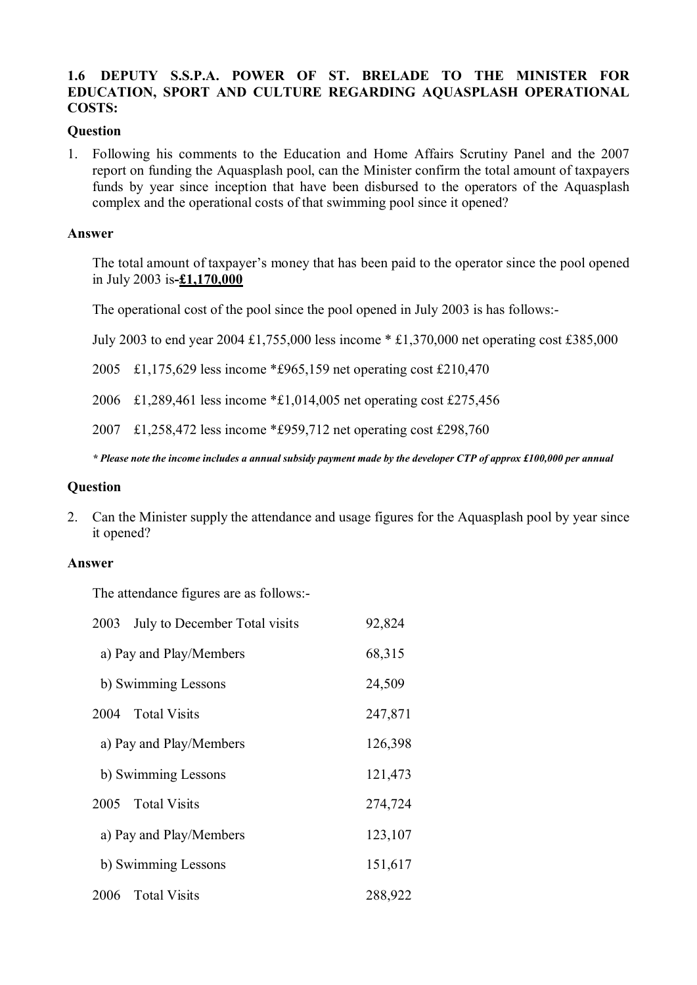# **1.6 DEPUTY S.S.P.A. POWER OF ST. BRELADE TO THE MINISTER FOR EDUCATION, SPORT AND CULTURE REGARDING AQUASPLASH OPERATIONAL COSTS:**

### **Question**

1. Following his comments to the Education and Home Affairs Scrutiny Panel and the 2007 report on funding the Aquasplash pool, can the Minister confirm the total amount of taxpayers funds by year since inception that have been disbursed to the operators of the Aquasplash complex and the operational costs of that swimming pool since it opened?

### **Answer**

The total amount of taxpayer's money that has been paid to the operator since the pool opened in July 2003 is**-£1,170,000**

The operational cost of the pool since the pool opened in July 2003 is has follows:-

July 2003 to end year 2004 £1,755,000 less income \* £1,370,000 net operating cost £385,000

2005 £1,175,629 less income \*£965,159 net operating cost £210,470

2006 £1,289,461 less income \*£1,014,005 net operating cost £275,456

2007 £1,258,472 less income \*£959,712 net operating cost £298,760

*\* Please note the income includes a annual subsidy payment made by the developer CTP of approx £100,000 per annual* 

### **Question**

2. Can the Minister supply the attendance and usage figures for the Aquasplash pool by year since it opened?

### **Answer**

The attendance figures are as follows:-

| 2003<br>July to December Total visits | 92,824  |
|---------------------------------------|---------|
| a) Pay and Play/Members               | 68,315  |
| b) Swimming Lessons                   | 24,509  |
| 2004 Total Visits                     | 247,871 |
| a) Pay and Play/Members               | 126,398 |
| b) Swimming Lessons                   | 121,473 |
| 2005 Total Visits                     | 274,724 |
| a) Pay and Play/Members               | 123,107 |
| b) Swimming Lessons                   | 151,617 |
| 2006 Total Visits                     | 288,922 |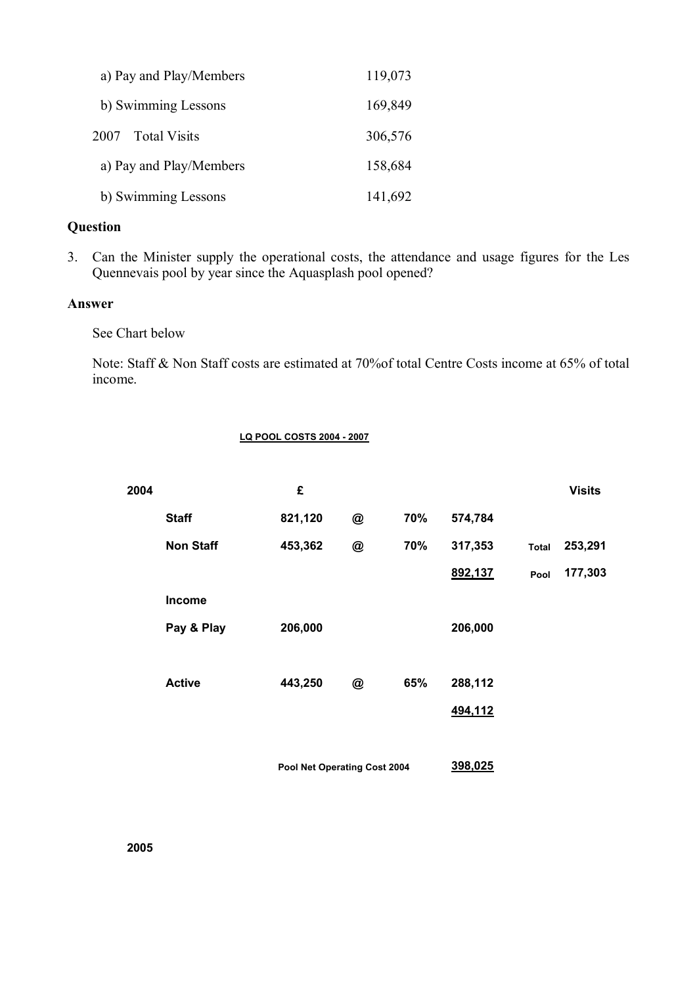| a) Pay and Play/Members     | 119,073 |
|-----------------------------|---------|
| b) Swimming Lessons         | 169,849 |
| <b>Total Visits</b><br>2007 | 306,576 |
| a) Pay and Play/Members     | 158,684 |
| b) Swimming Lessons         | 141,692 |

# **Question**

3. Can the Minister supply the operational costs, the attendance and usage figures for the Les Quennevais pool by year since the Aquasplash pool opened?

### **Answer**

See Chart below

Note: Staff & Non Staff costs are estimated at 70%of total Centre Costs income at 65% of total income.

#### **LQ POOL COSTS 2004 - 2007**

| 2004 |                  | £                            |   |     |         |              | <b>Visits</b> |
|------|------------------|------------------------------|---|-----|---------|--------------|---------------|
|      | <b>Staff</b>     | 821,120                      | @ | 70% | 574,784 |              |               |
|      | <b>Non Staff</b> | 453,362                      | @ | 70% | 317,353 | <b>Total</b> | 253,291       |
|      |                  |                              |   |     | 892,137 | Pool         | 177,303       |
|      | Income           |                              |   |     |         |              |               |
|      | Pay & Play       | 206,000                      |   |     | 206,000 |              |               |
|      |                  |                              |   |     |         |              |               |
|      | <b>Active</b>    | 443,250                      | @ | 65% | 288,112 |              |               |
|      |                  |                              |   |     | 494,112 |              |               |
|      |                  |                              |   |     |         |              |               |
|      |                  | Pool Net Operating Cost 2004 |   |     | 398,025 |              |               |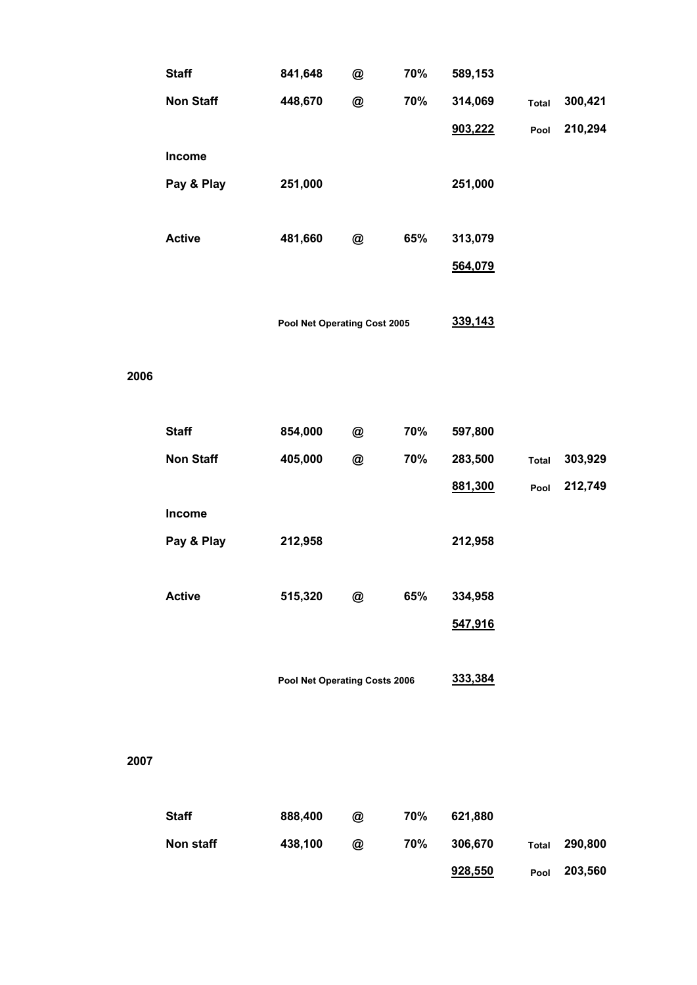|      | <b>Staff</b>     | 841,648                       | @ | 70% | 589,153 |              |         |
|------|------------------|-------------------------------|---|-----|---------|--------------|---------|
|      | <b>Non Staff</b> | 448,670                       | @ | 70% | 314,069 | <b>Total</b> | 300,421 |
|      |                  |                               |   |     | 903,222 | Pool         | 210,294 |
|      | Income           |                               |   |     |         |              |         |
|      | Pay & Play       | 251,000                       |   |     | 251,000 |              |         |
|      |                  |                               |   |     |         |              |         |
|      | <b>Active</b>    | 481,660                       | @ | 65% | 313,079 |              |         |
|      |                  |                               |   |     | 564,079 |              |         |
|      |                  |                               |   |     |         |              |         |
|      |                  | Pool Net Operating Cost 2005  |   |     | 339,143 |              |         |
|      |                  |                               |   |     |         |              |         |
| 2006 |                  |                               |   |     |         |              |         |
|      |                  |                               |   |     |         |              |         |
|      | <b>Staff</b>     | 854,000                       | @ | 70% | 597,800 |              |         |
|      | <b>Non Staff</b> | 405,000                       | @ | 70% | 283,500 | <b>Total</b> | 303,929 |
|      |                  |                               |   |     | 881,300 | Pool         | 212,749 |
|      | Income           |                               |   |     |         |              |         |
|      | Pay & Play       | 212,958                       |   |     | 212,958 |              |         |
|      |                  |                               |   |     |         |              |         |
|      | <b>Active</b>    | 515,320                       | @ | 65% | 334,958 |              |         |
|      |                  |                               |   |     | 547,916 |              |         |
|      |                  |                               |   |     |         |              |         |
|      |                  | Pool Net Operating Costs 2006 |   |     | 333,384 |              |         |
|      |                  |                               |   |     |         |              |         |
|      |                  |                               |   |     |         |              |         |
| 2007 |                  |                               |   |     |         |              |         |
|      |                  |                               |   |     |         |              |         |
|      | <b>Staff</b>     | 888,400                       | @ | 70% | 621,880 |              |         |
|      | Non staff        | 438,100                       | @ | 70% | 306,670 | <b>Total</b> | 290,800 |
|      |                  |                               |   |     | 928,550 | Pool         | 203,560 |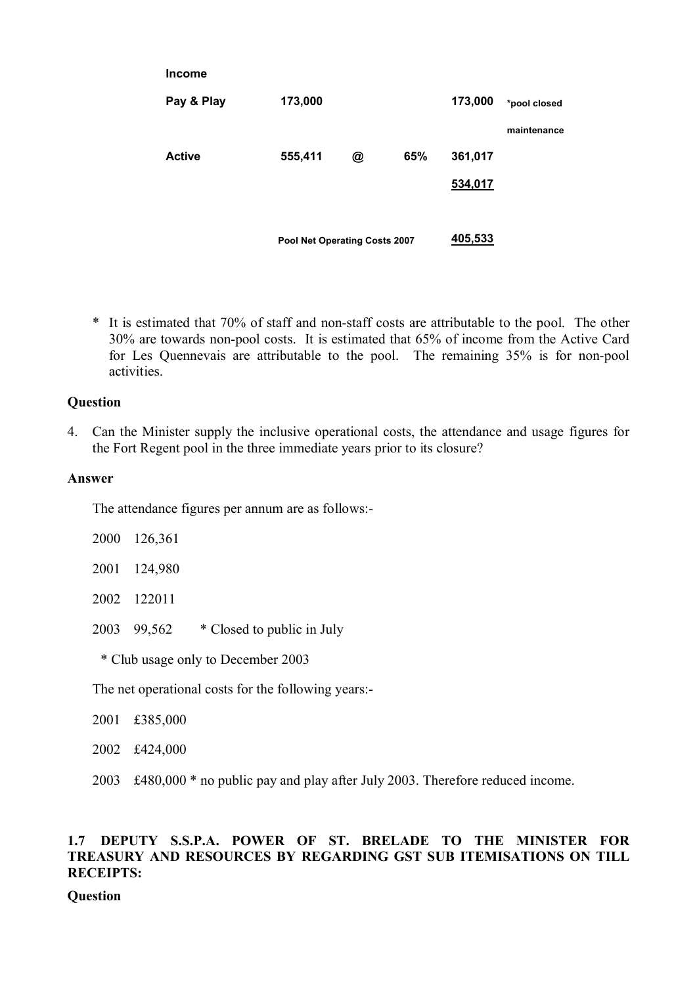|               | Pool Net Operating Costs 2007 |   |     | 405,533 |              |
|---------------|-------------------------------|---|-----|---------|--------------|
|               |                               |   |     | 534,017 |              |
| <b>Active</b> | 555,411                       | @ | 65% | 361,017 |              |
|               |                               |   |     |         | maintenance  |
| Pay & Play    | 173,000                       |   |     | 173,000 | *pool closed |
| <b>Income</b> |                               |   |     |         |              |

\* It is estimated that 70% of staff and non-staff costs are attributable to the pool. The other 30% are towards non-pool costs. It is estimated that 65% of income from the Active Card for Les Quennevais are attributable to the pool. The remaining 35% is for non-pool activities.

### **Question**

4. Can the Minister supply the inclusive operational costs, the attendance and usage figures for the Fort Regent pool in the three immediate years prior to its closure?

### **Answer**

The attendance figures per annum are as follows:-

|                                                | 2000 126,361 |                                        |  |  |
|------------------------------------------------|--------------|----------------------------------------|--|--|
|                                                | 2001 124,980 |                                        |  |  |
|                                                | 2002 122011  |                                        |  |  |
|                                                |              | 2003 99,562 * Closed to public in July |  |  |
| * Club usage only to December 2003             |              |                                        |  |  |
| The not energtianal costs for the following we |              |                                        |  |  |

The net operational costs for the following years:-

2001 £385,000

2002 £424,000

2003 £480,000 \* no public pay and play after July 2003. Therefore reduced income.

# **1.7 DEPUTY S.S.P.A. POWER OF ST. BRELADE TO THE MINISTER FOR TREASURY AND RESOURCES BY REGARDING GST SUB ITEMISATIONS ON TILL RECEIPTS:**

**Question**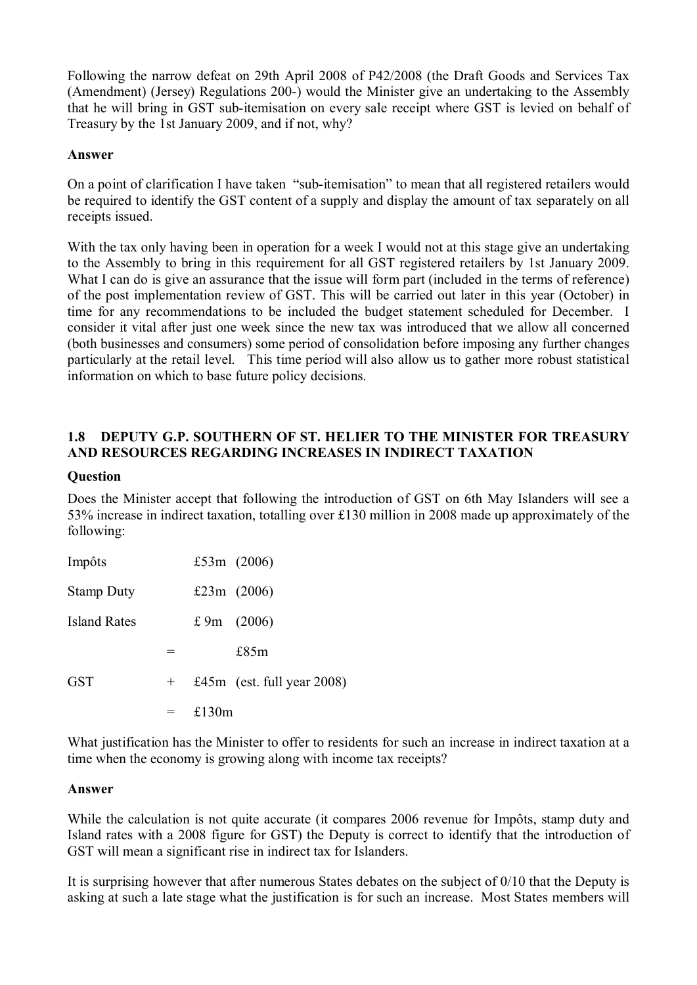Following the narrow defeat on 29th April 2008 of P42/2008 (the Draft Goods and Services Tax (Amendment) (Jersey) Regulations 200-) would the Minister give an undertaking to the Assembly that he will bring in GST sub-itemisation on every sale receipt where GST is levied on behalf of Treasury by the 1st January 2009, and if not, why?

# **Answer**

On a point of clarification I have taken "sub-itemisation" to mean that all registered retailers would be required to identify the GST content of a supply and display the amount of tax separately on all receipts issued.

With the tax only having been in operation for a week I would not at this stage give an undertaking to the Assembly to bring in this requirement for all GST registered retailers by 1st January 2009. What I can do is give an assurance that the issue will form part (included in the terms of reference) of the post implementation review of GST. This will be carried out later in this year (October) in time for any recommendations to be included the budget statement scheduled for December. I consider it vital after just one week since the new tax was introduced that we allow all concerned (both businesses and consumers) some period of consolidation before imposing any further changes particularly at the retail level. This time period will also allow us to gather more robust statistical information on which to base future policy decisions.

# **1.8 DEPUTY G.P. SOUTHERN OF ST. HELIER TO THE MINISTER FOR TREASURY AND RESOURCES REGARDING INCREASES IN INDIRECT TAXATION**

# **Question**

Does the Minister accept that following the introduction of GST on 6th May Islanders will see a 53% increase in indirect taxation, totalling over £130 million in 2008 made up approximately of the following:

| Impôts            |     |          | £53 $m(2006)$                 |
|-------------------|-----|----------|-------------------------------|
| <b>Stamp Duty</b> |     |          | £23 $m(2006)$                 |
| Island Rates      |     |          | £ 9m $(2006)$                 |
|                   | $=$ |          | £85m                          |
| <b>GST</b>        | $+$ |          | £45 $m$ (est. full year 2008) |
|                   | =   | £130 $m$ |                               |

What justification has the Minister to offer to residents for such an increase in indirect taxation at a time when the economy is growing along with income tax receipts?

### **Answer**

While the calculation is not quite accurate (it compares 2006 revenue for Impôts, stamp duty and Island rates with a 2008 figure for GST) the Deputy is correct to identify that the introduction of GST will mean a significant rise in indirect tax for Islanders.

It is surprising however that after numerous States debates on the subject of 0/10 that the Deputy is asking at such a late stage what the justification is for such an increase. Most States members will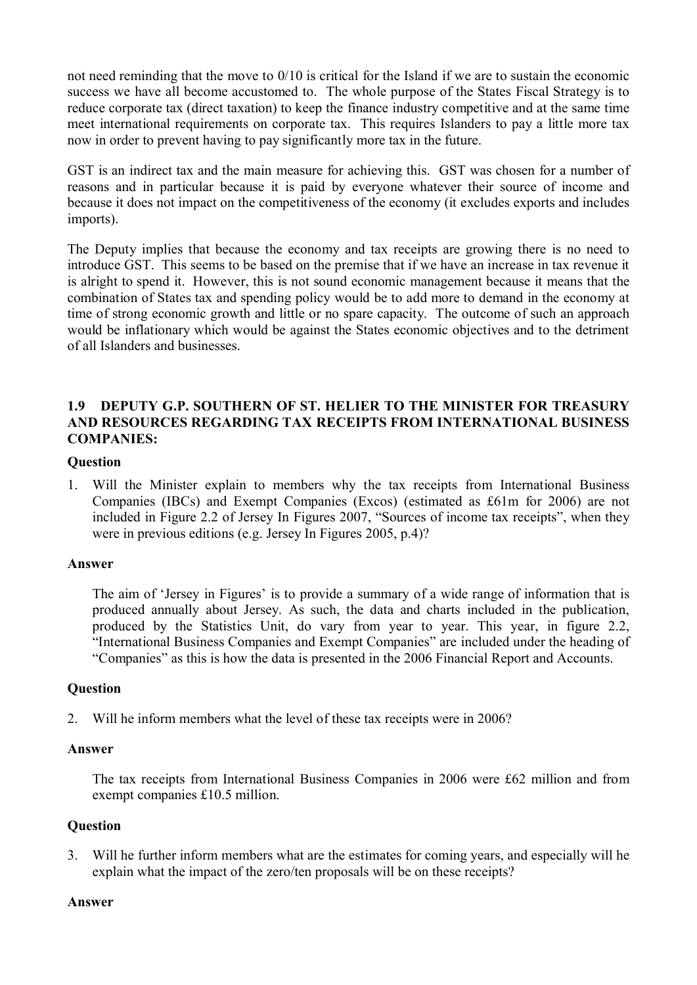not need reminding that the move to 0/10 is critical for the Island if we are to sustain the economic success we have all become accustomed to. The whole purpose of the States Fiscal Strategy is to reduce corporate tax (direct taxation) to keep the finance industry competitive and at the same time meet international requirements on corporate tax. This requires Islanders to pay a little more tax now in order to prevent having to pay significantly more tax in the future.

GST is an indirect tax and the main measure for achieving this. GST was chosen for a number of reasons and in particular because it is paid by everyone whatever their source of income and because it does not impact on the competitiveness of the economy (it excludes exports and includes imports).

The Deputy implies that because the economy and tax receipts are growing there is no need to introduce GST. This seems to be based on the premise that if we have an increase in tax revenue it is alright to spend it. However, this is not sound economic management because it means that the combination of States tax and spending policy would be to add more to demand in the economy at time of strong economic growth and little or no spare capacity. The outcome of such an approach would be inflationary which would be against the States economic objectives and to the detriment of all Islanders and businesses.

# **1.9 DEPUTY G.P. SOUTHERN OF ST. HELIER TO THE MINISTER FOR TREASURY AND RESOURCES REGARDING TAX RECEIPTS FROM INTERNATIONAL BUSINESS COMPANIES:**

# **Question**

1. Will the Minister explain to members why the tax receipts from International Business Companies (IBCs) and Exempt Companies (Excos) (estimated as £61m for 2006) are not included in Figure 2.2 of Jersey In Figures 2007, "Sources of income tax receipts", when they were in previous editions (e.g. Jersey In Figures 2005, p.4)?

### **Answer**

The aim of 'Jersey in Figures' is to provide a summary of a wide range of information that is produced annually about Jersey. As such, the data and charts included in the publication, produced by the Statistics Unit, do vary from year to year. This year, in figure 2.2, "International Business Companies and Exempt Companies" are included under the heading of "Companies" as this is how the data is presented in the 2006 Financial Report and Accounts.

# **Question**

2. Will he inform members what the level of these tax receipts were in 2006?

### **Answer**

The tax receipts from International Business Companies in 2006 were £62 million and from exempt companies £10.5 million.

# **Question**

3. Will he further inform members what are the estimates for coming years, and especially will he explain what the impact of the zero/ten proposals will be on these receipts?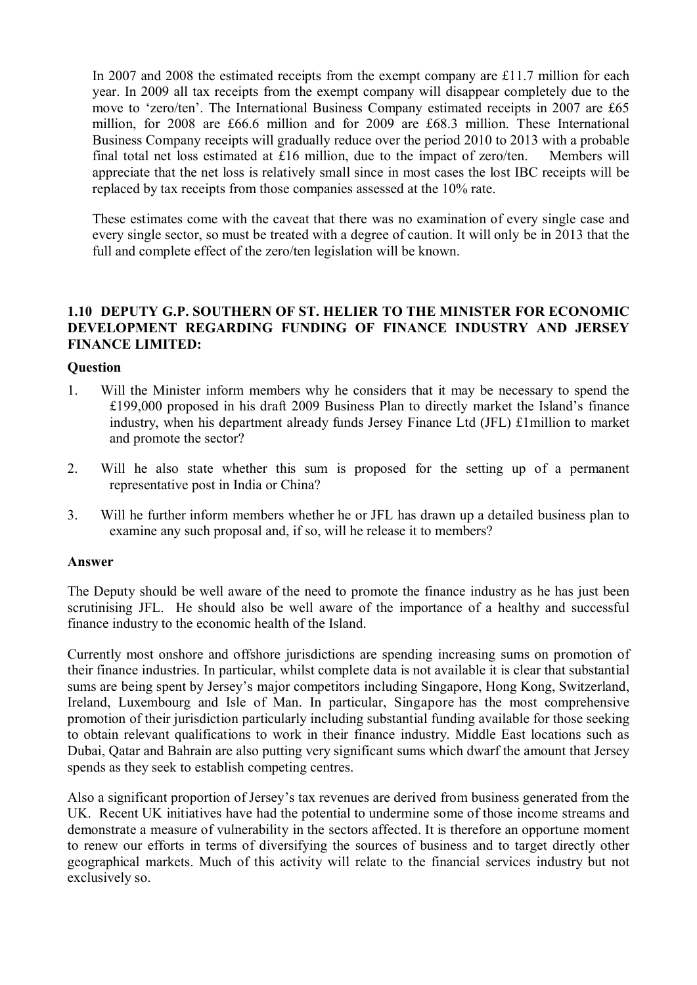In 2007 and 2008 the estimated receipts from the exempt company are £11.7 million for each year. In 2009 all tax receipts from the exempt company will disappear completely due to the move to 'zero/ten'. The International Business Company estimated receipts in 2007 are £65 million, for 2008 are £66.6 million and for 2009 are £68.3 million. These International Business Company receipts will gradually reduce over the period 2010 to 2013 with a probable final total net loss estimated at £16 million, due to the impact of zero/ten. Members will appreciate that the net loss is relatively small since in most cases the lost IBC receipts will be replaced by tax receipts from those companies assessed at the 10% rate.

These estimates come with the caveat that there was no examination of every single case and every single sector, so must be treated with a degree of caution. It will only be in 2013 that the full and complete effect of the zero/ten legislation will be known.

# **1.10 DEPUTY G.P. SOUTHERN OF ST. HELIER TO THE MINISTER FOR ECONOMIC DEVELOPMENT REGARDING FUNDING OF FINANCE INDUSTRY AND JERSEY FINANCE LIMITED:**

### **Question**

- 1. Will the Minister inform members why he considers that it may be necessary to spend the £199,000 proposed in his draft 2009 Business Plan to directly market the Island's finance industry, when his department already funds Jersey Finance Ltd (JFL) £1million to market and promote the sector?
- 2. Will he also state whether this sum is proposed for the setting up of a permanent representative post in India or China?
- 3. Will he further inform members whether he or JFL has drawn up a detailed business plan to examine any such proposal and, if so, will he release it to members?

### **Answer**

The Deputy should be well aware of the need to promote the finance industry as he has just been scrutinising JFL. He should also be well aware of the importance of a healthy and successful finance industry to the economic health of the Island.

Currently most onshore and offshore jurisdictions are spending increasing sums on promotion of their finance industries. In particular, whilst complete data is not available it is clear that substantial sums are being spent by Jersey's major competitors including Singapore, Hong Kong, Switzerland, Ireland, Luxembourg and Isle of Man. In particular, Singapore has the most comprehensive promotion of their jurisdiction particularly including substantial funding available for those seeking to obtain relevant qualifications to work in their finance industry. Middle East locations such as Dubai, Qatar and Bahrain are also putting very significant sums which dwarf the amount that Jersey spends as they seek to establish competing centres.

Also a significant proportion of Jersey's tax revenues are derived from business generated from the UK. Recent UK initiatives have had the potential to undermine some of those income streams and demonstrate a measure of vulnerability in the sectors affected. It is therefore an opportune moment to renew our efforts in terms of diversifying the sources of business and to target directly other geographical markets. Much of this activity will relate to the financial services industry but not exclusively so.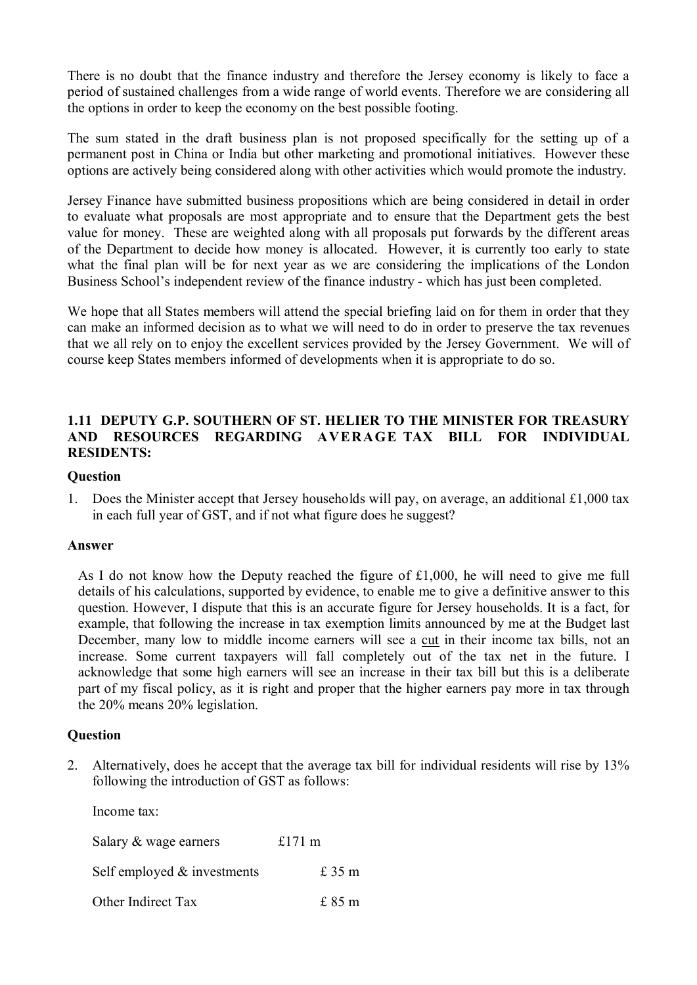There is no doubt that the finance industry and therefore the Jersey economy is likely to face a period of sustained challenges from a wide range of world events. Therefore we are considering all the options in order to keep the economy on the best possible footing.

The sum stated in the draft business plan is not proposed specifically for the setting up of a permanent post in China or India but other marketing and promotional initiatives. However these options are actively being considered along with other activities which would promote the industry.

Jersey Finance have submitted business propositions which are being considered in detail in order to evaluate what proposals are most appropriate and to ensure that the Department gets the best value for money. These are weighted along with all proposals put forwards by the different areas of the Department to decide how money is allocated. However, it is currently too early to state what the final plan will be for next year as we are considering the implications of the London Business School's independent review of the finance industry - which has just been completed.

We hope that all States members will attend the special briefing laid on for them in order that they can make an informed decision as to what we will need to do in order to preserve the tax revenues that we all rely on to enjoy the excellent services provided by the Jersey Government. We will of course keep States members informed of developments when it is appropriate to do so.

# **1.11 DEPUTY G.P. SOUTHERN OF ST. HELIER TO THE MINISTER FOR TREASURY AND RESOURCES REGARDING AVERAGE TAX BILL FOR INDIVIDUAL RESIDENTS:**

### **Question**

1. Does the Minister accept that Jersey households will pay, on average, an additional £1,000 tax in each full year of GST, and if not what figure does he suggest?

### **Answer**

As I do not know how the Deputy reached the figure of £1,000, he will need to give me full details of his calculations, supported by evidence, to enable me to give a definitive answer to this question. However, I dispute that this is an accurate figure for Jersey households. It is a fact, for example, that following the increase in tax exemption limits announced by me at the Budget last December, many low to middle income earners will see a cut in their income tax bills, not an increase. Some current taxpayers will fall completely out of the tax net in the future. I acknowledge that some high earners will see an increase in their tax bill but this is a deliberate part of my fiscal policy, as it is right and proper that the higher earners pay more in tax through the 20% means 20% legislation.

# **Question**

2. Alternatively, does he accept that the average tax bill for individual residents will rise by 13% following the introduction of GST as follows:

Income tax:

| Salary & wage earners          | £171 $m$ |  |
|--------------------------------|----------|--|
| Self employed $\&$ investments | £35m     |  |
| Other Indirect Tax             | £85m     |  |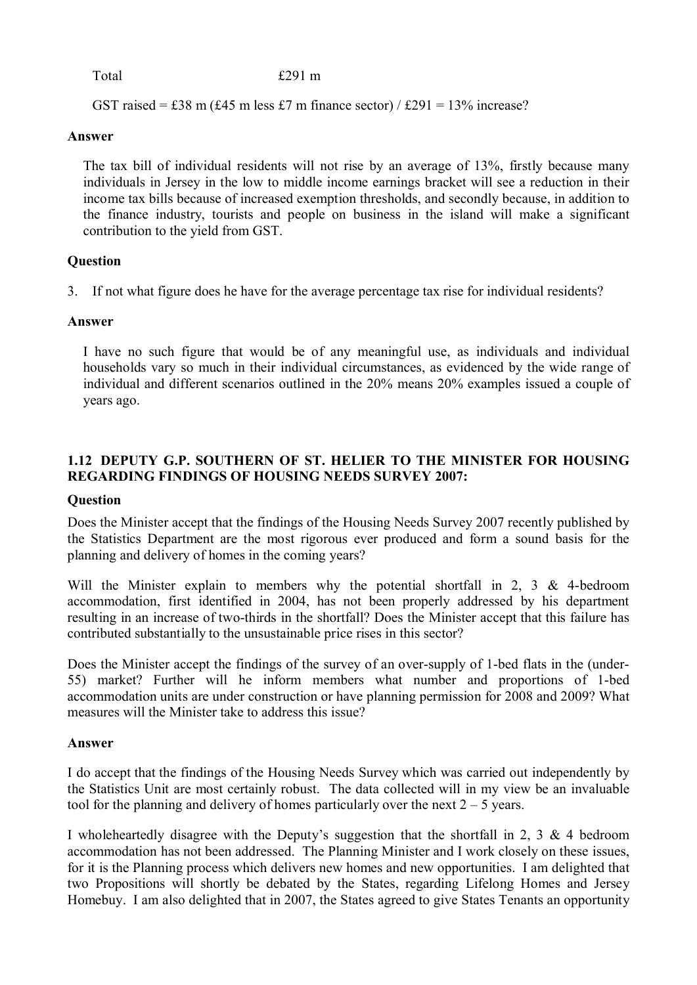Total £291 m

GST raised = £38 m (£45 m less £7 m finance sector) / £291 =  $13\%$  increase?

### **Answer**

The tax bill of individual residents will not rise by an average of 13%, firstly because many individuals in Jersey in the low to middle income earnings bracket will see a reduction in their income tax bills because of increased exemption thresholds, and secondly because, in addition to the finance industry, tourists and people on business in the island will make a significant contribution to the yield from GST.

# **Question**

3. If not what figure does he have for the average percentage tax rise for individual residents?

# **Answer**

I have no such figure that would be of any meaningful use, as individuals and individual households vary so much in their individual circumstances, as evidenced by the wide range of individual and different scenarios outlined in the 20% means 20% examples issued a couple of years ago.

# **1.12 DEPUTY G.P. SOUTHERN OF ST. HELIER TO THE MINISTER FOR HOUSING REGARDING FINDINGS OF HOUSING NEEDS SURVEY 2007:**

# **Question**

Does the Minister accept that the findings of the Housing Needs Survey 2007 recently published by the Statistics Department are the most rigorous ever produced and form a sound basis for the planning and delivery of homes in the coming years?

Will the Minister explain to members why the potential shortfall in 2, 3 & 4-bedroom accommodation, first identified in 2004, has not been properly addressed by his department resulting in an increase of two-thirds in the shortfall? Does the Minister accept that this failure has contributed substantially to the unsustainable price rises in this sector?

Does the Minister accept the findings of the survey of an over-supply of 1-bed flats in the (under-55) market? Further will he inform members what number and proportions of 1-bed accommodation units are under construction or have planning permission for 2008 and 2009? What measures will the Minister take to address this issue?

# **Answer**

I do accept that the findings of the Housing Needs Survey which was carried out independently by the Statistics Unit are most certainly robust. The data collected will in my view be an invaluable tool for the planning and delivery of homes particularly over the next  $2 - 5$  years.

I wholeheartedly disagree with the Deputy's suggestion that the shortfall in 2, 3  $\&$  4 bedroom accommodation has not been addressed. The Planning Minister and I work closely on these issues, for it is the Planning process which delivers new homes and new opportunities. I am delighted that two Propositions will shortly be debated by the States, regarding Lifelong Homes and Jersey Homebuy. I am also delighted that in 2007, the States agreed to give States Tenants an opportunity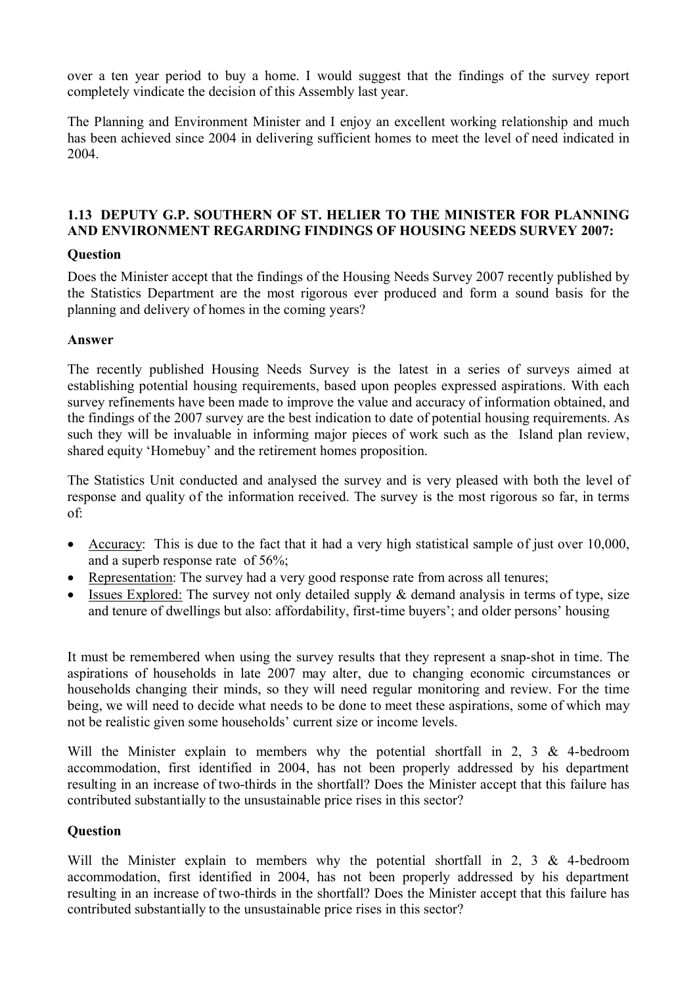over a ten year period to buy a home. I would suggest that the findings of the survey report completely vindicate the decision of this Assembly last year.

The Planning and Environment Minister and I enjoy an excellent working relationship and much has been achieved since 2004 in delivering sufficient homes to meet the level of need indicated in 2004.

# **1.13 DEPUTY G.P. SOUTHERN OF ST. HELIER TO THE MINISTER FOR PLANNING AND ENVIRONMENT REGARDING FINDINGS OF HOUSING NEEDS SURVEY 2007:**

# **Question**

Does the Minister accept that the findings of the Housing Needs Survey 2007 recently published by the Statistics Department are the most rigorous ever produced and form a sound basis for the planning and delivery of homes in the coming years?

### **Answer**

The recently published Housing Needs Survey is the latest in a series of surveys aimed at establishing potential housing requirements, based upon peoples expressed aspirations. With each survey refinements have been made to improve the value and accuracy of information obtained, and the findings of the 2007 survey are the best indication to date of potential housing requirements. As such they will be invaluable in informing major pieces of work such as the Island plan review, shared equity 'Homebuy' and the retirement homes proposition.

The Statistics Unit conducted and analysed the survey and is very pleased with both the level of response and quality of the information received. The survey is the most rigorous so far, in terms of:

- Accuracy: This is due to the fact that it had a very high statistical sample of just over 10,000, and a superb response rate of 56%;
- Representation: The survey had a very good response rate from across all tenures;
- Issues Explored: The survey not only detailed supply  $\&$  demand analysis in terms of type, size and tenure of dwellings but also: affordability, first-time buyers'; and older persons' housing

It must be remembered when using the survey results that they represent a snap-shot in time. The aspirations of households in late 2007 may alter, due to changing economic circumstances or households changing their minds, so they will need regular monitoring and review. For the time being, we will need to decide what needs to be done to meet these aspirations, some of which may not be realistic given some households' current size or income levels.

Will the Minister explain to members why the potential shortfall in 2, 3  $\&$  4-bedroom accommodation, first identified in 2004, has not been properly addressed by his department resulting in an increase of two-thirds in the shortfall? Does the Minister accept that this failure has contributed substantially to the unsustainable price rises in this sector?

### **Question**

Will the Minister explain to members why the potential shortfall in 2, 3 & 4-bedroom accommodation, first identified in 2004, has not been properly addressed by his department resulting in an increase of two-thirds in the shortfall? Does the Minister accept that this failure has contributed substantially to the unsustainable price rises in this sector?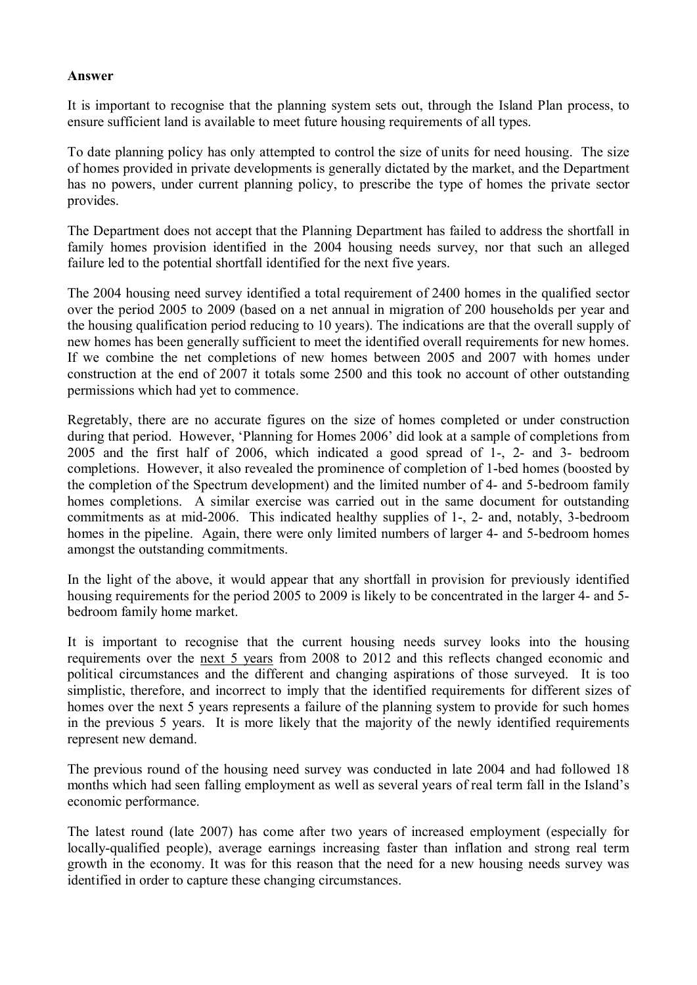### **Answer**

It is important to recognise that the planning system sets out, through the Island Plan process, to ensure sufficient land is available to meet future housing requirements of all types.

To date planning policy has only attempted to control the size of units for need housing. The size of homes provided in private developments is generally dictated by the market, and the Department has no powers, under current planning policy, to prescribe the type of homes the private sector provides.

The Department does not accept that the Planning Department has failed to address the shortfall in family homes provision identified in the 2004 housing needs survey, nor that such an alleged failure led to the potential shortfall identified for the next five years.

The 2004 housing need survey identified a total requirement of 2400 homes in the qualified sector over the period 2005 to 2009 (based on a net annual in migration of 200 households per year and the housing qualification period reducing to 10 years). The indications are that the overall supply of new homes has been generally sufficient to meet the identified overall requirements for new homes. If we combine the net completions of new homes between 2005 and 2007 with homes under construction at the end of 2007 it totals some 2500 and this took no account of other outstanding permissions which had yet to commence.

Regretably, there are no accurate figures on the size of homes completed or under construction during that period. However, 'Planning for Homes 2006' did look at a sample of completions from 2005 and the first half of 2006, which indicated a good spread of 1-, 2- and 3- bedroom completions. However, it also revealed the prominence of completion of 1-bed homes (boosted by the completion of the Spectrum development) and the limited number of 4- and 5-bedroom family homes completions. A similar exercise was carried out in the same document for outstanding commitments as at mid-2006. This indicated healthy supplies of 1-, 2- and, notably, 3-bedroom homes in the pipeline. Again, there were only limited numbers of larger 4- and 5-bedroom homes amongst the outstanding commitments.

In the light of the above, it would appear that any shortfall in provision for previously identified housing requirements for the period 2005 to 2009 is likely to be concentrated in the larger 4- and 5bedroom family home market.

It is important to recognise that the current housing needs survey looks into the housing requirements over the next 5 years from 2008 to 2012 and this reflects changed economic and political circumstances and the different and changing aspirations of those surveyed. It is too simplistic, therefore, and incorrect to imply that the identified requirements for different sizes of homes over the next 5 years represents a failure of the planning system to provide for such homes in the previous 5 years. It is more likely that the majority of the newly identified requirements represent new demand.

The previous round of the housing need survey was conducted in late 2004 and had followed 18 months which had seen falling employment as well as several years of real term fall in the Island's economic performance.

The latest round (late 2007) has come after two years of increased employment (especially for locally-qualified people), average earnings increasing faster than inflation and strong real term growth in the economy. It was for this reason that the need for a new housing needs survey was identified in order to capture these changing circumstances.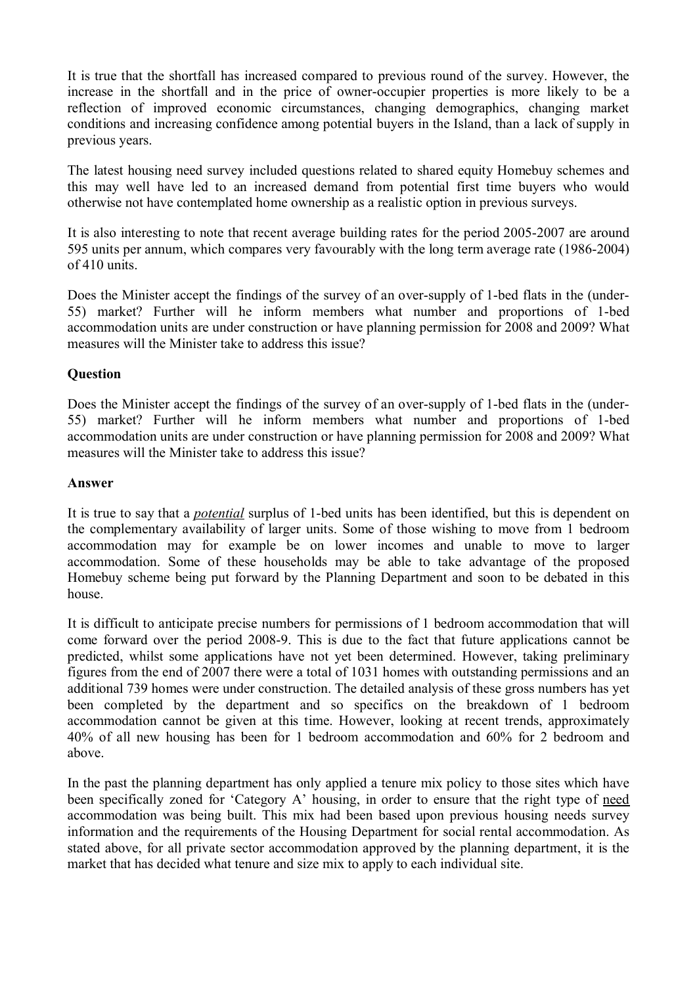It is true that the shortfall has increased compared to previous round of the survey. However, the increase in the shortfall and in the price of owner-occupier properties is more likely to be a reflection of improved economic circumstances, changing demographics, changing market conditions and increasing confidence among potential buyers in the Island, than a lack of supply in previous years.

The latest housing need survey included questions related to shared equity Homebuy schemes and this may well have led to an increased demand from potential first time buyers who would otherwise not have contemplated home ownership as a realistic option in previous surveys.

It is also interesting to note that recent average building rates for the period 2005-2007 are around 595 units per annum, which compares very favourably with the long term average rate (1986-2004) of 410 units.

Does the Minister accept the findings of the survey of an over-supply of 1-bed flats in the (under-55) market? Further will he inform members what number and proportions of 1-bed accommodation units are under construction or have planning permission for 2008 and 2009? What measures will the Minister take to address this issue?

# **Question**

Does the Minister accept the findings of the survey of an over-supply of 1-bed flats in the (under-55) market? Further will he inform members what number and proportions of 1-bed accommodation units are under construction or have planning permission for 2008 and 2009? What measures will the Minister take to address this issue?

### **Answer**

It is true to say that a *potential* surplus of 1-bed units has been identified, but this is dependent on the complementary availability of larger units. Some of those wishing to move from 1 bedroom accommodation may for example be on lower incomes and unable to move to larger accommodation. Some of these households may be able to take advantage of the proposed Homebuy scheme being put forward by the Planning Department and soon to be debated in this house.

It is difficult to anticipate precise numbers for permissions of 1 bedroom accommodation that will come forward over the period 2008-9. This is due to the fact that future applications cannot be predicted, whilst some applications have not yet been determined. However, taking preliminary figures from the end of 2007 there were a total of 1031 homes with outstanding permissions and an additional 739 homes were under construction. The detailed analysis of these gross numbers has yet been completed by the department and so specifics on the breakdown of 1 bedroom accommodation cannot be given at this time. However, looking at recent trends, approximately 40% of all new housing has been for 1 bedroom accommodation and 60% for 2 bedroom and above.

In the past the planning department has only applied a tenure mix policy to those sites which have been specifically zoned for 'Category A' housing, in order to ensure that the right type of need accommodation was being built. This mix had been based upon previous housing needs survey information and the requirements of the Housing Department for social rental accommodation. As stated above, for all private sector accommodation approved by the planning department, it is the market that has decided what tenure and size mix to apply to each individual site.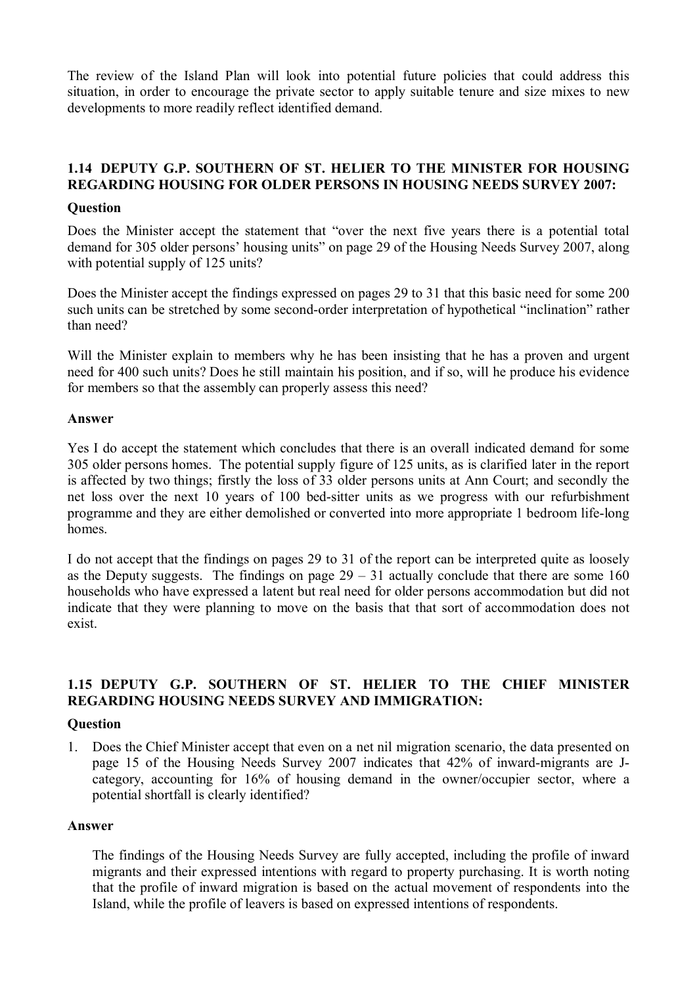The review of the Island Plan will look into potential future policies that could address this situation, in order to encourage the private sector to apply suitable tenure and size mixes to new developments to more readily reflect identified demand.

# **1.14 DEPUTY G.P. SOUTHERN OF ST. HELIER TO THE MINISTER FOR HOUSING REGARDING HOUSING FOR OLDER PERSONS IN HOUSING NEEDS SURVEY 2007:**

### **Question**

Does the Minister accept the statement that "over the next five years there is a potential total demand for 305 older persons' housing units" on page 29 of the Housing Needs Survey 2007, along with potential supply of 125 units?

Does the Minister accept the findings expressed on pages 29 to 31 that this basic need for some 200 such units can be stretched by some second-order interpretation of hypothetical "inclination" rather than need?

Will the Minister explain to members why he has been insisting that he has a proven and urgent need for 400 such units? Does he still maintain his position, and if so, will he produce his evidence for members so that the assembly can properly assess this need?

### **Answer**

Yes I do accept the statement which concludes that there is an overall indicated demand for some 305 older persons homes. The potential supply figure of 125 units, as is clarified later in the report is affected by two things; firstly the loss of 33 older persons units at Ann Court; and secondly the net loss over the next 10 years of 100 bed-sitter units as we progress with our refurbishment programme and they are either demolished or converted into more appropriate 1 bedroom life-long homes.

I do not accept that the findings on pages 29 to 31 of the report can be interpreted quite as loosely as the Deputy suggests. The findings on page  $29 - 31$  actually conclude that there are some 160 households who have expressed a latent but real need for older persons accommodation but did not indicate that they were planning to move on the basis that that sort of accommodation does not exist.

# **1.15 DEPUTY G.P. SOUTHERN OF ST. HELIER TO THE CHIEF MINISTER REGARDING HOUSING NEEDS SURVEY AND IMMIGRATION:**

# **Question**

1. Does the Chief Minister accept that even on a net nil migration scenario, the data presented on page 15 of the Housing Needs Survey 2007 indicates that 42% of inward-migrants are Jcategory, accounting for 16% of housing demand in the owner/occupier sector, where a potential shortfall is clearly identified?

### **Answer**

The findings of the Housing Needs Survey are fully accepted, including the profile of inward migrants and their expressed intentions with regard to property purchasing. It is worth noting that the profile of inward migration is based on the actual movement of respondents into the Island, while the profile of leavers is based on expressed intentions of respondents.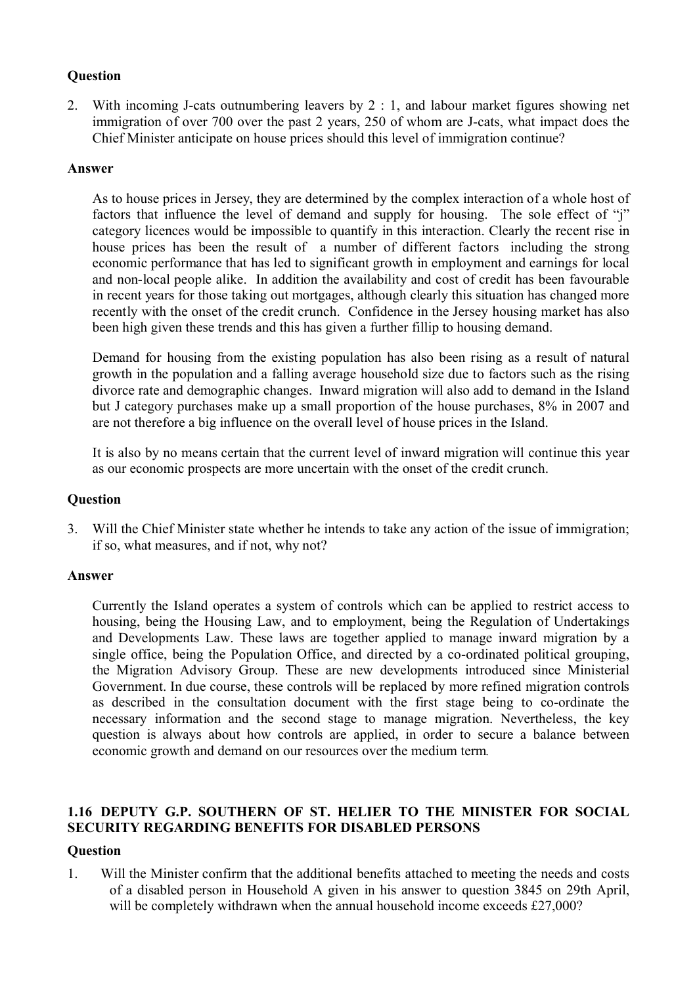# **Question**

2. With incoming J-cats outnumbering leavers by 2 : 1, and labour market figures showing net immigration of over 700 over the past 2 years, 250 of whom are J-cats, what impact does the Chief Minister anticipate on house prices should this level of immigration continue?

# **Answer**

As to house prices in Jersey, they are determined by the complex interaction of a whole host of factors that influence the level of demand and supply for housing. The sole effect of "j" category licences would be impossible to quantify in this interaction. Clearly the recent rise in house prices has been the result of a number of different factors including the strong economic performance that has led to significant growth in employment and earnings for local and non-local people alike. In addition the availability and cost of credit has been favourable in recent years for those taking out mortgages, although clearly this situation has changed more recently with the onset of the credit crunch. Confidence in the Jersey housing market has also been high given these trends and this has given a further fillip to housing demand.

Demand for housing from the existing population has also been rising as a result of natural growth in the population and a falling average household size due to factors such as the rising divorce rate and demographic changes. Inward migration will also add to demand in the Island but J category purchases make up a small proportion of the house purchases, 8% in 2007 and are not therefore a big influence on the overall level of house prices in the Island.

It is also by no means certain that the current level of inward migration will continue this year as our economic prospects are more uncertain with the onset of the credit crunch.

# **Question**

3. Will the Chief Minister state whether he intends to take any action of the issue of immigration; if so, what measures, and if not, why not?

### **Answer**

Currently the Island operates a system of controls which can be applied to restrict access to housing, being the Housing Law, and to employment, being the Regulation of Undertakings and Developments Law. These laws are together applied to manage inward migration by a single office, being the Population Office, and directed by a co-ordinated political grouping, the Migration Advisory Group. These are new developments introduced since Ministerial Government. In due course, these controls will be replaced by more refined migration controls as described in the consultation document with the first stage being to co-ordinate the necessary information and the second stage to manage migration. Nevertheless, the key question is always about how controls are applied, in order to secure a balance between economic growth and demand on our resources over the medium term*.*

# **1.16 DEPUTY G.P. SOUTHERN OF ST. HELIER TO THE MINISTER FOR SOCIAL SECURITY REGARDING BENEFITS FOR DISABLED PERSONS**

# **Question**

1. Will the Minister confirm that the additional benefits attached to meeting the needs and costs of a disabled person in Household A given in his answer to question 3845 on 29th April, will be completely withdrawn when the annual household income exceeds £27,000?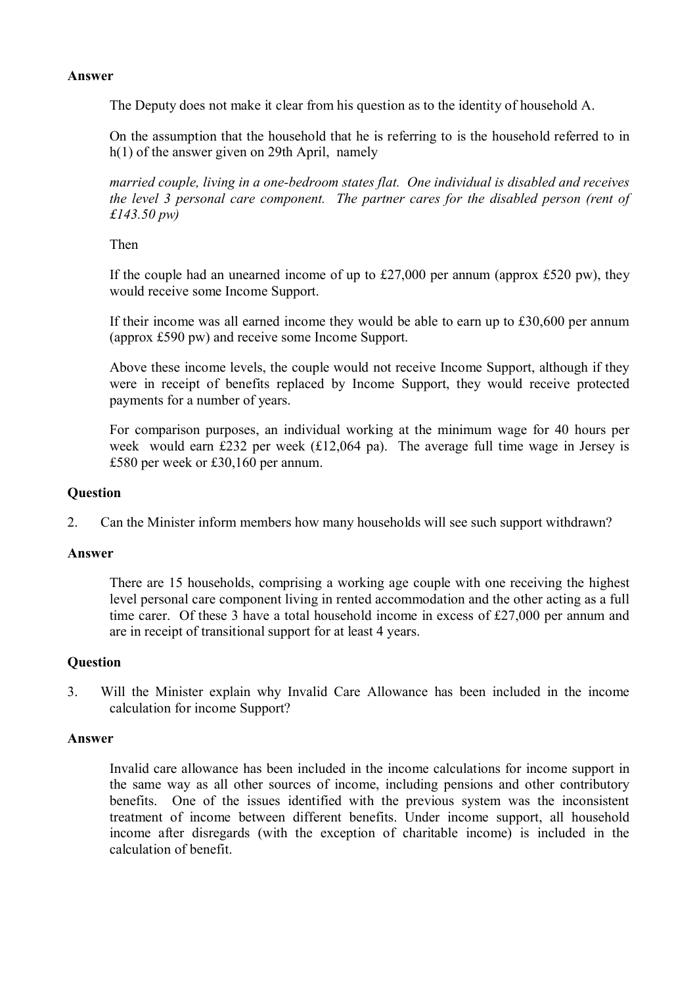### **Answer**

The Deputy does not make it clear from his question as to the identity of household A.

On the assumption that the household that he is referring to is the household referred to in h(1) of the answer given on 29th April, namely

*married couple, living in a one-bedroom states flat. One individual is disabled and receives the level 3 personal care component. The partner cares for the disabled person (rent of £143.50 pw)*

Then

If the couple had an unearned income of up to  $£27,000$  per annum (approx  $£520$  pw), they would receive some Income Support.

If their income was all earned income they would be able to earn up to £30,600 per annum (approx £590 pw) and receive some Income Support.

Above these income levels, the couple would not receive Income Support, although if they were in receipt of benefits replaced by Income Support, they would receive protected payments for a number of years.

For comparison purposes, an individual working at the minimum wage for 40 hours per week would earn £232 per week (£12,064 pa). The average full time wage in Jersey is £580 per week or £30,160 per annum.

### **Question**

2. Can the Minister inform members how many households will see such support withdrawn?

### **Answer**

There are 15 households, comprising a working age couple with one receiving the highest level personal care component living in rented accommodation and the other acting as a full time carer. Of these 3 have a total household income in excess of £27,000 per annum and are in receipt of transitional support for at least 4 years.

# **Question**

3. Will the Minister explain why Invalid Care Allowance has been included in the income calculation for income Support?

### **Answer**

Invalid care allowance has been included in the income calculations for income support in the same way as all other sources of income, including pensions and other contributory benefits. One of the issues identified with the previous system was the inconsistent treatment of income between different benefits. Under income support, all household income after disregards (with the exception of charitable income) is included in the calculation of benefit.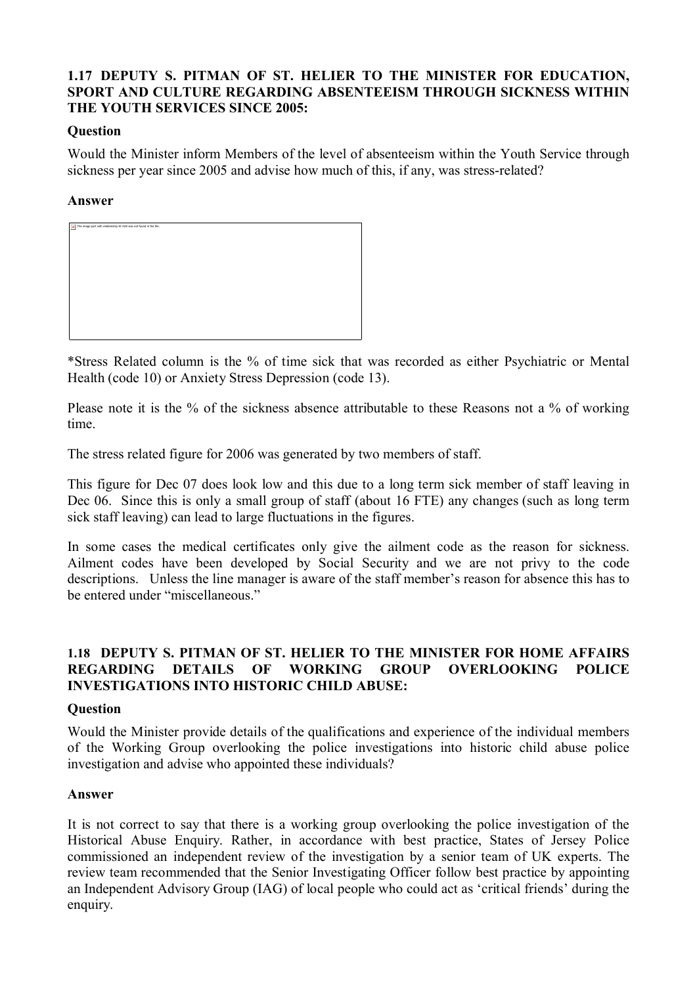# **1.17 DEPUTY S. PITMAN OF ST. HELIER TO THE MINISTER FOR EDUCATION, SPORT AND CULTURE REGARDING ABSENTEEISM THROUGH SICKNESS WITHIN THE YOUTH SERVICES SINCE 2005:**

# **Question**

Would the Minister inform Members of the level of absenteeism within the Youth Service through sickness per year since 2005 and advise how much of this, if any, was stress-related?

### **Answer**



\*Stress Related column is the % of time sick that was recorded as either Psychiatric or Mental Health (code 10) or Anxiety Stress Depression (code 13).

Please note it is the % of the sickness absence attributable to these Reasons not a % of working time.

The stress related figure for 2006 was generated by two members of staff.

This figure for Dec 07 does look low and this due to a long term sick member of staff leaving in Dec 06. Since this is only a small group of staff (about 16 FTE) any changes (such as long term sick staff leaving) can lead to large fluctuations in the figures.

In some cases the medical certificates only give the ailment code as the reason for sickness. Ailment codes have been developed by Social Security and we are not privy to the code descriptions. Unless the line manager is aware of the staff member's reason for absence this has to be entered under "miscellaneous."

# **1.18 DEPUTY S. PITMAN OF ST. HELIER TO THE MINISTER FOR HOME AFFAIRS REGARDING DETAILS OF WORKING GROUP OVERLOOKING POLICE INVESTIGATIONS INTO HISTORIC CHILD ABUSE:**

### **Question**

Would the Minister provide details of the qualifications and experience of the individual members of the Working Group overlooking the police investigations into historic child abuse police investigation and advise who appointed these individuals?

### **Answer**

It is not correct to say that there is a working group overlooking the police investigation of the Historical Abuse Enquiry. Rather, in accordance with best practice, States of Jersey Police commissioned an independent review of the investigation by a senior team of UK experts. The review team recommended that the Senior Investigating Officer follow best practice by appointing an Independent Advisory Group (IAG) of local people who could act as 'critical friends' during the enquiry.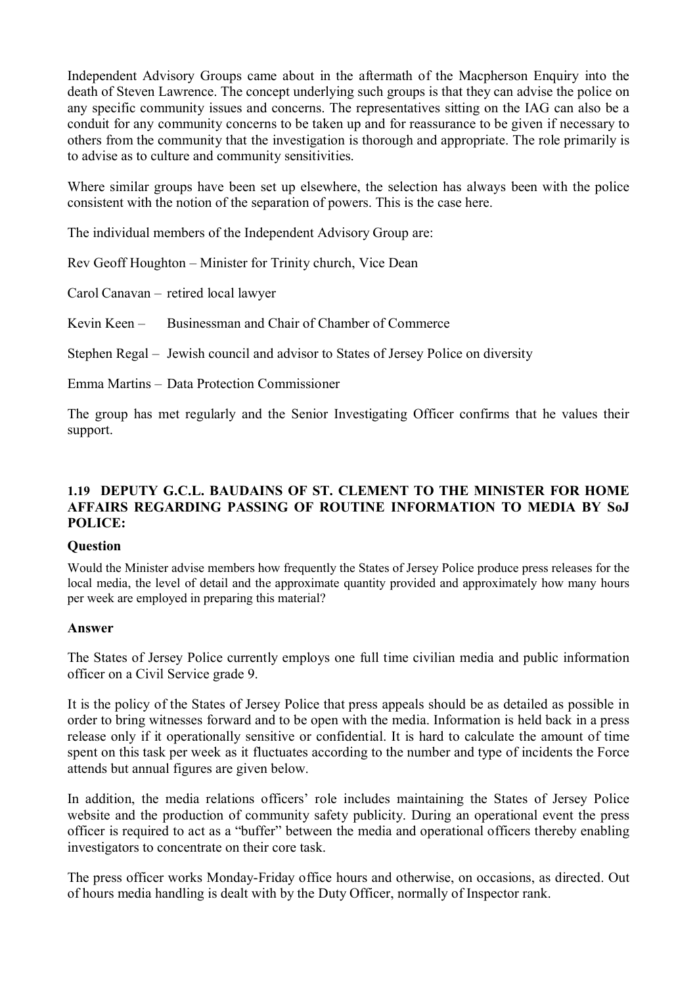Independent Advisory Groups came about in the aftermath of the Macpherson Enquiry into the death of Steven Lawrence. The concept underlying such groups is that they can advise the police on any specific community issues and concerns. The representatives sitting on the IAG can also be a conduit for any community concerns to be taken up and for reassurance to be given if necessary to others from the community that the investigation is thorough and appropriate. The role primarily is to advise as to culture and community sensitivities.

Where similar groups have been set up elsewhere, the selection has always been with the police consistent with the notion of the separation of powers. This is the case here.

The individual members of the Independent Advisory Group are:

Rev Geoff Houghton – Minister for Trinity church, Vice Dean

Carol Canavan – retired local lawyer

Kevin Keen – Businessman and Chair of Chamber of Commerce

Stephen Regal – Jewish council and advisor to States of Jersey Police on diversity

Emma Martins – Data Protection Commissioner

The group has met regularly and the Senior Investigating Officer confirms that he values their support.

# **1.19 DEPUTY G.C.L. BAUDAINS OF ST. CLEMENT TO THE MINISTER FOR HOME AFFAIRS REGARDING PASSING OF ROUTINE INFORMATION TO MEDIA BY SoJ POLICE:**

### **Question**

Would the Minister advise members how frequently the States of Jersey Police produce press releases for the local media, the level of detail and the approximate quantity provided and approximately how many hours per week are employed in preparing this material?

### **Answer**

The States of Jersey Police currently employs one full time civilian media and public information officer on a Civil Service grade 9.

It is the policy of the States of Jersey Police that press appeals should be as detailed as possible in order to bring witnesses forward and to be open with the media. Information is held back in a press release only if it operationally sensitive or confidential. It is hard to calculate the amount of time spent on this task per week as it fluctuates according to the number and type of incidents the Force attends but annual figures are given below.

In addition, the media relations officers' role includes maintaining the States of Jersey Police website and the production of community safety publicity. During an operational event the press officer is required to act as a "buffer" between the media and operational officers thereby enabling investigators to concentrate on their core task.

The press officer works Monday-Friday office hours and otherwise, on occasions, as directed. Out of hours media handling is dealt with by the Duty Officer, normally of Inspector rank.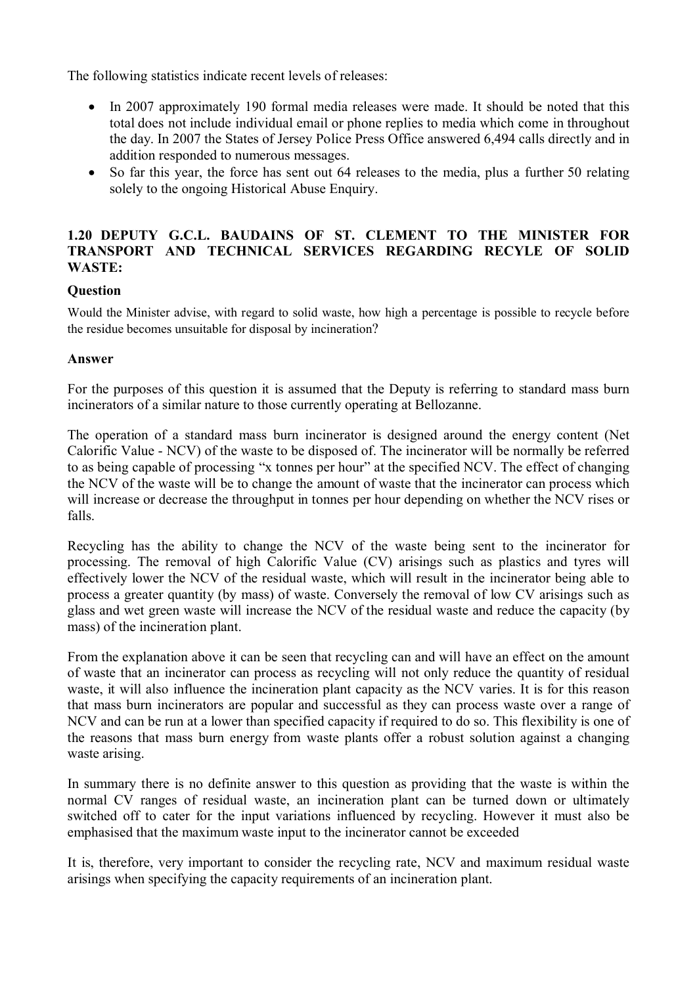The following statistics indicate recent levels of releases:

- In 2007 approximately 190 formal media releases were made. It should be noted that this total does not include individual email or phone replies to media which come in throughout the day. In 2007 the States of Jersey Police Press Office answered 6,494 calls directly and in addition responded to numerous messages.
- So far this year, the force has sent out 64 releases to the media, plus a further 50 relating solely to the ongoing Historical Abuse Enquiry.

# **1.20 DEPUTY G.C.L. BAUDAINS OF ST. CLEMENT TO THE MINISTER FOR TRANSPORT AND TECHNICAL SERVICES REGARDING RECYLE OF SOLID WASTE:**

# **Question**

Would the Minister advise, with regard to solid waste, how high a percentage is possible to recycle before the residue becomes unsuitable for disposal by incineration?

### **Answer**

For the purposes of this question it is assumed that the Deputy is referring to standard mass burn incinerators of a similar nature to those currently operating at Bellozanne.

The operation of a standard mass burn incinerator is designed around the energy content (Net Calorific Value - NCV) of the waste to be disposed of. The incinerator will be normally be referred to as being capable of processing "x tonnes per hour" at the specified NCV. The effect of changing the NCV of the waste will be to change the amount of waste that the incinerator can process which will increase or decrease the throughput in tonnes per hour depending on whether the NCV rises or falls.

Recycling has the ability to change the NCV of the waste being sent to the incinerator for processing. The removal of high Calorific Value (CV) arisings such as plastics and tyres will effectively lower the NCV of the residual waste, which will result in the incinerator being able to process a greater quantity (by mass) of waste. Conversely the removal of low CV arisings such as glass and wet green waste will increase the NCV of the residual waste and reduce the capacity (by mass) of the incineration plant.

From the explanation above it can be seen that recycling can and will have an effect on the amount of waste that an incinerator can process as recycling will not only reduce the quantity of residual waste, it will also influence the incineration plant capacity as the NCV varies. It is for this reason that mass burn incinerators are popular and successful as they can process waste over a range of NCV and can be run at a lower than specified capacity if required to do so. This flexibility is one of the reasons that mass burn energy from waste plants offer a robust solution against a changing waste arising.

In summary there is no definite answer to this question as providing that the waste is within the normal CV ranges of residual waste, an incineration plant can be turned down or ultimately switched off to cater for the input variations influenced by recycling. However it must also be emphasised that the maximum waste input to the incinerator cannot be exceeded

It is, therefore, very important to consider the recycling rate, NCV and maximum residual waste arisings when specifying the capacity requirements of an incineration plant.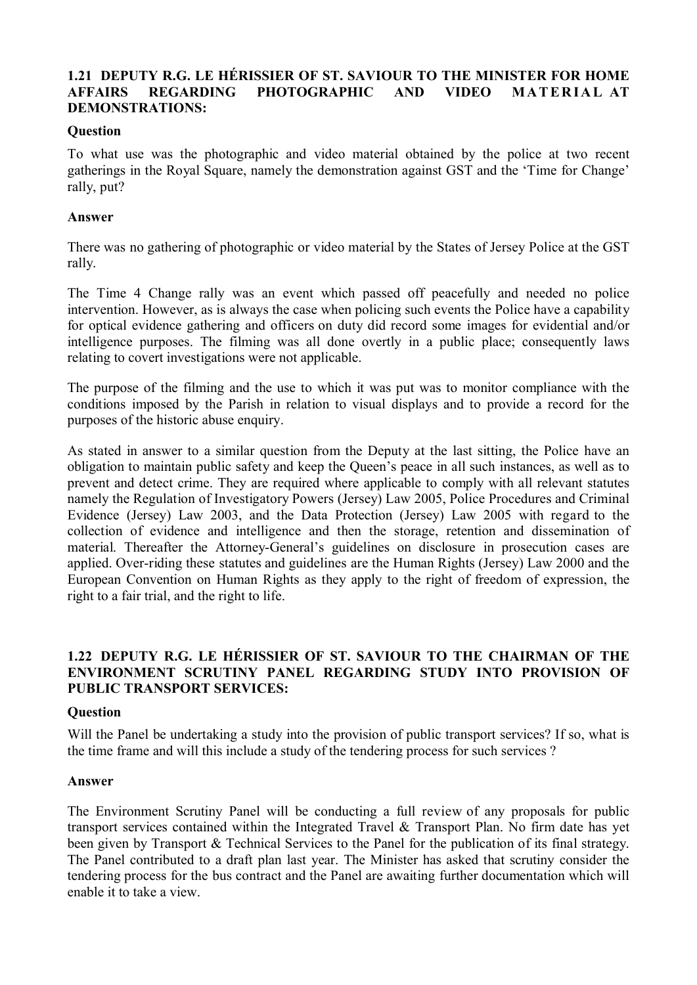# **1.21 DEPUTY R.G. LE HÉRISSIER OF ST. SAVIOUR TO THE MINISTER FOR HOME AFFAIRS REGARDING PHOTOGRAPHIC AND VIDEO MATERIAL AT DEMONSTRATIONS:**

### **Question**

To what use was the photographic and video material obtained by the police at two recent gatherings in the Royal Square, namely the demonstration against GST and the 'Time for Change' rally, put?

### **Answer**

There was no gathering of photographic or video material by the States of Jersey Police at the GST rally.

The Time 4 Change rally was an event which passed off peacefully and needed no police intervention. However, as is always the case when policing such events the Police have a capability for optical evidence gathering and officers on duty did record some images for evidential and/or intelligence purposes. The filming was all done overtly in a public place; consequently laws relating to covert investigations were not applicable.

The purpose of the filming and the use to which it was put was to monitor compliance with the conditions imposed by the Parish in relation to visual displays and to provide a record for the purposes of the historic abuse enquiry.

As stated in answer to a similar question from the Deputy at the last sitting, the Police have an obligation to maintain public safety and keep the Queen's peace in all such instances, as well as to prevent and detect crime. They are required where applicable to comply with all relevant statutes namely the Regulation of Investigatory Powers (Jersey) Law 2005, Police Procedures and Criminal Evidence (Jersey) Law 2003, and the Data Protection (Jersey) Law 2005 with regard to the collection of evidence and intelligence and then the storage, retention and dissemination of material. Thereafter the Attorney-General's guidelines on disclosure in prosecution cases are applied. Over-riding these statutes and guidelines are the Human Rights (Jersey) Law 2000 and the European Convention on Human Rights as they apply to the right of freedom of expression, the right to a fair trial, and the right to life.

# **1.22 DEPUTY R.G. LE HÉRISSIER OF ST. SAVIOUR TO THE CHAIRMAN OF THE ENVIRONMENT SCRUTINY PANEL REGARDING STUDY INTO PROVISION OF PUBLIC TRANSPORT SERVICES:**

### **Question**

Will the Panel be undertaking a study into the provision of public transport services? If so, what is the time frame and will this include a study of the tendering process for such services ?

### **Answer**

The Environment Scrutiny Panel will be conducting a full review of any proposals for public transport services contained within the Integrated Travel & Transport Plan. No firm date has yet been given by Transport & Technical Services to the Panel for the publication of its final strategy. The Panel contributed to a draft plan last year. The Minister has asked that scrutiny consider the tendering process for the bus contract and the Panel are awaiting further documentation which will enable it to take a view.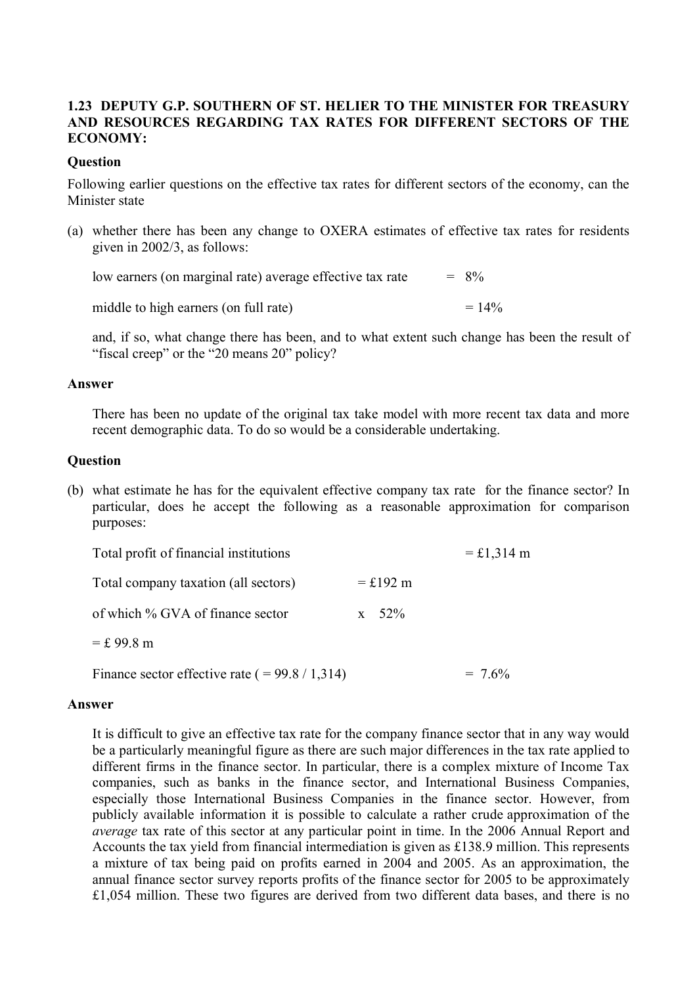# **1.23 DEPUTY G.P. SOUTHERN OF ST. HELIER TO THE MINISTER FOR TREASURY AND RESOURCES REGARDING TAX RATES FOR DIFFERENT SECTORS OF THE ECONOMY:**

### **Question**

Following earlier questions on the effective tax rates for different sectors of the economy, can the Minister state

(a) whether there has been any change to OXERA estimates of effective tax rates for residents given in 2002/3, as follows:

low earners (on marginal rate) average effective tax rate  $= 8\%$ 

middle to high earners (on full rate)  $= 14\%$ 

and, if so, what change there has been, and to what extent such change has been the result of "fiscal creep" or the "20 means 20" policy?

### **Answer**

There has been no update of the original tax take model with more recent tax data and more recent demographic data. To do so would be a considerable undertaking.

### **Question**

(b) what estimate he has for the equivalent effective company tax rate for the finance sector? In particular, does he accept the following as a reasonable approximation for comparison purposes:

| Total profit of financial institutions             |            | $=$ £1,314 m |
|----------------------------------------------------|------------|--------------|
| Total company taxation (all sectors)               | $=$ £192 m |              |
| of which % GVA of finance sector                   | $x = 52\%$ |              |
| $=$ £ 99.8 m                                       |            |              |
| Finance sector effective rate ( $= 99.8 / 1,314$ ) |            | $= 7.6\%$    |

### **Answer**

It is difficult to give an effective tax rate for the company finance sector that in any way would be a particularly meaningful figure as there are such major differences in the tax rate applied to different firms in the finance sector. In particular, there is a complex mixture of Income Tax companies, such as banks in the finance sector, and International Business Companies, especially those International Business Companies in the finance sector. However, from publicly available information it is possible to calculate a rather crude approximation of the *average* tax rate of this sector at any particular point in time. In the 2006 Annual Report and Accounts the tax yield from financial intermediation is given as £138.9 million. This represents a mixture of tax being paid on profits earned in 2004 and 2005. As an approximation, the annual finance sector survey reports profits of the finance sector for 2005 to be approximately £1,054 million. These two figures are derived from two different data bases, and there is no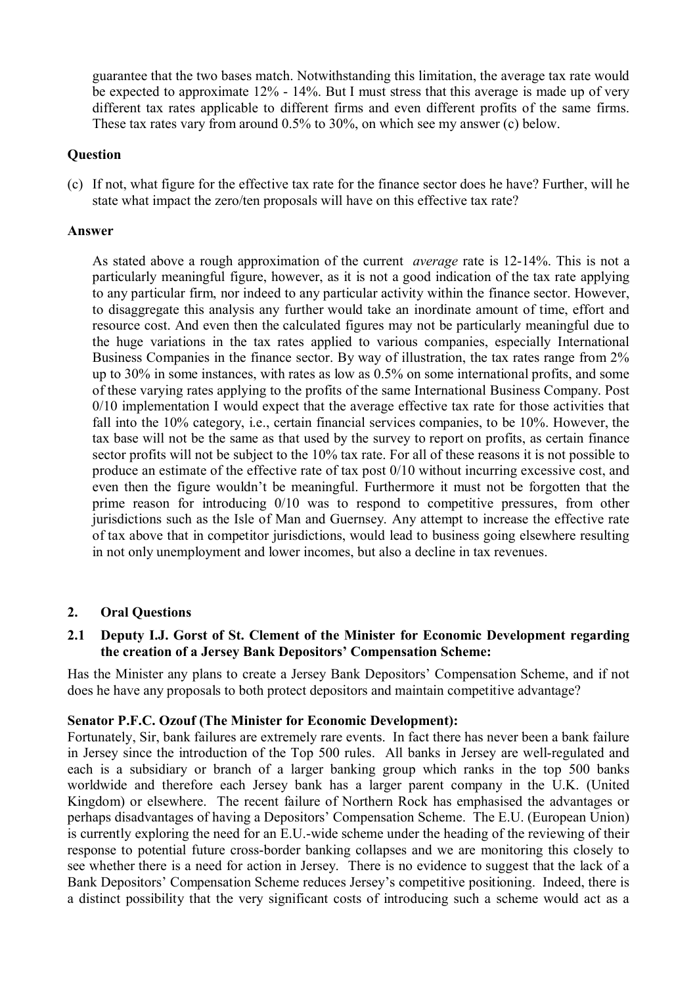guarantee that the two bases match. Notwithstanding this limitation, the average tax rate would be expected to approximate 12% - 14%. But I must stress that this average is made up of very different tax rates applicable to different firms and even different profits of the same firms. These tax rates vary from around 0.5% to 30%, on which see my answer (c) below.

# **Question**

(c) If not, what figure for the effective tax rate for the finance sector does he have? Further, will he state what impact the zero/ten proposals will have on this effective tax rate?

### **Answer**

As stated above a rough approximation of the current *average* rate is 12-14%. This is not a particularly meaningful figure, however, as it is not a good indication of the tax rate applying to any particular firm, nor indeed to any particular activity within the finance sector. However, to disaggregate this analysis any further would take an inordinate amount of time, effort and resource cost. And even then the calculated figures may not be particularly meaningful due to the huge variations in the tax rates applied to various companies, especially International Business Companies in the finance sector. By way of illustration, the tax rates range from 2% up to 30% in some instances, with rates as low as 0.5% on some international profits, and some of these varying rates applying to the profits of the same International Business Company. Post 0/10 implementation I would expect that the average effective tax rate for those activities that fall into the 10% category, i.e., certain financial services companies, to be 10%. However, the tax base will not be the same as that used by the survey to report on profits, as certain finance sector profits will not be subject to the 10% tax rate. For all of these reasons it is not possible to produce an estimate of the effective rate of tax post 0/10 without incurring excessive cost, and even then the figure wouldn't be meaningful. Furthermore it must not be forgotten that the prime reason for introducing 0/10 was to respond to competitive pressures, from other jurisdictions such as the Isle of Man and Guernsey. Any attempt to increase the effective rate of tax above that in competitor jurisdictions, would lead to business going elsewhere resulting in not only unemployment and lower incomes, but also a decline in tax revenues.

# **2. Oral Questions**

# **2.1 Deputy I.J. Gorst of St. Clement of the Minister for Economic Development regarding the creation of a Jersey Bank Depositors' Compensation Scheme:**

Has the Minister any plans to create a Jersey Bank Depositors' Compensation Scheme, and if not does he have any proposals to both protect depositors and maintain competitive advantage?

# **Senator P.F.C. Ozouf (The Minister for Economic Development):**

Fortunately, Sir, bank failures are extremely rare events. In fact there has never been a bank failure in Jersey since the introduction of the Top 500 rules. All banks in Jersey are well-regulated and each is a subsidiary or branch of a larger banking group which ranks in the top 500 banks worldwide and therefore each Jersey bank has a larger parent company in the U.K. (United Kingdom) or elsewhere. The recent failure of Northern Rock has emphasised the advantages or perhaps disadvantages of having a Depositors' Compensation Scheme. The E.U. (European Union) is currently exploring the need for an E.U.-wide scheme under the heading of the reviewing of their response to potential future cross-border banking collapses and we are monitoring this closely to see whether there is a need for action in Jersey. There is no evidence to suggest that the lack of a Bank Depositors' Compensation Scheme reduces Jersey's competitive positioning. Indeed, there is a distinct possibility that the very significant costs of introducing such a scheme would act as a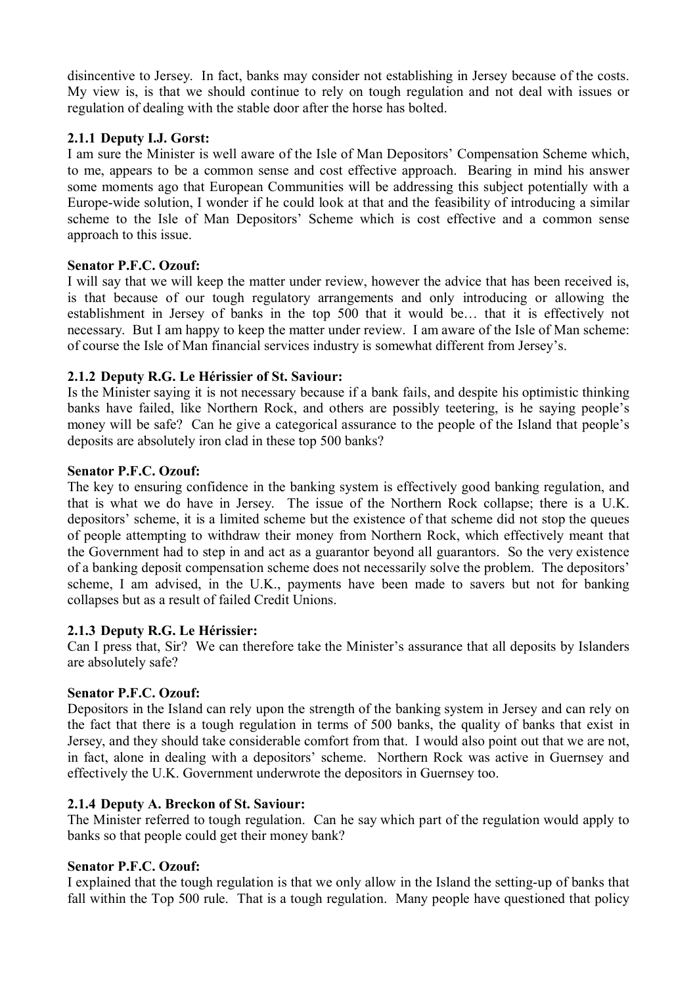disincentive to Jersey. In fact, banks may consider not establishing in Jersey because of the costs. My view is, is that we should continue to rely on tough regulation and not deal with issues or regulation of dealing with the stable door after the horse has bolted.

# **2.1.1 Deputy I.J. Gorst:**

I am sure the Minister is well aware of the Isle of Man Depositors' Compensation Scheme which, to me, appears to be a common sense and cost effective approach. Bearing in mind his answer some moments ago that European Communities will be addressing this subject potentially with a Europe-wide solution, I wonder if he could look at that and the feasibility of introducing a similar scheme to the Isle of Man Depositors' Scheme which is cost effective and a common sense approach to this issue.

# **Senator P.F.C. Ozouf:**

I will say that we will keep the matter under review, however the advice that has been received is, is that because of our tough regulatory arrangements and only introducing or allowing the establishment in Jersey of banks in the top 500 that it would be… that it is effectively not necessary. But I am happy to keep the matter under review. I am aware of the Isle of Man scheme: of course the Isle of Man financial services industry is somewhat different from Jersey's.

# **2.1.2 Deputy R.G. Le Hérissier of St. Saviour:**

Is the Minister saying it is not necessary because if a bank fails, and despite his optimistic thinking banks have failed, like Northern Rock, and others are possibly teetering, is he saying people's money will be safe? Can he give a categorical assurance to the people of the Island that people's deposits are absolutely iron clad in these top 500 banks?

# **Senator P.F.C. Ozouf:**

The key to ensuring confidence in the banking system is effectively good banking regulation, and that is what we do have in Jersey. The issue of the Northern Rock collapse; there is a U.K. depositors' scheme, it is a limited scheme but the existence of that scheme did not stop the queues of people attempting to withdraw their money from Northern Rock, which effectively meant that the Government had to step in and act as a guarantor beyond all guarantors. So the very existence of a banking deposit compensation scheme does not necessarily solve the problem. The depositors' scheme, I am advised, in the U.K., payments have been made to savers but not for banking collapses but as a result of failed Credit Unions.

### **2.1.3 Deputy R.G. Le Hérissier:**

Can I press that, Sir? We can therefore take the Minister's assurance that all deposits by Islanders are absolutely safe?

### **Senator P.F.C. Ozouf:**

Depositors in the Island can rely upon the strength of the banking system in Jersey and can rely on the fact that there is a tough regulation in terms of 500 banks, the quality of banks that exist in Jersey, and they should take considerable comfort from that. I would also point out that we are not, in fact, alone in dealing with a depositors' scheme. Northern Rock was active in Guernsey and effectively the U.K. Government underwrote the depositors in Guernsey too.

### **2.1.4 Deputy A. Breckon of St. Saviour:**

The Minister referred to tough regulation. Can he say which part of the regulation would apply to banks so that people could get their money bank?

### **Senator P.F.C. Ozouf:**

I explained that the tough regulation is that we only allow in the Island the setting-up of banks that fall within the Top 500 rule. That is a tough regulation. Many people have questioned that policy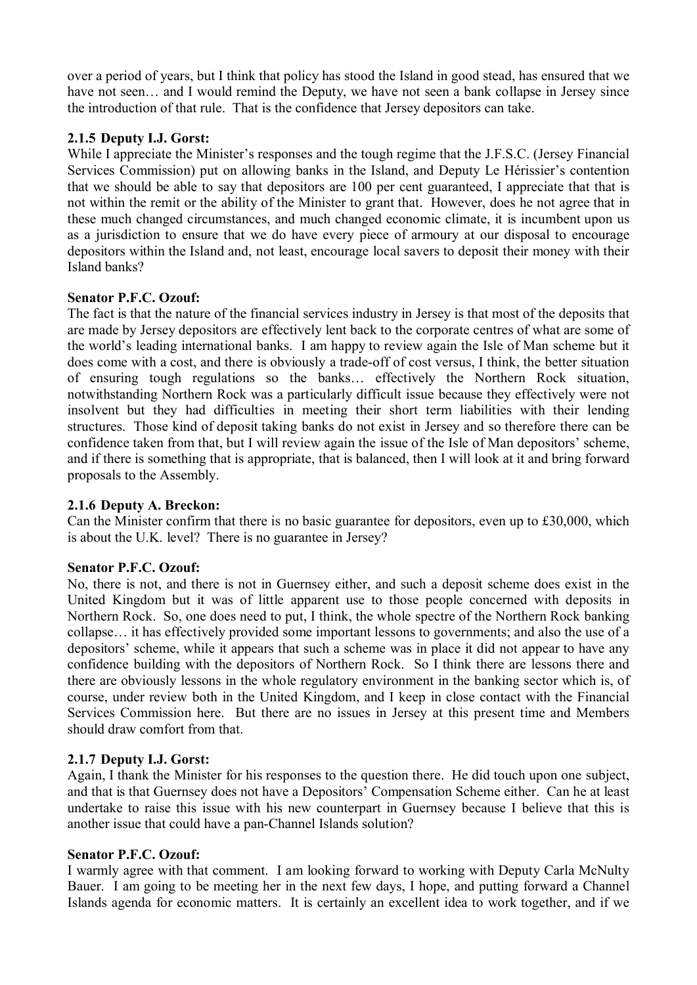over a period of years, but I think that policy has stood the Island in good stead, has ensured that we have not seen... and I would remind the Deputy, we have not seen a bank collapse in Jersey since the introduction of that rule. That is the confidence that Jersey depositors can take.

# **2.1.5 Deputy I.J. Gorst:**

While I appreciate the Minister's responses and the tough regime that the J.F.S.C. (Jersey Financial Services Commission) put on allowing banks in the Island, and Deputy Le Hérissier's contention that we should be able to say that depositors are 100 per cent guaranteed, I appreciate that that is not within the remit or the ability of the Minister to grant that. However, does he not agree that in these much changed circumstances, and much changed economic climate, it is incumbent upon us as a jurisdiction to ensure that we do have every piece of armoury at our disposal to encourage depositors within the Island and, not least, encourage local savers to deposit their money with their Island banks?

# **Senator P.F.C. Ozouf:**

The fact is that the nature of the financial services industry in Jersey is that most of the deposits that are made by Jersey depositors are effectively lent back to the corporate centres of what are some of the world's leading international banks. I am happy to review again the Isle of Man scheme but it does come with a cost, and there is obviously a trade-off of cost versus, I think, the better situation of ensuring tough regulations so the banks… effectively the Northern Rock situation, notwithstanding Northern Rock was a particularly difficult issue because they effectively were not insolvent but they had difficulties in meeting their short term liabilities with their lending structures. Those kind of deposit taking banks do not exist in Jersey and so therefore there can be confidence taken from that, but I will review again the issue of the Isle of Man depositors' scheme, and if there is something that is appropriate, that is balanced, then I will look at it and bring forward proposals to the Assembly.

# **2.1.6 Deputy A. Breckon:**

Can the Minister confirm that there is no basic guarantee for depositors, even up to £30,000, which is about the U.K. level? There is no guarantee in Jersey?

# **Senator P.F.C. Ozouf:**

No, there is not, and there is not in Guernsey either, and such a deposit scheme does exist in the United Kingdom but it was of little apparent use to those people concerned with deposits in Northern Rock. So, one does need to put, I think, the whole spectre of the Northern Rock banking collapse… it has effectively provided some important lessons to governments; and also the use of a depositors' scheme, while it appears that such a scheme was in place it did not appear to have any confidence building with the depositors of Northern Rock. So I think there are lessons there and there are obviously lessons in the whole regulatory environment in the banking sector which is, of course, under review both in the United Kingdom, and I keep in close contact with the Financial Services Commission here. But there are no issues in Jersey at this present time and Members should draw comfort from that.

# **2.1.7 Deputy I.J. Gorst:**

Again, I thank the Minister for his responses to the question there. He did touch upon one subject, and that is that Guernsey does not have a Depositors' Compensation Scheme either. Can he at least undertake to raise this issue with his new counterpart in Guernsey because I believe that this is another issue that could have a pan-Channel Islands solution?

# **Senator P.F.C. Ozouf:**

I warmly agree with that comment. I am looking forward to working with Deputy Carla McNulty Bauer. I am going to be meeting her in the next few days, I hope, and putting forward a Channel Islands agenda for economic matters. It is certainly an excellent idea to work together, and if we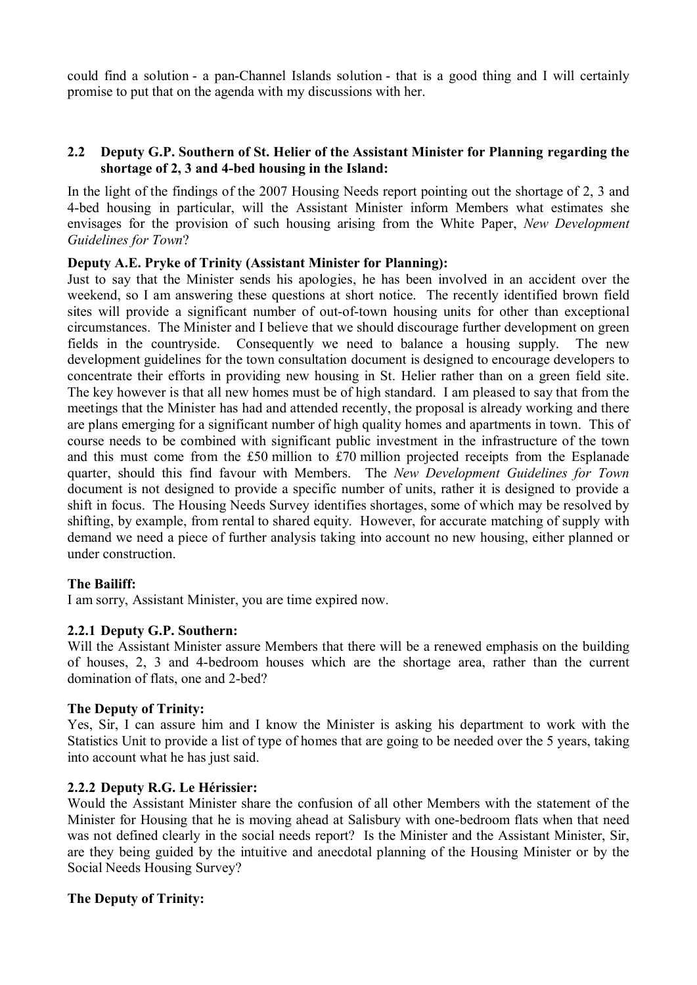could find a solution - a pan-Channel Islands solution - that is a good thing and I will certainly promise to put that on the agenda with my discussions with her.

# **2.2 Deputy G.P. Southern of St. Helier of the Assistant Minister for Planning regarding the shortage of 2, 3 and 4-bed housing in the Island:**

In the light of the findings of the 2007 Housing Needs report pointing out the shortage of 2, 3 and 4-bed housing in particular, will the Assistant Minister inform Members what estimates she envisages for the provision of such housing arising from the White Paper, *New Development Guidelines for Town*?

## **Deputy A.E. Pryke of Trinity (Assistant Minister for Planning):**

Just to say that the Minister sends his apologies, he has been involved in an accident over the weekend, so I am answering these questions at short notice. The recently identified brown field sites will provide a significant number of out-of-town housing units for other than exceptional circumstances. The Minister and I believe that we should discourage further development on green fields in the countryside. Consequently we need to balance a housing supply. The new development guidelines for the town consultation document is designed to encourage developers to concentrate their efforts in providing new housing in St. Helier rather than on a green field site. The key however is that all new homes must be of high standard. I am pleased to say that from the meetings that the Minister has had and attended recently, the proposal is already working and there are plans emerging for a significant number of high quality homes and apartments in town. This of course needs to be combined with significant public investment in the infrastructure of the town and this must come from the £50 million to £70 million projected receipts from the Esplanade quarter, should this find favour with Members. The *New Development Guidelines for Town* document is not designed to provide a specific number of units, rather it is designed to provide a shift in focus. The Housing Needs Survey identifies shortages, some of which may be resolved by shifting, by example, from rental to shared equity. However, for accurate matching of supply with demand we need a piece of further analysis taking into account no new housing, either planned or under construction.

# **The Bailiff:**

I am sorry, Assistant Minister, you are time expired now.

# **2.2.1 Deputy G.P. Southern:**

Will the Assistant Minister assure Members that there will be a renewed emphasis on the building of houses, 2, 3 and 4-bedroom houses which are the shortage area, rather than the current domination of flats, one and 2-bed?

# **The Deputy of Trinity:**

Yes, Sir, I can assure him and I know the Minister is asking his department to work with the Statistics Unit to provide a list of type of homes that are going to be needed over the 5 years, taking into account what he has just said.

# **2.2.2 Deputy R.G. Le Hérissier:**

Would the Assistant Minister share the confusion of all other Members with the statement of the Minister for Housing that he is moving ahead at Salisbury with one-bedroom flats when that need was not defined clearly in the social needs report? Is the Minister and the Assistant Minister, Sir, are they being guided by the intuitive and anecdotal planning of the Housing Minister or by the Social Needs Housing Survey?

### **The Deputy of Trinity:**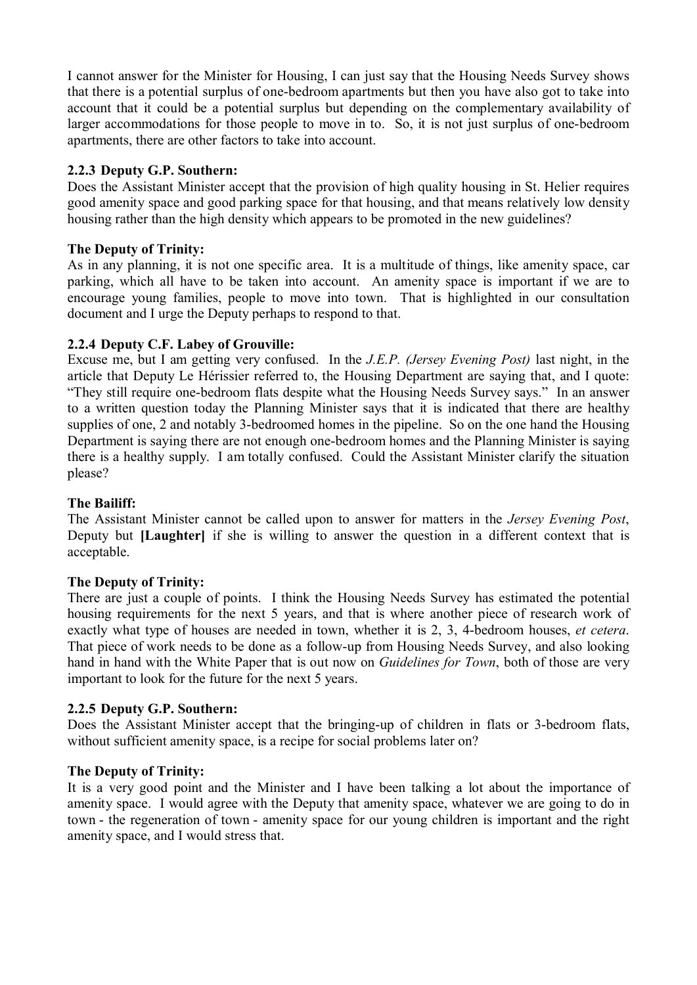I cannot answer for the Minister for Housing, I can just say that the Housing Needs Survey shows that there is a potential surplus of one-bedroom apartments but then you have also got to take into account that it could be a potential surplus but depending on the complementary availability of larger accommodations for those people to move in to. So, it is not just surplus of one-bedroom apartments, there are other factors to take into account.

# **2.2.3 Deputy G.P. Southern:**

Does the Assistant Minister accept that the provision of high quality housing in St. Helier requires good amenity space and good parking space for that housing, and that means relatively low density housing rather than the high density which appears to be promoted in the new guidelines?

# **The Deputy of Trinity:**

As in any planning, it is not one specific area. It is a multitude of things, like amenity space, car parking, which all have to be taken into account. An amenity space is important if we are to encourage young families, people to move into town. That is highlighted in our consultation document and I urge the Deputy perhaps to respond to that.

# **2.2.4 Deputy C.F. Labey of Grouville:**

Excuse me, but I am getting very confused. In the *J.E.P. (Jersey Evening Post)* last night, in the article that Deputy Le Hérissier referred to, the Housing Department are saying that, and I quote: "They still require one-bedroom flats despite what the Housing Needs Survey says." In an answer to a written question today the Planning Minister says that it is indicated that there are healthy supplies of one, 2 and notably 3-bedroomed homes in the pipeline. So on the one hand the Housing Department is saying there are not enough one-bedroom homes and the Planning Minister is saying there is a healthy supply. I am totally confused. Could the Assistant Minister clarify the situation please?

# **The Bailiff:**

The Assistant Minister cannot be called upon to answer for matters in the *Jersey Evening Post*, Deputy but **[Laughter]** if she is willing to answer the question in a different context that is acceptable.

# **The Deputy of Trinity:**

There are just a couple of points. I think the Housing Needs Survey has estimated the potential housing requirements for the next 5 years, and that is where another piece of research work of exactly what type of houses are needed in town, whether it is 2, 3, 4-bedroom houses, *et cetera*. That piece of work needs to be done as a follow-up from Housing Needs Survey, and also looking hand in hand with the White Paper that is out now on *Guidelines for Town*, both of those are very important to look for the future for the next 5 years.

# **2.2.5 Deputy G.P. Southern:**

Does the Assistant Minister accept that the bringing-up of children in flats or 3-bedroom flats, without sufficient amenity space, is a recipe for social problems later on?

# **The Deputy of Trinity:**

It is a very good point and the Minister and I have been talking a lot about the importance of amenity space. I would agree with the Deputy that amenity space, whatever we are going to do in town - the regeneration of town - amenity space for our young children is important and the right amenity space, and I would stress that.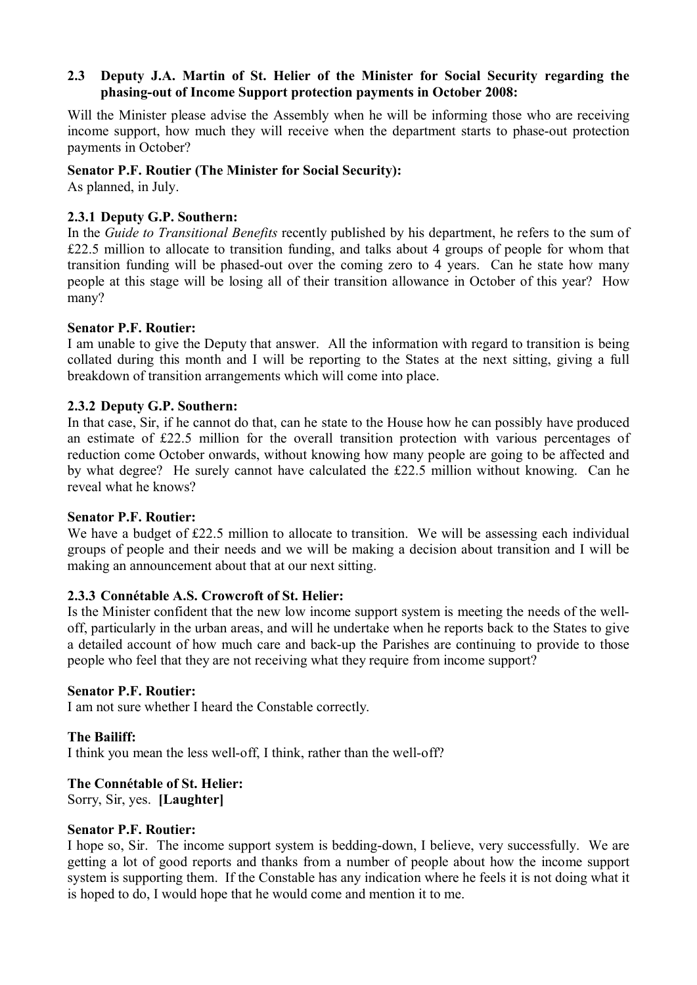## **2.3 Deputy J.A. Martin of St. Helier of the Minister for Social Security regarding the phasing-out of Income Support protection payments in October 2008:**

Will the Minister please advise the Assembly when he will be informing those who are receiving income support, how much they will receive when the department starts to phase-out protection payments in October?

## **Senator P.F. Routier (The Minister for Social Security):**

As planned, in July.

## **2.3.1 Deputy G.P. Southern:**

In the *Guide to Transitional Benefits* recently published by his department, he refers to the sum of £22.5 million to allocate to transition funding, and talks about 4 groups of people for whom that transition funding will be phased-out over the coming zero to 4 years. Can he state how many people at this stage will be losing all of their transition allowance in October of this year? How many?

### **Senator P.F. Routier:**

I am unable to give the Deputy that answer. All the information with regard to transition is being collated during this month and I will be reporting to the States at the next sitting, giving a full breakdown of transition arrangements which will come into place.

### **2.3.2 Deputy G.P. Southern:**

In that case, Sir, if he cannot do that, can he state to the House how he can possibly have produced an estimate of £22.5 million for the overall transition protection with various percentages of reduction come October onwards, without knowing how many people are going to be affected and by what degree? He surely cannot have calculated the £22.5 million without knowing. Can he reveal what he knows?

### **Senator P.F. Routier:**

We have a budget of £22.5 million to allocate to transition. We will be assessing each individual groups of people and their needs and we will be making a decision about transition and I will be making an announcement about that at our next sitting.

### **2.3.3 Connétable A.S. Crowcroft of St. Helier:**

Is the Minister confident that the new low income support system is meeting the needs of the welloff, particularly in the urban areas, and will he undertake when he reports back to the States to give a detailed account of how much care and back-up the Parishes are continuing to provide to those people who feel that they are not receiving what they require from income support?

### **Senator P.F. Routier:**

I am not sure whether I heard the Constable correctly.

### **The Bailiff:**

I think you mean the less well-off, I think, rather than the well-off?

### **The Connétable of St. Helier:**

Sorry, Sir, yes. **[Laughter]** 

# **Senator P.F. Routier:**

I hope so, Sir. The income support system is bedding-down, I believe, very successfully. We are getting a lot of good reports and thanks from a number of people about how the income support system is supporting them. If the Constable has any indication where he feels it is not doing what it is hoped to do, I would hope that he would come and mention it to me.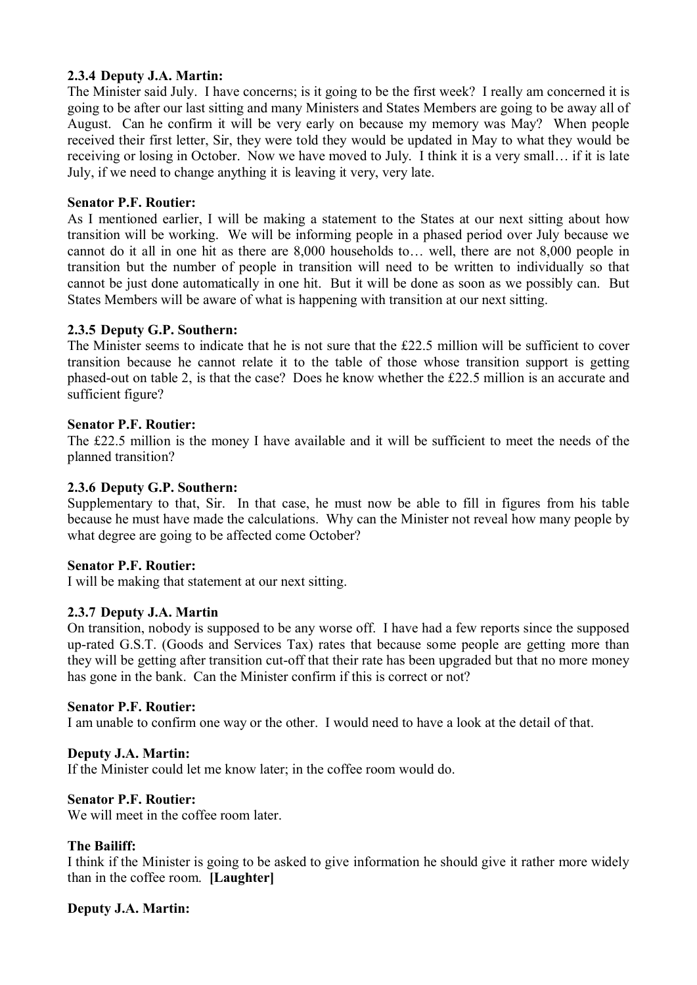# **2.3.4 Deputy J.A. Martin:**

The Minister said July. I have concerns; is it going to be the first week? I really am concerned it is going to be after our last sitting and many Ministers and States Members are going to be away all of August. Can he confirm it will be very early on because my memory was May? When people received their first letter, Sir, they were told they would be updated in May to what they would be receiving or losing in October. Now we have moved to July. I think it is a very small… if it is late July, if we need to change anything it is leaving it very, very late.

### **Senator P.F. Routier:**

As I mentioned earlier, I will be making a statement to the States at our next sitting about how transition will be working. We will be informing people in a phased period over July because we cannot do it all in one hit as there are 8,000 households to… well, there are not 8,000 people in transition but the number of people in transition will need to be written to individually so that cannot be just done automatically in one hit. But it will be done as soon as we possibly can. But States Members will be aware of what is happening with transition at our next sitting.

### **2.3.5 Deputy G.P. Southern:**

The Minister seems to indicate that he is not sure that the £22.5 million will be sufficient to cover transition because he cannot relate it to the table of those whose transition support is getting phased-out on table 2, is that the case? Does he know whether the £22.5 million is an accurate and sufficient figure?

#### **Senator P.F. Routier:**

The £22.5 million is the money I have available and it will be sufficient to meet the needs of the planned transition?

### **2.3.6 Deputy G.P. Southern:**

Supplementary to that, Sir. In that case, he must now be able to fill in figures from his table because he must have made the calculations. Why can the Minister not reveal how many people by what degree are going to be affected come October?

### **Senator P.F. Routier:**

I will be making that statement at our next sitting.

### **2.3.7 Deputy J.A. Martin**

On transition, nobody is supposed to be any worse off. I have had a few reports since the supposed up-rated G.S.T. (Goods and Services Tax) rates that because some people are getting more than they will be getting after transition cut-off that their rate has been upgraded but that no more money has gone in the bank. Can the Minister confirm if this is correct or not?

#### **Senator P.F. Routier:**

I am unable to confirm one way or the other. I would need to have a look at the detail of that.

### **Deputy J.A. Martin:**

If the Minister could let me know later; in the coffee room would do.

### **Senator P.F. Routier:**

We will meet in the coffee room later.

#### **The Bailiff:**

I think if the Minister is going to be asked to give information he should give it rather more widely than in the coffee room. **[Laughter]**

### **Deputy J.A. Martin:**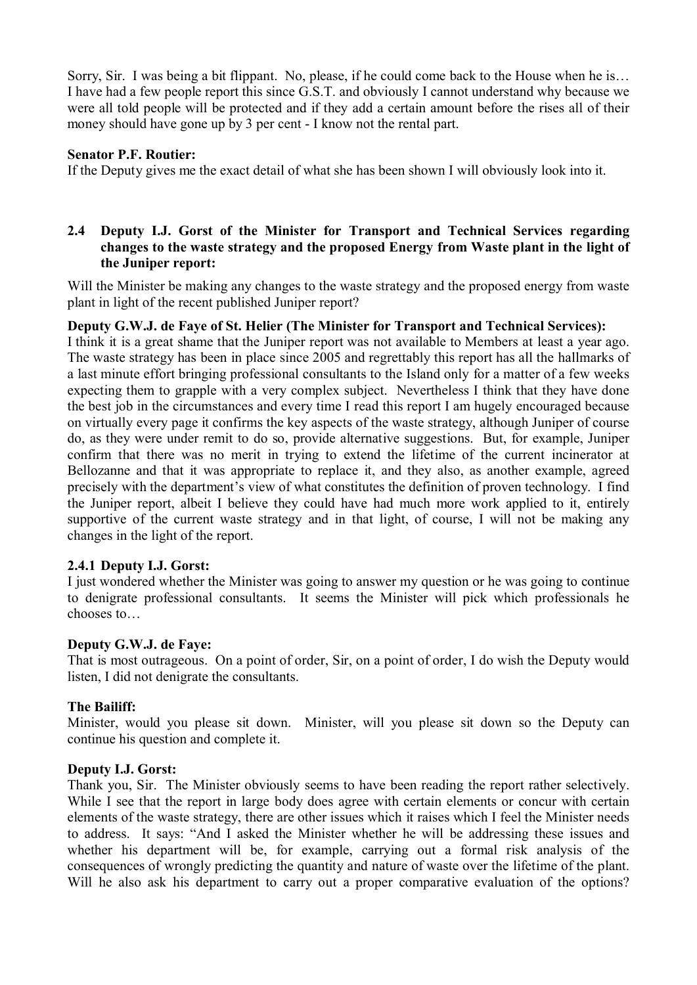Sorry, Sir. I was being a bit flippant. No, please, if he could come back to the House when he is… I have had a few people report this since G.S.T. and obviously I cannot understand why because we were all told people will be protected and if they add a certain amount before the rises all of their money should have gone up by 3 per cent - I know not the rental part.

## **Senator P.F. Routier:**

If the Deputy gives me the exact detail of what she has been shown I will obviously look into it.

## **2.4 Deputy I.J. Gorst of the Minister for Transport and Technical Services regarding changes to the waste strategy and the proposed Energy from Waste plant in the light of the Juniper report:**

Will the Minister be making any changes to the waste strategy and the proposed energy from waste plant in light of the recent published Juniper report?

### **Deputy G.W.J. de Faye of St. Helier (The Minister for Transport and Technical Services):**

I think it is a great shame that the Juniper report was not available to Members at least a year ago. The waste strategy has been in place since 2005 and regrettably this report has all the hallmarks of a last minute effort bringing professional consultants to the Island only for a matter of a few weeks expecting them to grapple with a very complex subject. Nevertheless I think that they have done the best job in the circumstances and every time I read this report I am hugely encouraged because on virtually every page it confirms the key aspects of the waste strategy, although Juniper of course do, as they were under remit to do so, provide alternative suggestions. But, for example, Juniper confirm that there was no merit in trying to extend the lifetime of the current incinerator at Bellozanne and that it was appropriate to replace it, and they also, as another example, agreed precisely with the department's view of what constitutes the definition of proven technology. I find the Juniper report, albeit I believe they could have had much more work applied to it, entirely supportive of the current waste strategy and in that light, of course, I will not be making any changes in the light of the report.

# **2.4.1 Deputy I.J. Gorst:**

I just wondered whether the Minister was going to answer my question or he was going to continue to denigrate professional consultants. It seems the Minister will pick which professionals he chooses to…

### **Deputy G.W.J. de Faye:**

That is most outrageous. On a point of order, Sir, on a point of order, I do wish the Deputy would listen, I did not denigrate the consultants.

### **The Bailiff:**

Minister, would you please sit down. Minister, will you please sit down so the Deputy can continue his question and complete it.

### **Deputy I.J. Gorst:**

Thank you, Sir. The Minister obviously seems to have been reading the report rather selectively. While I see that the report in large body does agree with certain elements or concur with certain elements of the waste strategy, there are other issues which it raises which I feel the Minister needs to address. It says: "And I asked the Minister whether he will be addressing these issues and whether his department will be, for example, carrying out a formal risk analysis of the consequences of wrongly predicting the quantity and nature of waste over the lifetime of the plant. Will he also ask his department to carry out a proper comparative evaluation of the options?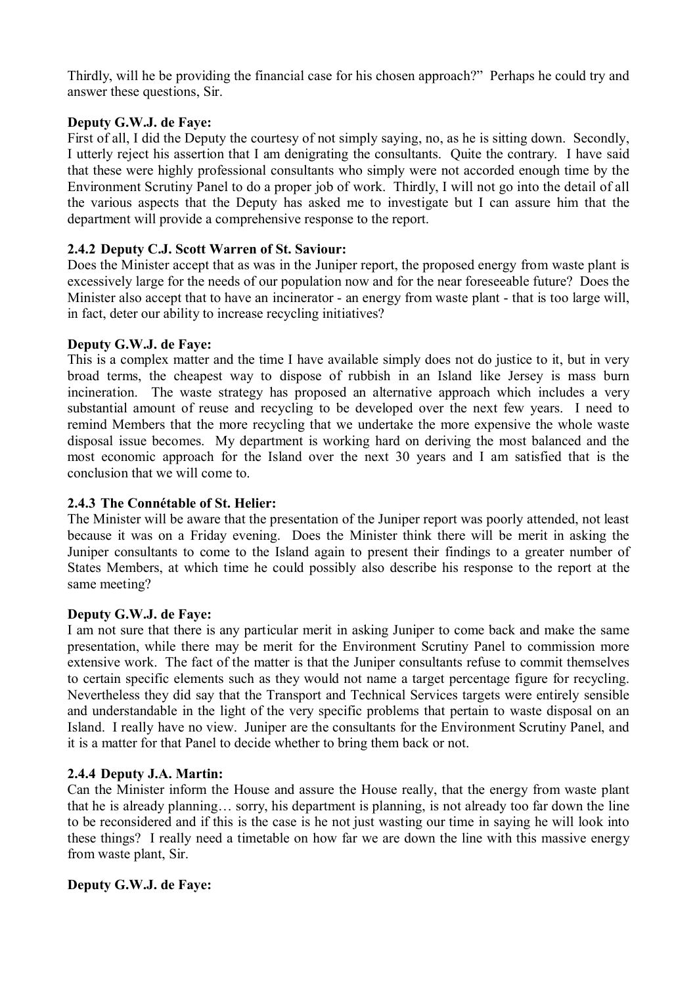Thirdly, will he be providing the financial case for his chosen approach?" Perhaps he could try and answer these questions, Sir.

# **Deputy G.W.J. de Faye:**

First of all, I did the Deputy the courtesy of not simply saying, no, as he is sitting down. Secondly, I utterly reject his assertion that I am denigrating the consultants. Quite the contrary. I have said that these were highly professional consultants who simply were not accorded enough time by the Environment Scrutiny Panel to do a proper job of work. Thirdly, I will not go into the detail of all the various aspects that the Deputy has asked me to investigate but I can assure him that the department will provide a comprehensive response to the report.

## **2.4.2 Deputy C.J. Scott Warren of St. Saviour:**

Does the Minister accept that as was in the Juniper report, the proposed energy from waste plant is excessively large for the needs of our population now and for the near foreseeable future? Does the Minister also accept that to have an incinerator - an energy from waste plant - that is too large will, in fact, deter our ability to increase recycling initiatives?

## **Deputy G.W.J. de Faye:**

This is a complex matter and the time I have available simply does not do justice to it, but in very broad terms, the cheapest way to dispose of rubbish in an Island like Jersey is mass burn incineration. The waste strategy has proposed an alternative approach which includes a very substantial amount of reuse and recycling to be developed over the next few years. I need to remind Members that the more recycling that we undertake the more expensive the whole waste disposal issue becomes. My department is working hard on deriving the most balanced and the most economic approach for the Island over the next 30 years and I am satisfied that is the conclusion that we will come to.

# **2.4.3 The Connétable of St. Helier:**

The Minister will be aware that the presentation of the Juniper report was poorly attended, not least because it was on a Friday evening. Does the Minister think there will be merit in asking the Juniper consultants to come to the Island again to present their findings to a greater number of States Members, at which time he could possibly also describe his response to the report at the same meeting?

### **Deputy G.W.J. de Faye:**

I am not sure that there is any particular merit in asking Juniper to come back and make the same presentation, while there may be merit for the Environment Scrutiny Panel to commission more extensive work. The fact of the matter is that the Juniper consultants refuse to commit themselves to certain specific elements such as they would not name a target percentage figure for recycling. Nevertheless they did say that the Transport and Technical Services targets were entirely sensible and understandable in the light of the very specific problems that pertain to waste disposal on an Island. I really have no view. Juniper are the consultants for the Environment Scrutiny Panel, and it is a matter for that Panel to decide whether to bring them back or not.

### **2.4.4 Deputy J.A. Martin:**

Can the Minister inform the House and assure the House really, that the energy from waste plant that he is already planning… sorry, his department is planning, is not already too far down the line to be reconsidered and if this is the case is he not just wasting our time in saying he will look into these things? I really need a timetable on how far we are down the line with this massive energy from waste plant, Sir.

### **Deputy G.W.J. de Faye:**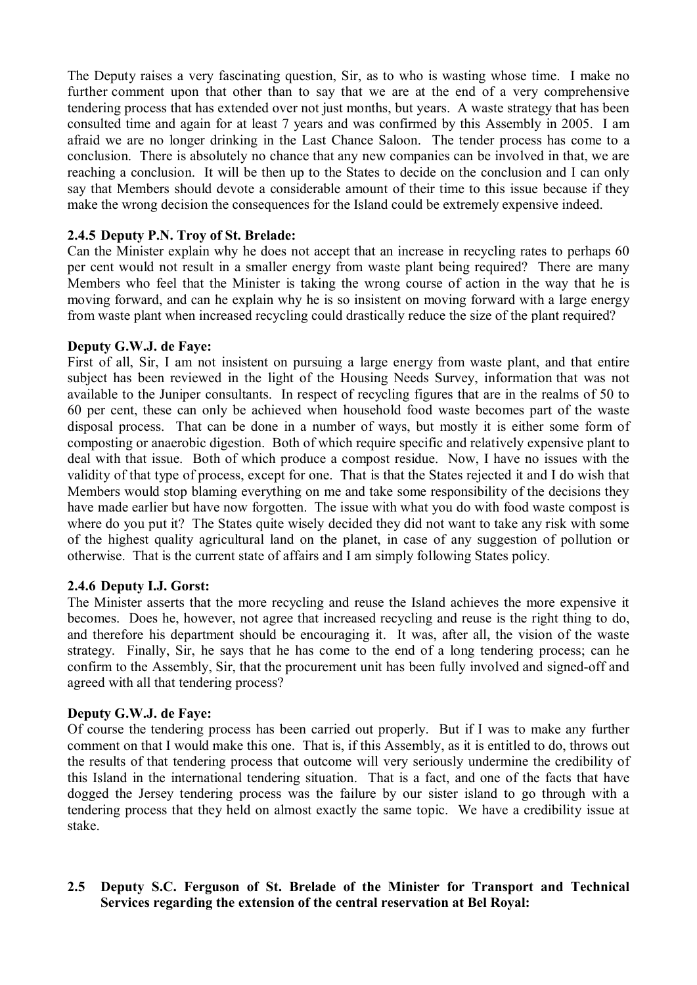The Deputy raises a very fascinating question, Sir, as to who is wasting whose time. I make no further comment upon that other than to say that we are at the end of a very comprehensive tendering process that has extended over not just months, but years. A waste strategy that has been consulted time and again for at least 7 years and was confirmed by this Assembly in 2005. I am afraid we are no longer drinking in the Last Chance Saloon. The tender process has come to a conclusion. There is absolutely no chance that any new companies can be involved in that, we are reaching a conclusion. It will be then up to the States to decide on the conclusion and I can only say that Members should devote a considerable amount of their time to this issue because if they make the wrong decision the consequences for the Island could be extremely expensive indeed.

## **2.4.5 Deputy P.N. Troy of St. Brelade:**

Can the Minister explain why he does not accept that an increase in recycling rates to perhaps 60 per cent would not result in a smaller energy from waste plant being required? There are many Members who feel that the Minister is taking the wrong course of action in the way that he is moving forward, and can he explain why he is so insistent on moving forward with a large energy from waste plant when increased recycling could drastically reduce the size of the plant required?

## **Deputy G.W.J. de Faye:**

First of all, Sir, I am not insistent on pursuing a large energy from waste plant, and that entire subject has been reviewed in the light of the Housing Needs Survey, information that was not available to the Juniper consultants. In respect of recycling figures that are in the realms of 50 to 60 per cent, these can only be achieved when household food waste becomes part of the waste disposal process. That can be done in a number of ways, but mostly it is either some form of composting or anaerobic digestion. Both of which require specific and relatively expensive plant to deal with that issue. Both of which produce a compost residue. Now, I have no issues with the validity of that type of process, except for one. That is that the States rejected it and I do wish that Members would stop blaming everything on me and take some responsibility of the decisions they have made earlier but have now forgotten. The issue with what you do with food waste compost is where do you put it? The States quite wisely decided they did not want to take any risk with some of the highest quality agricultural land on the planet, in case of any suggestion of pollution or otherwise. That is the current state of affairs and I am simply following States policy.

# **2.4.6 Deputy I.J. Gorst:**

The Minister asserts that the more recycling and reuse the Island achieves the more expensive it becomes. Does he, however, not agree that increased recycling and reuse is the right thing to do, and therefore his department should be encouraging it. It was, after all, the vision of the waste strategy. Finally, Sir, he says that he has come to the end of a long tendering process; can he confirm to the Assembly, Sir, that the procurement unit has been fully involved and signed-off and agreed with all that tendering process?

### **Deputy G.W.J. de Faye:**

Of course the tendering process has been carried out properly. But if I was to make any further comment on that I would make this one. That is, if this Assembly, as it is entitled to do, throws out the results of that tendering process that outcome will very seriously undermine the credibility of this Island in the international tendering situation. That is a fact, and one of the facts that have dogged the Jersey tendering process was the failure by our sister island to go through with a tendering process that they held on almost exactly the same topic. We have a credibility issue at stake.

# **2.5 Deputy S.C. Ferguson of St. Brelade of the Minister for Transport and Technical Services regarding the extension of the central reservation at Bel Royal:**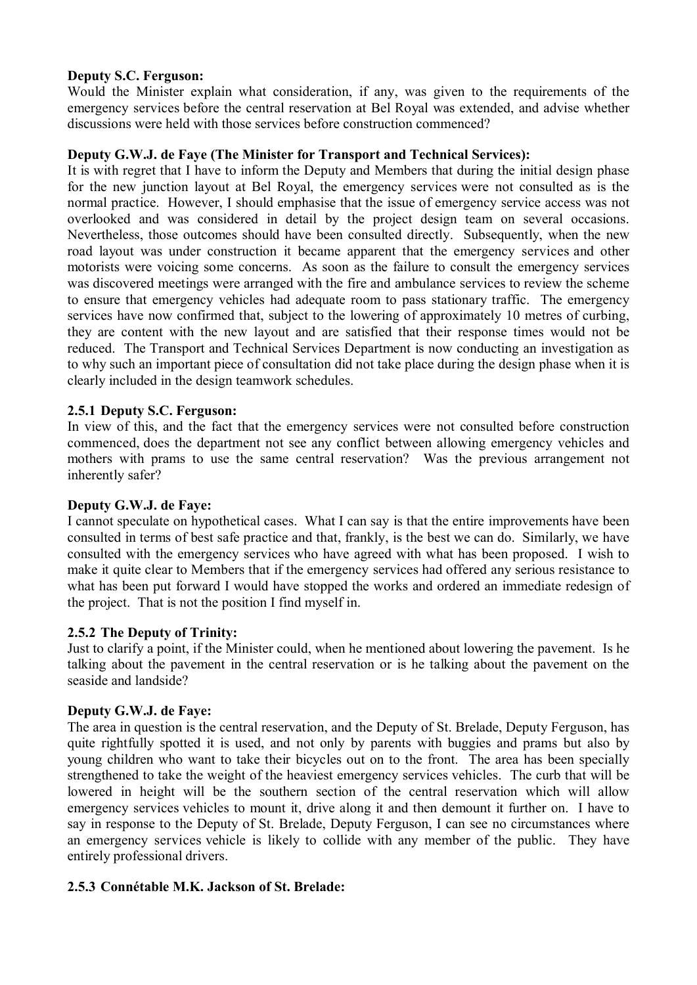# **Deputy S.C. Ferguson:**

Would the Minister explain what consideration, if any, was given to the requirements of the emergency services before the central reservation at Bel Royal was extended, and advise whether discussions were held with those services before construction commenced?

# **Deputy G.W.J. de Faye (The Minister for Transport and Technical Services):**

It is with regret that I have to inform the Deputy and Members that during the initial design phase for the new junction layout at Bel Royal, the emergency services were not consulted as is the normal practice. However, I should emphasise that the issue of emergency service access was not overlooked and was considered in detail by the project design team on several occasions. Nevertheless, those outcomes should have been consulted directly. Subsequently, when the new road layout was under construction it became apparent that the emergency services and other motorists were voicing some concerns. As soon as the failure to consult the emergency services was discovered meetings were arranged with the fire and ambulance services to review the scheme to ensure that emergency vehicles had adequate room to pass stationary traffic. The emergency services have now confirmed that, subject to the lowering of approximately 10 metres of curbing, they are content with the new layout and are satisfied that their response times would not be reduced. The Transport and Technical Services Department is now conducting an investigation as to why such an important piece of consultation did not take place during the design phase when it is clearly included in the design teamwork schedules.

# **2.5.1 Deputy S.C. Ferguson:**

In view of this, and the fact that the emergency services were not consulted before construction commenced, does the department not see any conflict between allowing emergency vehicles and mothers with prams to use the same central reservation? Was the previous arrangement not inherently safer?

# **Deputy G.W.J. de Faye:**

I cannot speculate on hypothetical cases. What I can say is that the entire improvements have been consulted in terms of best safe practice and that, frankly, is the best we can do. Similarly, we have consulted with the emergency services who have agreed with what has been proposed. I wish to make it quite clear to Members that if the emergency services had offered any serious resistance to what has been put forward I would have stopped the works and ordered an immediate redesign of the project. That is not the position I find myself in.

# **2.5.2 The Deputy of Trinity:**

Just to clarify a point, if the Minister could, when he mentioned about lowering the pavement. Is he talking about the pavement in the central reservation or is he talking about the pavement on the seaside and landside?

# **Deputy G.W.J. de Faye:**

The area in question is the central reservation, and the Deputy of St. Brelade, Deputy Ferguson, has quite rightfully spotted it is used, and not only by parents with buggies and prams but also by young children who want to take their bicycles out on to the front. The area has been specially strengthened to take the weight of the heaviest emergency services vehicles. The curb that will be lowered in height will be the southern section of the central reservation which will allow emergency services vehicles to mount it, drive along it and then demount it further on. I have to say in response to the Deputy of St. Brelade, Deputy Ferguson, I can see no circumstances where an emergency services vehicle is likely to collide with any member of the public. They have entirely professional drivers.

# **2.5.3 Connétable M.K. Jackson of St. Brelade:**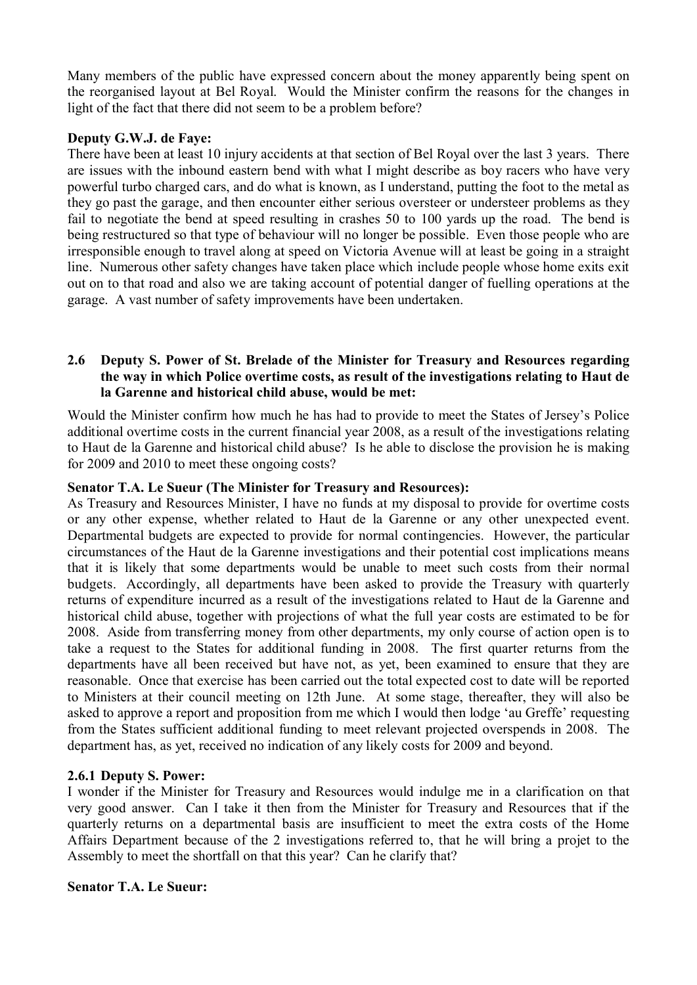Many members of the public have expressed concern about the money apparently being spent on the reorganised layout at Bel Royal. Would the Minister confirm the reasons for the changes in light of the fact that there did not seem to be a problem before?

## **Deputy G.W.J. de Faye:**

There have been at least 10 injury accidents at that section of Bel Royal over the last 3 years. There are issues with the inbound eastern bend with what I might describe as boy racers who have very powerful turbo charged cars, and do what is known, as I understand, putting the foot to the metal as they go past the garage, and then encounter either serious oversteer or understeer problems as they fail to negotiate the bend at speed resulting in crashes 50 to 100 yards up the road. The bend is being restructured so that type of behaviour will no longer be possible. Even those people who are irresponsible enough to travel along at speed on Victoria Avenue will at least be going in a straight line. Numerous other safety changes have taken place which include people whose home exits exit out on to that road and also we are taking account of potential danger of fuelling operations at the garage. A vast number of safety improvements have been undertaken.

## **2.6 Deputy S. Power of St. Brelade of the Minister for Treasury and Resources regarding the way in which Police overtime costs, as result of the investigations relating to Haut de la Garenne and historical child abuse, would be met:**

Would the Minister confirm how much he has had to provide to meet the States of Jersey's Police additional overtime costs in the current financial year 2008, as a result of the investigations relating to Haut de la Garenne and historical child abuse? Is he able to disclose the provision he is making for 2009 and 2010 to meet these ongoing costs?

# **Senator T.A. Le Sueur (The Minister for Treasury and Resources):**

As Treasury and Resources Minister, I have no funds at my disposal to provide for overtime costs or any other expense, whether related to Haut de la Garenne or any other unexpected event. Departmental budgets are expected to provide for normal contingencies. However, the particular circumstances of the Haut de la Garenne investigations and their potential cost implications means that it is likely that some departments would be unable to meet such costs from their normal budgets. Accordingly, all departments have been asked to provide the Treasury with quarterly returns of expenditure incurred as a result of the investigations related to Haut de la Garenne and historical child abuse, together with projections of what the full year costs are estimated to be for 2008. Aside from transferring money from other departments, my only course of action open is to take a request to the States for additional funding in 2008. The first quarter returns from the departments have all been received but have not, as yet, been examined to ensure that they are reasonable. Once that exercise has been carried out the total expected cost to date will be reported to Ministers at their council meeting on 12th June. At some stage, thereafter, they will also be asked to approve a report and proposition from me which I would then lodge 'au Greffe' requesting from the States sufficient additional funding to meet relevant projected overspends in 2008. The department has, as yet, received no indication of any likely costs for 2009 and beyond.

# **2.6.1 Deputy S. Power:**

I wonder if the Minister for Treasury and Resources would indulge me in a clarification on that very good answer. Can I take it then from the Minister for Treasury and Resources that if the quarterly returns on a departmental basis are insufficient to meet the extra costs of the Home Affairs Department because of the 2 investigations referred to, that he will bring a projet to the Assembly to meet the shortfall on that this year? Can he clarify that?

### **Senator T.A. Le Sueur:**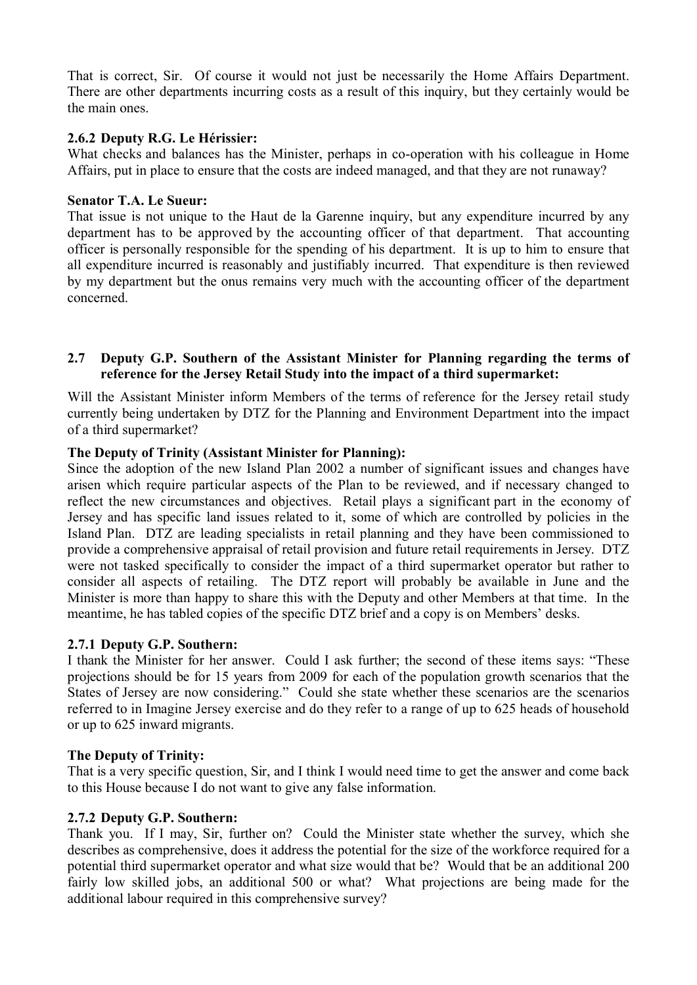That is correct, Sir. Of course it would not just be necessarily the Home Affairs Department. There are other departments incurring costs as a result of this inquiry, but they certainly would be the main ones.

## **2.6.2 Deputy R.G. Le Hérissier:**

What checks and balances has the Minister, perhaps in co-operation with his colleague in Home Affairs, put in place to ensure that the costs are indeed managed, and that they are not runaway?

### **Senator T.A. Le Sueur:**

That issue is not unique to the Haut de la Garenne inquiry, but any expenditure incurred by any department has to be approved by the accounting officer of that department. That accounting officer is personally responsible for the spending of his department. It is up to him to ensure that all expenditure incurred is reasonably and justifiably incurred. That expenditure is then reviewed by my department but the onus remains very much with the accounting officer of the department concerned.

## **2.7 Deputy G.P. Southern of the Assistant Minister for Planning regarding the terms of reference for the Jersey Retail Study into the impact of a third supermarket:**

Will the Assistant Minister inform Members of the terms of reference for the Jersey retail study currently being undertaken by DTZ for the Planning and Environment Department into the impact of a third supermarket?

## **The Deputy of Trinity (Assistant Minister for Planning):**

Since the adoption of the new Island Plan 2002 a number of significant issues and changes have arisen which require particular aspects of the Plan to be reviewed, and if necessary changed to reflect the new circumstances and objectives. Retail plays a significant part in the economy of Jersey and has specific land issues related to it, some of which are controlled by policies in the Island Plan. DTZ are leading specialists in retail planning and they have been commissioned to provide a comprehensive appraisal of retail provision and future retail requirements in Jersey. DTZ were not tasked specifically to consider the impact of a third supermarket operator but rather to consider all aspects of retailing. The DTZ report will probably be available in June and the Minister is more than happy to share this with the Deputy and other Members at that time. In the meantime, he has tabled copies of the specific DTZ brief and a copy is on Members' desks.

### **2.7.1 Deputy G.P. Southern:**

I thank the Minister for her answer. Could I ask further; the second of these items says: "These projections should be for 15 years from 2009 for each of the population growth scenarios that the States of Jersey are now considering." Could she state whether these scenarios are the scenarios referred to in Imagine Jersey exercise and do they refer to a range of up to 625 heads of household or up to 625 inward migrants.

### **The Deputy of Trinity:**

That is a very specific question, Sir, and I think I would need time to get the answer and come back to this House because I do not want to give any false information.

### **2.7.2 Deputy G.P. Southern:**

Thank you. If I may, Sir, further on? Could the Minister state whether the survey, which she describes as comprehensive, does it address the potential for the size of the workforce required for a potential third supermarket operator and what size would that be? Would that be an additional 200 fairly low skilled jobs, an additional 500 or what? What projections are being made for the additional labour required in this comprehensive survey?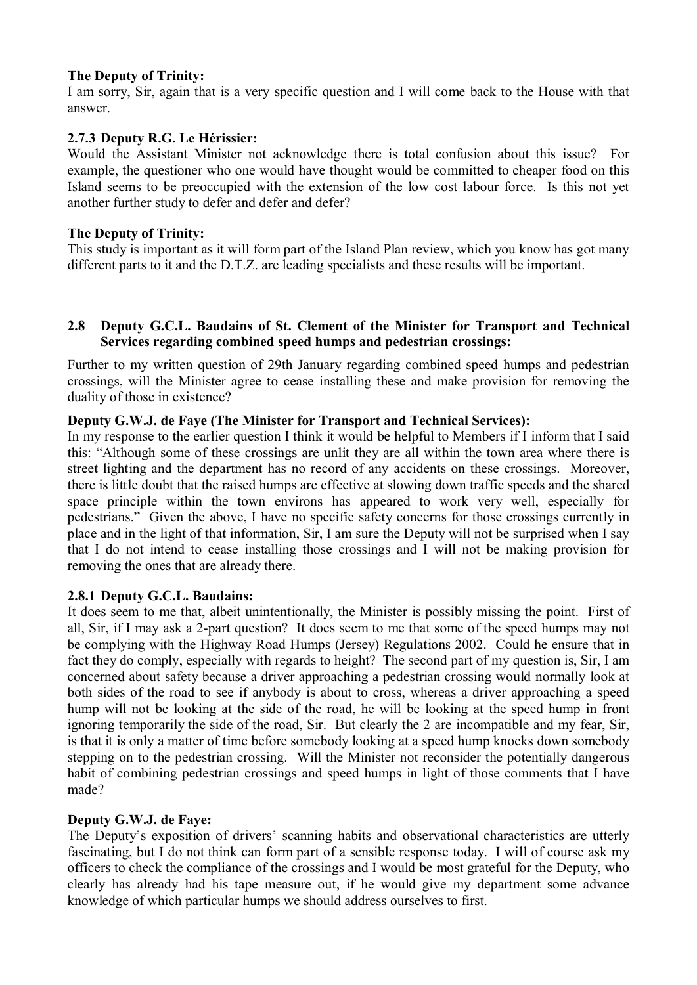## **The Deputy of Trinity:**

I am sorry, Sir, again that is a very specific question and I will come back to the House with that answer.

# **2.7.3 Deputy R.G. Le Hérissier:**

Would the Assistant Minister not acknowledge there is total confusion about this issue? For example, the questioner who one would have thought would be committed to cheaper food on this Island seems to be preoccupied with the extension of the low cost labour force. Is this not yet another further study to defer and defer and defer?

### **The Deputy of Trinity:**

This study is important as it will form part of the Island Plan review, which you know has got many different parts to it and the D.T.Z. are leading specialists and these results will be important.

## **2.8 Deputy G.C.L. Baudains of St. Clement of the Minister for Transport and Technical Services regarding combined speed humps and pedestrian crossings:**

Further to my written question of 29th January regarding combined speed humps and pedestrian crossings, will the Minister agree to cease installing these and make provision for removing the duality of those in existence?

## **Deputy G.W.J. de Faye (The Minister for Transport and Technical Services):**

In my response to the earlier question I think it would be helpful to Members if I inform that I said this: "Although some of these crossings are unlit they are all within the town area where there is street lighting and the department has no record of any accidents on these crossings. Moreover, there is little doubt that the raised humps are effective at slowing down traffic speeds and the shared space principle within the town environs has appeared to work very well, especially for pedestrians." Given the above, I have no specific safety concerns for those crossings currently in place and in the light of that information, Sir, I am sure the Deputy will not be surprised when I say that I do not intend to cease installing those crossings and I will not be making provision for removing the ones that are already there.

### **2.8.1 Deputy G.C.L. Baudains:**

It does seem to me that, albeit unintentionally, the Minister is possibly missing the point. First of all, Sir, if I may ask a 2-part question? It does seem to me that some of the speed humps may not be complying with the Highway Road Humps (Jersey) Regulations 2002. Could he ensure that in fact they do comply, especially with regards to height? The second part of my question is, Sir, I am concerned about safety because a driver approaching a pedestrian crossing would normally look at both sides of the road to see if anybody is about to cross, whereas a driver approaching a speed hump will not be looking at the side of the road, he will be looking at the speed hump in front ignoring temporarily the side of the road, Sir. But clearly the 2 are incompatible and my fear, Sir, is that it is only a matter of time before somebody looking at a speed hump knocks down somebody stepping on to the pedestrian crossing. Will the Minister not reconsider the potentially dangerous habit of combining pedestrian crossings and speed humps in light of those comments that I have made?

### **Deputy G.W.J. de Faye:**

The Deputy's exposition of drivers' scanning habits and observational characteristics are utterly fascinating, but I do not think can form part of a sensible response today. I will of course ask my officers to check the compliance of the crossings and I would be most grateful for the Deputy, who clearly has already had his tape measure out, if he would give my department some advance knowledge of which particular humps we should address ourselves to first.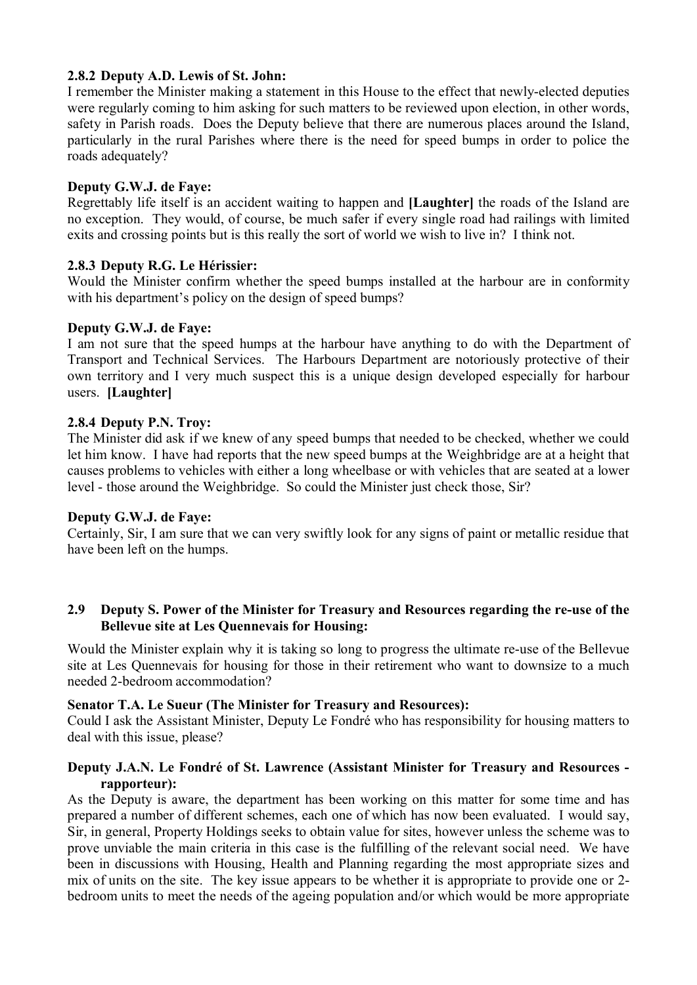## **2.8.2 Deputy A.D. Lewis of St. John:**

I remember the Minister making a statement in this House to the effect that newly-elected deputies were regularly coming to him asking for such matters to be reviewed upon election, in other words, safety in Parish roads. Does the Deputy believe that there are numerous places around the Island, particularly in the rural Parishes where there is the need for speed bumps in order to police the roads adequately?

## **Deputy G.W.J. de Faye:**

Regrettably life itself is an accident waiting to happen and **[Laughter]** the roads of the Island are no exception. They would, of course, be much safer if every single road had railings with limited exits and crossing points but is this really the sort of world we wish to live in? I think not.

## **2.8.3 Deputy R.G. Le Hérissier:**

Would the Minister confirm whether the speed bumps installed at the harbour are in conformity with his department's policy on the design of speed bumps?

### **Deputy G.W.J. de Faye:**

I am not sure that the speed humps at the harbour have anything to do with the Department of Transport and Technical Services. The Harbours Department are notoriously protective of their own territory and I very much suspect this is a unique design developed especially for harbour users. **[Laughter]**

## **2.8.4 Deputy P.N. Troy:**

The Minister did ask if we knew of any speed bumps that needed to be checked, whether we could let him know. I have had reports that the new speed bumps at the Weighbridge are at a height that causes problems to vehicles with either a long wheelbase or with vehicles that are seated at a lower level - those around the Weighbridge. So could the Minister just check those, Sir?

### **Deputy G.W.J. de Faye:**

Certainly, Sir, I am sure that we can very swiftly look for any signs of paint or metallic residue that have been left on the humps.

## **2.9 Deputy S. Power of the Minister for Treasury and Resources regarding the re-use of the Bellevue site at Les Quennevais for Housing:**

Would the Minister explain why it is taking so long to progress the ultimate re-use of the Bellevue site at Les Quennevais for housing for those in their retirement who want to downsize to a much needed 2-bedroom accommodation?

### **Senator T.A. Le Sueur (The Minister for Treasury and Resources):**

Could I ask the Assistant Minister, Deputy Le Fondré who has responsibility for housing matters to deal with this issue, please?

# **Deputy J.A.N. Le Fondré of St. Lawrence (Assistant Minister for Treasury and Resources rapporteur):**

As the Deputy is aware, the department has been working on this matter for some time and has prepared a number of different schemes, each one of which has now been evaluated. I would say, Sir, in general, Property Holdings seeks to obtain value for sites, however unless the scheme was to prove unviable the main criteria in this case is the fulfilling of the relevant social need. We have been in discussions with Housing, Health and Planning regarding the most appropriate sizes and mix of units on the site. The key issue appears to be whether it is appropriate to provide one or 2 bedroom units to meet the needs of the ageing population and/or which would be more appropriate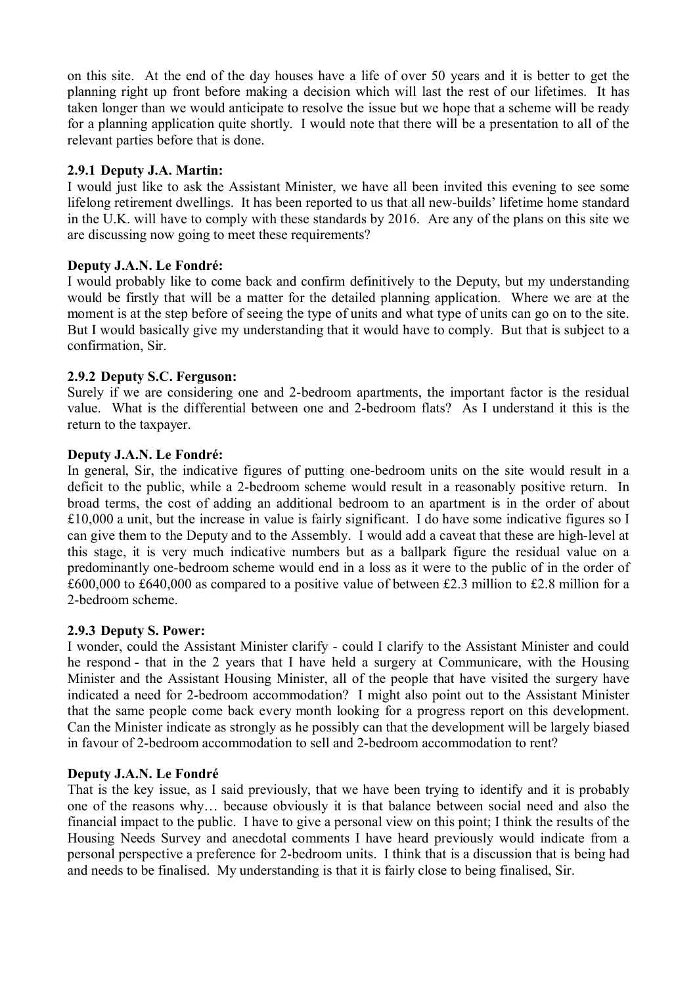on this site. At the end of the day houses have a life of over 50 years and it is better to get the planning right up front before making a decision which will last the rest of our lifetimes. It has taken longer than we would anticipate to resolve the issue but we hope that a scheme will be ready for a planning application quite shortly. I would note that there will be a presentation to all of the relevant parties before that is done.

# **2.9.1 Deputy J.A. Martin:**

I would just like to ask the Assistant Minister, we have all been invited this evening to see some lifelong retirement dwellings. It has been reported to us that all new-builds' lifetime home standard in the U.K. will have to comply with these standards by 2016. Are any of the plans on this site we are discussing now going to meet these requirements?

## **Deputy J.A.N. Le Fondré:**

I would probably like to come back and confirm definitively to the Deputy, but my understanding would be firstly that will be a matter for the detailed planning application. Where we are at the moment is at the step before of seeing the type of units and what type of units can go on to the site. But I would basically give my understanding that it would have to comply. But that is subject to a confirmation, Sir.

## **2.9.2 Deputy S.C. Ferguson:**

Surely if we are considering one and 2-bedroom apartments, the important factor is the residual value. What is the differential between one and 2-bedroom flats? As I understand it this is the return to the taxpayer.

### **Deputy J.A.N. Le Fondré:**

In general, Sir, the indicative figures of putting one-bedroom units on the site would result in a deficit to the public, while a 2-bedroom scheme would result in a reasonably positive return. In broad terms, the cost of adding an additional bedroom to an apartment is in the order of about £10,000 a unit, but the increase in value is fairly significant. I do have some indicative figures so I can give them to the Deputy and to the Assembly. I would add a caveat that these are high-level at this stage, it is very much indicative numbers but as a ballpark figure the residual value on a predominantly one-bedroom scheme would end in a loss as it were to the public of in the order of £600,000 to £640,000 as compared to a positive value of between £2.3 million to £2.8 million for a 2-bedroom scheme.

### **2.9.3 Deputy S. Power:**

I wonder, could the Assistant Minister clarify - could I clarify to the Assistant Minister and could he respond - that in the 2 years that I have held a surgery at Communicare, with the Housing Minister and the Assistant Housing Minister, all of the people that have visited the surgery have indicated a need for 2-bedroom accommodation? I might also point out to the Assistant Minister that the same people come back every month looking for a progress report on this development. Can the Minister indicate as strongly as he possibly can that the development will be largely biased in favour of 2-bedroom accommodation to sell and 2-bedroom accommodation to rent?

### **Deputy J.A.N. Le Fondré**

That is the key issue, as I said previously, that we have been trying to identify and it is probably one of the reasons why… because obviously it is that balance between social need and also the financial impact to the public. I have to give a personal view on this point; I think the results of the Housing Needs Survey and anecdotal comments I have heard previously would indicate from a personal perspective a preference for 2-bedroom units. I think that is a discussion that is being had and needs to be finalised. My understanding is that it is fairly close to being finalised, Sir.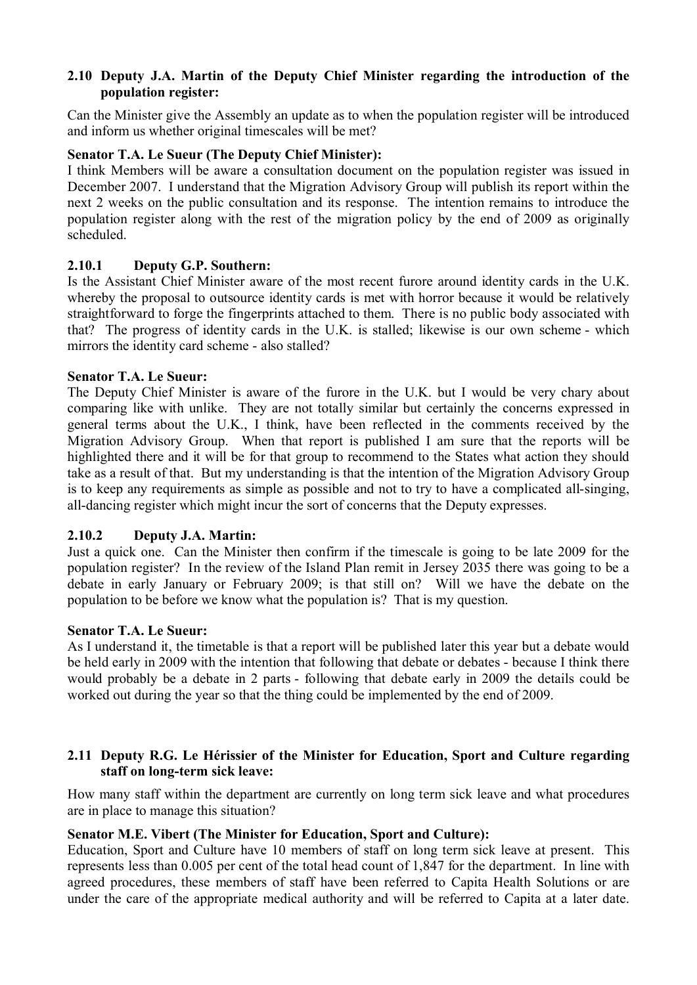## **2.10 Deputy J.A. Martin of the Deputy Chief Minister regarding the introduction of the population register:**

Can the Minister give the Assembly an update as to when the population register will be introduced and inform us whether original timescales will be met?

# **Senator T.A. Le Sueur (The Deputy Chief Minister):**

I think Members will be aware a consultation document on the population register was issued in December 2007. I understand that the Migration Advisory Group will publish its report within the next 2 weeks on the public consultation and its response. The intention remains to introduce the population register along with the rest of the migration policy by the end of 2009 as originally scheduled.

## **2.10.1 Deputy G.P. Southern:**

Is the Assistant Chief Minister aware of the most recent furore around identity cards in the U.K. whereby the proposal to outsource identity cards is met with horror because it would be relatively straightforward to forge the fingerprints attached to them. There is no public body associated with that? The progress of identity cards in the U.K. is stalled; likewise is our own scheme - which mirrors the identity card scheme - also stalled?

## **Senator T.A. Le Sueur:**

The Deputy Chief Minister is aware of the furore in the U.K. but I would be very chary about comparing like with unlike. They are not totally similar but certainly the concerns expressed in general terms about the U.K., I think, have been reflected in the comments received by the Migration Advisory Group. When that report is published I am sure that the reports will be highlighted there and it will be for that group to recommend to the States what action they should take as a result of that. But my understanding is that the intention of the Migration Advisory Group is to keep any requirements as simple as possible and not to try to have a complicated all-singing, all-dancing register which might incur the sort of concerns that the Deputy expresses.

### **2.10.2 Deputy J.A. Martin:**

Just a quick one. Can the Minister then confirm if the timescale is going to be late 2009 for the population register? In the review of the Island Plan remit in Jersey 2035 there was going to be a debate in early January or February 2009; is that still on? Will we have the debate on the population to be before we know what the population is? That is my question.

### **Senator T.A. Le Sueur:**

As I understand it, the timetable is that a report will be published later this year but a debate would be held early in 2009 with the intention that following that debate or debates - because I think there would probably be a debate in 2 parts - following that debate early in 2009 the details could be worked out during the year so that the thing could be implemented by the end of 2009.

## **2.11 Deputy R.G. Le Hérissier of the Minister for Education, Sport and Culture regarding staff on long-term sick leave:**

How many staff within the department are currently on long term sick leave and what procedures are in place to manage this situation?

# **Senator M.E. Vibert (The Minister for Education, Sport and Culture):**

Education, Sport and Culture have 10 members of staff on long term sick leave at present. This represents less than 0.005 per cent of the total head count of 1,847 for the department. In line with agreed procedures, these members of staff have been referred to Capita Health Solutions or are under the care of the appropriate medical authority and will be referred to Capita at a later date.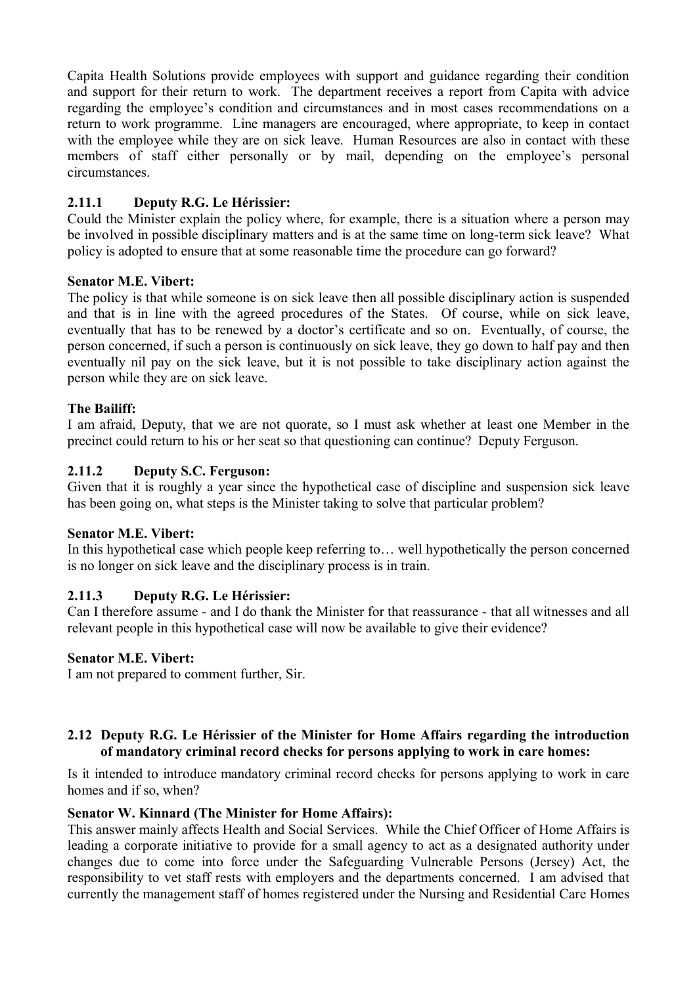Capita Health Solutions provide employees with support and guidance regarding their condition and support for their return to work. The department receives a report from Capita with advice regarding the employee's condition and circumstances and in most cases recommendations on a return to work programme. Line managers are encouraged, where appropriate, to keep in contact with the employee while they are on sick leave. Human Resources are also in contact with these members of staff either personally or by mail, depending on the employee's personal circumstances.

# **2.11.1 Deputy R.G. Le Hérissier:**

Could the Minister explain the policy where, for example, there is a situation where a person may be involved in possible disciplinary matters and is at the same time on long-term sick leave? What policy is adopted to ensure that at some reasonable time the procedure can go forward?

## **Senator M.E. Vibert:**

The policy is that while someone is on sick leave then all possible disciplinary action is suspended and that is in line with the agreed procedures of the States. Of course, while on sick leave, eventually that has to be renewed by a doctor's certificate and so on. Eventually, of course, the person concerned, if such a person is continuously on sick leave, they go down to half pay and then eventually nil pay on the sick leave, but it is not possible to take disciplinary action against the person while they are on sick leave.

## **The Bailiff:**

I am afraid, Deputy, that we are not quorate, so I must ask whether at least one Member in the precinct could return to his or her seat so that questioning can continue? Deputy Ferguson.

## **2.11.2 Deputy S.C. Ferguson:**

Given that it is roughly a year since the hypothetical case of discipline and suspension sick leave has been going on, what steps is the Minister taking to solve that particular problem?

### **Senator M.E. Vibert:**

In this hypothetical case which people keep referring to… well hypothetically the person concerned is no longer on sick leave and the disciplinary process is in train.

# **2.11.3 Deputy R.G. Le Hérissier:**

Can I therefore assume - and I do thank the Minister for that reassurance - that all witnesses and all relevant people in this hypothetical case will now be available to give their evidence?

### **Senator M.E. Vibert:**

I am not prepared to comment further, Sir.

# **2.12 Deputy R.G. Le Hérissier of the Minister for Home Affairs regarding the introduction of mandatory criminal record checks for persons applying to work in care homes:**

Is it intended to introduce mandatory criminal record checks for persons applying to work in care homes and if so, when?

### **Senator W. Kinnard (The Minister for Home Affairs):**

This answer mainly affects Health and Social Services. While the Chief Officer of Home Affairs is leading a corporate initiative to provide for a small agency to act as a designated authority under changes due to come into force under the Safeguarding Vulnerable Persons (Jersey) Act, the responsibility to vet staff rests with employers and the departments concerned. I am advised that currently the management staff of homes registered under the Nursing and Residential Care Homes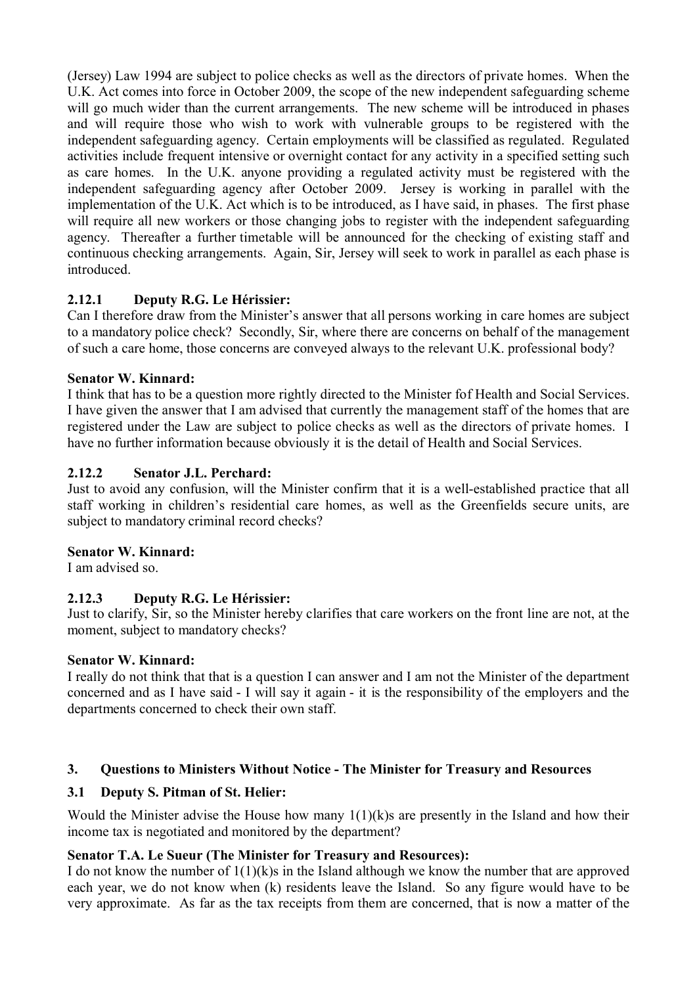(Jersey) Law 1994 are subject to police checks as well as the directors of private homes. When the U.K. Act comes into force in October 2009, the scope of the new independent safeguarding scheme will go much wider than the current arrangements. The new scheme will be introduced in phases and will require those who wish to work with vulnerable groups to be registered with the independent safeguarding agency. Certain employments will be classified as regulated. Regulated activities include frequent intensive or overnight contact for any activity in a specified setting such as care homes. In the U.K. anyone providing a regulated activity must be registered with the independent safeguarding agency after October 2009. Jersey is working in parallel with the implementation of the U.K. Act which is to be introduced, as I have said, in phases. The first phase will require all new workers or those changing jobs to register with the independent safeguarding agency. Thereafter a further timetable will be announced for the checking of existing staff and continuous checking arrangements. Again, Sir, Jersey will seek to work in parallel as each phase is introduced.

# **2.12.1 Deputy R.G. Le Hérissier:**

Can I therefore draw from the Minister's answer that all persons working in care homes are subject to a mandatory police check? Secondly, Sir, where there are concerns on behalf of the management of such a care home, those concerns are conveyed always to the relevant U.K. professional body?

# **Senator W. Kinnard:**

I think that has to be a question more rightly directed to the Minister fof Health and Social Services. I have given the answer that I am advised that currently the management staff of the homes that are registered under the Law are subject to police checks as well as the directors of private homes. I have no further information because obviously it is the detail of Health and Social Services.

# **2.12.2 Senator J.L. Perchard:**

Just to avoid any confusion, will the Minister confirm that it is a well-established practice that all staff working in children's residential care homes, as well as the Greenfields secure units, are subject to mandatory criminal record checks?

# **Senator W. Kinnard:**

I am advised so.

# **2.12.3 Deputy R.G. Le Hérissier:**

Just to clarify, Sir, so the Minister hereby clarifies that care workers on the front line are not, at the moment, subject to mandatory checks?

# **Senator W. Kinnard:**

I really do not think that that is a question I can answer and I am not the Minister of the department concerned and as I have said - I will say it again - it is the responsibility of the employers and the departments concerned to check their own staff.

# **3. Questions to Ministers Without Notice - The Minister for Treasury and Resources**

# **3.1 Deputy S. Pitman of St. Helier:**

Would the Minister advise the House how many  $1(1)(k)$ s are presently in the Island and how their income tax is negotiated and monitored by the department?

# **Senator T.A. Le Sueur (The Minister for Treasury and Resources):**

I do not know the number of 1(1)(k)s in the Island although we know the number that are approved each year, we do not know when (k) residents leave the Island. So any figure would have to be very approximate. As far as the tax receipts from them are concerned, that is now a matter of the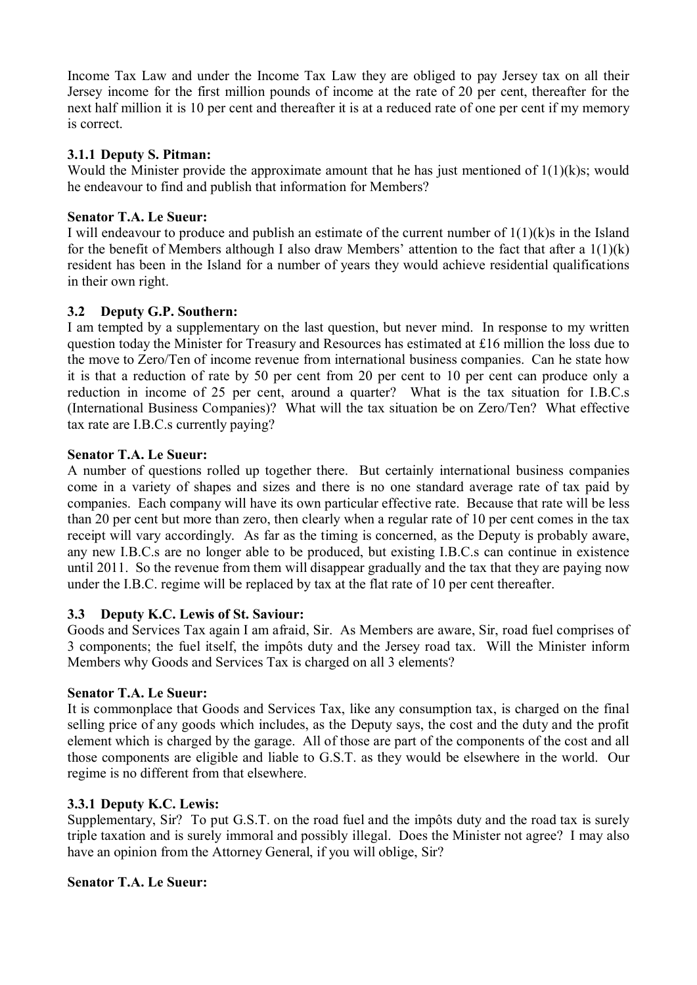Income Tax Law and under the Income Tax Law they are obliged to pay Jersey tax on all their Jersey income for the first million pounds of income at the rate of 20 per cent, thereafter for the next half million it is 10 per cent and thereafter it is at a reduced rate of one per cent if my memory is correct.

# **3.1.1 Deputy S. Pitman:**

Would the Minister provide the approximate amount that he has just mentioned of  $1(1)(k)s$ ; would he endeavour to find and publish that information for Members?

# **Senator T.A. Le Sueur:**

I will endeavour to produce and publish an estimate of the current number of  $1(1)(k)$ s in the Island for the benefit of Members although I also draw Members' attention to the fact that after a 1(1)(k) resident has been in the Island for a number of years they would achieve residential qualifications in their own right.

# **3.2 Deputy G.P. Southern:**

I am tempted by a supplementary on the last question, but never mind. In response to my written question today the Minister for Treasury and Resources has estimated at £16 million the loss due to the move to Zero/Ten of income revenue from international business companies. Can he state how it is that a reduction of rate by 50 per cent from 20 per cent to 10 per cent can produce only a reduction in income of 25 per cent, around a quarter? What is the tax situation for I.B.C.s (International Business Companies)? What will the tax situation be on Zero/Ten? What effective tax rate are I.B.C.s currently paying?

# **Senator T.A. Le Sueur:**

A number of questions rolled up together there. But certainly international business companies come in a variety of shapes and sizes and there is no one standard average rate of tax paid by companies. Each company will have its own particular effective rate. Because that rate will be less than 20 per cent but more than zero, then clearly when a regular rate of 10 per cent comes in the tax receipt will vary accordingly. As far as the timing is concerned, as the Deputy is probably aware, any new I.B.C.s are no longer able to be produced, but existing I.B.C.s can continue in existence until 2011. So the revenue from them will disappear gradually and the tax that they are paying now under the I.B.C. regime will be replaced by tax at the flat rate of 10 per cent thereafter.

# **3.3 Deputy K.C. Lewis of St. Saviour:**

Goods and Services Tax again I am afraid, Sir. As Members are aware, Sir, road fuel comprises of 3 components; the fuel itself, the impôts duty and the Jersey road tax. Will the Minister inform Members why Goods and Services Tax is charged on all 3 elements?

# **Senator T.A. Le Sueur:**

It is commonplace that Goods and Services Tax, like any consumption tax, is charged on the final selling price of any goods which includes, as the Deputy says, the cost and the duty and the profit element which is charged by the garage. All of those are part of the components of the cost and all those components are eligible and liable to G.S.T. as they would be elsewhere in the world. Our regime is no different from that elsewhere.

# **3.3.1 Deputy K.C. Lewis:**

Supplementary, Sir? To put G.S.T. on the road fuel and the impôts duty and the road tax is surely triple taxation and is surely immoral and possibly illegal. Does the Minister not agree? I may also have an opinion from the Attorney General, if you will oblige, Sir?

# **Senator T.A. Le Sueur:**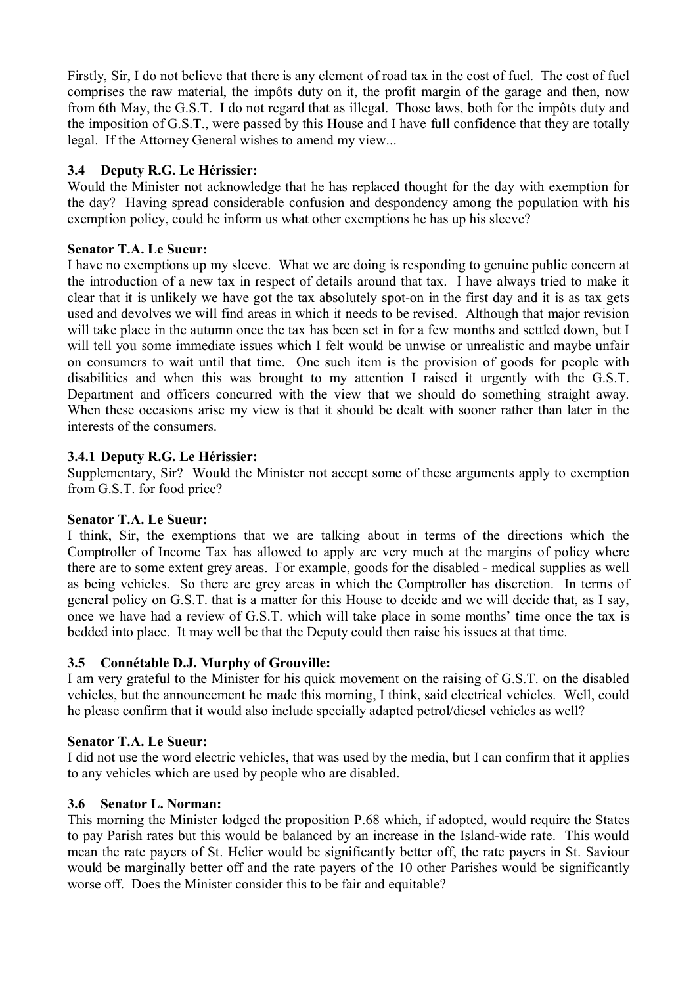Firstly, Sir, I do not believe that there is any element of road tax in the cost of fuel. The cost of fuel comprises the raw material, the impôts duty on it, the profit margin of the garage and then, now from 6th May, the G.S.T. I do not regard that as illegal. Those laws, both for the impôts duty and the imposition of G.S.T., were passed by this House and I have full confidence that they are totally legal. If the Attorney General wishes to amend my view...

# **3.4 Deputy R.G. Le Hérissier:**

Would the Minister not acknowledge that he has replaced thought for the day with exemption for the day? Having spread considerable confusion and despondency among the population with his exemption policy, could he inform us what other exemptions he has up his sleeve?

# **Senator T.A. Le Sueur:**

I have no exemptions up my sleeve. What we are doing is responding to genuine public concern at the introduction of a new tax in respect of details around that tax. I have always tried to make it clear that it is unlikely we have got the tax absolutely spot-on in the first day and it is as tax gets used and devolves we will find areas in which it needs to be revised. Although that major revision will take place in the autumn once the tax has been set in for a few months and settled down, but I will tell you some immediate issues which I felt would be unwise or unrealistic and maybe unfair on consumers to wait until that time. One such item is the provision of goods for people with disabilities and when this was brought to my attention I raised it urgently with the G.S.T. Department and officers concurred with the view that we should do something straight away. When these occasions arise my view is that it should be dealt with sooner rather than later in the interests of the consumers.

# **3.4.1 Deputy R.G. Le Hérissier:**

Supplementary, Sir? Would the Minister not accept some of these arguments apply to exemption from G.S.T. for food price?

# **Senator T.A. Le Sueur:**

I think, Sir, the exemptions that we are talking about in terms of the directions which the Comptroller of Income Tax has allowed to apply are very much at the margins of policy where there are to some extent grey areas. For example, goods for the disabled - medical supplies as well as being vehicles. So there are grey areas in which the Comptroller has discretion. In terms of general policy on G.S.T. that is a matter for this House to decide and we will decide that, as I say, once we have had a review of G.S.T. which will take place in some months' time once the tax is bedded into place. It may well be that the Deputy could then raise his issues at that time.

# **3.5 Connétable D.J. Murphy of Grouville:**

I am very grateful to the Minister for his quick movement on the raising of G.S.T. on the disabled vehicles, but the announcement he made this morning, I think, said electrical vehicles. Well, could he please confirm that it would also include specially adapted petrol/diesel vehicles as well?

# **Senator T.A. Le Sueur:**

I did not use the word electric vehicles, that was used by the media, but I can confirm that it applies to any vehicles which are used by people who are disabled.

# **3.6 Senator L. Norman:**

This morning the Minister lodged the proposition P.68 which, if adopted, would require the States to pay Parish rates but this would be balanced by an increase in the Island-wide rate. This would mean the rate payers of St. Helier would be significantly better off, the rate payers in St. Saviour would be marginally better off and the rate payers of the 10 other Parishes would be significantly worse off. Does the Minister consider this to be fair and equitable?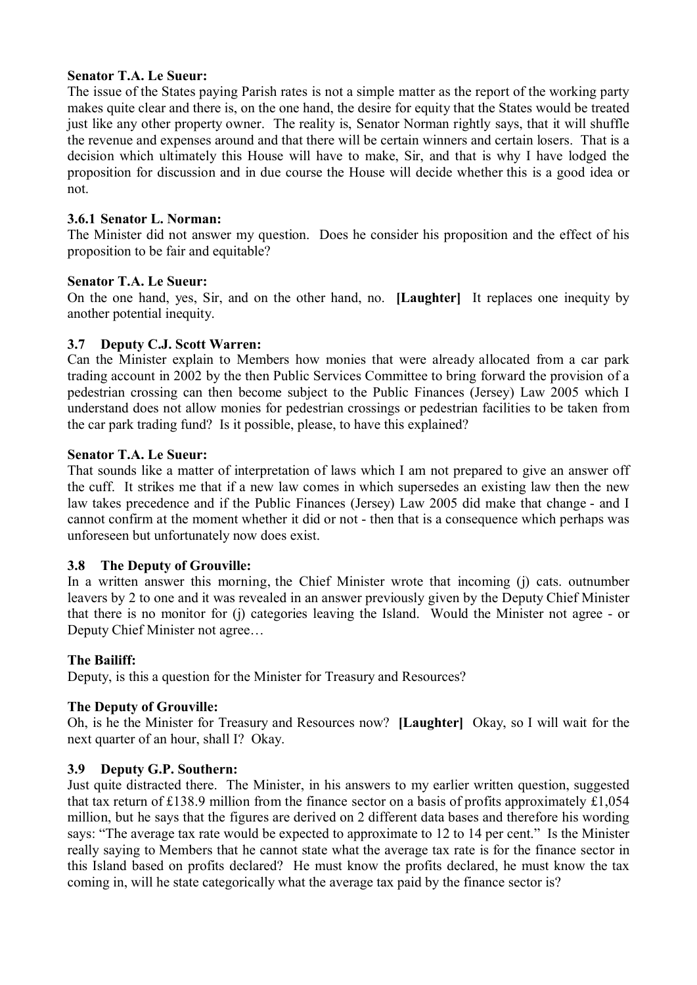## **Senator T.A. Le Sueur:**

The issue of the States paying Parish rates is not a simple matter as the report of the working party makes quite clear and there is, on the one hand, the desire for equity that the States would be treated just like any other property owner. The reality is, Senator Norman rightly says, that it will shuffle the revenue and expenses around and that there will be certain winners and certain losers. That is a decision which ultimately this House will have to make, Sir, and that is why I have lodged the proposition for discussion and in due course the House will decide whether this is a good idea or not.

## **3.6.1 Senator L. Norman:**

The Minister did not answer my question. Does he consider his proposition and the effect of his proposition to be fair and equitable?

## **Senator T.A. Le Sueur:**

On the one hand, yes, Sir, and on the other hand, no. **[Laughter]** It replaces one inequity by another potential inequity.

# **3.7 Deputy C.J. Scott Warren:**

Can the Minister explain to Members how monies that were already allocated from a car park trading account in 2002 by the then Public Services Committee to bring forward the provision of a pedestrian crossing can then become subject to the Public Finances (Jersey) Law 2005 which I understand does not allow monies for pedestrian crossings or pedestrian facilities to be taken from the car park trading fund? Is it possible, please, to have this explained?

### **Senator T.A. Le Sueur:**

That sounds like a matter of interpretation of laws which I am not prepared to give an answer off the cuff. It strikes me that if a new law comes in which supersedes an existing law then the new law takes precedence and if the Public Finances (Jersey) Law 2005 did make that change - and I cannot confirm at the moment whether it did or not - then that is a consequence which perhaps was unforeseen but unfortunately now does exist.

# **3.8 The Deputy of Grouville:**

In a written answer this morning, the Chief Minister wrote that incoming (j) cats. outnumber leavers by 2 to one and it was revealed in an answer previously given by the Deputy Chief Minister that there is no monitor for (j) categories leaving the Island. Would the Minister not agree - or Deputy Chief Minister not agree…

### **The Bailiff:**

Deputy, is this a question for the Minister for Treasury and Resources?

# **The Deputy of Grouville:**

Oh, is he the Minister for Treasury and Resources now? **[Laughter]** Okay, so I will wait for the next quarter of an hour, shall I? Okay.

# **3.9 Deputy G.P. Southern:**

Just quite distracted there. The Minister, in his answers to my earlier written question, suggested that tax return of £138.9 million from the finance sector on a basis of profits approximately £1,054 million, but he says that the figures are derived on 2 different data bases and therefore his wording says: "The average tax rate would be expected to approximate to 12 to 14 per cent." Is the Minister really saying to Members that he cannot state what the average tax rate is for the finance sector in this Island based on profits declared? He must know the profits declared, he must know the tax coming in, will he state categorically what the average tax paid by the finance sector is?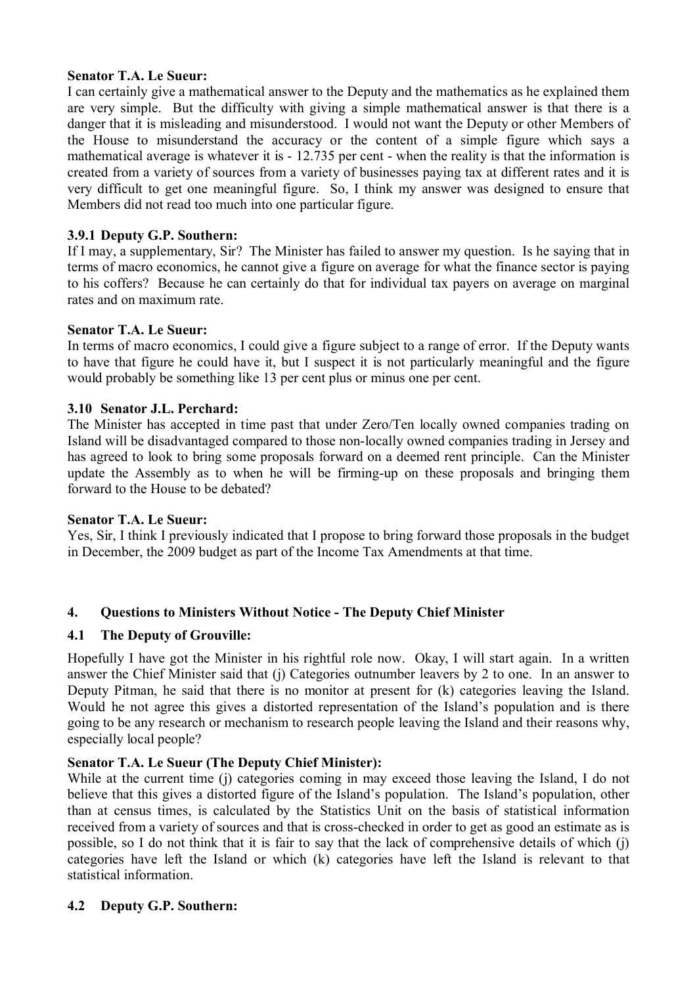# **Senator T.A. Le Sueur:**

I can certainly give a mathematical answer to the Deputy and the mathematics as he explained them are very simple. But the difficulty with giving a simple mathematical answer is that there is a danger that it is misleading and misunderstood. I would not want the Deputy or other Members of the House to misunderstand the accuracy or the content of a simple figure which says a mathematical average is whatever it is - 12.735 per cent - when the reality is that the information is created from a variety of sources from a variety of businesses paying tax at different rates and it is very difficult to get one meaningful figure. So, I think my answer was designed to ensure that Members did not read too much into one particular figure.

# **3.9.1 Deputy G.P. Southern:**

If I may, a supplementary, Sir? The Minister has failed to answer my question. Is he saying that in terms of macro economics, he cannot give a figure on average for what the finance sector is paying to his coffers? Because he can certainly do that for individual tax payers on average on marginal rates and on maximum rate.

### **Senator T.A. Le Sueur:**

In terms of macro economics, I could give a figure subject to a range of error. If the Deputy wants to have that figure he could have it, but I suspect it is not particularly meaningful and the figure would probably be something like 13 per cent plus or minus one per cent.

## **3.10 Senator J.L. Perchard:**

The Minister has accepted in time past that under Zero/Ten locally owned companies trading on Island will be disadvantaged compared to those non-locally owned companies trading in Jersey and has agreed to look to bring some proposals forward on a deemed rent principle. Can the Minister update the Assembly as to when he will be firming-up on these proposals and bringing them forward to the House to be debated?

### **Senator T.A. Le Sueur:**

Yes, Sir, I think I previously indicated that I propose to bring forward those proposals in the budget in December, the 2009 budget as part of the Income Tax Amendments at that time.

# **4. Questions to Ministers Without Notice - The Deputy Chief Minister**

# **4.1 The Deputy of Grouville:**

Hopefully I have got the Minister in his rightful role now. Okay, I will start again. In a written answer the Chief Minister said that (j) Categories outnumber leavers by 2 to one. In an answer to Deputy Pitman, he said that there is no monitor at present for (k) categories leaving the Island. Would he not agree this gives a distorted representation of the Island's population and is there going to be any research or mechanism to research people leaving the Island and their reasons why, especially local people?

# **Senator T.A. Le Sueur (The Deputy Chief Minister):**

While at the current time (j) categories coming in may exceed those leaving the Island, I do not believe that this gives a distorted figure of the Island's population. The Island's population, other than at census times, is calculated by the Statistics Unit on the basis of statistical information received from a variety of sources and that is cross-checked in order to get as good an estimate as is possible, so I do not think that it is fair to say that the lack of comprehensive details of which (j) categories have left the Island or which (k) categories have left the Island is relevant to that statistical information.

# **4.2 Deputy G.P. Southern:**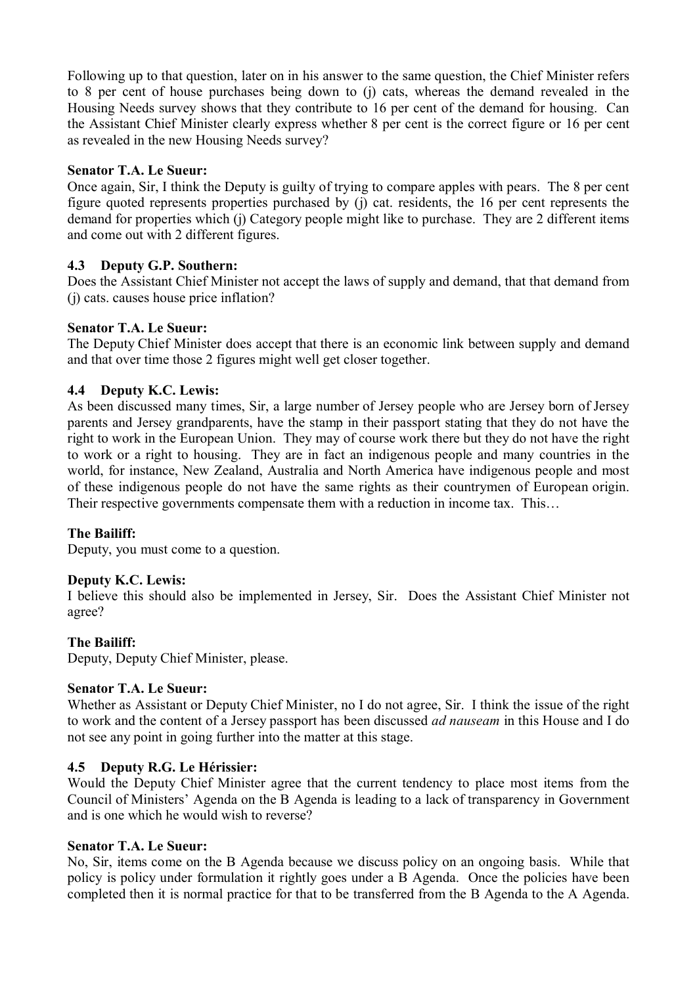Following up to that question, later on in his answer to the same question, the Chief Minister refers to 8 per cent of house purchases being down to (j) cats, whereas the demand revealed in the Housing Needs survey shows that they contribute to 16 per cent of the demand for housing. Can the Assistant Chief Minister clearly express whether 8 per cent is the correct figure or 16 per cent as revealed in the new Housing Needs survey?

## **Senator T.A. Le Sueur:**

Once again, Sir, I think the Deputy is guilty of trying to compare apples with pears. The 8 per cent figure quoted represents properties purchased by (j) cat. residents, the 16 per cent represents the demand for properties which (j) Category people might like to purchase. They are 2 different items and come out with 2 different figures.

## **4.3 Deputy G.P. Southern:**

Does the Assistant Chief Minister not accept the laws of supply and demand, that that demand from (j) cats. causes house price inflation?

# **Senator T.A. Le Sueur:**

The Deputy Chief Minister does accept that there is an economic link between supply and demand and that over time those 2 figures might well get closer together.

# **4.4 Deputy K.C. Lewis:**

As been discussed many times, Sir, a large number of Jersey people who are Jersey born of Jersey parents and Jersey grandparents, have the stamp in their passport stating that they do not have the right to work in the European Union. They may of course work there but they do not have the right to work or a right to housing. They are in fact an indigenous people and many countries in the world, for instance, New Zealand, Australia and North America have indigenous people and most of these indigenous people do not have the same rights as their countrymen of European origin. Their respective governments compensate them with a reduction in income tax. This…

### **The Bailiff:**

Deputy, you must come to a question.

### **Deputy K.C. Lewis:**

I believe this should also be implemented in Jersey, Sir. Does the Assistant Chief Minister not agree?

### **The Bailiff:**

Deputy, Deputy Chief Minister, please.

### **Senator T.A. Le Sueur:**

Whether as Assistant or Deputy Chief Minister, no I do not agree, Sir. I think the issue of the right to work and the content of a Jersey passport has been discussed *ad nauseam* in this House and I do not see any point in going further into the matter at this stage.

### **4.5 Deputy R.G. Le Hérissier:**

Would the Deputy Chief Minister agree that the current tendency to place most items from the Council of Ministers' Agenda on the B Agenda is leading to a lack of transparency in Government and is one which he would wish to reverse?

## **Senator T.A. Le Sueur:**

No, Sir, items come on the B Agenda because we discuss policy on an ongoing basis. While that policy is policy under formulation it rightly goes under a B Agenda. Once the policies have been completed then it is normal practice for that to be transferred from the B Agenda to the A Agenda.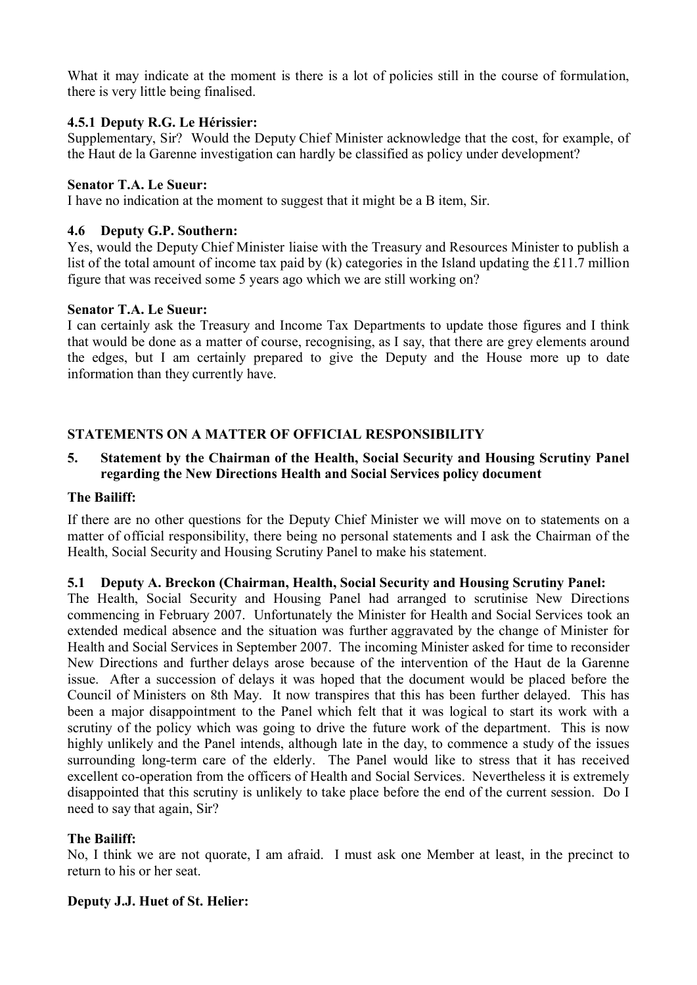What it may indicate at the moment is there is a lot of policies still in the course of formulation, there is very little being finalised.

## **4.5.1 Deputy R.G. Le Hérissier:**

Supplementary, Sir? Would the Deputy Chief Minister acknowledge that the cost, for example, of the Haut de la Garenne investigation can hardly be classified as policy under development?

### **Senator T.A. Le Sueur:**

I have no indication at the moment to suggest that it might be a B item, Sir.

## **4.6 Deputy G.P. Southern:**

Yes, would the Deputy Chief Minister liaise with the Treasury and Resources Minister to publish a list of the total amount of income tax paid by (k) categories in the Island updating the £11.7 million figure that was received some 5 years ago which we are still working on?

### **Senator T.A. Le Sueur:**

I can certainly ask the Treasury and Income Tax Departments to update those figures and I think that would be done as a matter of course, recognising, as I say, that there are grey elements around the edges, but I am certainly prepared to give the Deputy and the House more up to date information than they currently have.

# **STATEMENTS ON A MATTER OF OFFICIAL RESPONSIBILITY**

# **5. Statement by the Chairman of the Health, Social Security and Housing Scrutiny Panel regarding the New Directions Health and Social Services policy document**

### **The Bailiff:**

If there are no other questions for the Deputy Chief Minister we will move on to statements on a matter of official responsibility, there being no personal statements and I ask the Chairman of the Health, Social Security and Housing Scrutiny Panel to make his statement.

### **5.1 Deputy A. Breckon (Chairman, Health, Social Security and Housing Scrutiny Panel:**

The Health, Social Security and Housing Panel had arranged to scrutinise New Directions commencing in February 2007. Unfortunately the Minister for Health and Social Services took an extended medical absence and the situation was further aggravated by the change of Minister for Health and Social Services in September 2007. The incoming Minister asked for time to reconsider New Directions and further delays arose because of the intervention of the Haut de la Garenne issue. After a succession of delays it was hoped that the document would be placed before the Council of Ministers on 8th May. It now transpires that this has been further delayed. This has been a major disappointment to the Panel which felt that it was logical to start its work with a scrutiny of the policy which was going to drive the future work of the department. This is now highly unlikely and the Panel intends, although late in the day, to commence a study of the issues surrounding long-term care of the elderly. The Panel would like to stress that it has received excellent co-operation from the officers of Health and Social Services. Nevertheless it is extremely disappointed that this scrutiny is unlikely to take place before the end of the current session. Do I need to say that again, Sir?

### **The Bailiff:**

No, I think we are not quorate, I am afraid. I must ask one Member at least, in the precinct to return to his or her seat.

### **Deputy J.J. Huet of St. Helier:**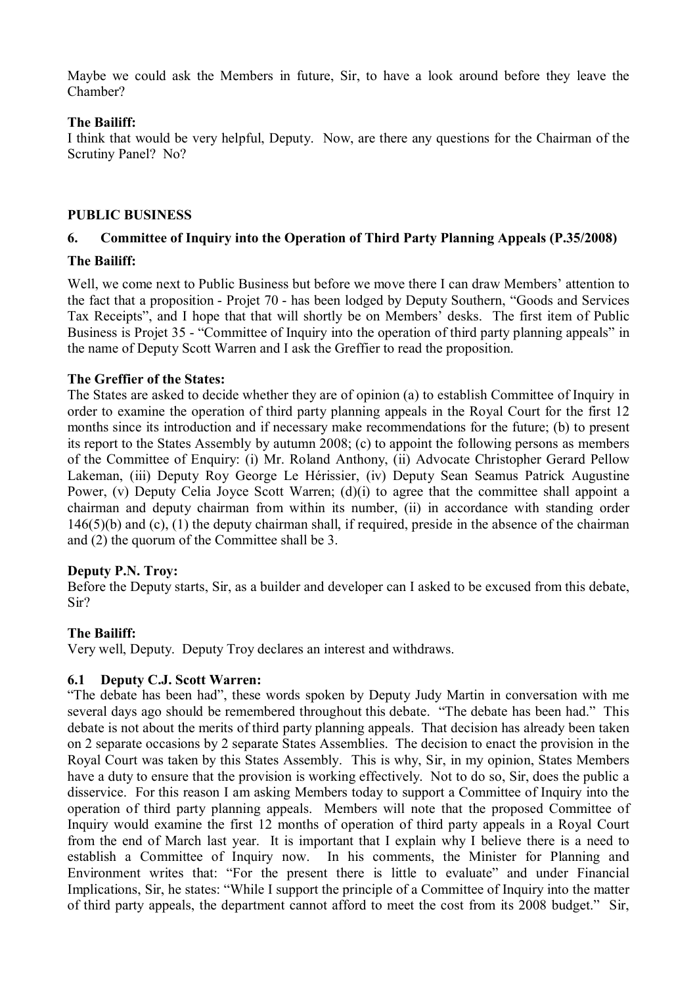Maybe we could ask the Members in future, Sir, to have a look around before they leave the Chamber?

## **The Bailiff:**

I think that would be very helpful, Deputy. Now, are there any questions for the Chairman of the Scrutiny Panel? No?

### **PUBLIC BUSINESS**

# **6. Committee of Inquiry into the Operation of Third Party Planning Appeals (P.35/2008)**

## **The Bailiff:**

Well, we come next to Public Business but before we move there I can draw Members' attention to the fact that a proposition - Projet 70 - has been lodged by Deputy Southern, "Goods and Services Tax Receipts", and I hope that that will shortly be on Members' desks. The first item of Public Business is Projet 35 - "Committee of Inquiry into the operation of third party planning appeals" in the name of Deputy Scott Warren and I ask the Greffier to read the proposition.

## **The Greffier of the States:**

The States are asked to decide whether they are of opinion (a) to establish Committee of Inquiry in order to examine the operation of third party planning appeals in the Royal Court for the first 12 months since its introduction and if necessary make recommendations for the future; (b) to present its report to the States Assembly by autumn 2008; (c) to appoint the following persons as members of the Committee of Enquiry: (i) Mr. Roland Anthony, (ii) Advocate Christopher Gerard Pellow Lakeman, (iii) Deputy Roy George Le Hérissier, (iv) Deputy Sean Seamus Patrick Augustine Power, (v) Deputy Celia Joyce Scott Warren; (d)(i) to agree that the committee shall appoint a chairman and deputy chairman from within its number, (ii) in accordance with standing order 146(5)(b) and (c), (1) the deputy chairman shall, if required, preside in the absence of the chairman and (2) the quorum of the Committee shall be 3.

# **Deputy P.N. Troy:**

Before the Deputy starts, Sir, as a builder and developer can I asked to be excused from this debate, Sir?

### **The Bailiff:**

Very well, Deputy. Deputy Troy declares an interest and withdraws.

# **6.1 Deputy C.J. Scott Warren:**

"The debate has been had", these words spoken by Deputy Judy Martin in conversation with me several days ago should be remembered throughout this debate. "The debate has been had." This debate is not about the merits of third party planning appeals. That decision has already been taken on 2 separate occasions by 2 separate States Assemblies. The decision to enact the provision in the Royal Court was taken by this States Assembly. This is why, Sir, in my opinion, States Members have a duty to ensure that the provision is working effectively. Not to do so, Sir, does the public a disservice. For this reason I am asking Members today to support a Committee of Inquiry into the operation of third party planning appeals. Members will note that the proposed Committee of Inquiry would examine the first 12 months of operation of third party appeals in a Royal Court from the end of March last year. It is important that I explain why I believe there is a need to establish a Committee of Inquiry now. In his comments, the Minister for Planning and Environment writes that: "For the present there is little to evaluate" and under Financial Implications, Sir, he states: "While I support the principle of a Committee of Inquiry into the matter of third party appeals, the department cannot afford to meet the cost from its 2008 budget." Sir,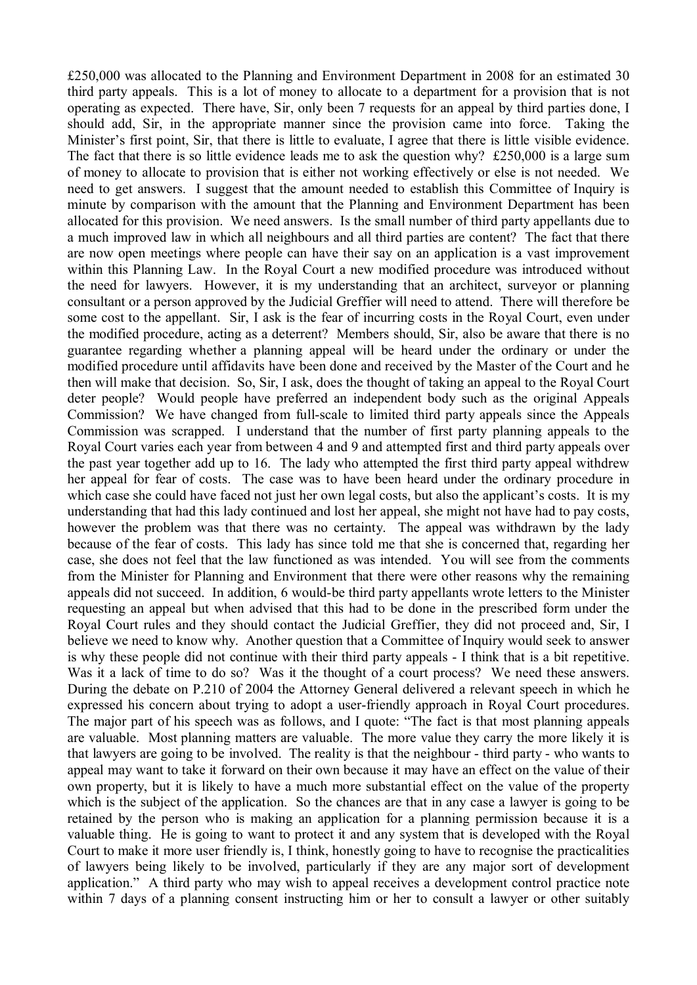£250,000 was allocated to the Planning and Environment Department in 2008 for an estimated 30 third party appeals. This is a lot of money to allocate to a department for a provision that is not operating as expected. There have, Sir, only been 7 requests for an appeal by third parties done, I should add, Sir, in the appropriate manner since the provision came into force. Taking the Minister's first point, Sir, that there is little to evaluate, I agree that there is little visible evidence. The fact that there is so little evidence leads me to ask the question why? £250,000 is a large sum of money to allocate to provision that is either not working effectively or else is not needed. We need to get answers. I suggest that the amount needed to establish this Committee of Inquiry is minute by comparison with the amount that the Planning and Environment Department has been allocated for this provision. We need answers. Is the small number of third party appellants due to a much improved law in which all neighbours and all third parties are content? The fact that there are now open meetings where people can have their say on an application is a vast improvement within this Planning Law. In the Royal Court a new modified procedure was introduced without the need for lawyers. However, it is my understanding that an architect, surveyor or planning consultant or a person approved by the Judicial Greffier will need to attend. There will therefore be some cost to the appellant. Sir, I ask is the fear of incurring costs in the Royal Court, even under the modified procedure, acting as a deterrent? Members should, Sir, also be aware that there is no guarantee regarding whether a planning appeal will be heard under the ordinary or under the modified procedure until affidavits have been done and received by the Master of the Court and he then will make that decision. So, Sir, I ask, does the thought of taking an appeal to the Royal Court deter people? Would people have preferred an independent body such as the original Appeals Commission? We have changed from full-scale to limited third party appeals since the Appeals Commission was scrapped. I understand that the number of first party planning appeals to the Royal Court varies each year from between 4 and 9 and attempted first and third party appeals over the past year together add up to 16. The lady who attempted the first third party appeal withdrew her appeal for fear of costs. The case was to have been heard under the ordinary procedure in which case she could have faced not just her own legal costs, but also the applicant's costs. It is my understanding that had this lady continued and lost her appeal, she might not have had to pay costs, however the problem was that there was no certainty. The appeal was withdrawn by the lady because of the fear of costs. This lady has since told me that she is concerned that, regarding her case, she does not feel that the law functioned as was intended. You will see from the comments from the Minister for Planning and Environment that there were other reasons why the remaining appeals did not succeed. In addition, 6 would-be third party appellants wrote letters to the Minister requesting an appeal but when advised that this had to be done in the prescribed form under the Royal Court rules and they should contact the Judicial Greffier, they did not proceed and, Sir, I believe we need to know why. Another question that a Committee of Inquiry would seek to answer is why these people did not continue with their third party appeals - I think that is a bit repetitive. Was it a lack of time to do so? Was it the thought of a court process? We need these answers. During the debate on P.210 of 2004 the Attorney General delivered a relevant speech in which he expressed his concern about trying to adopt a user-friendly approach in Royal Court procedures. The major part of his speech was as follows, and I quote: "The fact is that most planning appeals are valuable. Most planning matters are valuable. The more value they carry the more likely it is that lawyers are going to be involved. The reality is that the neighbour - third party - who wants to appeal may want to take it forward on their own because it may have an effect on the value of their own property, but it is likely to have a much more substantial effect on the value of the property which is the subject of the application. So the chances are that in any case a lawyer is going to be retained by the person who is making an application for a planning permission because it is a valuable thing. He is going to want to protect it and any system that is developed with the Royal Court to make it more user friendly is, I think, honestly going to have to recognise the practicalities of lawyers being likely to be involved, particularly if they are any major sort of development application." A third party who may wish to appeal receives a development control practice note within 7 days of a planning consent instructing him or her to consult a lawyer or other suitably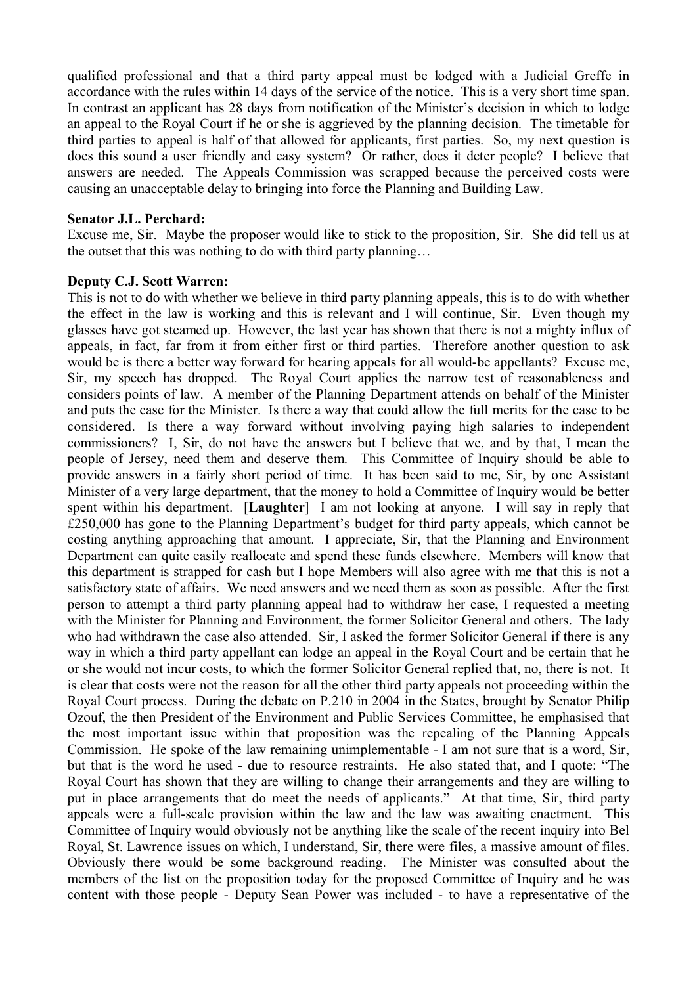qualified professional and that a third party appeal must be lodged with a Judicial Greffe in accordance with the rules within 14 days of the service of the notice. This is a very short time span. In contrast an applicant has 28 days from notification of the Minister's decision in which to lodge an appeal to the Royal Court if he or she is aggrieved by the planning decision. The timetable for third parties to appeal is half of that allowed for applicants, first parties. So, my next question is does this sound a user friendly and easy system? Or rather, does it deter people? I believe that answers are needed. The Appeals Commission was scrapped because the perceived costs were causing an unacceptable delay to bringing into force the Planning and Building Law.

#### **Senator J.L. Perchard:**

Excuse me, Sir. Maybe the proposer would like to stick to the proposition, Sir. She did tell us at the outset that this was nothing to do with third party planning…

### **Deputy C.J. Scott Warren:**

This is not to do with whether we believe in third party planning appeals, this is to do with whether the effect in the law is working and this is relevant and I will continue, Sir. Even though my glasses have got steamed up. However, the last year has shown that there is not a mighty influx of appeals, in fact, far from it from either first or third parties. Therefore another question to ask would be is there a better way forward for hearing appeals for all would-be appellants? Excuse me, Sir, my speech has dropped. The Royal Court applies the narrow test of reasonableness and considers points of law. A member of the Planning Department attends on behalf of the Minister and puts the case for the Minister. Is there a way that could allow the full merits for the case to be considered. Is there a way forward without involving paying high salaries to independent commissioners? I, Sir, do not have the answers but I believe that we, and by that, I mean the people of Jersey, need them and deserve them. This Committee of Inquiry should be able to provide answers in a fairly short period of time. It has been said to me, Sir, by one Assistant Minister of a very large department, that the money to hold a Committee of Inquiry would be better spent within his department. [**Laughter**] I am not looking at anyone. I will say in reply that £250,000 has gone to the Planning Department's budget for third party appeals, which cannot be costing anything approaching that amount. I appreciate, Sir, that the Planning and Environment Department can quite easily reallocate and spend these funds elsewhere. Members will know that this department is strapped for cash but I hope Members will also agree with me that this is not a satisfactory state of affairs. We need answers and we need them as soon as possible. After the first person to attempt a third party planning appeal had to withdraw her case, I requested a meeting with the Minister for Planning and Environment, the former Solicitor General and others. The lady who had withdrawn the case also attended. Sir, I asked the former Solicitor General if there is any way in which a third party appellant can lodge an appeal in the Royal Court and be certain that he or she would not incur costs, to which the former Solicitor General replied that, no, there is not. It is clear that costs were not the reason for all the other third party appeals not proceeding within the Royal Court process. During the debate on P.210 in 2004 in the States, brought by Senator Philip Ozouf, the then President of the Environment and Public Services Committee, he emphasised that the most important issue within that proposition was the repealing of the Planning Appeals Commission. He spoke of the law remaining unimplementable - I am not sure that is a word, Sir, but that is the word he used - due to resource restraints. He also stated that, and I quote: "The Royal Court has shown that they are willing to change their arrangements and they are willing to put in place arrangements that do meet the needs of applicants." At that time, Sir, third party appeals were a full-scale provision within the law and the law was awaiting enactment. This Committee of Inquiry would obviously not be anything like the scale of the recent inquiry into Bel Royal, St. Lawrence issues on which, I understand, Sir, there were files, a massive amount of files. Obviously there would be some background reading. The Minister was consulted about the members of the list on the proposition today for the proposed Committee of Inquiry and he was content with those people - Deputy Sean Power was included - to have a representative of the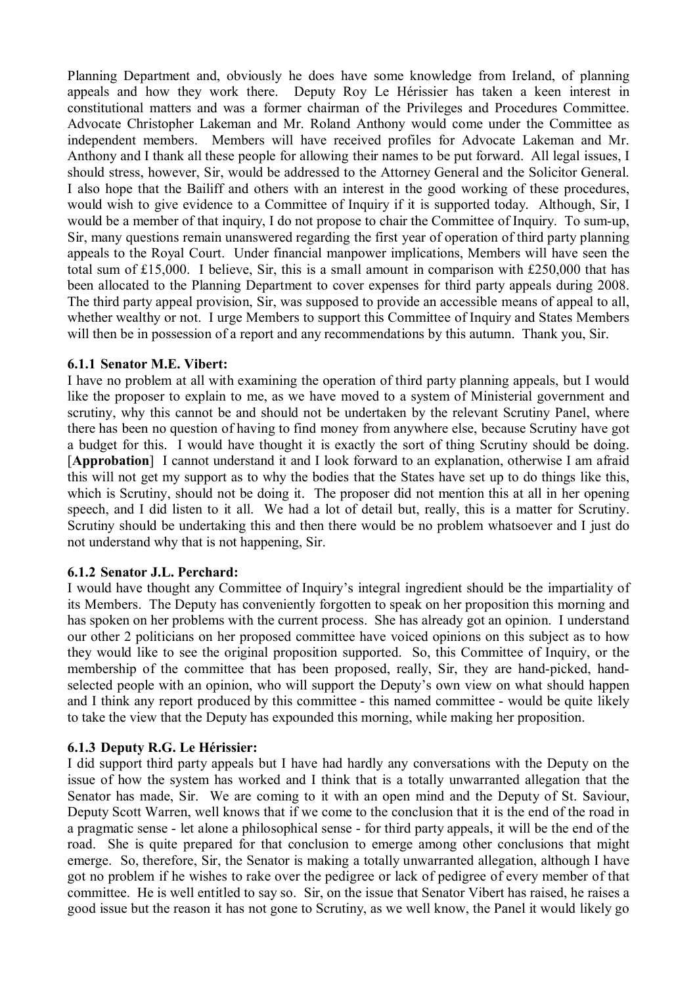Planning Department and, obviously he does have some knowledge from Ireland, of planning appeals and how they work there. Deputy Roy Le Hérissier has taken a keen interest in constitutional matters and was a former chairman of the Privileges and Procedures Committee. Advocate Christopher Lakeman and Mr. Roland Anthony would come under the Committee as independent members. Members will have received profiles for Advocate Lakeman and Mr. Anthony and I thank all these people for allowing their names to be put forward. All legal issues, I should stress, however, Sir, would be addressed to the Attorney General and the Solicitor General. I also hope that the Bailiff and others with an interest in the good working of these procedures, would wish to give evidence to a Committee of Inquiry if it is supported today. Although, Sir, I would be a member of that inquiry, I do not propose to chair the Committee of Inquiry. To sum-up, Sir, many questions remain unanswered regarding the first year of operation of third party planning appeals to the Royal Court. Under financial manpower implications, Members will have seen the total sum of £15,000. I believe, Sir, this is a small amount in comparison with £250,000 that has been allocated to the Planning Department to cover expenses for third party appeals during 2008. The third party appeal provision, Sir, was supposed to provide an accessible means of appeal to all, whether wealthy or not. I urge Members to support this Committee of Inquiry and States Members will then be in possession of a report and any recommendations by this autumn. Thank you, Sir.

## **6.1.1 Senator M.E. Vibert:**

I have no problem at all with examining the operation of third party planning appeals, but I would like the proposer to explain to me, as we have moved to a system of Ministerial government and scrutiny, why this cannot be and should not be undertaken by the relevant Scrutiny Panel, where there has been no question of having to find money from anywhere else, because Scrutiny have got a budget for this. I would have thought it is exactly the sort of thing Scrutiny should be doing. [**Approbation**] I cannot understand it and I look forward to an explanation, otherwise I am afraid this will not get my support as to why the bodies that the States have set up to do things like this, which is Scrutiny, should not be doing it. The proposer did not mention this at all in her opening speech, and I did listen to it all. We had a lot of detail but, really, this is a matter for Scrutiny. Scrutiny should be undertaking this and then there would be no problem whatsoever and I just do not understand why that is not happening, Sir.

### **6.1.2 Senator J.L. Perchard:**

I would have thought any Committee of Inquiry's integral ingredient should be the impartiality of its Members. The Deputy has conveniently forgotten to speak on her proposition this morning and has spoken on her problems with the current process. She has already got an opinion. I understand our other 2 politicians on her proposed committee have voiced opinions on this subject as to how they would like to see the original proposition supported. So, this Committee of Inquiry, or the membership of the committee that has been proposed, really, Sir, they are hand-picked, handselected people with an opinion, who will support the Deputy's own view on what should happen and I think any report produced by this committee - this named committee - would be quite likely to take the view that the Deputy has expounded this morning, while making her proposition.

# **6.1.3 Deputy R.G. Le Hérissier:**

I did support third party appeals but I have had hardly any conversations with the Deputy on the issue of how the system has worked and I think that is a totally unwarranted allegation that the Senator has made, Sir. We are coming to it with an open mind and the Deputy of St. Saviour, Deputy Scott Warren, well knows that if we come to the conclusion that it is the end of the road in a pragmatic sense - let alone a philosophical sense - for third party appeals, it will be the end of the road. She is quite prepared for that conclusion to emerge among other conclusions that might emerge. So, therefore, Sir, the Senator is making a totally unwarranted allegation, although I have got no problem if he wishes to rake over the pedigree or lack of pedigree of every member of that committee. He is well entitled to say so. Sir, on the issue that Senator Vibert has raised, he raises a good issue but the reason it has not gone to Scrutiny, as we well know, the Panel it would likely go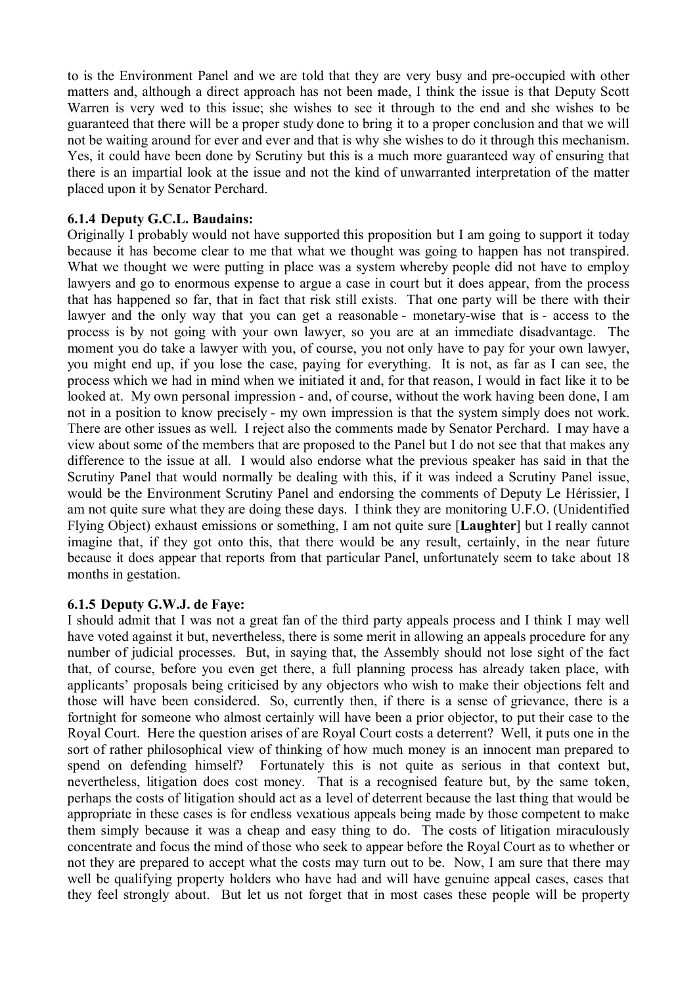to is the Environment Panel and we are told that they are very busy and pre-occupied with other matters and, although a direct approach has not been made, I think the issue is that Deputy Scott Warren is very wed to this issue; she wishes to see it through to the end and she wishes to be guaranteed that there will be a proper study done to bring it to a proper conclusion and that we will not be waiting around for ever and ever and that is why she wishes to do it through this mechanism. Yes, it could have been done by Scrutiny but this is a much more guaranteed way of ensuring that there is an impartial look at the issue and not the kind of unwarranted interpretation of the matter placed upon it by Senator Perchard.

## **6.1.4 Deputy G.C.L. Baudains:**

Originally I probably would not have supported this proposition but I am going to support it today because it has become clear to me that what we thought was going to happen has not transpired. What we thought we were putting in place was a system whereby people did not have to employ lawyers and go to enormous expense to argue a case in court but it does appear, from the process that has happened so far, that in fact that risk still exists. That one party will be there with their lawyer and the only way that you can get a reasonable - monetary-wise that is - access to the process is by not going with your own lawyer, so you are at an immediate disadvantage. The moment you do take a lawyer with you, of course, you not only have to pay for your own lawyer, you might end up, if you lose the case, paying for everything. It is not, as far as I can see, the process which we had in mind when we initiated it and, for that reason, I would in fact like it to be looked at. My own personal impression - and, of course, without the work having been done, I am not in a position to know precisely - my own impression is that the system simply does not work. There are other issues as well. I reject also the comments made by Senator Perchard. I may have a view about some of the members that are proposed to the Panel but I do not see that that makes any difference to the issue at all. I would also endorse what the previous speaker has said in that the Scrutiny Panel that would normally be dealing with this, if it was indeed a Scrutiny Panel issue, would be the Environment Scrutiny Panel and endorsing the comments of Deputy Le Hérissier, I am not quite sure what they are doing these days. I think they are monitoring U.F.O. (Unidentified Flying Object) exhaust emissions or something, I am not quite sure [**Laughter**] but I really cannot imagine that, if they got onto this, that there would be any result, certainly, in the near future because it does appear that reports from that particular Panel, unfortunately seem to take about 18 months in gestation.

# **6.1.5 Deputy G.W.J. de Faye:**

I should admit that I was not a great fan of the third party appeals process and I think I may well have voted against it but, nevertheless, there is some merit in allowing an appeals procedure for any number of judicial processes. But, in saying that, the Assembly should not lose sight of the fact that, of course, before you even get there, a full planning process has already taken place, with applicants' proposals being criticised by any objectors who wish to make their objections felt and those will have been considered. So, currently then, if there is a sense of grievance, there is a fortnight for someone who almost certainly will have been a prior objector, to put their case to the Royal Court. Here the question arises of are Royal Court costs a deterrent? Well, it puts one in the sort of rather philosophical view of thinking of how much money is an innocent man prepared to spend on defending himself? Fortunately this is not quite as serious in that context but, nevertheless, litigation does cost money. That is a recognised feature but, by the same token, perhaps the costs of litigation should act as a level of deterrent because the last thing that would be appropriate in these cases is for endless vexatious appeals being made by those competent to make them simply because it was a cheap and easy thing to do. The costs of litigation miraculously concentrate and focus the mind of those who seek to appear before the Royal Court as to whether or not they are prepared to accept what the costs may turn out to be. Now, I am sure that there may well be qualifying property holders who have had and will have genuine appeal cases, cases that they feel strongly about. But let us not forget that in most cases these people will be property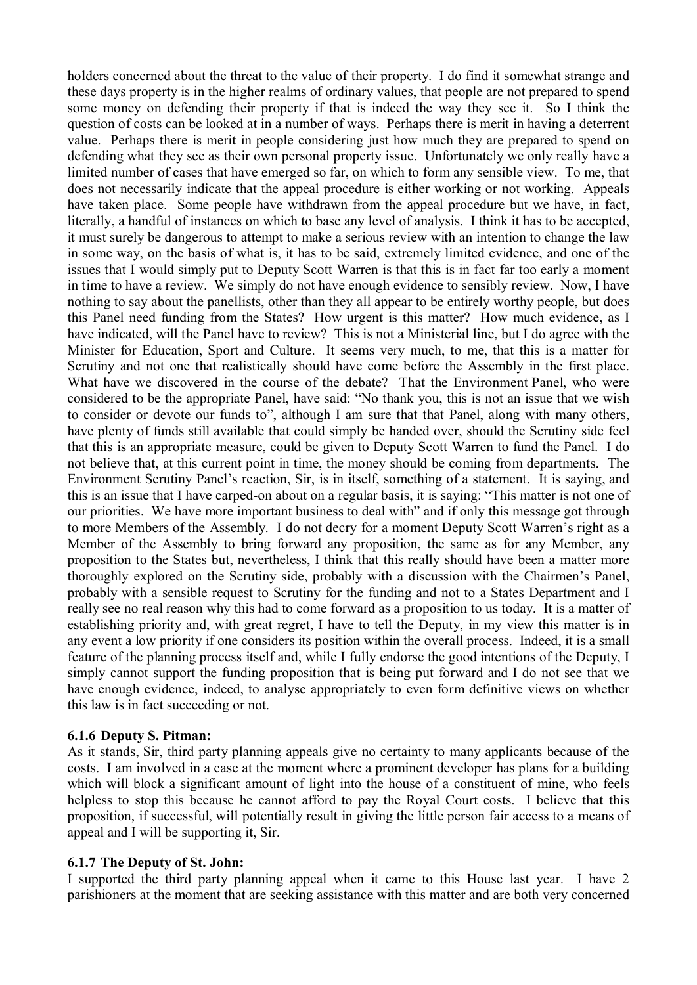holders concerned about the threat to the value of their property. I do find it somewhat strange and these days property is in the higher realms of ordinary values, that people are not prepared to spend some money on defending their property if that is indeed the way they see it. So I think the question of costs can be looked at in a number of ways. Perhaps there is merit in having a deterrent value. Perhaps there is merit in people considering just how much they are prepared to spend on defending what they see as their own personal property issue. Unfortunately we only really have a limited number of cases that have emerged so far, on which to form any sensible view. To me, that does not necessarily indicate that the appeal procedure is either working or not working. Appeals have taken place. Some people have withdrawn from the appeal procedure but we have, in fact, literally, a handful of instances on which to base any level of analysis. I think it has to be accepted, it must surely be dangerous to attempt to make a serious review with an intention to change the law in some way, on the basis of what is, it has to be said, extremely limited evidence, and one of the issues that I would simply put to Deputy Scott Warren is that this is in fact far too early a moment in time to have a review. We simply do not have enough evidence to sensibly review. Now, I have nothing to say about the panellists, other than they all appear to be entirely worthy people, but does this Panel need funding from the States? How urgent is this matter? How much evidence, as I have indicated, will the Panel have to review? This is not a Ministerial line, but I do agree with the Minister for Education, Sport and Culture. It seems very much, to me, that this is a matter for Scrutiny and not one that realistically should have come before the Assembly in the first place. What have we discovered in the course of the debate? That the Environment Panel, who were considered to be the appropriate Panel, have said: "No thank you, this is not an issue that we wish to consider or devote our funds to", although I am sure that that Panel, along with many others, have plenty of funds still available that could simply be handed over, should the Scrutiny side feel that this is an appropriate measure, could be given to Deputy Scott Warren to fund the Panel. I do not believe that, at this current point in time, the money should be coming from departments. The Environment Scrutiny Panel's reaction, Sir, is in itself, something of a statement. It is saying, and this is an issue that I have carped-on about on a regular basis, it is saying: "This matter is not one of our priorities. We have more important business to deal with" and if only this message got through to more Members of the Assembly. I do not decry for a moment Deputy Scott Warren's right as a Member of the Assembly to bring forward any proposition, the same as for any Member, any proposition to the States but, nevertheless, I think that this really should have been a matter more thoroughly explored on the Scrutiny side, probably with a discussion with the Chairmen's Panel, probably with a sensible request to Scrutiny for the funding and not to a States Department and I really see no real reason why this had to come forward as a proposition to us today. It is a matter of establishing priority and, with great regret, I have to tell the Deputy, in my view this matter is in any event a low priority if one considers its position within the overall process. Indeed, it is a small feature of the planning process itself and, while I fully endorse the good intentions of the Deputy, I simply cannot support the funding proposition that is being put forward and I do not see that we have enough evidence, indeed, to analyse appropriately to even form definitive views on whether this law is in fact succeeding or not.

### **6.1.6 Deputy S. Pitman:**

As it stands, Sir, third party planning appeals give no certainty to many applicants because of the costs. I am involved in a case at the moment where a prominent developer has plans for a building which will block a significant amount of light into the house of a constituent of mine, who feels helpless to stop this because he cannot afford to pay the Royal Court costs. I believe that this proposition, if successful, will potentially result in giving the little person fair access to a means of appeal and I will be supporting it, Sir.

#### **6.1.7 The Deputy of St. John:**

I supported the third party planning appeal when it came to this House last year. I have 2 parishioners at the moment that are seeking assistance with this matter and are both very concerned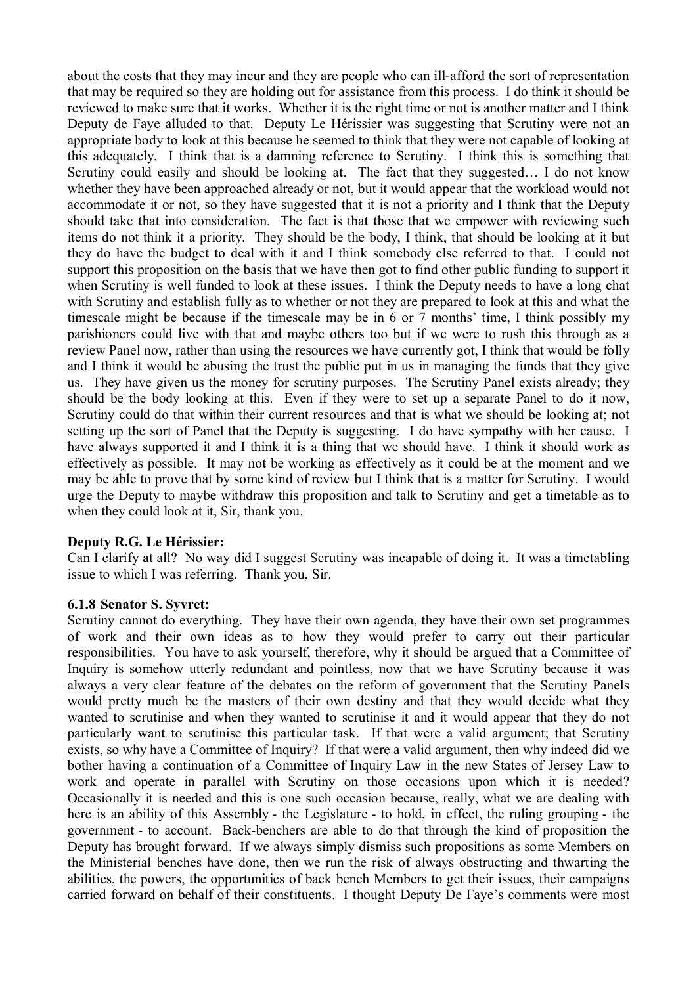about the costs that they may incur and they are people who can ill-afford the sort of representation that may be required so they are holding out for assistance from this process. I do think it should be reviewed to make sure that it works. Whether it is the right time or not is another matter and I think Deputy de Faye alluded to that. Deputy Le Hérissier was suggesting that Scrutiny were not an appropriate body to look at this because he seemed to think that they were not capable of looking at this adequately. I think that is a damning reference to Scrutiny. I think this is something that Scrutiny could easily and should be looking at. The fact that they suggested… I do not know whether they have been approached already or not, but it would appear that the workload would not accommodate it or not, so they have suggested that it is not a priority and I think that the Deputy should take that into consideration. The fact is that those that we empower with reviewing such items do not think it a priority. They should be the body, I think, that should be looking at it but they do have the budget to deal with it and I think somebody else referred to that. I could not support this proposition on the basis that we have then got to find other public funding to support it when Scrutiny is well funded to look at these issues. I think the Deputy needs to have a long chat with Scrutiny and establish fully as to whether or not they are prepared to look at this and what the timescale might be because if the timescale may be in 6 or 7 months' time, I think possibly my parishioners could live with that and maybe others too but if we were to rush this through as a review Panel now, rather than using the resources we have currently got, I think that would be folly and I think it would be abusing the trust the public put in us in managing the funds that they give us. They have given us the money for scrutiny purposes. The Scrutiny Panel exists already; they should be the body looking at this. Even if they were to set up a separate Panel to do it now, Scrutiny could do that within their current resources and that is what we should be looking at; not setting up the sort of Panel that the Deputy is suggesting. I do have sympathy with her cause. I have always supported it and I think it is a thing that we should have. I think it should work as effectively as possible. It may not be working as effectively as it could be at the moment and we may be able to prove that by some kind of review but I think that is a matter for Scrutiny. I would urge the Deputy to maybe withdraw this proposition and talk to Scrutiny and get a timetable as to when they could look at it, Sir, thank you.

### **Deputy R.G. Le Hérissier:**

Can I clarify at all? No way did I suggest Scrutiny was incapable of doing it. It was a timetabling issue to which I was referring. Thank you, Sir.

#### **6.1.8 Senator S. Syvret:**

Scrutiny cannot do everything. They have their own agenda, they have their own set programmes of work and their own ideas as to how they would prefer to carry out their particular responsibilities. You have to ask yourself, therefore, why it should be argued that a Committee of Inquiry is somehow utterly redundant and pointless, now that we have Scrutiny because it was always a very clear feature of the debates on the reform of government that the Scrutiny Panels would pretty much be the masters of their own destiny and that they would decide what they wanted to scrutinise and when they wanted to scrutinise it and it would appear that they do not particularly want to scrutinise this particular task. If that were a valid argument; that Scrutiny exists, so why have a Committee of Inquiry? If that were a valid argument, then why indeed did we bother having a continuation of a Committee of Inquiry Law in the new States of Jersey Law to work and operate in parallel with Scrutiny on those occasions upon which it is needed? Occasionally it is needed and this is one such occasion because, really, what we are dealing with here is an ability of this Assembly - the Legislature - to hold, in effect, the ruling grouping - the government - to account. Back-benchers are able to do that through the kind of proposition the Deputy has brought forward. If we always simply dismiss such propositions as some Members on the Ministerial benches have done, then we run the risk of always obstructing and thwarting the abilities, the powers, the opportunities of back bench Members to get their issues, their campaigns carried forward on behalf of their constituents. I thought Deputy De Faye's comments were most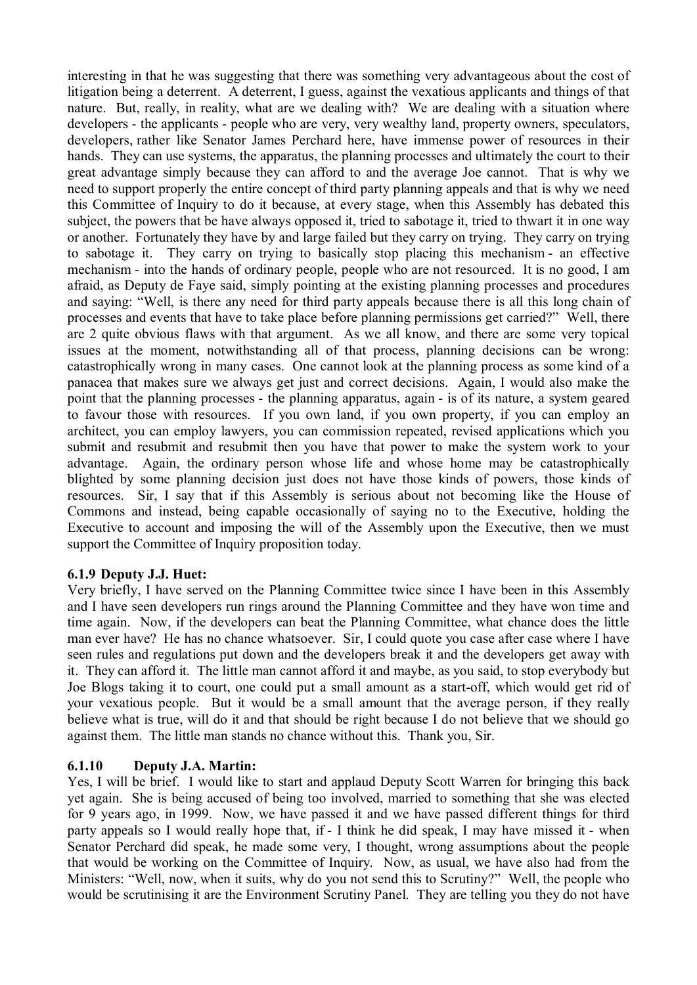interesting in that he was suggesting that there was something very advantageous about the cost of litigation being a deterrent. A deterrent, I guess, against the vexatious applicants and things of that nature. But, really, in reality, what are we dealing with? We are dealing with a situation where developers - the applicants - people who are very, very wealthy land, property owners, speculators, developers, rather like Senator James Perchard here, have immense power of resources in their hands. They can use systems, the apparatus, the planning processes and ultimately the court to their great advantage simply because they can afford to and the average Joe cannot. That is why we need to support properly the entire concept of third party planning appeals and that is why we need this Committee of Inquiry to do it because, at every stage, when this Assembly has debated this subject, the powers that be have always opposed it, tried to sabotage it, tried to thwart it in one way or another. Fortunately they have by and large failed but they carry on trying. They carry on trying to sabotage it. They carry on trying to basically stop placing this mechanism - an effective mechanism - into the hands of ordinary people, people who are not resourced. It is no good, I am afraid, as Deputy de Faye said, simply pointing at the existing planning processes and procedures and saying: "Well, is there any need for third party appeals because there is all this long chain of processes and events that have to take place before planning permissions get carried?" Well, there are 2 quite obvious flaws with that argument. As we all know, and there are some very topical issues at the moment, notwithstanding all of that process, planning decisions can be wrong: catastrophically wrong in many cases. One cannot look at the planning process as some kind of a panacea that makes sure we always get just and correct decisions. Again, I would also make the point that the planning processes - the planning apparatus, again - is of its nature, a system geared to favour those with resources. If you own land, if you own property, if you can employ an architect, you can employ lawyers, you can commission repeated, revised applications which you submit and resubmit and resubmit then you have that power to make the system work to your advantage. Again, the ordinary person whose life and whose home may be catastrophically blighted by some planning decision just does not have those kinds of powers, those kinds of resources. Sir, I say that if this Assembly is serious about not becoming like the House of Commons and instead, being capable occasionally of saying no to the Executive, holding the Executive to account and imposing the will of the Assembly upon the Executive, then we must support the Committee of Inquiry proposition today.

# **6.1.9 Deputy J.J. Huet:**

Very briefly, I have served on the Planning Committee twice since I have been in this Assembly and I have seen developers run rings around the Planning Committee and they have won time and time again. Now, if the developers can beat the Planning Committee, what chance does the little man ever have? He has no chance whatsoever. Sir, I could quote you case after case where I have seen rules and regulations put down and the developers break it and the developers get away with it. They can afford it. The little man cannot afford it and maybe, as you said, to stop everybody but Joe Blogs taking it to court, one could put a small amount as a start-off, which would get rid of your vexatious people. But it would be a small amount that the average person, if they really believe what is true, will do it and that should be right because I do not believe that we should go against them. The little man stands no chance without this. Thank you, Sir.

# **6.1.10 Deputy J.A. Martin:**

Yes, I will be brief. I would like to start and applaud Deputy Scott Warren for bringing this back yet again. She is being accused of being too involved, married to something that she was elected for 9 years ago, in 1999. Now, we have passed it and we have passed different things for third party appeals so I would really hope that, if - I think he did speak, I may have missed it - when Senator Perchard did speak, he made some very, I thought, wrong assumptions about the people that would be working on the Committee of Inquiry. Now, as usual, we have also had from the Ministers: "Well, now, when it suits, why do you not send this to Scrutiny?" Well, the people who would be scrutinising it are the Environment Scrutiny Panel. They are telling you they do not have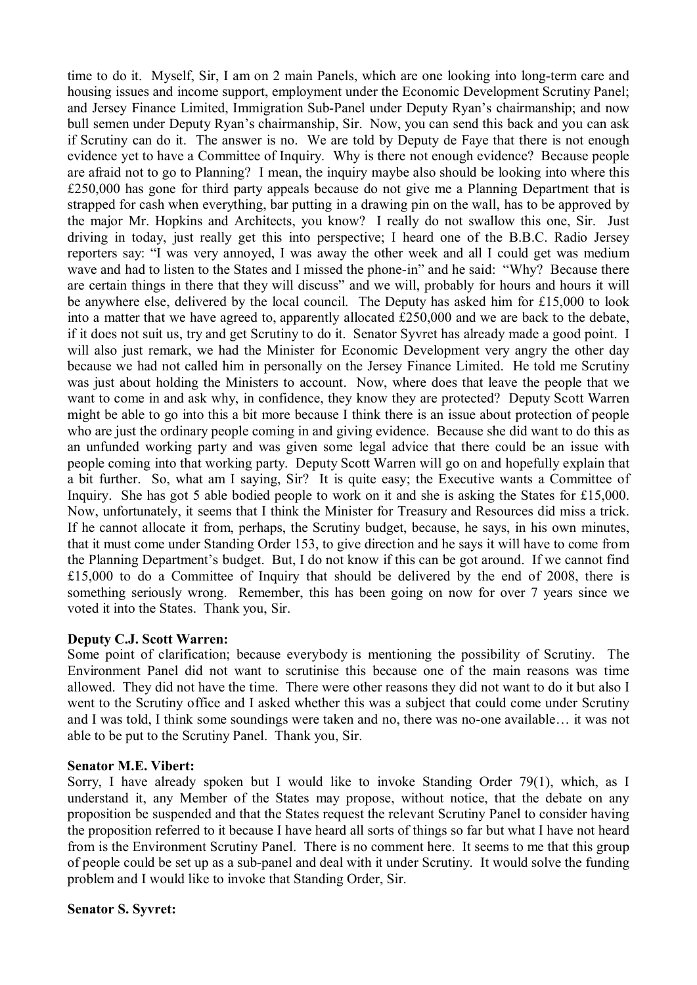time to do it. Myself, Sir, I am on 2 main Panels, which are one looking into long-term care and housing issues and income support, employment under the Economic Development Scrutiny Panel; and Jersey Finance Limited, Immigration Sub-Panel under Deputy Ryan's chairmanship; and now bull semen under Deputy Ryan's chairmanship, Sir. Now, you can send this back and you can ask if Scrutiny can do it. The answer is no. We are told by Deputy de Faye that there is not enough evidence yet to have a Committee of Inquiry. Why is there not enough evidence? Because people are afraid not to go to Planning? I mean, the inquiry maybe also should be looking into where this £250,000 has gone for third party appeals because do not give me a Planning Department that is strapped for cash when everything, bar putting in a drawing pin on the wall, has to be approved by the major Mr. Hopkins and Architects, you know? I really do not swallow this one, Sir. Just driving in today, just really get this into perspective; I heard one of the B.B.C. Radio Jersey reporters say: "I was very annoyed, I was away the other week and all I could get was medium wave and had to listen to the States and I missed the phone-in" and he said: "Why? Because there are certain things in there that they will discuss" and we will, probably for hours and hours it will be anywhere else, delivered by the local council. The Deputy has asked him for £15,000 to look into a matter that we have agreed to, apparently allocated £250,000 and we are back to the debate, if it does not suit us, try and get Scrutiny to do it. Senator Syvret has already made a good point. I will also just remark, we had the Minister for Economic Development very angry the other day because we had not called him in personally on the Jersey Finance Limited. He told me Scrutiny was just about holding the Ministers to account. Now, where does that leave the people that we want to come in and ask why, in confidence, they know they are protected? Deputy Scott Warren might be able to go into this a bit more because I think there is an issue about protection of people who are just the ordinary people coming in and giving evidence. Because she did want to do this as an unfunded working party and was given some legal advice that there could be an issue with people coming into that working party. Deputy Scott Warren will go on and hopefully explain that a bit further. So, what am I saying, Sir? It is quite easy; the Executive wants a Committee of Inquiry. She has got 5 able bodied people to work on it and she is asking the States for £15,000. Now, unfortunately, it seems that I think the Minister for Treasury and Resources did miss a trick. If he cannot allocate it from, perhaps, the Scrutiny budget, because, he says, in his own minutes, that it must come under Standing Order 153, to give direction and he says it will have to come from the Planning Department's budget. But, I do not know if this can be got around. If we cannot find £15,000 to do a Committee of Inquiry that should be delivered by the end of 2008, there is something seriously wrong. Remember, this has been going on now for over 7 years since we voted it into the States. Thank you, Sir.

### **Deputy C.J. Scott Warren:**

Some point of clarification; because everybody is mentioning the possibility of Scrutiny. The Environment Panel did not want to scrutinise this because one of the main reasons was time allowed. They did not have the time. There were other reasons they did not want to do it but also I went to the Scrutiny office and I asked whether this was a subject that could come under Scrutiny and I was told, I think some soundings were taken and no, there was no-one available… it was not able to be put to the Scrutiny Panel. Thank you, Sir.

### **Senator M.E. Vibert:**

Sorry, I have already spoken but I would like to invoke Standing Order 79(1), which, as I understand it, any Member of the States may propose, without notice, that the debate on any proposition be suspended and that the States request the relevant Scrutiny Panel to consider having the proposition referred to it because I have heard all sorts of things so far but what I have not heard from is the Environment Scrutiny Panel. There is no comment here. It seems to me that this group of people could be set up as a sub-panel and deal with it under Scrutiny. It would solve the funding problem and I would like to invoke that Standing Order, Sir.

# **Senator S. Syvret:**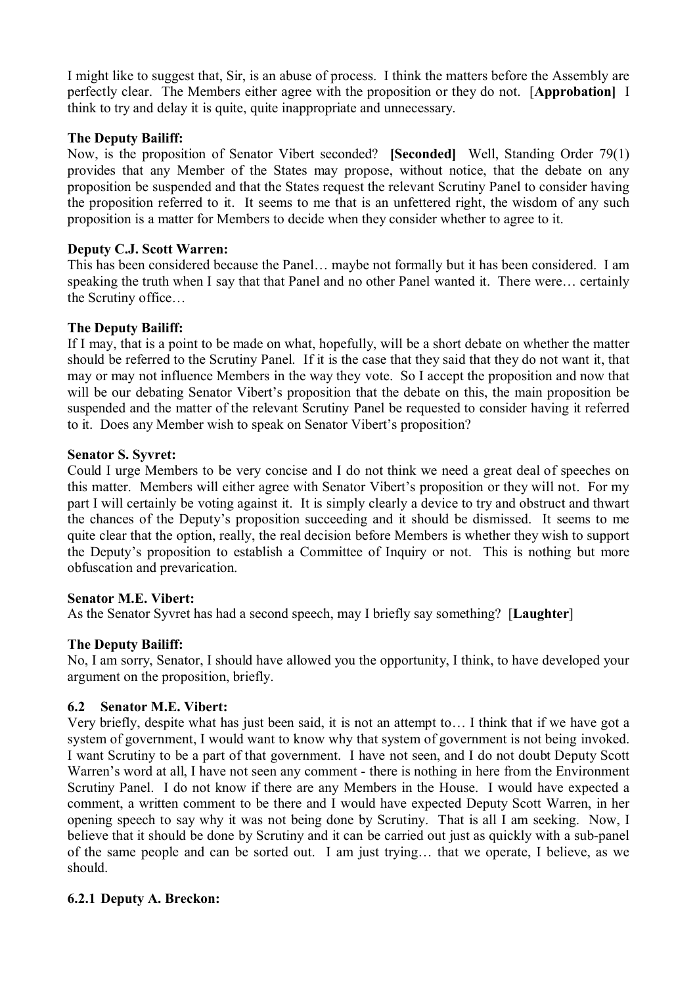I might like to suggest that, Sir, is an abuse of process. I think the matters before the Assembly are perfectly clear. The Members either agree with the proposition or they do not. [**Approbation]** I think to try and delay it is quite, quite inappropriate and unnecessary.

## **The Deputy Bailiff:**

Now, is the proposition of Senator Vibert seconded? **[Seconded]** Well, Standing Order 79(1) provides that any Member of the States may propose, without notice, that the debate on any proposition be suspended and that the States request the relevant Scrutiny Panel to consider having the proposition referred to it. It seems to me that is an unfettered right, the wisdom of any such proposition is a matter for Members to decide when they consider whether to agree to it.

## **Deputy C.J. Scott Warren:**

This has been considered because the Panel… maybe not formally but it has been considered. I am speaking the truth when I say that that Panel and no other Panel wanted it. There were… certainly the Scrutiny office…

## **The Deputy Bailiff:**

If I may, that is a point to be made on what, hopefully, will be a short debate on whether the matter should be referred to the Scrutiny Panel. If it is the case that they said that they do not want it, that may or may not influence Members in the way they vote. So I accept the proposition and now that will be our debating Senator Vibert's proposition that the debate on this, the main proposition be suspended and the matter of the relevant Scrutiny Panel be requested to consider having it referred to it. Does any Member wish to speak on Senator Vibert's proposition?

### **Senator S. Syvret:**

Could I urge Members to be very concise and I do not think we need a great deal of speeches on this matter. Members will either agree with Senator Vibert's proposition or they will not. For my part I will certainly be voting against it. It is simply clearly a device to try and obstruct and thwart the chances of the Deputy's proposition succeeding and it should be dismissed. It seems to me quite clear that the option, really, the real decision before Members is whether they wish to support the Deputy's proposition to establish a Committee of Inquiry or not. This is nothing but more obfuscation and prevarication.

### **Senator M.E. Vibert:**

As the Senator Syvret has had a second speech, may I briefly say something? [**Laughter**]

# **The Deputy Bailiff:**

No, I am sorry, Senator, I should have allowed you the opportunity, I think, to have developed your argument on the proposition, briefly.

# **6.2 Senator M.E. Vibert:**

Very briefly, despite what has just been said, it is not an attempt to… I think that if we have got a system of government, I would want to know why that system of government is not being invoked. I want Scrutiny to be a part of that government. I have not seen, and I do not doubt Deputy Scott Warren's word at all, I have not seen any comment - there is nothing in here from the Environment Scrutiny Panel. I do not know if there are any Members in the House. I would have expected a comment, a written comment to be there and I would have expected Deputy Scott Warren, in her opening speech to say why it was not being done by Scrutiny. That is all I am seeking. Now, I believe that it should be done by Scrutiny and it can be carried out just as quickly with a sub-panel of the same people and can be sorted out. I am just trying… that we operate, I believe, as we should.

# **6.2.1 Deputy A. Breckon:**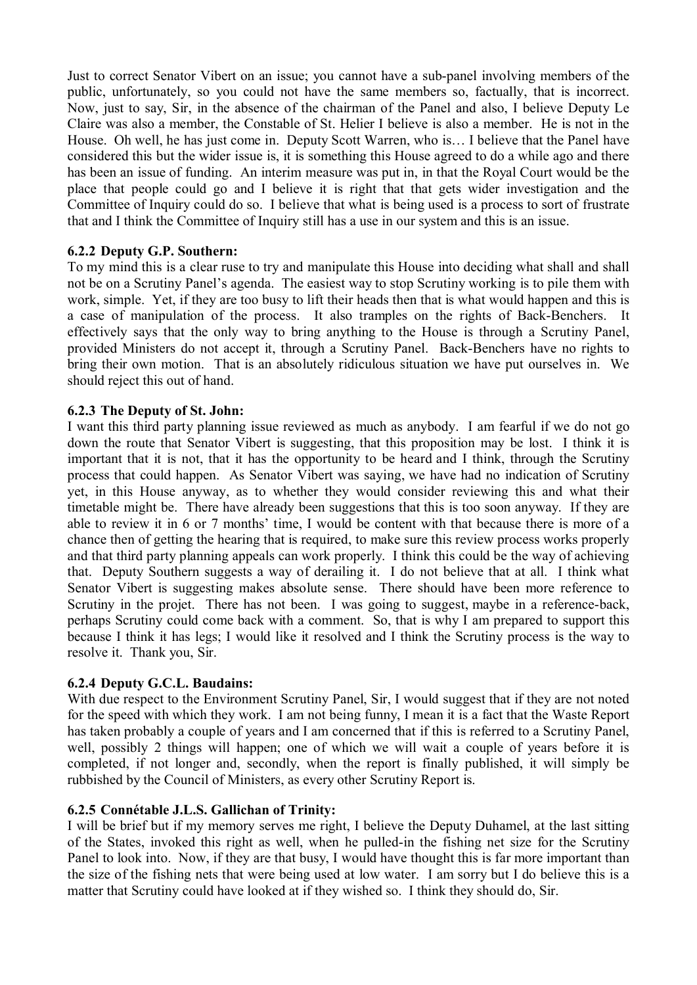Just to correct Senator Vibert on an issue; you cannot have a sub-panel involving members of the public, unfortunately, so you could not have the same members so, factually, that is incorrect. Now, just to say, Sir, in the absence of the chairman of the Panel and also, I believe Deputy Le Claire was also a member, the Constable of St. Helier I believe is also a member. He is not in the House. Oh well, he has just come in. Deputy Scott Warren, who is… I believe that the Panel have considered this but the wider issue is, it is something this House agreed to do a while ago and there has been an issue of funding. An interim measure was put in, in that the Royal Court would be the place that people could go and I believe it is right that that gets wider investigation and the Committee of Inquiry could do so. I believe that what is being used is a process to sort of frustrate that and I think the Committee of Inquiry still has a use in our system and this is an issue.

# **6.2.2 Deputy G.P. Southern:**

To my mind this is a clear ruse to try and manipulate this House into deciding what shall and shall not be on a Scrutiny Panel's agenda. The easiest way to stop Scrutiny working is to pile them with work, simple. Yet, if they are too busy to lift their heads then that is what would happen and this is a case of manipulation of the process. It also tramples on the rights of Back-Benchers. effectively says that the only way to bring anything to the House is through a Scrutiny Panel, provided Ministers do not accept it, through a Scrutiny Panel. Back-Benchers have no rights to bring their own motion. That is an absolutely ridiculous situation we have put ourselves in. We should reject this out of hand.

## **6.2.3 The Deputy of St. John:**

I want this third party planning issue reviewed as much as anybody. I am fearful if we do not go down the route that Senator Vibert is suggesting, that this proposition may be lost. I think it is important that it is not, that it has the opportunity to be heard and I think, through the Scrutiny process that could happen. As Senator Vibert was saying, we have had no indication of Scrutiny yet, in this House anyway, as to whether they would consider reviewing this and what their timetable might be. There have already been suggestions that this is too soon anyway. If they are able to review it in 6 or 7 months' time, I would be content with that because there is more of a chance then of getting the hearing that is required, to make sure this review process works properly and that third party planning appeals can work properly. I think this could be the way of achieving that. Deputy Southern suggests a way of derailing it. I do not believe that at all. I think what Senator Vibert is suggesting makes absolute sense. There should have been more reference to Scrutiny in the projet. There has not been. I was going to suggest, maybe in a reference-back, perhaps Scrutiny could come back with a comment. So, that is why I am prepared to support this because I think it has legs; I would like it resolved and I think the Scrutiny process is the way to resolve it. Thank you, Sir.

### **6.2.4 Deputy G.C.L. Baudains:**

With due respect to the Environment Scrutiny Panel. Sir, I would suggest that if they are not noted for the speed with which they work. I am not being funny, I mean it is a fact that the Waste Report has taken probably a couple of years and I am concerned that if this is referred to a Scrutiny Panel, well, possibly 2 things will happen; one of which we will wait a couple of years before it is completed, if not longer and, secondly, when the report is finally published, it will simply be rubbished by the Council of Ministers, as every other Scrutiny Report is.

### **6.2.5 Connétable J.L.S. Gallichan of Trinity:**

I will be brief but if my memory serves me right, I believe the Deputy Duhamel, at the last sitting of the States, invoked this right as well, when he pulled-in the fishing net size for the Scrutiny Panel to look into. Now, if they are that busy, I would have thought this is far more important than the size of the fishing nets that were being used at low water. I am sorry but I do believe this is a matter that Scrutiny could have looked at if they wished so. I think they should do, Sir.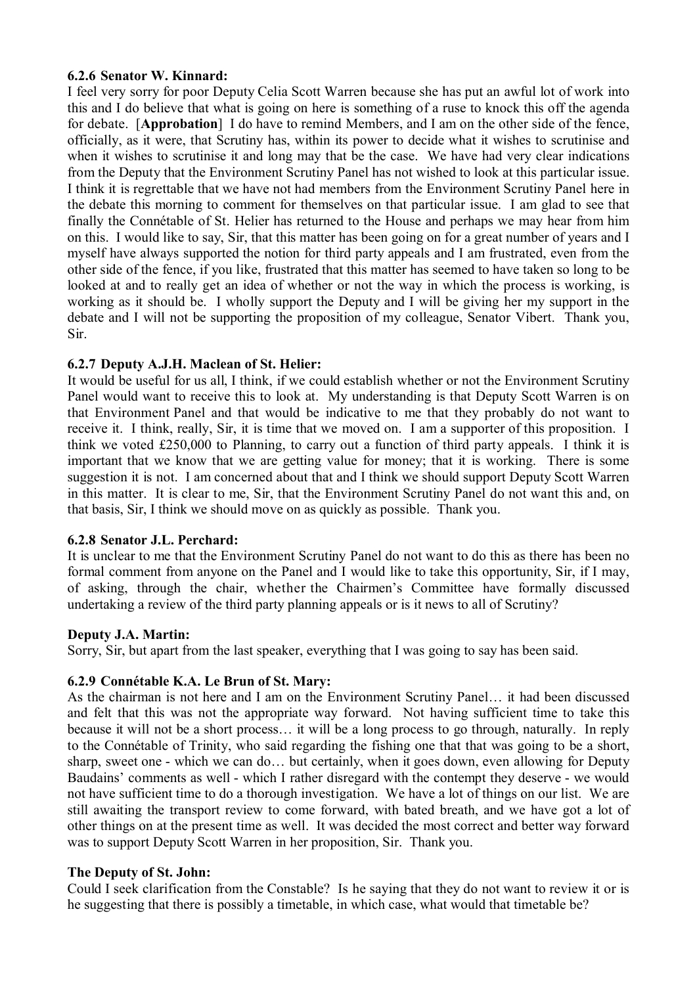## **6.2.6 Senator W. Kinnard:**

I feel very sorry for poor Deputy Celia Scott Warren because she has put an awful lot of work into this and I do believe that what is going on here is something of a ruse to knock this off the agenda for debate. [**Approbation**] I do have to remind Members, and I am on the other side of the fence, officially, as it were, that Scrutiny has, within its power to decide what it wishes to scrutinise and when it wishes to scrutinise it and long may that be the case. We have had very clear indications from the Deputy that the Environment Scrutiny Panel has not wished to look at this particular issue. I think it is regrettable that we have not had members from the Environment Scrutiny Panel here in the debate this morning to comment for themselves on that particular issue. I am glad to see that finally the Connétable of St. Helier has returned to the House and perhaps we may hear from him on this. I would like to say, Sir, that this matter has been going on for a great number of years and I myself have always supported the notion for third party appeals and I am frustrated, even from the other side of the fence, if you like, frustrated that this matter has seemed to have taken so long to be looked at and to really get an idea of whether or not the way in which the process is working, is working as it should be. I wholly support the Deputy and I will be giving her my support in the debate and I will not be supporting the proposition of my colleague, Senator Vibert. Thank you, Sir.

# **6.2.7 Deputy A.J.H. Maclean of St. Helier:**

It would be useful for us all, I think, if we could establish whether or not the Environment Scrutiny Panel would want to receive this to look at. My understanding is that Deputy Scott Warren is on that Environment Panel and that would be indicative to me that they probably do not want to receive it. I think, really, Sir, it is time that we moved on. I am a supporter of this proposition. I think we voted £250,000 to Planning, to carry out a function of third party appeals. I think it is important that we know that we are getting value for money; that it is working. There is some suggestion it is not. I am concerned about that and I think we should support Deputy Scott Warren in this matter. It is clear to me, Sir, that the Environment Scrutiny Panel do not want this and, on that basis, Sir, I think we should move on as quickly as possible. Thank you.

# **6.2.8 Senator J.L. Perchard:**

It is unclear to me that the Environment Scrutiny Panel do not want to do this as there has been no formal comment from anyone on the Panel and I would like to take this opportunity, Sir, if I may, of asking, through the chair, whether the Chairmen's Committee have formally discussed undertaking a review of the third party planning appeals or is it news to all of Scrutiny?

# **Deputy J.A. Martin:**

Sorry, Sir, but apart from the last speaker, everything that I was going to say has been said.

# **6.2.9 Connétable K.A. Le Brun of St. Mary:**

As the chairman is not here and I am on the Environment Scrutiny Panel… it had been discussed and felt that this was not the appropriate way forward. Not having sufficient time to take this because it will not be a short process… it will be a long process to go through, naturally. In reply to the Connétable of Trinity, who said regarding the fishing one that that was going to be a short, sharp, sweet one - which we can do… but certainly, when it goes down, even allowing for Deputy Baudains' comments as well - which I rather disregard with the contempt they deserve - we would not have sufficient time to do a thorough investigation. We have a lot of things on our list. We are still awaiting the transport review to come forward, with bated breath, and we have got a lot of other things on at the present time as well. It was decided the most correct and better way forward was to support Deputy Scott Warren in her proposition, Sir. Thank you.

# **The Deputy of St. John:**

Could I seek clarification from the Constable? Is he saying that they do not want to review it or is he suggesting that there is possibly a timetable, in which case, what would that timetable be?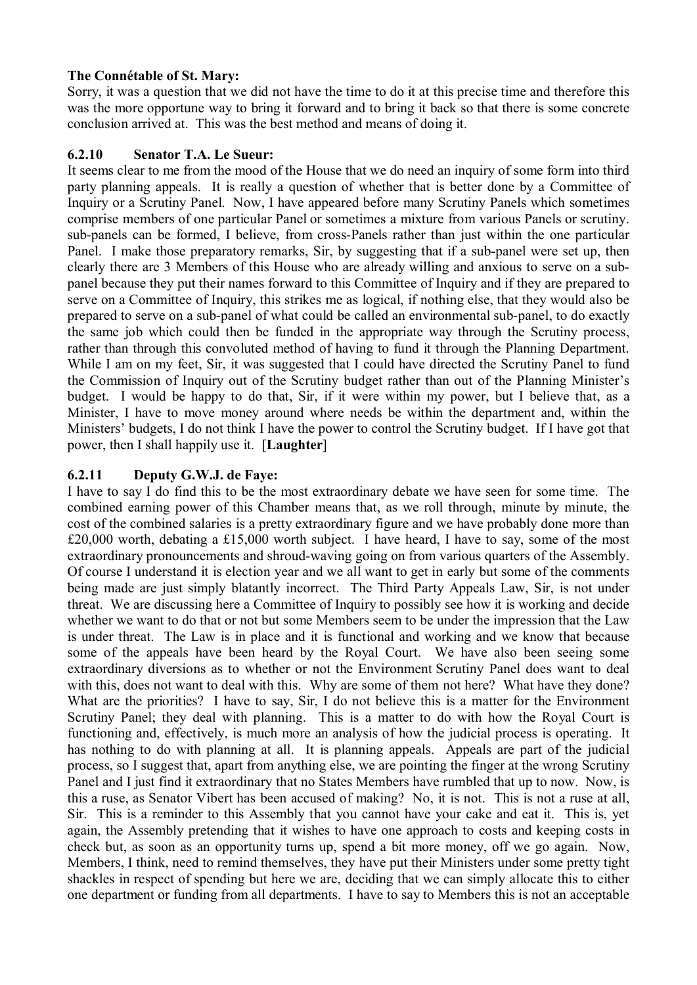# **The Connétable of St. Mary:**

Sorry, it was a question that we did not have the time to do it at this precise time and therefore this was the more opportune way to bring it forward and to bring it back so that there is some concrete conclusion arrived at. This was the best method and means of doing it.

# **6.2.10 Senator T.A. Le Sueur:**

It seems clear to me from the mood of the House that we do need an inquiry of some form into third party planning appeals. It is really a question of whether that is better done by a Committee of Inquiry or a Scrutiny Panel. Now, I have appeared before many Scrutiny Panels which sometimes comprise members of one particular Panel or sometimes a mixture from various Panels or scrutiny. sub-panels can be formed, I believe, from cross-Panels rather than just within the one particular Panel. I make those preparatory remarks, Sir, by suggesting that if a sub-panel were set up, then clearly there are 3 Members of this House who are already willing and anxious to serve on a subpanel because they put their names forward to this Committee of Inquiry and if they are prepared to serve on a Committee of Inquiry, this strikes me as logical, if nothing else, that they would also be prepared to serve on a sub-panel of what could be called an environmental sub-panel, to do exactly the same job which could then be funded in the appropriate way through the Scrutiny process, rather than through this convoluted method of having to fund it through the Planning Department. While I am on my feet, Sir, it was suggested that I could have directed the Scrutiny Panel to fund the Commission of Inquiry out of the Scrutiny budget rather than out of the Planning Minister's budget. I would be happy to do that, Sir, if it were within my power, but I believe that, as a Minister, I have to move money around where needs be within the department and, within the Ministers' budgets, I do not think I have the power to control the Scrutiny budget. If I have got that power, then I shall happily use it. [**Laughter**]

# **6.2.11 Deputy G.W.J. de Faye:**

I have to say I do find this to be the most extraordinary debate we have seen for some time. The combined earning power of this Chamber means that, as we roll through, minute by minute, the cost of the combined salaries is a pretty extraordinary figure and we have probably done more than £20,000 worth, debating a £15,000 worth subject. I have heard, I have to say, some of the most extraordinary pronouncements and shroud-waving going on from various quarters of the Assembly. Of course I understand it is election year and we all want to get in early but some of the comments being made are just simply blatantly incorrect. The Third Party Appeals Law, Sir, is not under threat. We are discussing here a Committee of Inquiry to possibly see how it is working and decide whether we want to do that or not but some Members seem to be under the impression that the Law is under threat. The Law is in place and it is functional and working and we know that because some of the appeals have been heard by the Royal Court. We have also been seeing some extraordinary diversions as to whether or not the Environment Scrutiny Panel does want to deal with this, does not want to deal with this. Why are some of them not here? What have they done? What are the priorities? I have to say, Sir, I do not believe this is a matter for the Environment Scrutiny Panel; they deal with planning. This is a matter to do with how the Royal Court is functioning and, effectively, is much more an analysis of how the judicial process is operating. It has nothing to do with planning at all. It is planning appeals. Appeals are part of the judicial process, so I suggest that, apart from anything else, we are pointing the finger at the wrong Scrutiny Panel and I just find it extraordinary that no States Members have rumbled that up to now. Now, is this a ruse, as Senator Vibert has been accused of making? No, it is not. This is not a ruse at all, Sir. This is a reminder to this Assembly that you cannot have your cake and eat it. This is, yet again, the Assembly pretending that it wishes to have one approach to costs and keeping costs in check but, as soon as an opportunity turns up, spend a bit more money, off we go again. Now, Members, I think, need to remind themselves, they have put their Ministers under some pretty tight shackles in respect of spending but here we are, deciding that we can simply allocate this to either one department or funding from all departments. I have to say to Members this is not an acceptable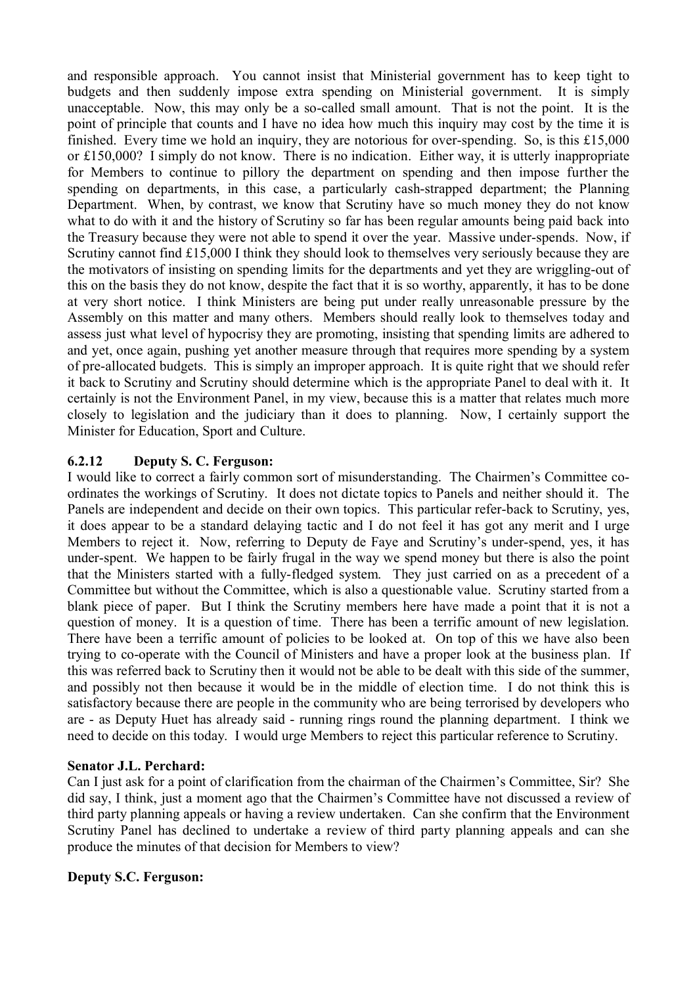and responsible approach. You cannot insist that Ministerial government has to keep tight to budgets and then suddenly impose extra spending on Ministerial government. It is simply unacceptable. Now, this may only be a so-called small amount. That is not the point. It is the point of principle that counts and I have no idea how much this inquiry may cost by the time it is finished. Every time we hold an inquiry, they are notorious for over-spending. So, is this £15,000 or £150,000? I simply do not know. There is no indication. Either way, it is utterly inappropriate for Members to continue to pillory the department on spending and then impose further the spending on departments, in this case, a particularly cash-strapped department; the Planning Department. When, by contrast, we know that Scrutiny have so much money they do not know what to do with it and the history of Scrutiny so far has been regular amounts being paid back into the Treasury because they were not able to spend it over the year. Massive under-spends. Now, if Scrutiny cannot find £15,000 I think they should look to themselves very seriously because they are the motivators of insisting on spending limits for the departments and yet they are wriggling-out of this on the basis they do not know, despite the fact that it is so worthy, apparently, it has to be done at very short notice. I think Ministers are being put under really unreasonable pressure by the Assembly on this matter and many others. Members should really look to themselves today and assess just what level of hypocrisy they are promoting, insisting that spending limits are adhered to and yet, once again, pushing yet another measure through that requires more spending by a system of pre-allocated budgets. This is simply an improper approach. It is quite right that we should refer it back to Scrutiny and Scrutiny should determine which is the appropriate Panel to deal with it. It certainly is not the Environment Panel, in my view, because this is a matter that relates much more closely to legislation and the judiciary than it does to planning. Now, I certainly support the Minister for Education, Sport and Culture.

# **6.2.12 Deputy S. C. Ferguson:**

I would like to correct a fairly common sort of misunderstanding. The Chairmen's Committee coordinates the workings of Scrutiny. It does not dictate topics to Panels and neither should it. The Panels are independent and decide on their own topics. This particular refer-back to Scrutiny, yes, it does appear to be a standard delaying tactic and I do not feel it has got any merit and I urge Members to reject it. Now, referring to Deputy de Faye and Scrutiny's under-spend, yes, it has under-spent. We happen to be fairly frugal in the way we spend money but there is also the point that the Ministers started with a fully-fledged system. They just carried on as a precedent of a Committee but without the Committee, which is also a questionable value. Scrutiny started from a blank piece of paper. But I think the Scrutiny members here have made a point that it is not a question of money. It is a question of time. There has been a terrific amount of new legislation. There have been a terrific amount of policies to be looked at. On top of this we have also been trying to co-operate with the Council of Ministers and have a proper look at the business plan. If this was referred back to Scrutiny then it would not be able to be dealt with this side of the summer, and possibly not then because it would be in the middle of election time. I do not think this is satisfactory because there are people in the community who are being terrorised by developers who are - as Deputy Huet has already said - running rings round the planning department. I think we need to decide on this today. I would urge Members to reject this particular reference to Scrutiny.

## **Senator J.L. Perchard:**

Can I just ask for a point of clarification from the chairman of the Chairmen's Committee, Sir? She did say, I think, just a moment ago that the Chairmen's Committee have not discussed a review of third party planning appeals or having a review undertaken. Can she confirm that the Environment Scrutiny Panel has declined to undertake a review of third party planning appeals and can she produce the minutes of that decision for Members to view?

## **Deputy S.C. Ferguson:**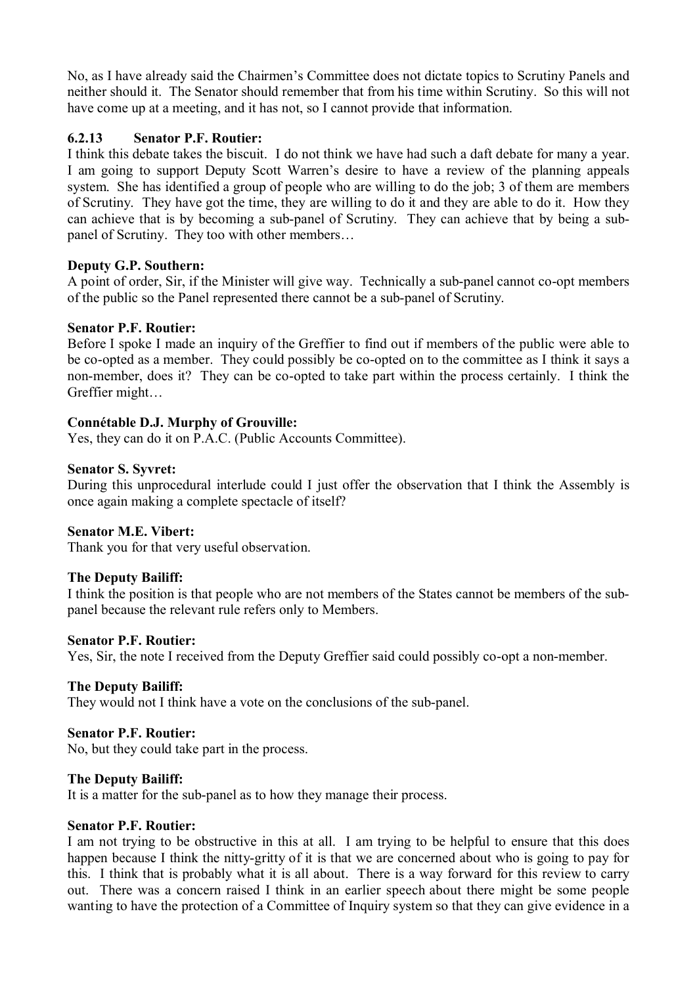No, as I have already said the Chairmen's Committee does not dictate topics to Scrutiny Panels and neither should it. The Senator should remember that from his time within Scrutiny. So this will not have come up at a meeting, and it has not, so I cannot provide that information.

### **6.2.13 Senator P.F. Routier:**

I think this debate takes the biscuit. I do not think we have had such a daft debate for many a year. I am going to support Deputy Scott Warren's desire to have a review of the planning appeals system. She has identified a group of people who are willing to do the job; 3 of them are members of Scrutiny. They have got the time, they are willing to do it and they are able to do it. How they can achieve that is by becoming a sub-panel of Scrutiny. They can achieve that by being a subpanel of Scrutiny. They too with other members…

### **Deputy G.P. Southern:**

A point of order, Sir, if the Minister will give way. Technically a sub-panel cannot co-opt members of the public so the Panel represented there cannot be a sub-panel of Scrutiny.

### **Senator P.F. Routier:**

Before I spoke I made an inquiry of the Greffier to find out if members of the public were able to be co-opted as a member. They could possibly be co-opted on to the committee as I think it says a non-member, does it? They can be co-opted to take part within the process certainly. I think the Greffier might…

### **Connétable D.J. Murphy of Grouville:**

Yes, they can do it on P.A.C. (Public Accounts Committee).

### **Senator S. Syvret:**

During this unprocedural interlude could I just offer the observation that I think the Assembly is once again making a complete spectacle of itself?

#### **Senator M.E. Vibert:**

Thank you for that very useful observation.

#### **The Deputy Bailiff:**

I think the position is that people who are not members of the States cannot be members of the subpanel because the relevant rule refers only to Members.

#### **Senator P.F. Routier:**

Yes, Sir, the note I received from the Deputy Greffier said could possibly co-opt a non-member.

#### **The Deputy Bailiff:**

They would not I think have a vote on the conclusions of the sub-panel.

#### **Senator P.F. Routier:**

No, but they could take part in the process.

#### **The Deputy Bailiff:**

It is a matter for the sub-panel as to how they manage their process.

### **Senator P.F. Routier:**

I am not trying to be obstructive in this at all. I am trying to be helpful to ensure that this does happen because I think the nitty-gritty of it is that we are concerned about who is going to pay for this. I think that is probably what it is all about. There is a way forward for this review to carry out. There was a concern raised I think in an earlier speech about there might be some people wanting to have the protection of a Committee of Inquiry system so that they can give evidence in a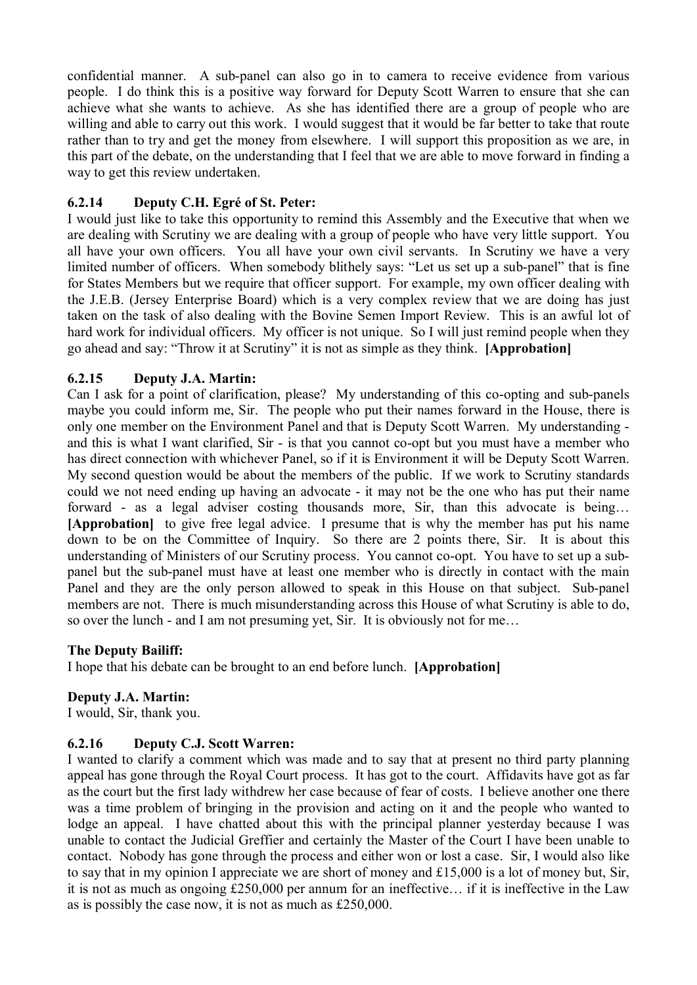confidential manner. A sub-panel can also go in to camera to receive evidence from various people. I do think this is a positive way forward for Deputy Scott Warren to ensure that she can achieve what she wants to achieve. As she has identified there are a group of people who are willing and able to carry out this work. I would suggest that it would be far better to take that route rather than to try and get the money from elsewhere. I will support this proposition as we are, in this part of the debate, on the understanding that I feel that we are able to move forward in finding a way to get this review undertaken.

## **6.2.14 Deputy C.H. Egré of St. Peter:**

I would just like to take this opportunity to remind this Assembly and the Executive that when we are dealing with Scrutiny we are dealing with a group of people who have very little support. You all have your own officers. You all have your own civil servants. In Scrutiny we have a very limited number of officers. When somebody blithely says: "Let us set up a sub-panel" that is fine for States Members but we require that officer support. For example, my own officer dealing with the J.E.B. (Jersey Enterprise Board) which is a very complex review that we are doing has just taken on the task of also dealing with the Bovine Semen Import Review. This is an awful lot of hard work for individual officers. My officer is not unique. So I will just remind people when they go ahead and say: "Throw it at Scrutiny" it is not as simple as they think. **[Approbation]**

## **6.2.15 Deputy J.A. Martin:**

Can I ask for a point of clarification, please? My understanding of this co-opting and sub-panels maybe you could inform me, Sir. The people who put their names forward in the House, there is only one member on the Environment Panel and that is Deputy Scott Warren. My understanding and this is what I want clarified, Sir - is that you cannot co-opt but you must have a member who has direct connection with whichever Panel, so if it is Environment it will be Deputy Scott Warren. My second question would be about the members of the public. If we work to Scrutiny standards could we not need ending up having an advocate - it may not be the one who has put their name forward - as a legal adviser costing thousands more, Sir, than this advocate is being... **[Approbation]** to give free legal advice. I presume that is why the member has put his name down to be on the Committee of Inquiry. So there are 2 points there, Sir. It is about this understanding of Ministers of our Scrutiny process. You cannot co-opt. You have to set up a subpanel but the sub-panel must have at least one member who is directly in contact with the main Panel and they are the only person allowed to speak in this House on that subject. Sub-panel members are not. There is much misunderstanding across this House of what Scrutiny is able to do, so over the lunch - and I am not presuming yet, Sir. It is obviously not for me…

## **The Deputy Bailiff:**

I hope that his debate can be brought to an end before lunch. **[Approbation]**

## **Deputy J.A. Martin:**

I would, Sir, thank you.

## **6.2.16 Deputy C.J. Scott Warren:**

I wanted to clarify a comment which was made and to say that at present no third party planning appeal has gone through the Royal Court process. It has got to the court. Affidavits have got as far as the court but the first lady withdrew her case because of fear of costs. I believe another one there was a time problem of bringing in the provision and acting on it and the people who wanted to lodge an appeal. I have chatted about this with the principal planner yesterday because I was unable to contact the Judicial Greffier and certainly the Master of the Court I have been unable to contact. Nobody has gone through the process and either won or lost a case. Sir, I would also like to say that in my opinion I appreciate we are short of money and £15,000 is a lot of money but, Sir, it is not as much as ongoing £250,000 per annum for an ineffective… if it is ineffective in the Law as is possibly the case now, it is not as much as £250,000.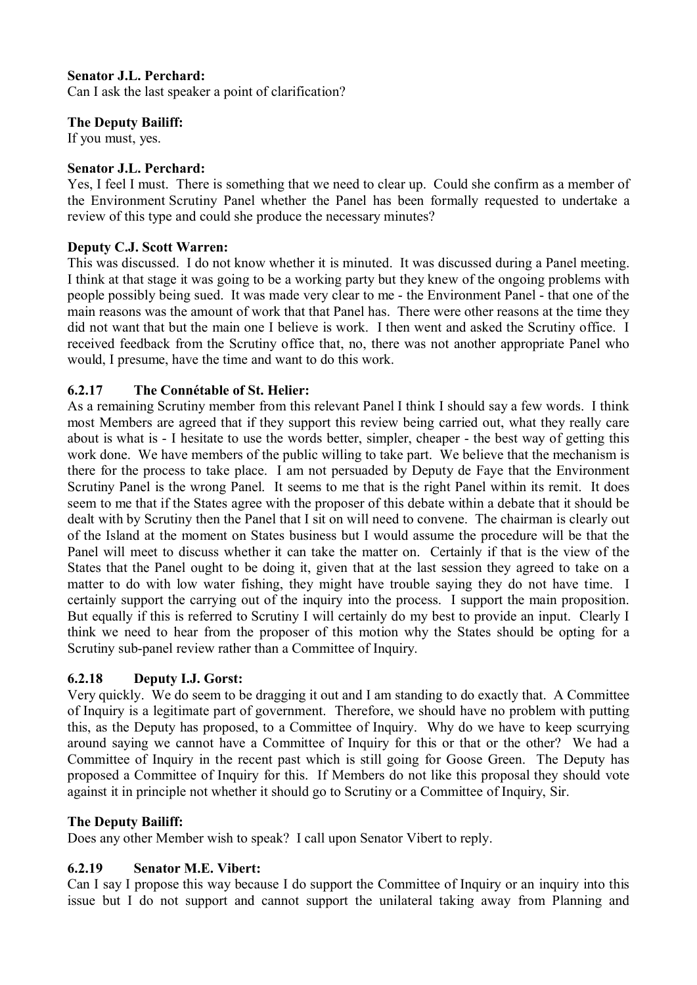## **Senator J.L. Perchard:**

Can I ask the last speaker a point of clarification?

### **The Deputy Bailiff:**

If you must, yes.

### **Senator J.L. Perchard:**

Yes, I feel I must. There is something that we need to clear up. Could she confirm as a member of the Environment Scrutiny Panel whether the Panel has been formally requested to undertake a review of this type and could she produce the necessary minutes?

### **Deputy C.J. Scott Warren:**

This was discussed. I do not know whether it is minuted. It was discussed during a Panel meeting. I think at that stage it was going to be a working party but they knew of the ongoing problems with people possibly being sued. It was made very clear to me - the Environment Panel - that one of the main reasons was the amount of work that that Panel has. There were other reasons at the time they did not want that but the main one I believe is work. I then went and asked the Scrutiny office. I received feedback from the Scrutiny office that, no, there was not another appropriate Panel who would, I presume, have the time and want to do this work.

## **6.2.17 The Connétable of St. Helier:**

As a remaining Scrutiny member from this relevant Panel I think I should say a few words. I think most Members are agreed that if they support this review being carried out, what they really care about is what is - I hesitate to use the words better, simpler, cheaper - the best way of getting this work done. We have members of the public willing to take part. We believe that the mechanism is there for the process to take place. I am not persuaded by Deputy de Faye that the Environment Scrutiny Panel is the wrong Panel. It seems to me that is the right Panel within its remit. It does seem to me that if the States agree with the proposer of this debate within a debate that it should be dealt with by Scrutiny then the Panel that I sit on will need to convene. The chairman is clearly out of the Island at the moment on States business but I would assume the procedure will be that the Panel will meet to discuss whether it can take the matter on. Certainly if that is the view of the States that the Panel ought to be doing it, given that at the last session they agreed to take on a matter to do with low water fishing, they might have trouble saying they do not have time. I certainly support the carrying out of the inquiry into the process. I support the main proposition. But equally if this is referred to Scrutiny I will certainly do my best to provide an input. Clearly I think we need to hear from the proposer of this motion why the States should be opting for a Scrutiny sub-panel review rather than a Committee of Inquiry.

## **6.2.18 Deputy I.J. Gorst:**

Very quickly. We do seem to be dragging it out and I am standing to do exactly that. A Committee of Inquiry is a legitimate part of government. Therefore, we should have no problem with putting this, as the Deputy has proposed, to a Committee of Inquiry. Why do we have to keep scurrying around saying we cannot have a Committee of Inquiry for this or that or the other? We had a Committee of Inquiry in the recent past which is still going for Goose Green. The Deputy has proposed a Committee of Inquiry for this. If Members do not like this proposal they should vote against it in principle not whether it should go to Scrutiny or a Committee of Inquiry, Sir.

## **The Deputy Bailiff:**

Does any other Member wish to speak? I call upon Senator Vibert to reply.

## **6.2.19 Senator M.E. Vibert:**

Can I say I propose this way because I do support the Committee of Inquiry or an inquiry into this issue but I do not support and cannot support the unilateral taking away from Planning and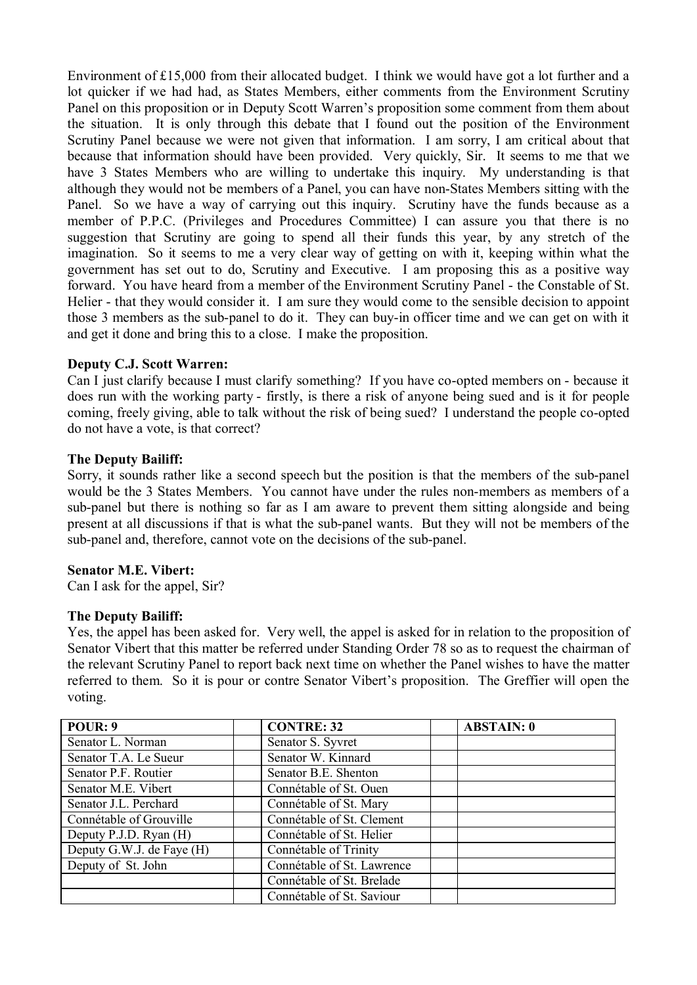Environment of £15,000 from their allocated budget. I think we would have got a lot further and a lot quicker if we had had, as States Members, either comments from the Environment Scrutiny Panel on this proposition or in Deputy Scott Warren's proposition some comment from them about the situation. It is only through this debate that I found out the position of the Environment Scrutiny Panel because we were not given that information. I am sorry, I am critical about that because that information should have been provided. Very quickly, Sir. It seems to me that we have 3 States Members who are willing to undertake this inquiry. My understanding is that although they would not be members of a Panel, you can have non-States Members sitting with the Panel. So we have a way of carrying out this inquiry. Scrutiny have the funds because as a member of P.P.C. (Privileges and Procedures Committee) I can assure you that there is no suggestion that Scrutiny are going to spend all their funds this year, by any stretch of the imagination. So it seems to me a very clear way of getting on with it, keeping within what the government has set out to do, Scrutiny and Executive. I am proposing this as a positive way forward. You have heard from a member of the Environment Scrutiny Panel - the Constable of St. Helier - that they would consider it. I am sure they would come to the sensible decision to appoint those 3 members as the sub-panel to do it. They can buy-in officer time and we can get on with it and get it done and bring this to a close. I make the proposition.

## **Deputy C.J. Scott Warren:**

Can I just clarify because I must clarify something? If you have co-opted members on - because it does run with the working party - firstly, is there a risk of anyone being sued and is it for people coming, freely giving, able to talk without the risk of being sued? I understand the people co-opted do not have a vote, is that correct?

### **The Deputy Bailiff:**

Sorry, it sounds rather like a second speech but the position is that the members of the sub-panel would be the 3 States Members. You cannot have under the rules non-members as members of a sub-panel but there is nothing so far as I am aware to prevent them sitting alongside and being present at all discussions if that is what the sub-panel wants. But they will not be members of the sub-panel and, therefore, cannot vote on the decisions of the sub-panel.

#### **Senator M.E. Vibert:**

Can I ask for the appel, Sir?

#### **The Deputy Bailiff:**

Yes, the appel has been asked for. Very well, the appel is asked for in relation to the proposition of Senator Vibert that this matter be referred under Standing Order 78 so as to request the chairman of the relevant Scrutiny Panel to report back next time on whether the Panel wishes to have the matter referred to them. So it is pour or contre Senator Vibert's proposition. The Greffier will open the voting.

| POUR: 9                   | <b>CONTRE: 32</b>          | <b>ABSTAIN: 0</b> |
|---------------------------|----------------------------|-------------------|
| Senator L. Norman         | Senator S. Syvret          |                   |
| Senator T.A. Le Sueur     | Senator W. Kinnard         |                   |
| Senator P.F. Routier      | Senator B.E. Shenton       |                   |
| Senator M.E. Vibert       | Connétable of St. Ouen     |                   |
| Senator J.L. Perchard     | Connétable of St. Mary     |                   |
| Connétable of Grouville   | Connétable of St. Clement  |                   |
| Deputy P.J.D. Ryan (H)    | Connétable of St. Helier   |                   |
| Deputy G.W.J. de Faye (H) | Connétable of Trinity      |                   |
| Deputy of St. John        | Connétable of St. Lawrence |                   |
|                           | Connétable of St. Brelade  |                   |
|                           | Connétable of St. Saviour  |                   |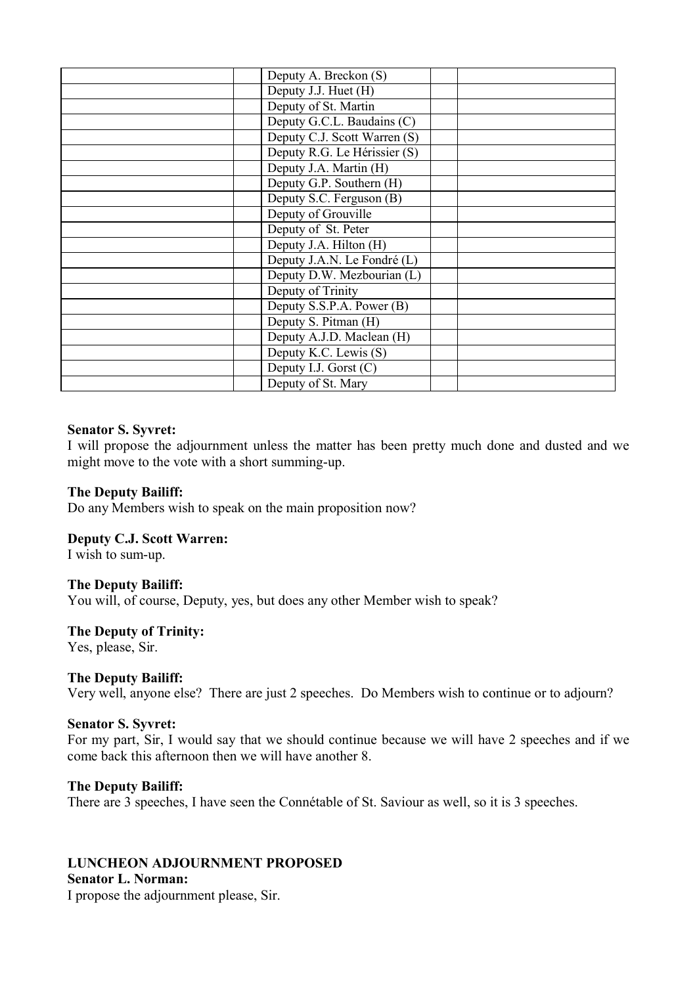| Deputy A. Breckon (S)        |  |
|------------------------------|--|
| Deputy J.J. Huet (H)         |  |
| Deputy of St. Martin         |  |
| Deputy G.C.L. Baudains (C)   |  |
| Deputy C.J. Scott Warren (S) |  |
| Deputy R.G. Le Hérissier (S) |  |
| Deputy J.A. Martin (H)       |  |
| Deputy G.P. Southern (H)     |  |
| Deputy S.C. Ferguson (B)     |  |
| Deputy of Grouville          |  |
| Deputy of St. Peter          |  |
| Deputy J.A. Hilton (H)       |  |
| Deputy J.A.N. Le Fondré (L)  |  |
| Deputy D.W. Mezbourian (L)   |  |
| Deputy of Trinity            |  |
| Deputy S.S.P.A. Power (B)    |  |
| Deputy S. Pitman (H)         |  |
| Deputy A.J.D. Maclean (H)    |  |
| Deputy K.C. Lewis (S)        |  |
| Deputy I.J. Gorst (C)        |  |
| Deputy of St. Mary           |  |
|                              |  |

#### **Senator S. Syvret:**

I will propose the adjournment unless the matter has been pretty much done and dusted and we might move to the vote with a short summing-up.

#### **The Deputy Bailiff:**

Do any Members wish to speak on the main proposition now?

#### **Deputy C.J. Scott Warren:**

I wish to sum-up.

#### **The Deputy Bailiff:**

You will, of course, Deputy, yes, but does any other Member wish to speak?

#### **The Deputy of Trinity:**

Yes, please, Sir.

#### **The Deputy Bailiff:**

Very well, anyone else? There are just 2 speeches. Do Members wish to continue or to adjourn?

#### **Senator S. Syvret:**

For my part, Sir, I would say that we should continue because we will have 2 speeches and if we come back this afternoon then we will have another 8.

#### **The Deputy Bailiff:**

There are 3 speeches, I have seen the Connétable of St. Saviour as well, so it is 3 speeches.

#### **LUNCHEON ADJOURNMENT PROPOSED**

#### **Senator L. Norman:**

I propose the adjournment please, Sir.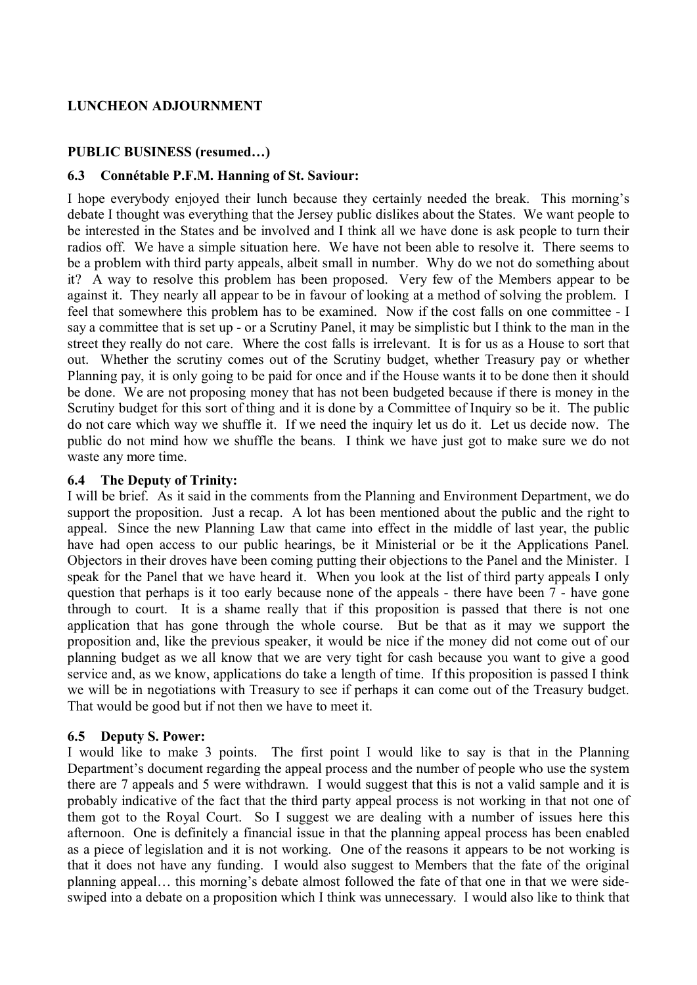#### **LUNCHEON ADJOURNMENT**

### **PUBLIC BUSINESS (resumed…)**

#### **6.3 Connétable P.F.M. Hanning of St. Saviour:**

I hope everybody enjoyed their lunch because they certainly needed the break. This morning's debate I thought was everything that the Jersey public dislikes about the States. We want people to be interested in the States and be involved and I think all we have done is ask people to turn their radios off. We have a simple situation here. We have not been able to resolve it. There seems to be a problem with third party appeals, albeit small in number. Why do we not do something about it? A way to resolve this problem has been proposed. Very few of the Members appear to be against it. They nearly all appear to be in favour of looking at a method of solving the problem. I feel that somewhere this problem has to be examined. Now if the cost falls on one committee - I say a committee that is set up - or a Scrutiny Panel, it may be simplistic but I think to the man in the street they really do not care. Where the cost falls is irrelevant. It is for us as a House to sort that out. Whether the scrutiny comes out of the Scrutiny budget, whether Treasury pay or whether Planning pay, it is only going to be paid for once and if the House wants it to be done then it should be done. We are not proposing money that has not been budgeted because if there is money in the Scrutiny budget for this sort of thing and it is done by a Committee of Inquiry so be it. The public do not care which way we shuffle it. If we need the inquiry let us do it. Let us decide now. The public do not mind how we shuffle the beans. I think we have just got to make sure we do not waste any more time.

### **6.4 The Deputy of Trinity:**

I will be brief. As it said in the comments from the Planning and Environment Department, we do support the proposition. Just a recap. A lot has been mentioned about the public and the right to appeal. Since the new Planning Law that came into effect in the middle of last year, the public have had open access to our public hearings, be it Ministerial or be it the Applications Panel. Objectors in their droves have been coming putting their objections to the Panel and the Minister. I speak for the Panel that we have heard it. When you look at the list of third party appeals I only question that perhaps is it too early because none of the appeals - there have been 7 - have gone through to court. It is a shame really that if this proposition is passed that there is not one application that has gone through the whole course. But be that as it may we support the proposition and, like the previous speaker, it would be nice if the money did not come out of our planning budget as we all know that we are very tight for cash because you want to give a good service and, as we know, applications do take a length of time. If this proposition is passed I think we will be in negotiations with Treasury to see if perhaps it can come out of the Treasury budget. That would be good but if not then we have to meet it.

## **6.5 Deputy S. Power:**

I would like to make 3 points. The first point I would like to say is that in the Planning Department's document regarding the appeal process and the number of people who use the system there are 7 appeals and 5 were withdrawn. I would suggest that this is not a valid sample and it is probably indicative of the fact that the third party appeal process is not working in that not one of them got to the Royal Court. So I suggest we are dealing with a number of issues here this afternoon. One is definitely a financial issue in that the planning appeal process has been enabled as a piece of legislation and it is not working. One of the reasons it appears to be not working is that it does not have any funding. I would also suggest to Members that the fate of the original planning appeal… this morning's debate almost followed the fate of that one in that we were sideswiped into a debate on a proposition which I think was unnecessary. I would also like to think that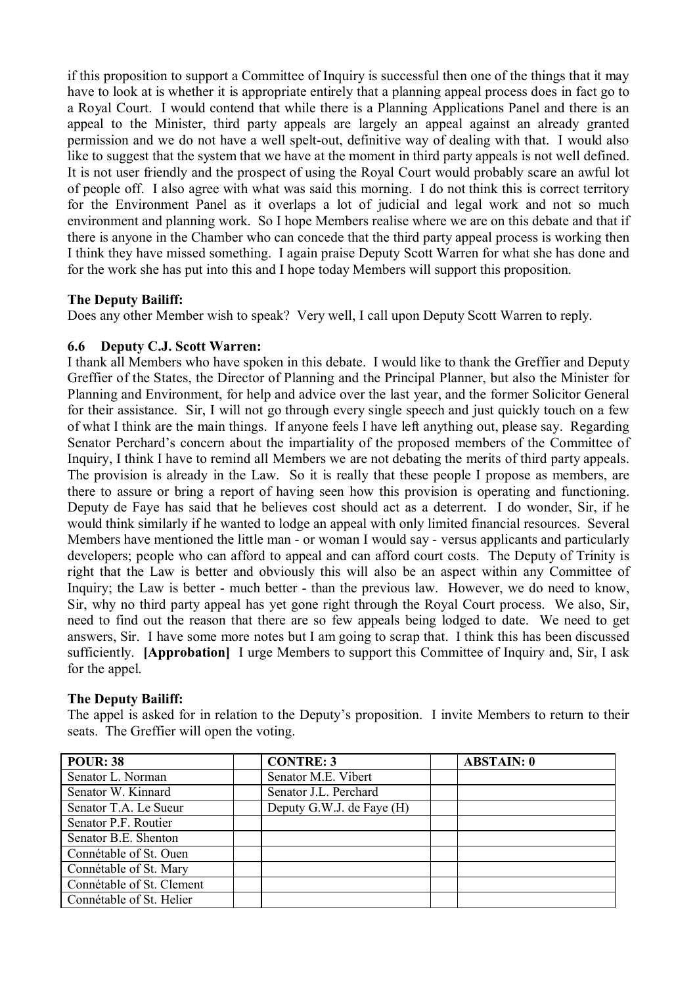if this proposition to support a Committee of Inquiry is successful then one of the things that it may have to look at is whether it is appropriate entirely that a planning appeal process does in fact go to a Royal Court. I would contend that while there is a Planning Applications Panel and there is an appeal to the Minister, third party appeals are largely an appeal against an already granted permission and we do not have a well spelt-out, definitive way of dealing with that. I would also like to suggest that the system that we have at the moment in third party appeals is not well defined. It is not user friendly and the prospect of using the Royal Court would probably scare an awful lot of people off. I also agree with what was said this morning. I do not think this is correct territory for the Environment Panel as it overlaps a lot of judicial and legal work and not so much environment and planning work. So I hope Members realise where we are on this debate and that if there is anyone in the Chamber who can concede that the third party appeal process is working then I think they have missed something. I again praise Deputy Scott Warren for what she has done and for the work she has put into this and I hope today Members will support this proposition.

### **The Deputy Bailiff:**

Does any other Member wish to speak? Very well, I call upon Deputy Scott Warren to reply.

### **6.6 Deputy C.J. Scott Warren:**

I thank all Members who have spoken in this debate. I would like to thank the Greffier and Deputy Greffier of the States, the Director of Planning and the Principal Planner, but also the Minister for Planning and Environment, for help and advice over the last year, and the former Solicitor General for their assistance. Sir, I will not go through every single speech and just quickly touch on a few of what I think are the main things. If anyone feels I have left anything out, please say. Regarding Senator Perchard's concern about the impartiality of the proposed members of the Committee of Inquiry, I think I have to remind all Members we are not debating the merits of third party appeals. The provision is already in the Law. So it is really that these people I propose as members, are there to assure or bring a report of having seen how this provision is operating and functioning. Deputy de Faye has said that he believes cost should act as a deterrent. I do wonder, Sir, if he would think similarly if he wanted to lodge an appeal with only limited financial resources. Several Members have mentioned the little man - or woman I would say - versus applicants and particularly developers; people who can afford to appeal and can afford court costs. The Deputy of Trinity is right that the Law is better and obviously this will also be an aspect within any Committee of Inquiry; the Law is better - much better - than the previous law. However, we do need to know, Sir, why no third party appeal has yet gone right through the Royal Court process. We also, Sir, need to find out the reason that there are so few appeals being lodged to date. We need to get answers, Sir. I have some more notes but I am going to scrap that. I think this has been discussed sufficiently. **[Approbation]** I urge Members to support this Committee of Inquiry and, Sir, I ask for the appel.

#### **The Deputy Bailiff:**

The appel is asked for in relation to the Deputy's proposition. I invite Members to return to their seats. The Greffier will open the voting.

| <b>POUR: 38</b>           | <b>CONTRE: 3</b>          | <b>ABSTAIN: 0</b> |
|---------------------------|---------------------------|-------------------|
| Senator L. Norman         | Senator M.E. Vibert       |                   |
| Senator W. Kinnard        | Senator J.L. Perchard     |                   |
| Senator T.A. Le Sueur     | Deputy G.W.J. de Faye (H) |                   |
| Senator P.F. Routier      |                           |                   |
| Senator B.E. Shenton      |                           |                   |
| Connétable of St. Ouen    |                           |                   |
| Connétable of St. Mary    |                           |                   |
| Connétable of St. Clement |                           |                   |
| Connétable of St. Helier  |                           |                   |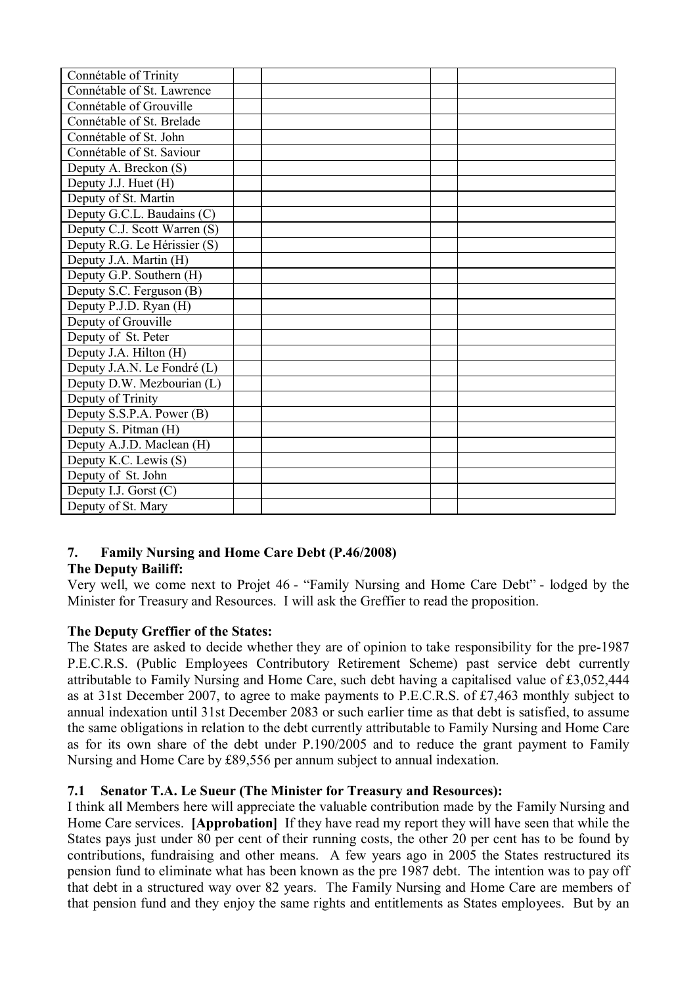| Connétable of Trinity        |  |  |
|------------------------------|--|--|
| Connétable of St. Lawrence   |  |  |
| Connétable of Grouville      |  |  |
| Connétable of St. Brelade    |  |  |
| Connétable of St. John       |  |  |
| Connétable of St. Saviour    |  |  |
| Deputy A. Breckon (S)        |  |  |
| Deputy J.J. Huet (H)         |  |  |
| Deputy of St. Martin         |  |  |
| Deputy G.C.L. Baudains (C)   |  |  |
| Deputy C.J. Scott Warren (S) |  |  |
| Deputy R.G. Le Hérissier (S) |  |  |
| Deputy J.A. Martin (H)       |  |  |
| Deputy G.P. Southern (H)     |  |  |
| Deputy S.C. Ferguson (B)     |  |  |
| Deputy P.J.D. Ryan (H)       |  |  |
| Deputy of Grouville          |  |  |
| Deputy of St. Peter          |  |  |
| Deputy J.A. Hilton (H)       |  |  |
| Deputy J.A.N. Le Fondré (L)  |  |  |
| Deputy D.W. Mezbourian (L)   |  |  |
| Deputy of Trinity            |  |  |
| Deputy S.S.P.A. Power (B)    |  |  |
| Deputy S. Pitman (H)         |  |  |
| Deputy A.J.D. Maclean (H)    |  |  |
| Deputy K.C. Lewis (S)        |  |  |
| Deputy of St. John           |  |  |
| Deputy I.J. Gorst (C)        |  |  |
| Deputy of St. Mary           |  |  |

# **7. Family Nursing and Home Care Debt (P.46/2008)**

## **The Deputy Bailiff:**

Very well, we come next to Projet 46 - "Family Nursing and Home Care Debt" - lodged by the Minister for Treasury and Resources. I will ask the Greffier to read the proposition.

## **The Deputy Greffier of the States:**

The States are asked to decide whether they are of opinion to take responsibility for the pre-1987 P.E.C.R.S. (Public Employees Contributory Retirement Scheme) past service debt currently attributable to Family Nursing and Home Care, such debt having a capitalised value of £3,052,444 as at 31st December 2007, to agree to make payments to P.E.C.R.S. of £7,463 monthly subject to annual indexation until 31st December 2083 or such earlier time as that debt is satisfied, to assume the same obligations in relation to the debt currently attributable to Family Nursing and Home Care as for its own share of the debt under P.190/2005 and to reduce the grant payment to Family Nursing and Home Care by £89,556 per annum subject to annual indexation.

## **7.1 Senator T.A. Le Sueur (The Minister for Treasury and Resources):**

I think all Members here will appreciate the valuable contribution made by the Family Nursing and Home Care services. **[Approbation]** If they have read my report they will have seen that while the States pays just under 80 per cent of their running costs, the other 20 per cent has to be found by contributions, fundraising and other means. A few years ago in 2005 the States restructured its pension fund to eliminate what has been known as the pre 1987 debt. The intention was to pay off that debt in a structured way over 82 years. The Family Nursing and Home Care are members of that pension fund and they enjoy the same rights and entitlements as States employees. But by an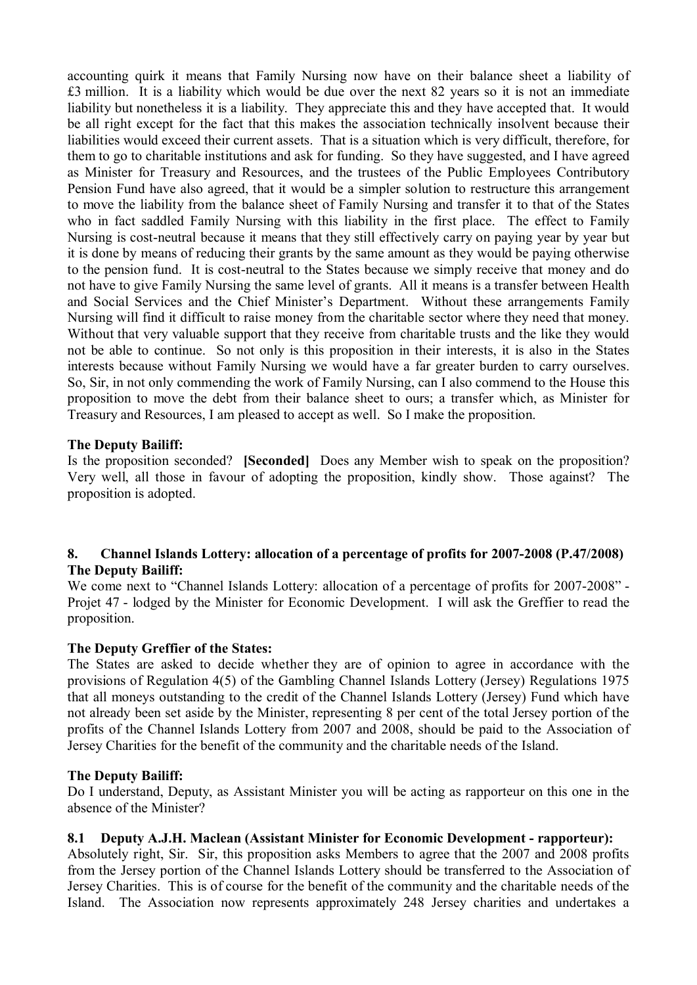accounting quirk it means that Family Nursing now have on their balance sheet a liability of £3 million. It is a liability which would be due over the next 82 years so it is not an immediate liability but nonetheless it is a liability. They appreciate this and they have accepted that. It would be all right except for the fact that this makes the association technically insolvent because their liabilities would exceed their current assets. That is a situation which is very difficult, therefore, for them to go to charitable institutions and ask for funding. So they have suggested, and I have agreed as Minister for Treasury and Resources, and the trustees of the Public Employees Contributory Pension Fund have also agreed, that it would be a simpler solution to restructure this arrangement to move the liability from the balance sheet of Family Nursing and transfer it to that of the States who in fact saddled Family Nursing with this liability in the first place. The effect to Family Nursing is cost-neutral because it means that they still effectively carry on paying year by year but it is done by means of reducing their grants by the same amount as they would be paying otherwise to the pension fund. It is cost-neutral to the States because we simply receive that money and do not have to give Family Nursing the same level of grants. All it means is a transfer between Health and Social Services and the Chief Minister's Department. Without these arrangements Family Nursing will find it difficult to raise money from the charitable sector where they need that money. Without that very valuable support that they receive from charitable trusts and the like they would not be able to continue. So not only is this proposition in their interests, it is also in the States interests because without Family Nursing we would have a far greater burden to carry ourselves. So, Sir, in not only commending the work of Family Nursing, can I also commend to the House this proposition to move the debt from their balance sheet to ours; a transfer which, as Minister for Treasury and Resources, I am pleased to accept as well. So I make the proposition.

### **The Deputy Bailiff:**

Is the proposition seconded? **[Seconded]** Does any Member wish to speak on the proposition? Very well, all those in favour of adopting the proposition, kindly show. Those against? The proposition is adopted.

### **8. Channel Islands Lottery: allocation of a percentage of profits for 2007-2008 (P.47/2008) The Deputy Bailiff:**

We come next to "Channel Islands Lottery: allocation of a percentage of profits for 2007-2008" - Projet 47 - lodged by the Minister for Economic Development. I will ask the Greffier to read the proposition.

#### **The Deputy Greffier of the States:**

The States are asked to decide whether they are of opinion to agree in accordance with the provisions of Regulation 4(5) of the Gambling Channel Islands Lottery (Jersey) Regulations 1975 that all moneys outstanding to the credit of the Channel Islands Lottery (Jersey) Fund which have not already been set aside by the Minister, representing 8 per cent of the total Jersey portion of the profits of the Channel Islands Lottery from 2007 and 2008, should be paid to the Association of Jersey Charities for the benefit of the community and the charitable needs of the Island.

#### **The Deputy Bailiff:**

Do I understand, Deputy, as Assistant Minister you will be acting as rapporteur on this one in the absence of the Minister?

#### **8.1 Deputy A.J.H. Maclean (Assistant Minister for Economic Development - rapporteur):**

Absolutely right, Sir. Sir, this proposition asks Members to agree that the 2007 and 2008 profits from the Jersey portion of the Channel Islands Lottery should be transferred to the Association of Jersey Charities. This is of course for the benefit of the community and the charitable needs of the Island. The Association now represents approximately 248 Jersey charities and undertakes a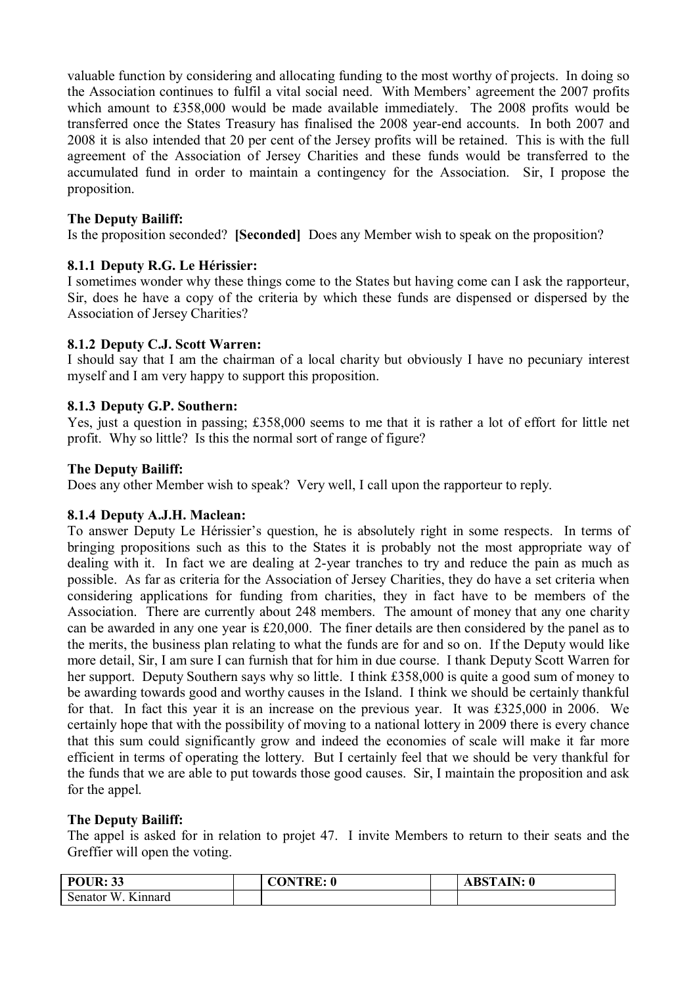valuable function by considering and allocating funding to the most worthy of projects. In doing so the Association continues to fulfil a vital social need. With Members' agreement the 2007 profits which amount to £358,000 would be made available immediately. The 2008 profits would be transferred once the States Treasury has finalised the 2008 year-end accounts. In both 2007 and 2008 it is also intended that 20 per cent of the Jersey profits will be retained. This is with the full agreement of the Association of Jersey Charities and these funds would be transferred to the accumulated fund in order to maintain a contingency for the Association. Sir, I propose the proposition.

### **The Deputy Bailiff:**

Is the proposition seconded? **[Seconded]** Does any Member wish to speak on the proposition?

### **8.1.1 Deputy R.G. Le Hérissier:**

I sometimes wonder why these things come to the States but having come can I ask the rapporteur, Sir, does he have a copy of the criteria by which these funds are dispensed or dispersed by the Association of Jersey Charities?

### **8.1.2 Deputy C.J. Scott Warren:**

I should say that I am the chairman of a local charity but obviously I have no pecuniary interest myself and I am very happy to support this proposition.

### **8.1.3 Deputy G.P. Southern:**

Yes, just a question in passing; £358,000 seems to me that it is rather a lot of effort for little net profit. Why so little? Is this the normal sort of range of figure?

#### **The Deputy Bailiff:**

Does any other Member wish to speak? Very well, I call upon the rapporteur to reply.

#### **8.1.4 Deputy A.J.H. Maclean:**

To answer Deputy Le Hérissier's question, he is absolutely right in some respects. In terms of bringing propositions such as this to the States it is probably not the most appropriate way of dealing with it. In fact we are dealing at 2-year tranches to try and reduce the pain as much as possible. As far as criteria for the Association of Jersey Charities, they do have a set criteria when considering applications for funding from charities, they in fact have to be members of the Association. There are currently about 248 members. The amount of money that any one charity can be awarded in any one year is £20,000. The finer details are then considered by the panel as to the merits, the business plan relating to what the funds are for and so on. If the Deputy would like more detail, Sir, I am sure I can furnish that for him in due course. I thank Deputy Scott Warren for her support. Deputy Southern says why so little. I think £358,000 is quite a good sum of money to be awarding towards good and worthy causes in the Island. I think we should be certainly thankful for that. In fact this year it is an increase on the previous year. It was £325,000 in 2006. We certainly hope that with the possibility of moving to a national lottery in 2009 there is every chance that this sum could significantly grow and indeed the economies of scale will make it far more efficient in terms of operating the lottery. But I certainly feel that we should be very thankful for the funds that we are able to put towards those good causes. Sir, I maintain the proposition and ask for the appel.

#### **The Deputy Bailiff:**

The appel is asked for in relation to projet 47. I invite Members to return to their seats and the Greffier will open the voting.

| <b>POUR: 33</b>                               | CONTRE<br>: 0 | <b>ABSTAIN: 0</b> |
|-----------------------------------------------|---------------|-------------------|
| $T$ .<br>Senator <sup>-</sup><br>W<br>Kinnard |               |                   |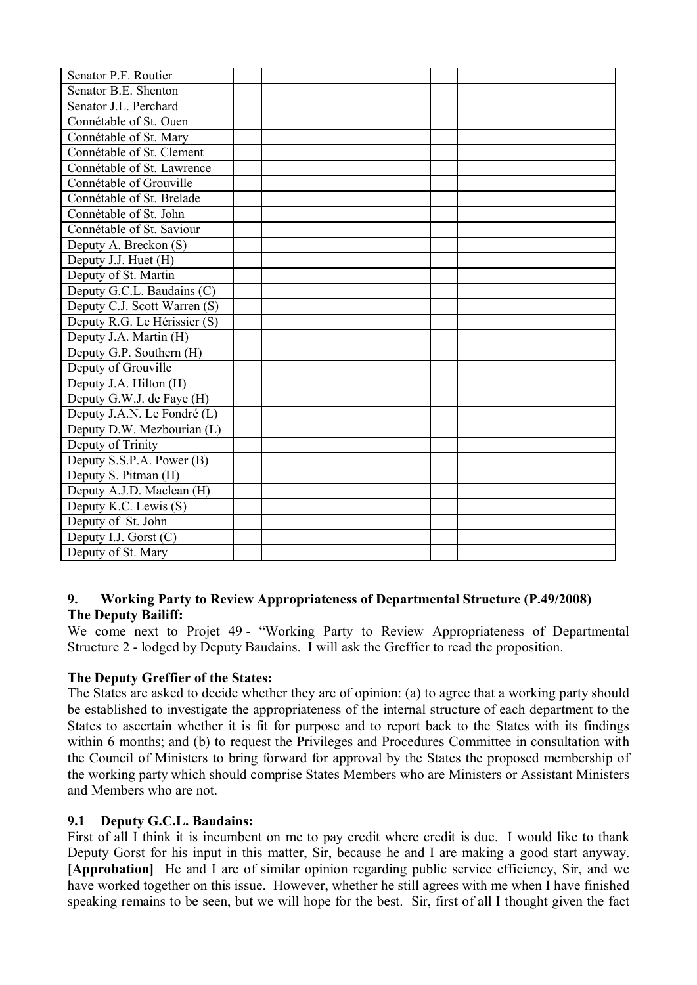| Senator P.F. Routier         |  |  |
|------------------------------|--|--|
| Senator B.E. Shenton         |  |  |
| Senator J.L. Perchard        |  |  |
| Connétable of St. Ouen       |  |  |
| Connétable of St. Mary       |  |  |
| Connétable of St. Clement    |  |  |
| Connétable of St. Lawrence   |  |  |
| Connétable of Grouville      |  |  |
| Connétable of St. Brelade    |  |  |
| Connétable of St. John       |  |  |
| Connétable of St. Saviour    |  |  |
| Deputy A. Breckon (S)        |  |  |
| Deputy J.J. Huet (H)         |  |  |
| Deputy of St. Martin         |  |  |
| Deputy G.C.L. Baudains (C)   |  |  |
| Deputy C.J. Scott Warren (S) |  |  |
| Deputy R.G. Le Hérissier (S) |  |  |
| Deputy J.A. Martin (H)       |  |  |
| Deputy G.P. Southern (H)     |  |  |
| Deputy of Grouville          |  |  |
| Deputy J.A. Hilton (H)       |  |  |
| Deputy G.W.J. de Faye (H)    |  |  |
| Deputy J.A.N. Le Fondré (L)  |  |  |
| Deputy D.W. Mezbourian (L)   |  |  |
| Deputy of Trinity            |  |  |
| Deputy S.S.P.A. Power (B)    |  |  |
| Deputy S. Pitman (H)         |  |  |
| Deputy A.J.D. Maclean (H)    |  |  |
| Deputy K.C. Lewis (S)        |  |  |
| Deputy of St. John           |  |  |
| Deputy I.J. Gorst $(C)$      |  |  |
| Deputy of St. Mary           |  |  |

## **9. Working Party to Review Appropriateness of Departmental Structure (P.49/2008) The Deputy Bailiff:**

We come next to Projet 49 - "Working Party to Review Appropriateness of Departmental Structure 2 - lodged by Deputy Baudains. I will ask the Greffier to read the proposition.

## **The Deputy Greffier of the States:**

The States are asked to decide whether they are of opinion: (a) to agree that a working party should be established to investigate the appropriateness of the internal structure of each department to the States to ascertain whether it is fit for purpose and to report back to the States with its findings within 6 months; and (b) to request the Privileges and Procedures Committee in consultation with the Council of Ministers to bring forward for approval by the States the proposed membership of the working party which should comprise States Members who are Ministers or Assistant Ministers and Members who are not.

## **9.1 Deputy G.C.L. Baudains:**

First of all I think it is incumbent on me to pay credit where credit is due. I would like to thank Deputy Gorst for his input in this matter, Sir, because he and I are making a good start anyway. **[Approbation]** He and I are of similar opinion regarding public service efficiency, Sir, and we have worked together on this issue. However, whether he still agrees with me when I have finished speaking remains to be seen, but we will hope for the best. Sir, first of all I thought given the fact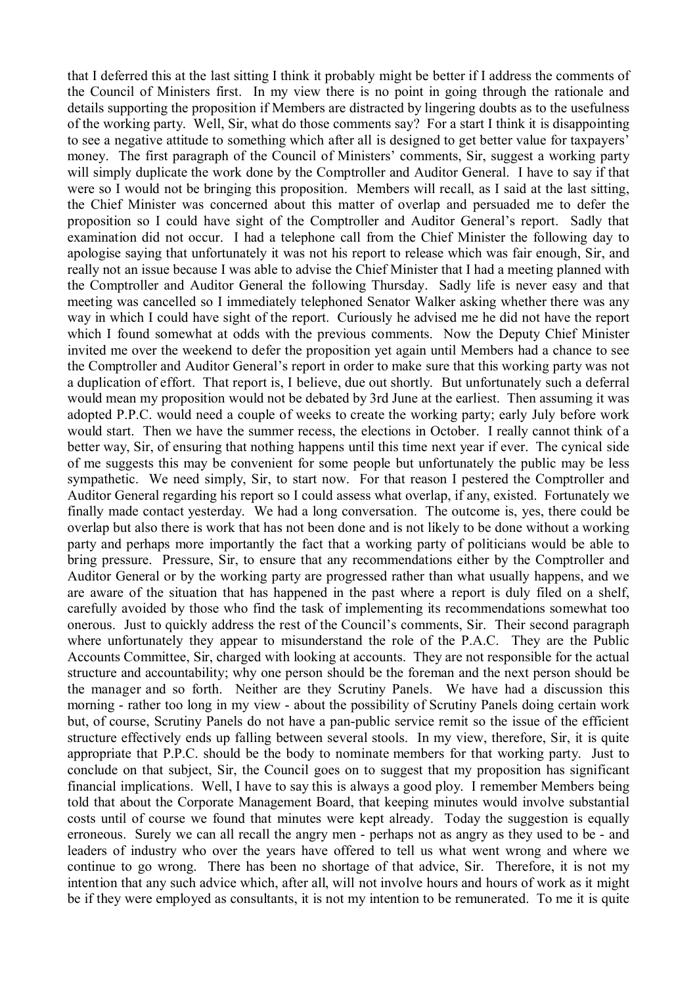that I deferred this at the last sitting I think it probably might be better if I address the comments of the Council of Ministers first. In my view there is no point in going through the rationale and details supporting the proposition if Members are distracted by lingering doubts as to the usefulness of the working party. Well, Sir, what do those comments say? For a start I think it is disappointing to see a negative attitude to something which after all is designed to get better value for taxpayers' money. The first paragraph of the Council of Ministers' comments, Sir, suggest a working party will simply duplicate the work done by the Comptroller and Auditor General. I have to say if that were so I would not be bringing this proposition. Members will recall, as I said at the last sitting, the Chief Minister was concerned about this matter of overlap and persuaded me to defer the proposition so I could have sight of the Comptroller and Auditor General's report. Sadly that examination did not occur. I had a telephone call from the Chief Minister the following day to apologise saying that unfortunately it was not his report to release which was fair enough, Sir, and really not an issue because I was able to advise the Chief Minister that I had a meeting planned with the Comptroller and Auditor General the following Thursday. Sadly life is never easy and that meeting was cancelled so I immediately telephoned Senator Walker asking whether there was any way in which I could have sight of the report. Curiously he advised me he did not have the report which I found somewhat at odds with the previous comments. Now the Deputy Chief Minister invited me over the weekend to defer the proposition yet again until Members had a chance to see the Comptroller and Auditor General's report in order to make sure that this working party was not a duplication of effort. That report is, I believe, due out shortly. But unfortunately such a deferral would mean my proposition would not be debated by 3rd June at the earliest. Then assuming it was adopted P.P.C. would need a couple of weeks to create the working party; early July before work would start. Then we have the summer recess, the elections in October. I really cannot think of a better way, Sir, of ensuring that nothing happens until this time next year if ever. The cynical side of me suggests this may be convenient for some people but unfortunately the public may be less sympathetic. We need simply, Sir, to start now. For that reason I pestered the Comptroller and Auditor General regarding his report so I could assess what overlap, if any, existed. Fortunately we finally made contact yesterday. We had a long conversation. The outcome is, yes, there could be overlap but also there is work that has not been done and is not likely to be done without a working party and perhaps more importantly the fact that a working party of politicians would be able to bring pressure. Pressure, Sir, to ensure that any recommendations either by the Comptroller and Auditor General or by the working party are progressed rather than what usually happens, and we are aware of the situation that has happened in the past where a report is duly filed on a shelf, carefully avoided by those who find the task of implementing its recommendations somewhat too onerous. Just to quickly address the rest of the Council's comments, Sir. Their second paragraph where unfortunately they appear to misunderstand the role of the P.A.C. They are the Public Accounts Committee, Sir, charged with looking at accounts. They are not responsible for the actual structure and accountability; why one person should be the foreman and the next person should be the manager and so forth. Neither are they Scrutiny Panels. We have had a discussion this morning - rather too long in my view - about the possibility of Scrutiny Panels doing certain work but, of course, Scrutiny Panels do not have a pan-public service remit so the issue of the efficient structure effectively ends up falling between several stools. In my view, therefore, Sir, it is quite appropriate that P.P.C. should be the body to nominate members for that working party. Just to conclude on that subject, Sir, the Council goes on to suggest that my proposition has significant financial implications. Well, I have to say this is always a good ploy. I remember Members being told that about the Corporate Management Board, that keeping minutes would involve substantial costs until of course we found that minutes were kept already. Today the suggestion is equally erroneous. Surely we can all recall the angry men - perhaps not as angry as they used to be - and leaders of industry who over the years have offered to tell us what went wrong and where we continue to go wrong. There has been no shortage of that advice, Sir. Therefore, it is not my intention that any such advice which, after all, will not involve hours and hours of work as it might be if they were employed as consultants, it is not my intention to be remunerated. To me it is quite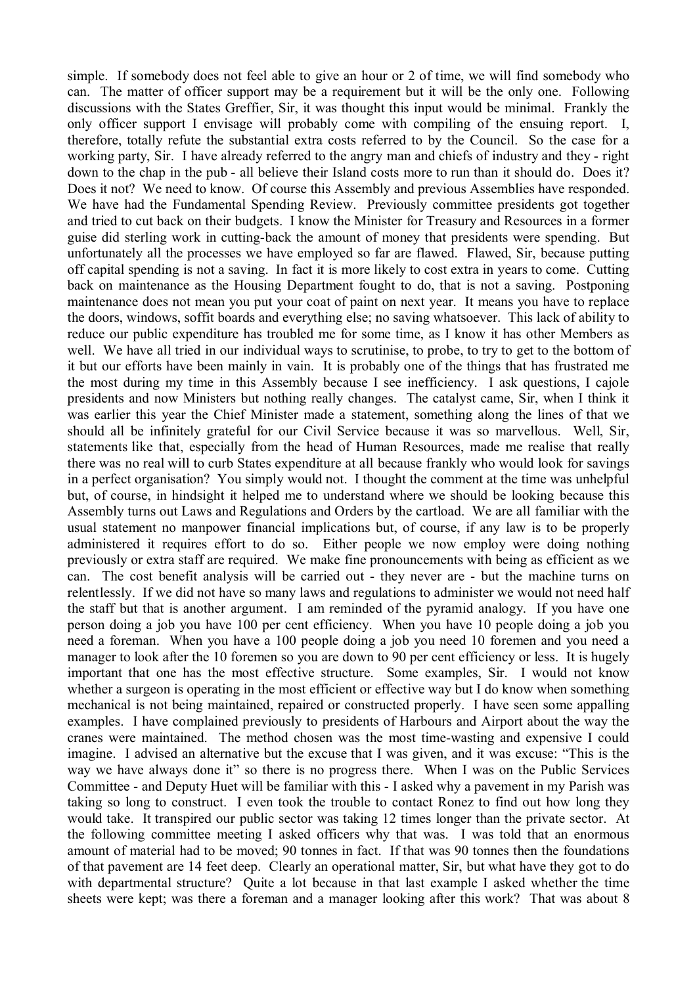simple. If somebody does not feel able to give an hour or 2 of time, we will find somebody who can. The matter of officer support may be a requirement but it will be the only one. Following discussions with the States Greffier, Sir, it was thought this input would be minimal. Frankly the only officer support I envisage will probably come with compiling of the ensuing report. I, therefore, totally refute the substantial extra costs referred to by the Council. So the case for a working party, Sir. I have already referred to the angry man and chiefs of industry and they - right down to the chap in the pub - all believe their Island costs more to run than it should do. Does it? Does it not? We need to know. Of course this Assembly and previous Assemblies have responded. We have had the Fundamental Spending Review. Previously committee presidents got together and tried to cut back on their budgets. I know the Minister for Treasury and Resources in a former guise did sterling work in cutting-back the amount of money that presidents were spending. But unfortunately all the processes we have employed so far are flawed. Flawed, Sir, because putting off capital spending is not a saving. In fact it is more likely to cost extra in years to come. Cutting back on maintenance as the Housing Department fought to do, that is not a saving. Postponing maintenance does not mean you put your coat of paint on next year. It means you have to replace the doors, windows, soffit boards and everything else; no saving whatsoever. This lack of ability to reduce our public expenditure has troubled me for some time, as I know it has other Members as well. We have all tried in our individual ways to scrutinise, to probe, to try to get to the bottom of it but our efforts have been mainly in vain. It is probably one of the things that has frustrated me the most during my time in this Assembly because I see inefficiency. I ask questions, I cajole presidents and now Ministers but nothing really changes. The catalyst came, Sir, when I think it was earlier this year the Chief Minister made a statement, something along the lines of that we should all be infinitely grateful for our Civil Service because it was so marvellous. Well, Sir, statements like that, especially from the head of Human Resources, made me realise that really there was no real will to curb States expenditure at all because frankly who would look for savings in a perfect organisation? You simply would not. I thought the comment at the time was unhelpful but, of course, in hindsight it helped me to understand where we should be looking because this Assembly turns out Laws and Regulations and Orders by the cartload. We are all familiar with the usual statement no manpower financial implications but, of course, if any law is to be properly administered it requires effort to do so. Either people we now employ were doing nothing previously or extra staff are required. We make fine pronouncements with being as efficient as we can. The cost benefit analysis will be carried out - they never are - but the machine turns on relentlessly. If we did not have so many laws and regulations to administer we would not need half the staff but that is another argument. I am reminded of the pyramid analogy. If you have one person doing a job you have 100 per cent efficiency. When you have 10 people doing a job you need a foreman. When you have a 100 people doing a job you need 10 foremen and you need a manager to look after the 10 foremen so you are down to 90 per cent efficiency or less. It is hugely important that one has the most effective structure. Some examples, Sir. I would not know whether a surgeon is operating in the most efficient or effective way but I do know when something mechanical is not being maintained, repaired or constructed properly. I have seen some appalling examples. I have complained previously to presidents of Harbours and Airport about the way the cranes were maintained. The method chosen was the most time-wasting and expensive I could imagine. I advised an alternative but the excuse that I was given, and it was excuse: "This is the way we have always done it" so there is no progress there. When I was on the Public Services Committee - and Deputy Huet will be familiar with this - I asked why a pavement in my Parish was taking so long to construct. I even took the trouble to contact Ronez to find out how long they would take. It transpired our public sector was taking 12 times longer than the private sector. At the following committee meeting I asked officers why that was. I was told that an enormous amount of material had to be moved; 90 tonnes in fact. If that was 90 tonnes then the foundations of that pavement are 14 feet deep. Clearly an operational matter, Sir, but what have they got to do with departmental structure? Ouite a lot because in that last example I asked whether the time sheets were kept; was there a foreman and a manager looking after this work? That was about 8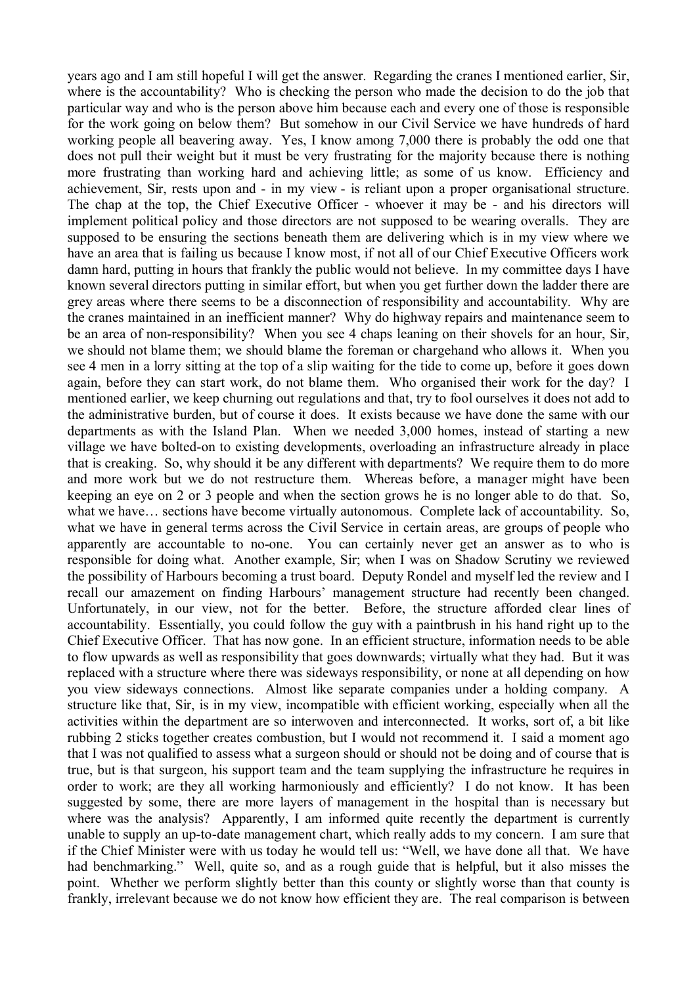years ago and I am still hopeful I will get the answer. Regarding the cranes I mentioned earlier, Sir, where is the accountability? Who is checking the person who made the decision to do the job that particular way and who is the person above him because each and every one of those is responsible for the work going on below them? But somehow in our Civil Service we have hundreds of hard working people all beavering away. Yes, I know among 7,000 there is probably the odd one that does not pull their weight but it must be very frustrating for the majority because there is nothing more frustrating than working hard and achieving little; as some of us know. Efficiency and achievement, Sir, rests upon and - in my view - is reliant upon a proper organisational structure. The chap at the top, the Chief Executive Officer - whoever it may be - and his directors will implement political policy and those directors are not supposed to be wearing overalls. They are supposed to be ensuring the sections beneath them are delivering which is in my view where we have an area that is failing us because I know most, if not all of our Chief Executive Officers work damn hard, putting in hours that frankly the public would not believe. In my committee days I have known several directors putting in similar effort, but when you get further down the ladder there are grey areas where there seems to be a disconnection of responsibility and accountability. Why are the cranes maintained in an inefficient manner? Why do highway repairs and maintenance seem to be an area of non-responsibility? When you see 4 chaps leaning on their shovels for an hour, Sir, we should not blame them; we should blame the foreman or chargehand who allows it. When you see 4 men in a lorry sitting at the top of a slip waiting for the tide to come up, before it goes down again, before they can start work, do not blame them. Who organised their work for the day? I mentioned earlier, we keep churning out regulations and that, try to fool ourselves it does not add to the administrative burden, but of course it does. It exists because we have done the same with our departments as with the Island Plan. When we needed 3,000 homes, instead of starting a new village we have bolted-on to existing developments, overloading an infrastructure already in place that is creaking. So, why should it be any different with departments? We require them to do more and more work but we do not restructure them. Whereas before, a manager might have been keeping an eye on 2 or 3 people and when the section grows he is no longer able to do that. So, what we have... sections have become virtually autonomous. Complete lack of accountability. So, what we have in general terms across the Civil Service in certain areas, are groups of people who apparently are accountable to no-one. You can certainly never get an answer as to who is responsible for doing what. Another example, Sir; when I was on Shadow Scrutiny we reviewed the possibility of Harbours becoming a trust board. Deputy Rondel and myself led the review and I recall our amazement on finding Harbours' management structure had recently been changed. Unfortunately, in our view, not for the better. Before, the structure afforded clear lines of accountability. Essentially, you could follow the guy with a paintbrush in his hand right up to the Chief Executive Officer. That has now gone. In an efficient structure, information needs to be able to flow upwards as well as responsibility that goes downwards; virtually what they had. But it was replaced with a structure where there was sideways responsibility, or none at all depending on how you view sideways connections. Almost like separate companies under a holding company. A structure like that, Sir, is in my view, incompatible with efficient working, especially when all the activities within the department are so interwoven and interconnected. It works, sort of, a bit like rubbing 2 sticks together creates combustion, but I would not recommend it. I said a moment ago that I was not qualified to assess what a surgeon should or should not be doing and of course that is true, but is that surgeon, his support team and the team supplying the infrastructure he requires in order to work; are they all working harmoniously and efficiently? I do not know. It has been suggested by some, there are more layers of management in the hospital than is necessary but where was the analysis? Apparently, I am informed quite recently the department is currently unable to supply an up-to-date management chart, which really adds to my concern. I am sure that if the Chief Minister were with us today he would tell us: "Well, we have done all that. We have had benchmarking." Well, quite so, and as a rough guide that is helpful, but it also misses the point. Whether we perform slightly better than this county or slightly worse than that county is frankly, irrelevant because we do not know how efficient they are. The real comparison is between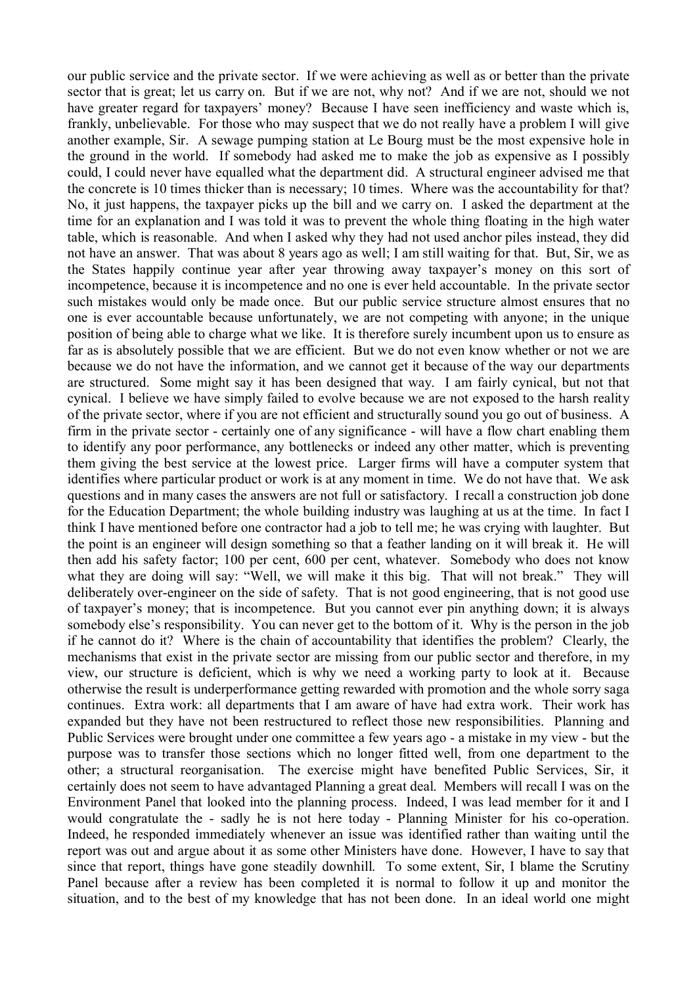our public service and the private sector. If we were achieving as well as or better than the private sector that is great; let us carry on. But if we are not, why not? And if we are not, should we not have greater regard for taxpayers' money? Because I have seen inefficiency and waste which is, frankly, unbelievable. For those who may suspect that we do not really have a problem I will give another example, Sir. A sewage pumping station at Le Bourg must be the most expensive hole in the ground in the world. If somebody had asked me to make the job as expensive as I possibly could, I could never have equalled what the department did. A structural engineer advised me that the concrete is 10 times thicker than is necessary; 10 times. Where was the accountability for that? No, it just happens, the taxpayer picks up the bill and we carry on. I asked the department at the time for an explanation and I was told it was to prevent the whole thing floating in the high water table, which is reasonable. And when I asked why they had not used anchor piles instead, they did not have an answer. That was about 8 years ago as well; I am still waiting for that. But, Sir, we as the States happily continue year after year throwing away taxpayer's money on this sort of incompetence, because it is incompetence and no one is ever held accountable. In the private sector such mistakes would only be made once. But our public service structure almost ensures that no one is ever accountable because unfortunately, we are not competing with anyone; in the unique position of being able to charge what we like. It is therefore surely incumbent upon us to ensure as far as is absolutely possible that we are efficient. But we do not even know whether or not we are because we do not have the information, and we cannot get it because of the way our departments are structured. Some might say it has been designed that way. I am fairly cynical, but not that cynical. I believe we have simply failed to evolve because we are not exposed to the harsh reality of the private sector, where if you are not efficient and structurally sound you go out of business. A firm in the private sector - certainly one of any significance - will have a flow chart enabling them to identify any poor performance, any bottlenecks or indeed any other matter, which is preventing them giving the best service at the lowest price. Larger firms will have a computer system that identifies where particular product or work is at any moment in time. We do not have that. We ask questions and in many cases the answers are not full or satisfactory. I recall a construction job done for the Education Department; the whole building industry was laughing at us at the time. In fact I think I have mentioned before one contractor had a job to tell me; he was crying with laughter. But the point is an engineer will design something so that a feather landing on it will break it. He will then add his safety factor; 100 per cent, 600 per cent, whatever. Somebody who does not know what they are doing will say: "Well, we will make it this big. That will not break." They will deliberately over-engineer on the side of safety. That is not good engineering, that is not good use of taxpayer's money; that is incompetence. But you cannot ever pin anything down; it is always somebody else's responsibility. You can never get to the bottom of it. Why is the person in the job if he cannot do it? Where is the chain of accountability that identifies the problem? Clearly, the mechanisms that exist in the private sector are missing from our public sector and therefore, in my view, our structure is deficient, which is why we need a working party to look at it. Because otherwise the result is underperformance getting rewarded with promotion and the whole sorry saga continues. Extra work: all departments that I am aware of have had extra work. Their work has expanded but they have not been restructured to reflect those new responsibilities. Planning and Public Services were brought under one committee a few years ago - a mistake in my view - but the purpose was to transfer those sections which no longer fitted well, from one department to the other; a structural reorganisation. The exercise might have benefited Public Services, Sir, it certainly does not seem to have advantaged Planning a great deal. Members will recall I was on the Environment Panel that looked into the planning process. Indeed, I was lead member for it and I would congratulate the - sadly he is not here today - Planning Minister for his co-operation. Indeed, he responded immediately whenever an issue was identified rather than waiting until the report was out and argue about it as some other Ministers have done. However, I have to say that since that report, things have gone steadily downhill. To some extent, Sir, I blame the Scrutiny Panel because after a review has been completed it is normal to follow it up and monitor the situation, and to the best of my knowledge that has not been done. In an ideal world one might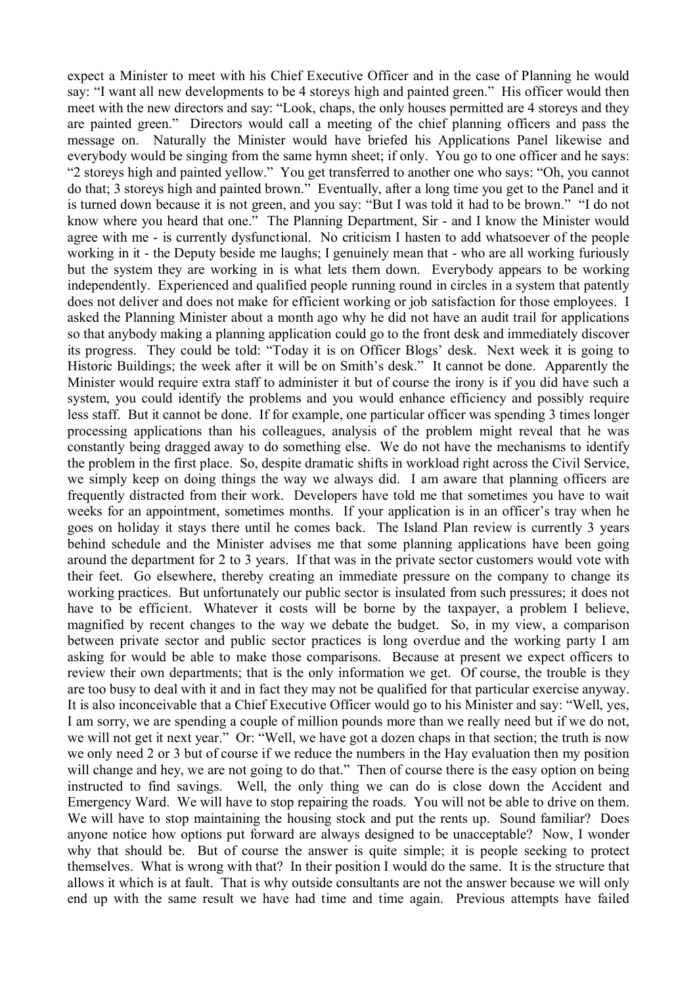expect a Minister to meet with his Chief Executive Officer and in the case of Planning he would say: "I want all new developments to be 4 storeys high and painted green." His officer would then meet with the new directors and say: "Look, chaps, the only houses permitted are 4 storeys and they are painted green." Directors would call a meeting of the chief planning officers and pass the message on. Naturally the Minister would have briefed his Applications Panel likewise and everybody would be singing from the same hymn sheet; if only. You go to one officer and he says: "2 storeys high and painted yellow." You get transferred to another one who says: "Oh, you cannot do that; 3 storeys high and painted brown." Eventually, after a long time you get to the Panel and it is turned down because it is not green, and you say: "But I was told it had to be brown." "I do not know where you heard that one." The Planning Department, Sir - and I know the Minister would agree with me - is currently dysfunctional. No criticism I hasten to add whatsoever of the people working in it - the Deputy beside me laughs; I genuinely mean that - who are all working furiously but the system they are working in is what lets them down. Everybody appears to be working independently. Experienced and qualified people running round in circles in a system that patently does not deliver and does not make for efficient working or job satisfaction for those employees. I asked the Planning Minister about a month ago why he did not have an audit trail for applications so that anybody making a planning application could go to the front desk and immediately discover its progress. They could be told: "Today it is on Officer Blogs' desk. Next week it is going to Historic Buildings; the week after it will be on Smith's desk." It cannot be done. Apparently the Minister would require extra staff to administer it but of course the irony is if you did have such a system, you could identify the problems and you would enhance efficiency and possibly require less staff. But it cannot be done. If for example, one particular officer was spending 3 times longer processing applications than his colleagues, analysis of the problem might reveal that he was constantly being dragged away to do something else. We do not have the mechanisms to identify the problem in the first place. So, despite dramatic shifts in workload right across the Civil Service, we simply keep on doing things the way we always did. I am aware that planning officers are frequently distracted from their work. Developers have told me that sometimes you have to wait weeks for an appointment, sometimes months. If your application is in an officer's tray when he goes on holiday it stays there until he comes back. The Island Plan review is currently 3 years behind schedule and the Minister advises me that some planning applications have been going around the department for 2 to 3 years. If that was in the private sector customers would vote with their feet. Go elsewhere, thereby creating an immediate pressure on the company to change its working practices. But unfortunately our public sector is insulated from such pressures; it does not have to be efficient. Whatever it costs will be borne by the taxpayer, a problem I believe, magnified by recent changes to the way we debate the budget. So, in my view, a comparison between private sector and public sector practices is long overdue and the working party I am asking for would be able to make those comparisons. Because at present we expect officers to review their own departments; that is the only information we get. Of course, the trouble is they are too busy to deal with it and in fact they may not be qualified for that particular exercise anyway. It is also inconceivable that a Chief Executive Officer would go to his Minister and say: "Well, yes, I am sorry, we are spending a couple of million pounds more than we really need but if we do not, we will not get it next year." Or: "Well, we have got a dozen chaps in that section; the truth is now we only need 2 or 3 but of course if we reduce the numbers in the Hay evaluation then my position will change and hey, we are not going to do that." Then of course there is the easy option on being instructed to find savings. Well, the only thing we can do is close down the Accident and Emergency Ward. We will have to stop repairing the roads. You will not be able to drive on them. We will have to stop maintaining the housing stock and put the rents up. Sound familiar? Does anyone notice how options put forward are always designed to be unacceptable? Now, I wonder why that should be. But of course the answer is quite simple; it is people seeking to protect themselves. What is wrong with that? In their position I would do the same. It is the structure that allows it which is at fault. That is why outside consultants are not the answer because we will only end up with the same result we have had time and time again. Previous attempts have failed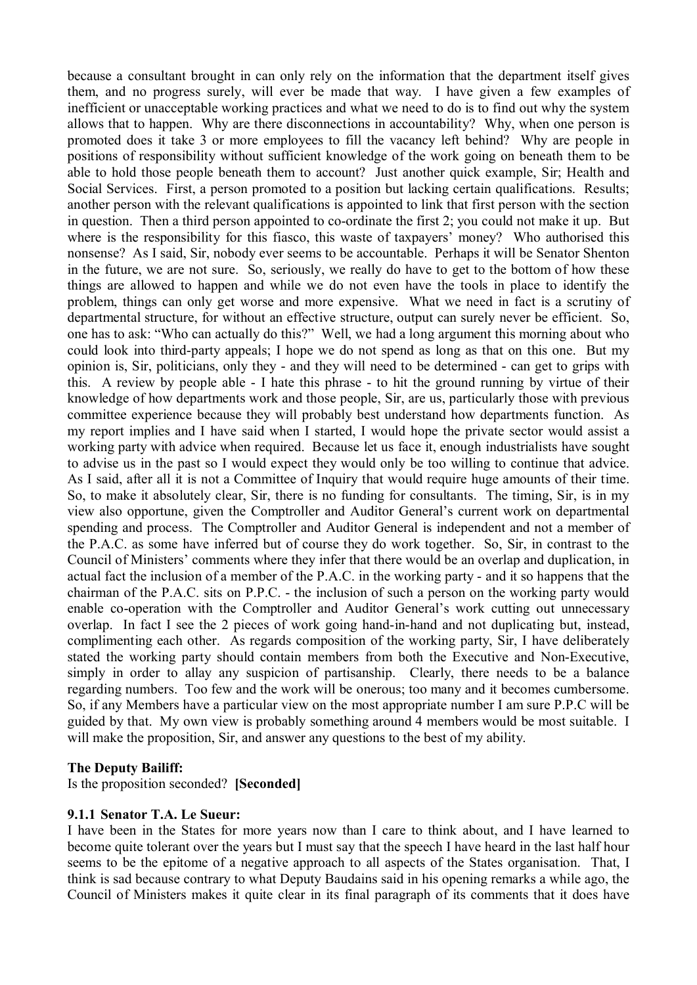because a consultant brought in can only rely on the information that the department itself gives them, and no progress surely, will ever be made that way. I have given a few examples of inefficient or unacceptable working practices and what we need to do is to find out why the system allows that to happen. Why are there disconnections in accountability? Why, when one person is promoted does it take 3 or more employees to fill the vacancy left behind? Why are people in positions of responsibility without sufficient knowledge of the work going on beneath them to be able to hold those people beneath them to account? Just another quick example, Sir; Health and Social Services. First, a person promoted to a position but lacking certain qualifications. Results; another person with the relevant qualifications is appointed to link that first person with the section in question. Then a third person appointed to co-ordinate the first 2; you could not make it up. But where is the responsibility for this fiasco, this waste of taxpayers' money? Who authorised this nonsense? As I said, Sir, nobody ever seems to be accountable. Perhaps it will be Senator Shenton in the future, we are not sure. So, seriously, we really do have to get to the bottom of how these things are allowed to happen and while we do not even have the tools in place to identify the problem, things can only get worse and more expensive. What we need in fact is a scrutiny of departmental structure, for without an effective structure, output can surely never be efficient. So, one has to ask: "Who can actually do this?" Well, we had a long argument this morning about who could look into third-party appeals; I hope we do not spend as long as that on this one. But my opinion is, Sir, politicians, only they - and they will need to be determined - can get to grips with this. A review by people able - I hate this phrase - to hit the ground running by virtue of their knowledge of how departments work and those people, Sir, are us, particularly those with previous committee experience because they will probably best understand how departments function. As my report implies and I have said when I started, I would hope the private sector would assist a working party with advice when required. Because let us face it, enough industrialists have sought to advise us in the past so I would expect they would only be too willing to continue that advice. As I said, after all it is not a Committee of Inquiry that would require huge amounts of their time. So, to make it absolutely clear, Sir, there is no funding for consultants. The timing, Sir, is in my view also opportune, given the Comptroller and Auditor General's current work on departmental spending and process. The Comptroller and Auditor General is independent and not a member of the P.A.C. as some have inferred but of course they do work together. So, Sir, in contrast to the Council of Ministers' comments where they infer that there would be an overlap and duplication, in actual fact the inclusion of a member of the P.A.C. in the working party - and it so happens that the chairman of the P.A.C. sits on P.P.C. - the inclusion of such a person on the working party would enable co-operation with the Comptroller and Auditor General's work cutting out unnecessary overlap. In fact I see the 2 pieces of work going hand-in-hand and not duplicating but, instead, complimenting each other. As regards composition of the working party, Sir, I have deliberately stated the working party should contain members from both the Executive and Non-Executive, simply in order to allay any suspicion of partisanship. Clearly, there needs to be a balance regarding numbers. Too few and the work will be onerous; too many and it becomes cumbersome. So, if any Members have a particular view on the most appropriate number I am sure P.P.C will be guided by that. My own view is probably something around 4 members would be most suitable. I will make the proposition, Sir, and answer any questions to the best of my ability.

#### **The Deputy Bailiff:**

Is the proposition seconded? **[Seconded]**

#### **9.1.1 Senator T.A. Le Sueur:**

I have been in the States for more years now than I care to think about, and I have learned to become quite tolerant over the years but I must say that the speech I have heard in the last half hour seems to be the epitome of a negative approach to all aspects of the States organisation. That, I think is sad because contrary to what Deputy Baudains said in his opening remarks a while ago, the Council of Ministers makes it quite clear in its final paragraph of its comments that it does have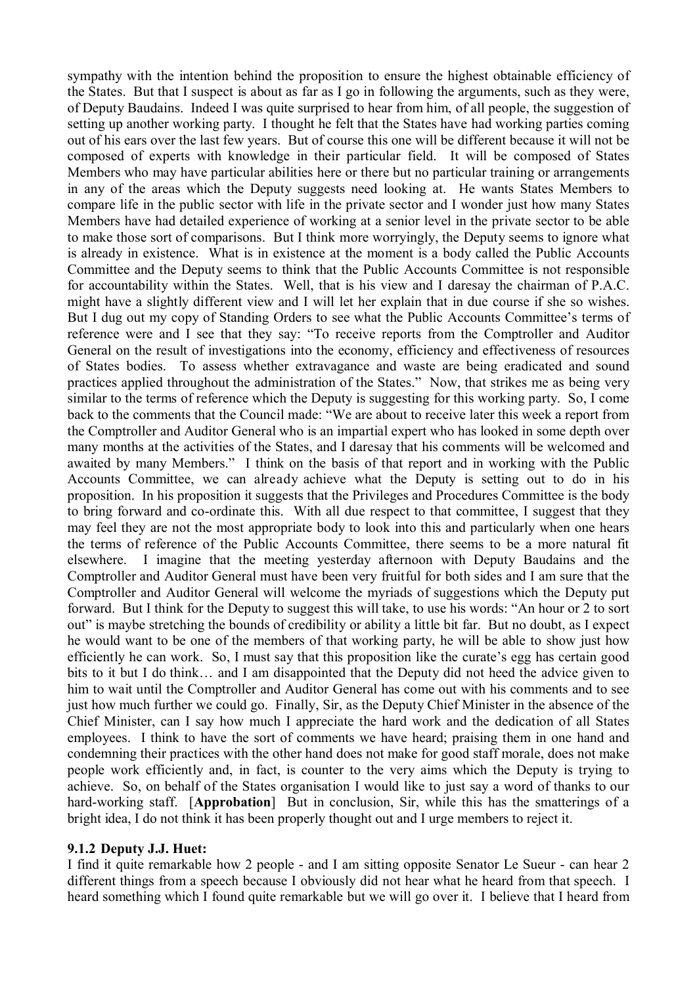sympathy with the intention behind the proposition to ensure the highest obtainable efficiency of the States. But that I suspect is about as far as I go in following the arguments, such as they were, of Deputy Baudains. Indeed I was quite surprised to hear from him, of all people, the suggestion of setting up another working party. I thought he felt that the States have had working parties coming out of his ears over the last few years. But of course this one will be different because it will not be composed of experts with knowledge in their particular field. It will be composed of States Members who may have particular abilities here or there but no particular training or arrangements in any of the areas which the Deputy suggests need looking at. He wants States Members to compare life in the public sector with life in the private sector and I wonder just how many States Members have had detailed experience of working at a senior level in the private sector to be able to make those sort of comparisons. But I think more worryingly, the Deputy seems to ignore what is already in existence. What is in existence at the moment is a body called the Public Accounts Committee and the Deputy seems to think that the Public Accounts Committee is not responsible for accountability within the States. Well, that is his view and I daresay the chairman of P.A.C. might have a slightly different view and I will let her explain that in due course if she so wishes. But I dug out my copy of Standing Orders to see what the Public Accounts Committee's terms of reference were and I see that they say: "To receive reports from the Comptroller and Auditor General on the result of investigations into the economy, efficiency and effectiveness of resources of States bodies. To assess whether extravagance and waste are being eradicated and sound practices applied throughout the administration of the States." Now, that strikes me as being very similar to the terms of reference which the Deputy is suggesting for this working party. So, I come back to the comments that the Council made: "We are about to receive later this week a report from the Comptroller and Auditor General who is an impartial expert who has looked in some depth over many months at the activities of the States, and I daresay that his comments will be welcomed and awaited by many Members." I think on the basis of that report and in working with the Public Accounts Committee, we can already achieve what the Deputy is setting out to do in his proposition. In his proposition it suggests that the Privileges and Procedures Committee is the body to bring forward and co-ordinate this. With all due respect to that committee, I suggest that they may feel they are not the most appropriate body to look into this and particularly when one hears the terms of reference of the Public Accounts Committee, there seems to be a more natural fit elsewhere. I imagine that the meeting yesterday afternoon with Deputy Baudains and the Comptroller and Auditor General must have been very fruitful for both sides and I am sure that the Comptroller and Auditor General will welcome the myriads of suggestions which the Deputy put forward. But I think for the Deputy to suggest this will take, to use his words: "An hour or 2 to sort out" is maybe stretching the bounds of credibility or ability a little bit far. But no doubt, as I expect he would want to be one of the members of that working party, he will be able to show just how efficiently he can work. So, I must say that this proposition like the curate's egg has certain good bits to it but I do think… and I am disappointed that the Deputy did not heed the advice given to him to wait until the Comptroller and Auditor General has come out with his comments and to see just how much further we could go. Finally, Sir, as the Deputy Chief Minister in the absence of the Chief Minister, can I say how much I appreciate the hard work and the dedication of all States employees. I think to have the sort of comments we have heard; praising them in one hand and condemning their practices with the other hand does not make for good staff morale, does not make people work efficiently and, in fact, is counter to the very aims which the Deputy is trying to achieve. So, on behalf of the States organisation I would like to just say a word of thanks to our hard-working staff. [**Approbation**] But in conclusion, Sir, while this has the smatterings of a bright idea, I do not think it has been properly thought out and I urge members to reject it.

#### **9.1.2 Deputy J.J. Huet:**

I find it quite remarkable how 2 people - and I am sitting opposite Senator Le Sueur - can hear 2 different things from a speech because I obviously did not hear what he heard from that speech. I heard something which I found quite remarkable but we will go over it. I believe that I heard from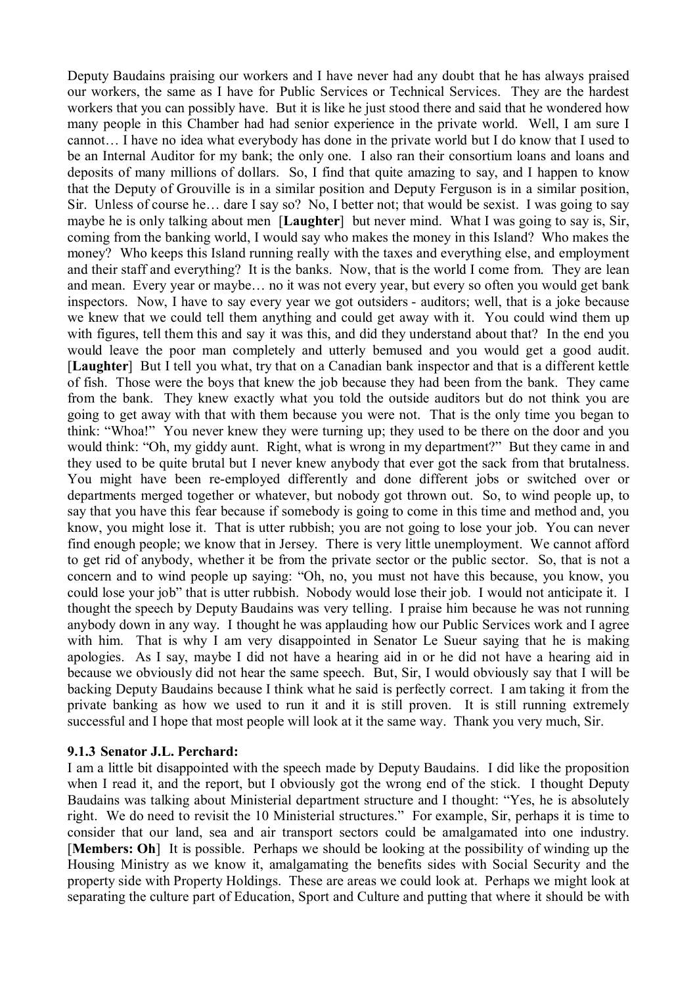Deputy Baudains praising our workers and I have never had any doubt that he has always praised our workers, the same as I have for Public Services or Technical Services. They are the hardest workers that you can possibly have. But it is like he just stood there and said that he wondered how many people in this Chamber had had senior experience in the private world. Well, I am sure I cannot… I have no idea what everybody has done in the private world but I do know that I used to be an Internal Auditor for my bank; the only one. I also ran their consortium loans and loans and deposits of many millions of dollars. So, I find that quite amazing to say, and I happen to know that the Deputy of Grouville is in a similar position and Deputy Ferguson is in a similar position, Sir. Unless of course he… dare I say so? No, I better not; that would be sexist. I was going to say maybe he is only talking about men [**Laughter**] but never mind. What I was going to say is, Sir, coming from the banking world, I would say who makes the money in this Island? Who makes the money? Who keeps this Island running really with the taxes and everything else, and employment and their staff and everything? It is the banks. Now, that is the world I come from. They are lean and mean. Every year or maybe… no it was not every year, but every so often you would get bank inspectors. Now, I have to say every year we got outsiders - auditors; well, that is a joke because we knew that we could tell them anything and could get away with it. You could wind them up with figures, tell them this and say it was this, and did they understand about that? In the end you would leave the poor man completely and utterly bemused and you would get a good audit. [**Laughter**] But I tell you what, try that on a Canadian bank inspector and that is a different kettle of fish. Those were the boys that knew the job because they had been from the bank. They came from the bank. They knew exactly what you told the outside auditors but do not think you are going to get away with that with them because you were not. That is the only time you began to think: "Whoa!" You never knew they were turning up; they used to be there on the door and you would think: "Oh, my giddy aunt. Right, what is wrong in my department?" But they came in and they used to be quite brutal but I never knew anybody that ever got the sack from that brutalness. You might have been re-employed differently and done different jobs or switched over or departments merged together or whatever, but nobody got thrown out. So, to wind people up, to say that you have this fear because if somebody is going to come in this time and method and, you know, you might lose it. That is utter rubbish; you are not going to lose your job. You can never find enough people; we know that in Jersey. There is very little unemployment. We cannot afford to get rid of anybody, whether it be from the private sector or the public sector. So, that is not a concern and to wind people up saying: "Oh, no, you must not have this because, you know, you could lose your job" that is utter rubbish. Nobody would lose their job. I would not anticipate it. I thought the speech by Deputy Baudains was very telling. I praise him because he was not running anybody down in any way. I thought he was applauding how our Public Services work and I agree with him. That is why I am very disappointed in Senator Le Sueur saying that he is making apologies. As I say, maybe I did not have a hearing aid in or he did not have a hearing aid in because we obviously did not hear the same speech. But, Sir, I would obviously say that I will be backing Deputy Baudains because I think what he said is perfectly correct. I am taking it from the private banking as how we used to run it and it is still proven. It is still running extremely successful and I hope that most people will look at it the same way. Thank you very much, Sir.

#### **9.1.3 Senator J.L. Perchard:**

I am a little bit disappointed with the speech made by Deputy Baudains. I did like the proposition when I read it, and the report, but I obviously got the wrong end of the stick. I thought Deputy Baudains was talking about Ministerial department structure and I thought: "Yes, he is absolutely right. We do need to revisit the 10 Ministerial structures." For example, Sir, perhaps it is time to consider that our land, sea and air transport sectors could be amalgamated into one industry. [**Members: Oh**] It is possible. Perhaps we should be looking at the possibility of winding up the Housing Ministry as we know it, amalgamating the benefits sides with Social Security and the property side with Property Holdings. These are areas we could look at. Perhaps we might look at separating the culture part of Education, Sport and Culture and putting that where it should be with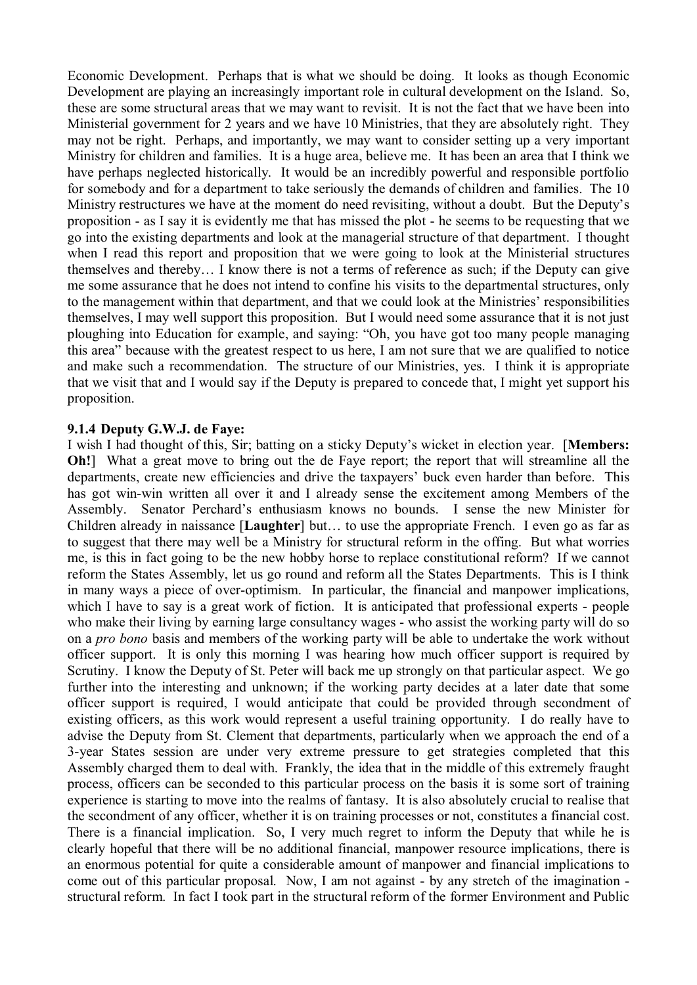Economic Development. Perhaps that is what we should be doing. It looks as though Economic Development are playing an increasingly important role in cultural development on the Island. So, these are some structural areas that we may want to revisit. It is not the fact that we have been into Ministerial government for 2 years and we have 10 Ministries, that they are absolutely right. They may not be right. Perhaps, and importantly, we may want to consider setting up a very important Ministry for children and families. It is a huge area, believe me. It has been an area that I think we have perhaps neglected historically. It would be an incredibly powerful and responsible portfolio for somebody and for a department to take seriously the demands of children and families. The 10 Ministry restructures we have at the moment do need revisiting, without a doubt. But the Deputy's proposition - as I say it is evidently me that has missed the plot - he seems to be requesting that we go into the existing departments and look at the managerial structure of that department. I thought when I read this report and proposition that we were going to look at the Ministerial structures themselves and thereby… I know there is not a terms of reference as such; if the Deputy can give me some assurance that he does not intend to confine his visits to the departmental structures, only to the management within that department, and that we could look at the Ministries' responsibilities themselves, I may well support this proposition. But I would need some assurance that it is not just ploughing into Education for example, and saying: "Oh, you have got too many people managing this area" because with the greatest respect to us here, I am not sure that we are qualified to notice and make such a recommendation. The structure of our Ministries, yes. I think it is appropriate that we visit that and I would say if the Deputy is prepared to concede that, I might yet support his proposition.

#### **9.1.4 Deputy G.W.J. de Faye:**

I wish I had thought of this, Sir; batting on a sticky Deputy's wicket in election year. [**Members: Oh!** What a great move to bring out the de Faye report; the report that will streamline all the departments, create new efficiencies and drive the taxpayers' buck even harder than before. This has got win-win written all over it and I already sense the excitement among Members of the Assembly. Senator Perchard's enthusiasm knows no bounds. I sense the new Minister for Children already in naissance [**Laughter**] but… to use the appropriate French. I even go as far as to suggest that there may well be a Ministry for structural reform in the offing. But what worries me, is this in fact going to be the new hobby horse to replace constitutional reform? If we cannot reform the States Assembly, let us go round and reform all the States Departments. This is I think in many ways a piece of over-optimism. In particular, the financial and manpower implications, which I have to say is a great work of fiction. It is anticipated that professional experts - people who make their living by earning large consultancy wages - who assist the working party will do so on a *pro bono* basis and members of the working party will be able to undertake the work without officer support. It is only this morning I was hearing how much officer support is required by Scrutiny. I know the Deputy of St. Peter will back me up strongly on that particular aspect. We go further into the interesting and unknown; if the working party decides at a later date that some officer support is required, I would anticipate that could be provided through secondment of existing officers, as this work would represent a useful training opportunity. I do really have to advise the Deputy from St. Clement that departments, particularly when we approach the end of a 3-year States session are under very extreme pressure to get strategies completed that this Assembly charged them to deal with. Frankly, the idea that in the middle of this extremely fraught process, officers can be seconded to this particular process on the basis it is some sort of training experience is starting to move into the realms of fantasy. It is also absolutely crucial to realise that the secondment of any officer, whether it is on training processes or not, constitutes a financial cost. There is a financial implication. So, I very much regret to inform the Deputy that while he is clearly hopeful that there will be no additional financial, manpower resource implications, there is an enormous potential for quite a considerable amount of manpower and financial implications to come out of this particular proposal. Now, I am not against - by any stretch of the imagination structural reform. In fact I took part in the structural reform of the former Environment and Public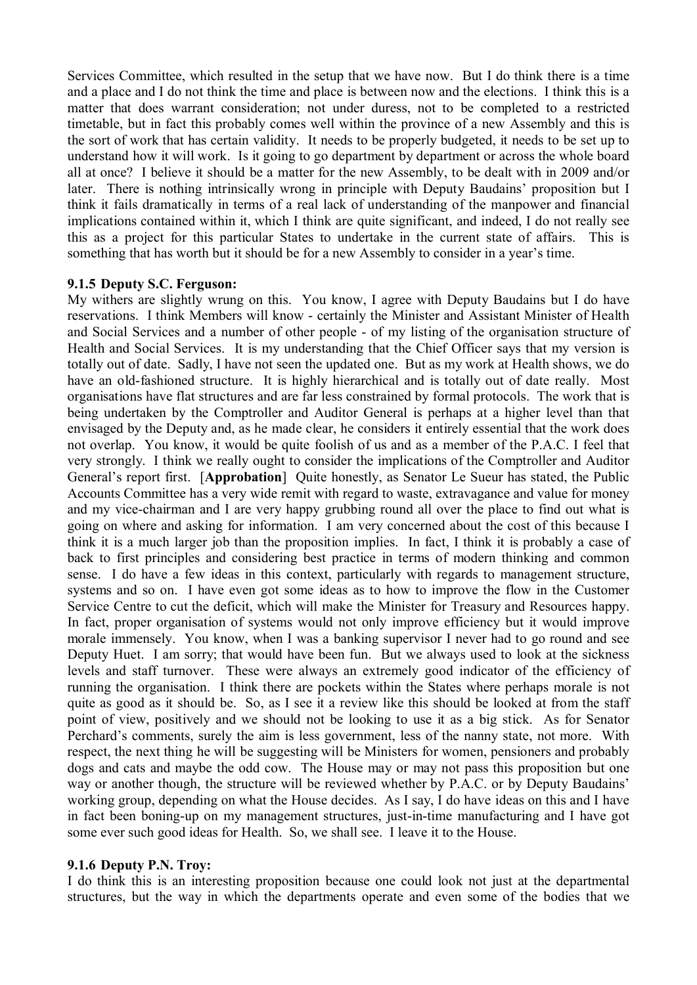Services Committee, which resulted in the setup that we have now. But I do think there is a time and a place and I do not think the time and place is between now and the elections. I think this is a matter that does warrant consideration; not under duress, not to be completed to a restricted timetable, but in fact this probably comes well within the province of a new Assembly and this is the sort of work that has certain validity. It needs to be properly budgeted, it needs to be set up to understand how it will work. Is it going to go department by department or across the whole board all at once? I believe it should be a matter for the new Assembly, to be dealt with in 2009 and/or later. There is nothing intrinsically wrong in principle with Deputy Baudains' proposition but I think it fails dramatically in terms of a real lack of understanding of the manpower and financial implications contained within it, which I think are quite significant, and indeed, I do not really see this as a project for this particular States to undertake in the current state of affairs. This is something that has worth but it should be for a new Assembly to consider in a year's time.

### **9.1.5 Deputy S.C. Ferguson:**

My withers are slightly wrung on this. You know, I agree with Deputy Baudains but I do have reservations. I think Members will know - certainly the Minister and Assistant Minister of Health and Social Services and a number of other people - of my listing of the organisation structure of Health and Social Services. It is my understanding that the Chief Officer says that my version is totally out of date. Sadly, I have not seen the updated one. But as my work at Health shows, we do have an old-fashioned structure. It is highly hierarchical and is totally out of date really. Most organisations have flat structures and are far less constrained by formal protocols. The work that is being undertaken by the Comptroller and Auditor General is perhaps at a higher level than that envisaged by the Deputy and, as he made clear, he considers it entirely essential that the work does not overlap. You know, it would be quite foolish of us and as a member of the P.A.C. I feel that very strongly. I think we really ought to consider the implications of the Comptroller and Auditor General's report first. [**Approbation**] Quite honestly, as Senator Le Sueur has stated, the Public Accounts Committee has a very wide remit with regard to waste, extravagance and value for money and my vice-chairman and I are very happy grubbing round all over the place to find out what is going on where and asking for information. I am very concerned about the cost of this because I think it is a much larger job than the proposition implies. In fact, I think it is probably a case of back to first principles and considering best practice in terms of modern thinking and common sense. I do have a few ideas in this context, particularly with regards to management structure, systems and so on. I have even got some ideas as to how to improve the flow in the Customer Service Centre to cut the deficit, which will make the Minister for Treasury and Resources happy. In fact, proper organisation of systems would not only improve efficiency but it would improve morale immensely. You know, when I was a banking supervisor I never had to go round and see Deputy Huet. I am sorry; that would have been fun. But we always used to look at the sickness levels and staff turnover. These were always an extremely good indicator of the efficiency of running the organisation. I think there are pockets within the States where perhaps morale is not quite as good as it should be. So, as I see it a review like this should be looked at from the staff point of view, positively and we should not be looking to use it as a big stick. As for Senator Perchard's comments, surely the aim is less government, less of the nanny state, not more. With respect, the next thing he will be suggesting will be Ministers for women, pensioners and probably dogs and cats and maybe the odd cow. The House may or may not pass this proposition but one way or another though, the structure will be reviewed whether by P.A.C. or by Deputy Baudains' working group, depending on what the House decides. As I say, I do have ideas on this and I have in fact been boning-up on my management structures, just-in-time manufacturing and I have got some ever such good ideas for Health. So, we shall see. I leave it to the House.

#### **9.1.6 Deputy P.N. Troy:**

I do think this is an interesting proposition because one could look not just at the departmental structures, but the way in which the departments operate and even some of the bodies that we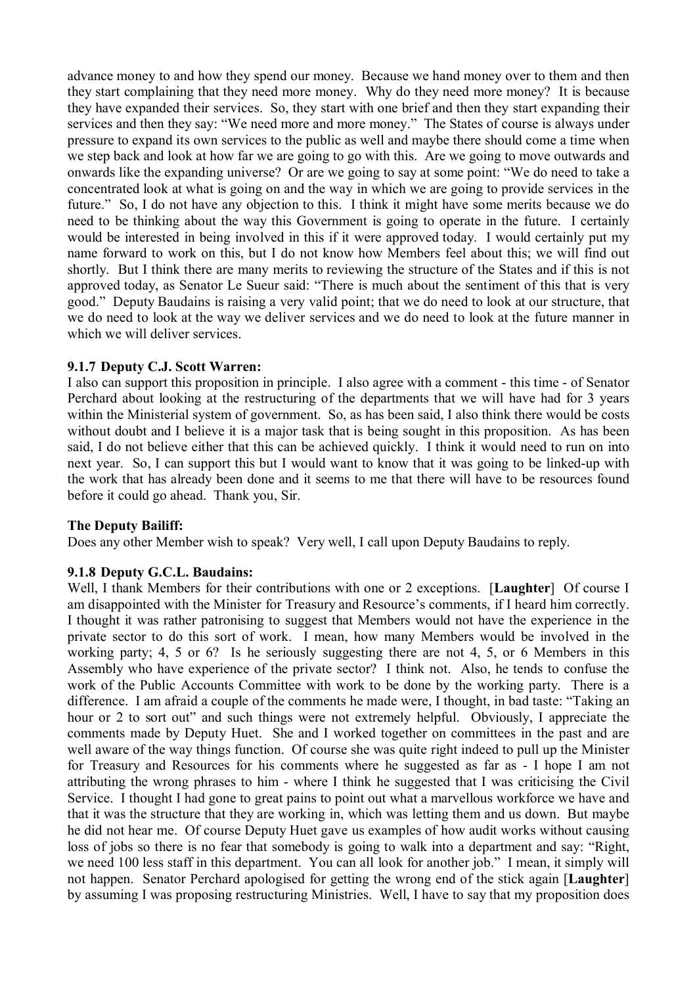advance money to and how they spend our money. Because we hand money over to them and then they start complaining that they need more money. Why do they need more money? It is because they have expanded their services. So, they start with one brief and then they start expanding their services and then they say: "We need more and more money." The States of course is always under pressure to expand its own services to the public as well and maybe there should come a time when we step back and look at how far we are going to go with this. Are we going to move outwards and onwards like the expanding universe? Or are we going to say at some point: "We do need to take a concentrated look at what is going on and the way in which we are going to provide services in the future." So, I do not have any objection to this. I think it might have some merits because we do need to be thinking about the way this Government is going to operate in the future. I certainly would be interested in being involved in this if it were approved today. I would certainly put my name forward to work on this, but I do not know how Members feel about this; we will find out shortly. But I think there are many merits to reviewing the structure of the States and if this is not approved today, as Senator Le Sueur said: "There is much about the sentiment of this that is very good." Deputy Baudains is raising a very valid point; that we do need to look at our structure, that we do need to look at the way we deliver services and we do need to look at the future manner in which we will deliver services.

### **9.1.7 Deputy C.J. Scott Warren:**

I also can support this proposition in principle. I also agree with a comment - this time - of Senator Perchard about looking at the restructuring of the departments that we will have had for 3 years within the Ministerial system of government. So, as has been said, I also think there would be costs without doubt and I believe it is a major task that is being sought in this proposition. As has been said, I do not believe either that this can be achieved quickly. I think it would need to run on into next year. So, I can support this but I would want to know that it was going to be linked-up with the work that has already been done and it seems to me that there will have to be resources found before it could go ahead. Thank you, Sir.

#### **The Deputy Bailiff:**

Does any other Member wish to speak? Very well, I call upon Deputy Baudains to reply.

#### **9.1.8 Deputy G.C.L. Baudains:**

Well, I thank Members for their contributions with one or 2 exceptions. [**Laughter**] Of course I am disappointed with the Minister for Treasury and Resource's comments, if I heard him correctly. I thought it was rather patronising to suggest that Members would not have the experience in the private sector to do this sort of work. I mean, how many Members would be involved in the working party; 4, 5 or 6? Is he seriously suggesting there are not 4, 5, or 6 Members in this Assembly who have experience of the private sector? I think not. Also, he tends to confuse the work of the Public Accounts Committee with work to be done by the working party. There is a difference. I am afraid a couple of the comments he made were, I thought, in bad taste: "Taking an hour or 2 to sort out" and such things were not extremely helpful. Obviously, I appreciate the comments made by Deputy Huet. She and I worked together on committees in the past and are well aware of the way things function. Of course she was quite right indeed to pull up the Minister for Treasury and Resources for his comments where he suggested as far as - I hope I am not attributing the wrong phrases to him - where I think he suggested that I was criticising the Civil Service. I thought I had gone to great pains to point out what a marvellous workforce we have and that it was the structure that they are working in, which was letting them and us down. But maybe he did not hear me. Of course Deputy Huet gave us examples of how audit works without causing loss of jobs so there is no fear that somebody is going to walk into a department and say: "Right, we need 100 less staff in this department. You can all look for another job." I mean, it simply will not happen. Senator Perchard apologised for getting the wrong end of the stick again [**Laughter**] by assuming I was proposing restructuring Ministries. Well, I have to say that my proposition does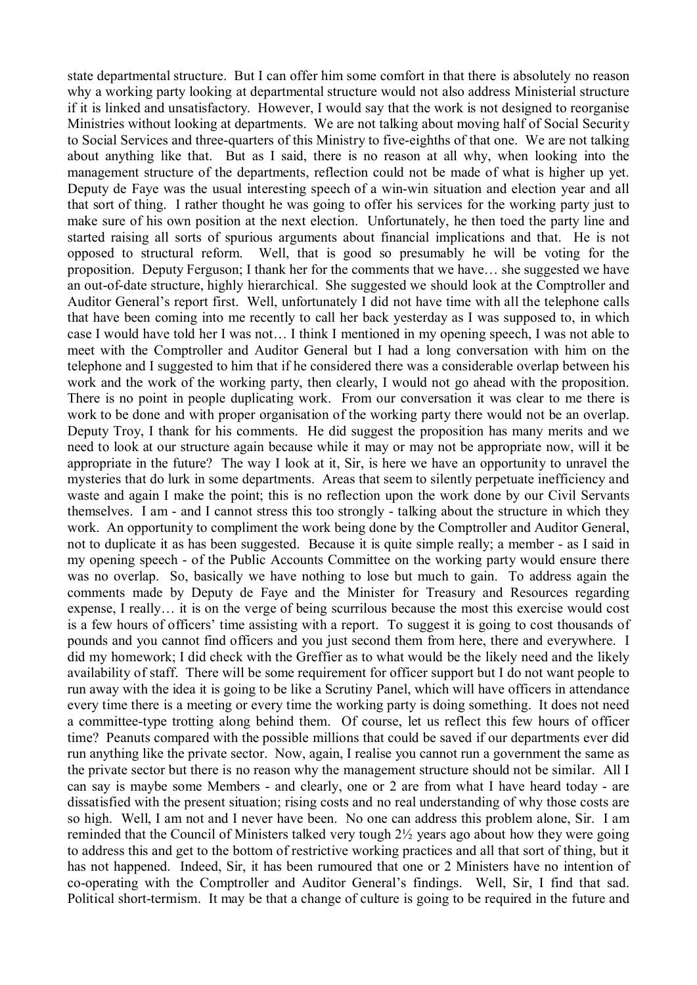state departmental structure. But I can offer him some comfort in that there is absolutely no reason why a working party looking at departmental structure would not also address Ministerial structure if it is linked and unsatisfactory. However, I would say that the work is not designed to reorganise Ministries without looking at departments. We are not talking about moving half of Social Security to Social Services and three-quarters of this Ministry to five-eighths of that one. We are not talking about anything like that. But as I said, there is no reason at all why, when looking into the management structure of the departments, reflection could not be made of what is higher up yet. Deputy de Faye was the usual interesting speech of a win-win situation and election year and all that sort of thing. I rather thought he was going to offer his services for the working party just to make sure of his own position at the next election. Unfortunately, he then toed the party line and started raising all sorts of spurious arguments about financial implications and that. He is not opposed to structural reform. Well, that is good so presumably he will be voting for the proposition. Deputy Ferguson; I thank her for the comments that we have… she suggested we have an out-of-date structure, highly hierarchical. She suggested we should look at the Comptroller and Auditor General's report first. Well, unfortunately I did not have time with all the telephone calls that have been coming into me recently to call her back yesterday as I was supposed to, in which case I would have told her I was not… I think I mentioned in my opening speech, I was not able to meet with the Comptroller and Auditor General but I had a long conversation with him on the telephone and I suggested to him that if he considered there was a considerable overlap between his work and the work of the working party, then clearly, I would not go ahead with the proposition. There is no point in people duplicating work. From our conversation it was clear to me there is work to be done and with proper organisation of the working party there would not be an overlap. Deputy Troy, I thank for his comments. He did suggest the proposition has many merits and we need to look at our structure again because while it may or may not be appropriate now, will it be appropriate in the future? The way I look at it, Sir, is here we have an opportunity to unravel the mysteries that do lurk in some departments. Areas that seem to silently perpetuate inefficiency and waste and again I make the point; this is no reflection upon the work done by our Civil Servants themselves. I am - and I cannot stress this too strongly - talking about the structure in which they work. An opportunity to compliment the work being done by the Comptroller and Auditor General, not to duplicate it as has been suggested. Because it is quite simple really; a member - as I said in my opening speech - of the Public Accounts Committee on the working party would ensure there was no overlap. So, basically we have nothing to lose but much to gain. To address again the comments made by Deputy de Faye and the Minister for Treasury and Resources regarding expense, I really… it is on the verge of being scurrilous because the most this exercise would cost is a few hours of officers' time assisting with a report. To suggest it is going to cost thousands of pounds and you cannot find officers and you just second them from here, there and everywhere. I did my homework; I did check with the Greffier as to what would be the likely need and the likely availability of staff. There will be some requirement for officer support but I do not want people to run away with the idea it is going to be like a Scrutiny Panel, which will have officers in attendance every time there is a meeting or every time the working party is doing something. It does not need a committee-type trotting along behind them. Of course, let us reflect this few hours of officer time? Peanuts compared with the possible millions that could be saved if our departments ever did run anything like the private sector. Now, again, I realise you cannot run a government the same as the private sector but there is no reason why the management structure should not be similar. All I can say is maybe some Members - and clearly, one or 2 are from what I have heard today - are dissatisfied with the present situation; rising costs and no real understanding of why those costs are so high. Well, I am not and I never have been. No one can address this problem alone, Sir. I am reminded that the Council of Ministers talked very tough 2½ years ago about how they were going to address this and get to the bottom of restrictive working practices and all that sort of thing, but it has not happened. Indeed, Sir, it has been rumoured that one or 2 Ministers have no intention of co-operating with the Comptroller and Auditor General's findings. Well, Sir, I find that sad. Political short-termism. It may be that a change of culture is going to be required in the future and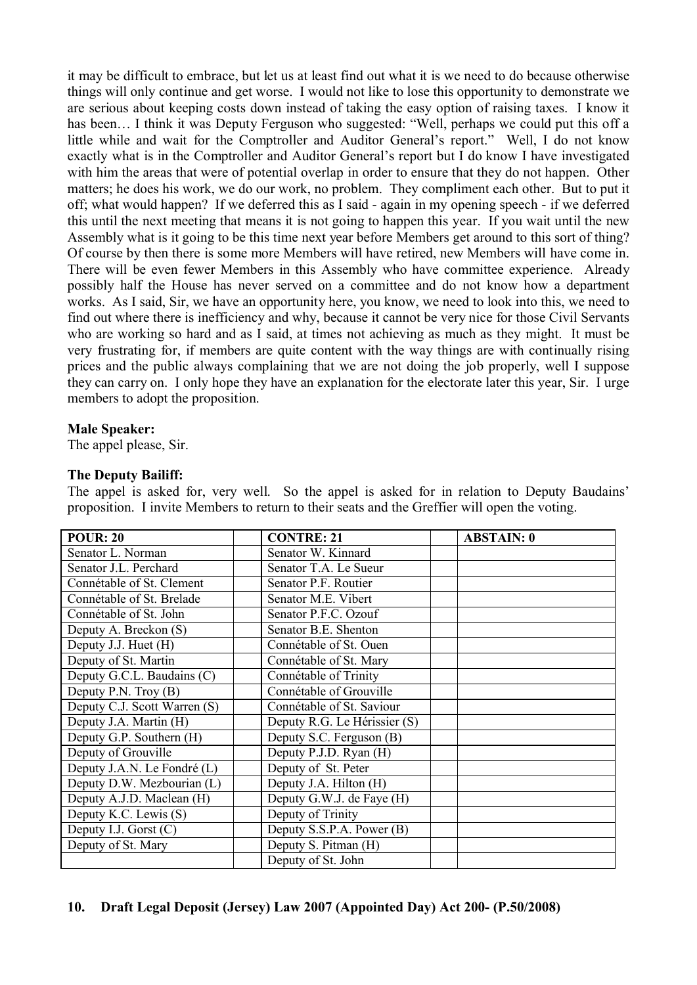it may be difficult to embrace, but let us at least find out what it is we need to do because otherwise things will only continue and get worse. I would not like to lose this opportunity to demonstrate we are serious about keeping costs down instead of taking the easy option of raising taxes. I know it has been... I think it was Deputy Ferguson who suggested: "Well, perhaps we could put this off a little while and wait for the Comptroller and Auditor General's report." Well, I do not know exactly what is in the Comptroller and Auditor General's report but I do know I have investigated with him the areas that were of potential overlap in order to ensure that they do not happen. Other matters; he does his work, we do our work, no problem. They compliment each other. But to put it off; what would happen? If we deferred this as I said - again in my opening speech - if we deferred this until the next meeting that means it is not going to happen this year. If you wait until the new Assembly what is it going to be this time next year before Members get around to this sort of thing? Of course by then there is some more Members will have retired, new Members will have come in. There will be even fewer Members in this Assembly who have committee experience. Already possibly half the House has never served on a committee and do not know how a department works. As I said, Sir, we have an opportunity here, you know, we need to look into this, we need to find out where there is inefficiency and why, because it cannot be very nice for those Civil Servants who are working so hard and as I said, at times not achieving as much as they might. It must be very frustrating for, if members are quite content with the way things are with continually rising prices and the public always complaining that we are not doing the job properly, well I suppose they can carry on. I only hope they have an explanation for the electorate later this year, Sir. I urge members to adopt the proposition.

#### **Male Speaker:**

The appel please, Sir.

#### **The Deputy Bailiff:**

The appel is asked for, very well. So the appel is asked for in relation to Deputy Baudains' proposition. I invite Members to return to their seats and the Greffier will open the voting.

| <b>POUR: 20</b>              | <b>CONTRE: 21</b>            | <b>ABSTAIN: 0</b> |
|------------------------------|------------------------------|-------------------|
| Senator L. Norman            | Senator W. Kinnard           |                   |
| Senator J.L. Perchard        | Senator T.A. Le Sueur        |                   |
| Connétable of St. Clement    | Senator P.F. Routier         |                   |
| Connétable of St. Brelade    | Senator M.E. Vibert          |                   |
| Connétable of St. John       | Senator P.F.C. Ozouf         |                   |
| Deputy A. Breckon (S)        | Senator B.E. Shenton         |                   |
| Deputy J.J. Huet (H)         | Connétable of St. Ouen       |                   |
| Deputy of St. Martin         | Connétable of St. Mary       |                   |
| Deputy G.C.L. Baudains (C)   | Connétable of Trinity        |                   |
| Deputy P.N. Troy (B)         | Connétable of Grouville      |                   |
| Deputy C.J. Scott Warren (S) | Connétable of St. Saviour    |                   |
| Deputy J.A. Martin (H)       | Deputy R.G. Le Hérissier (S) |                   |
| Deputy G.P. Southern (H)     | Deputy S.C. Ferguson (B)     |                   |
| Deputy of Grouville          | Deputy P.J.D. Ryan (H)       |                   |
| Deputy J.A.N. Le Fondré (L)  | Deputy of St. Peter          |                   |
| Deputy D.W. Mezbourian (L)   | Deputy J.A. Hilton (H)       |                   |
| Deputy A.J.D. Maclean (H)    | Deputy G.W.J. de Faye (H)    |                   |
| Deputy K.C. Lewis (S)        | Deputy of Trinity            |                   |
| Deputy I.J. Gorst (C)        | Deputy S.S.P.A. Power (B)    |                   |
| Deputy of St. Mary           | Deputy S. Pitman (H)         |                   |
|                              | Deputy of St. John           |                   |

#### **10. Draft Legal Deposit (Jersey) Law 2007 (Appointed Day) Act 200- (P.50/2008)**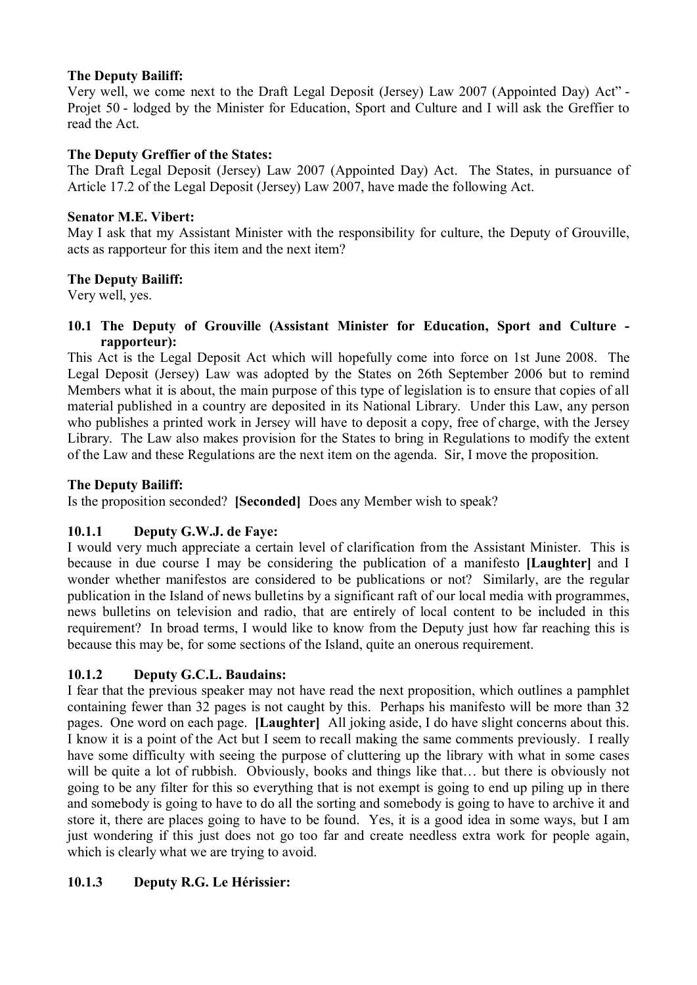# **The Deputy Bailiff:**

Very well, we come next to the Draft Legal Deposit (Jersey) Law 2007 (Appointed Day) Act" - Projet 50 - lodged by the Minister for Education, Sport and Culture and I will ask the Greffier to read the Act.

# **The Deputy Greffier of the States:**

The Draft Legal Deposit (Jersey) Law 2007 (Appointed Day) Act. The States, in pursuance of Article 17.2 of the Legal Deposit (Jersey) Law 2007, have made the following Act.

## **Senator M.E. Vibert:**

May I ask that my Assistant Minister with the responsibility for culture, the Deputy of Grouville, acts as rapporteur for this item and the next item?

## **The Deputy Bailiff:**

Very well, yes.

### **10.1 The Deputy of Grouville (Assistant Minister for Education, Sport and Culture rapporteur):**

This Act is the Legal Deposit Act which will hopefully come into force on 1st June 2008. The Legal Deposit (Jersey) Law was adopted by the States on 26th September 2006 but to remind Members what it is about, the main purpose of this type of legislation is to ensure that copies of all material published in a country are deposited in its National Library. Under this Law, any person who publishes a printed work in Jersey will have to deposit a copy, free of charge, with the Jersey Library. The Law also makes provision for the States to bring in Regulations to modify the extent of the Law and these Regulations are the next item on the agenda. Sir, I move the proposition.

# **The Deputy Bailiff:**

Is the proposition seconded? **[Seconded]** Does any Member wish to speak?

## **10.1.1 Deputy G.W.J. de Faye:**

I would very much appreciate a certain level of clarification from the Assistant Minister. This is because in due course I may be considering the publication of a manifesto **[Laughter]** and I wonder whether manifestos are considered to be publications or not? Similarly, are the regular publication in the Island of news bulletins by a significant raft of our local media with programmes, news bulletins on television and radio, that are entirely of local content to be included in this requirement? In broad terms, I would like to know from the Deputy just how far reaching this is because this may be, for some sections of the Island, quite an onerous requirement.

## **10.1.2 Deputy G.C.L. Baudains:**

I fear that the previous speaker may not have read the next proposition, which outlines a pamphlet containing fewer than 32 pages is not caught by this. Perhaps his manifesto will be more than 32 pages. One word on each page. **[Laughter]** All joking aside, I do have slight concerns about this. I know it is a point of the Act but I seem to recall making the same comments previously. I really have some difficulty with seeing the purpose of cluttering up the library with what in some cases will be quite a lot of rubbish. Obviously, books and things like that... but there is obviously not going to be any filter for this so everything that is not exempt is going to end up piling up in there and somebody is going to have to do all the sorting and somebody is going to have to archive it and store it, there are places going to have to be found. Yes, it is a good idea in some ways, but I am just wondering if this just does not go too far and create needless extra work for people again, which is clearly what we are trying to avoid.

## **10.1.3 Deputy R.G. Le Hérissier:**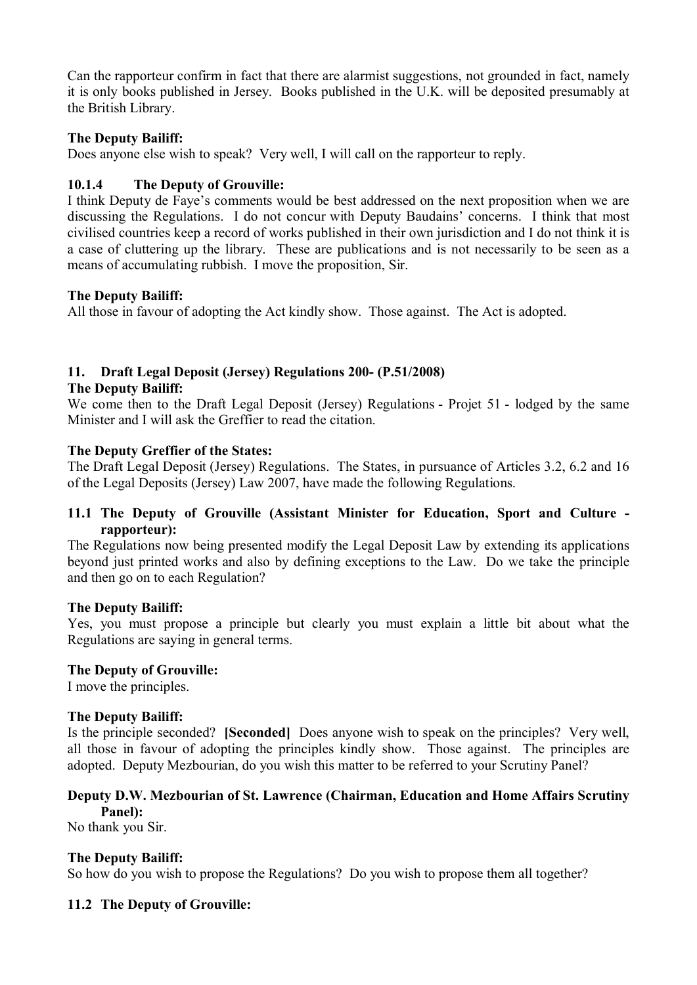Can the rapporteur confirm in fact that there are alarmist suggestions, not grounded in fact, namely it is only books published in Jersey. Books published in the U.K. will be deposited presumably at the British Library.

## **The Deputy Bailiff:**

Does anyone else wish to speak? Very well, I will call on the rapporteur to reply.

# **10.1.4 The Deputy of Grouville:**

I think Deputy de Faye's comments would be best addressed on the next proposition when we are discussing the Regulations. I do not concur with Deputy Baudains' concerns. I think that most civilised countries keep a record of works published in their own jurisdiction and I do not think it is a case of cluttering up the library. These are publications and is not necessarily to be seen as a means of accumulating rubbish. I move the proposition, Sir.

## **The Deputy Bailiff:**

All those in favour of adopting the Act kindly show. Those against. The Act is adopted.

# **11. Draft Legal Deposit (Jersey) Regulations 200- (P.51/2008)**

### **The Deputy Bailiff:**

We come then to the Draft Legal Deposit (Jersey) Regulations - Projet 51 - lodged by the same Minister and I will ask the Greffier to read the citation.

## **The Deputy Greffier of the States:**

The Draft Legal Deposit (Jersey) Regulations. The States, in pursuance of Articles 3.2, 6.2 and 16 of the Legal Deposits (Jersey) Law 2007, have made the following Regulations.

## **11.1 The Deputy of Grouville (Assistant Minister for Education, Sport and Culture rapporteur):**

The Regulations now being presented modify the Legal Deposit Law by extending its applications beyond just printed works and also by defining exceptions to the Law. Do we take the principle and then go on to each Regulation?

## **The Deputy Bailiff:**

Yes, you must propose a principle but clearly you must explain a little bit about what the Regulations are saying in general terms.

## **The Deputy of Grouville:**

I move the principles.

## **The Deputy Bailiff:**

Is the principle seconded? **[Seconded]** Does anyone wish to speak on the principles? Very well, all those in favour of adopting the principles kindly show. Those against. The principles are adopted. Deputy Mezbourian, do you wish this matter to be referred to your Scrutiny Panel?

## **Deputy D.W. Mezbourian of St. Lawrence (Chairman, Education and Home Affairs Scrutiny Panel):**

No thank you Sir.

## **The Deputy Bailiff:**

So how do you wish to propose the Regulations? Do you wish to propose them all together?

## **11.2 The Deputy of Grouville:**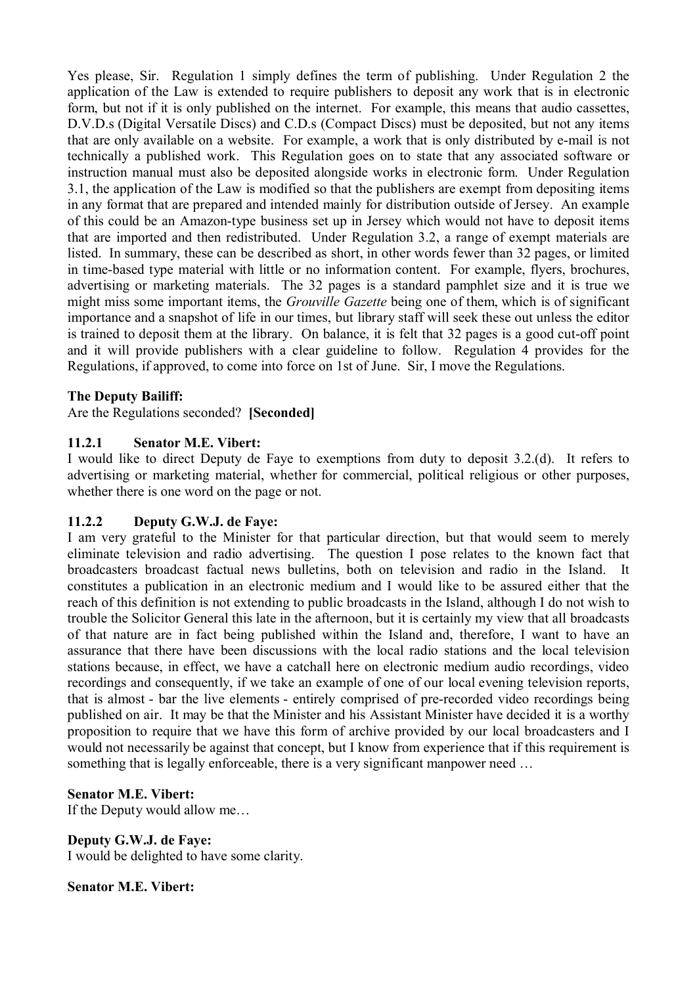Yes please, Sir. Regulation 1 simply defines the term of publishing. Under Regulation 2 the application of the Law is extended to require publishers to deposit any work that is in electronic form, but not if it is only published on the internet. For example, this means that audio cassettes, D.V.D.s (Digital Versatile Discs) and C.D.s (Compact Discs) must be deposited, but not any items that are only available on a website. For example, a work that is only distributed by e-mail is not technically a published work. This Regulation goes on to state that any associated software or instruction manual must also be deposited alongside works in electronic form. Under Regulation 3.1, the application of the Law is modified so that the publishers are exempt from depositing items in any format that are prepared and intended mainly for distribution outside of Jersey. An example of this could be an Amazon-type business set up in Jersey which would not have to deposit items that are imported and then redistributed. Under Regulation 3.2, a range of exempt materials are listed. In summary, these can be described as short, in other words fewer than 32 pages, or limited in time-based type material with little or no information content. For example, flyers, brochures, advertising or marketing materials. The 32 pages is a standard pamphlet size and it is true we might miss some important items, the *Grouville Gazette* being one of them, which is of significant importance and a snapshot of life in our times, but library staff will seek these out unless the editor is trained to deposit them at the library. On balance, it is felt that 32 pages is a good cut-off point and it will provide publishers with a clear guideline to follow. Regulation 4 provides for the Regulations, if approved, to come into force on 1st of June. Sir, I move the Regulations.

## **The Deputy Bailiff:**

Are the Regulations seconded? **[Seconded]**

### **11.2.1 Senator M.E. Vibert:**

I would like to direct Deputy de Faye to exemptions from duty to deposit 3.2.(d). It refers to advertising or marketing material, whether for commercial, political religious or other purposes, whether there is one word on the page or not.

#### **11.2.2 Deputy G.W.J. de Faye:**

I am very grateful to the Minister for that particular direction, but that would seem to merely eliminate television and radio advertising. The question I pose relates to the known fact that broadcasters broadcast factual news bulletins, both on television and radio in the Island. It constitutes a publication in an electronic medium and I would like to be assured either that the reach of this definition is not extending to public broadcasts in the Island, although I do not wish to trouble the Solicitor General this late in the afternoon, but it is certainly my view that all broadcasts of that nature are in fact being published within the Island and, therefore, I want to have an assurance that there have been discussions with the local radio stations and the local television stations because, in effect, we have a catchall here on electronic medium audio recordings, video recordings and consequently, if we take an example of one of our local evening television reports, that is almost - bar the live elements - entirely comprised of pre-recorded video recordings being published on air. It may be that the Minister and his Assistant Minister have decided it is a worthy proposition to require that we have this form of archive provided by our local broadcasters and I would not necessarily be against that concept, but I know from experience that if this requirement is something that is legally enforceable, there is a very significant manpower need …

#### **Senator M.E. Vibert:**

If the Deputy would allow me…

# **Deputy G.W.J. de Faye:**

I would be delighted to have some clarity.

#### **Senator M.E. Vibert:**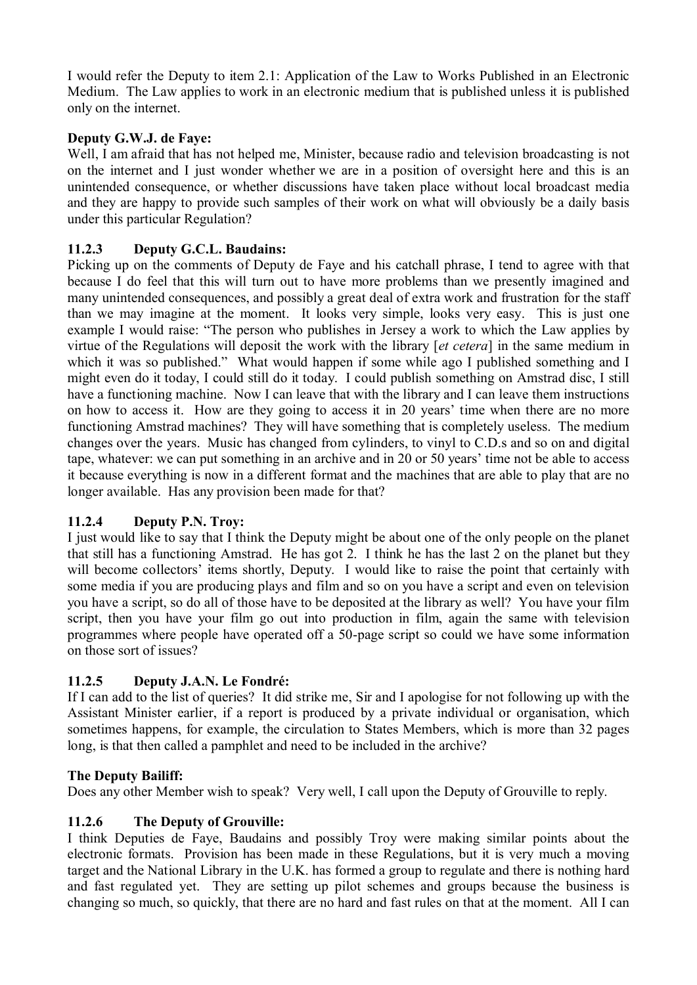I would refer the Deputy to item 2.1: Application of the Law to Works Published in an Electronic Medium. The Law applies to work in an electronic medium that is published unless it is published only on the internet.

# **Deputy G.W.J. de Faye:**

Well, I am afraid that has not helped me, Minister, because radio and television broadcasting is not on the internet and I just wonder whether we are in a position of oversight here and this is an unintended consequence, or whether discussions have taken place without local broadcast media and they are happy to provide such samples of their work on what will obviously be a daily basis under this particular Regulation?

# **11.2.3 Deputy G.C.L. Baudains:**

Picking up on the comments of Deputy de Faye and his catchall phrase, I tend to agree with that because I do feel that this will turn out to have more problems than we presently imagined and many unintended consequences, and possibly a great deal of extra work and frustration for the staff than we may imagine at the moment. It looks very simple, looks very easy. This is just one example I would raise: "The person who publishes in Jersey a work to which the Law applies by virtue of the Regulations will deposit the work with the library [*et cetera*] in the same medium in which it was so published." What would happen if some while ago I published something and I might even do it today, I could still do it today. I could publish something on Amstrad disc, I still have a functioning machine. Now I can leave that with the library and I can leave them instructions on how to access it. How are they going to access it in 20 years' time when there are no more functioning Amstrad machines? They will have something that is completely useless. The medium changes over the years. Music has changed from cylinders, to vinyl to C.D.s and so on and digital tape, whatever: we can put something in an archive and in 20 or 50 years' time not be able to access it because everything is now in a different format and the machines that are able to play that are no longer available. Has any provision been made for that?

## **11.2.4 Deputy P.N. Troy:**

I just would like to say that I think the Deputy might be about one of the only people on the planet that still has a functioning Amstrad. He has got 2. I think he has the last 2 on the planet but they will become collectors' items shortly, Deputy. I would like to raise the point that certainly with some media if you are producing plays and film and so on you have a script and even on television you have a script, so do all of those have to be deposited at the library as well? You have your film script, then you have your film go out into production in film, again the same with television programmes where people have operated off a 50-page script so could we have some information on those sort of issues?

# **11.2.5 Deputy J.A.N. Le Fondré:**

If I can add to the list of queries? It did strike me, Sir and I apologise for not following up with the Assistant Minister earlier, if a report is produced by a private individual or organisation, which sometimes happens, for example, the circulation to States Members, which is more than 32 pages long, is that then called a pamphlet and need to be included in the archive?

## **The Deputy Bailiff:**

Does any other Member wish to speak? Very well, I call upon the Deputy of Grouville to reply.

## **11.2.6 The Deputy of Grouville:**

I think Deputies de Faye, Baudains and possibly Troy were making similar points about the electronic formats. Provision has been made in these Regulations, but it is very much a moving target and the National Library in the U.K. has formed a group to regulate and there is nothing hard and fast regulated yet. They are setting up pilot schemes and groups because the business is changing so much, so quickly, that there are no hard and fast rules on that at the moment. All I can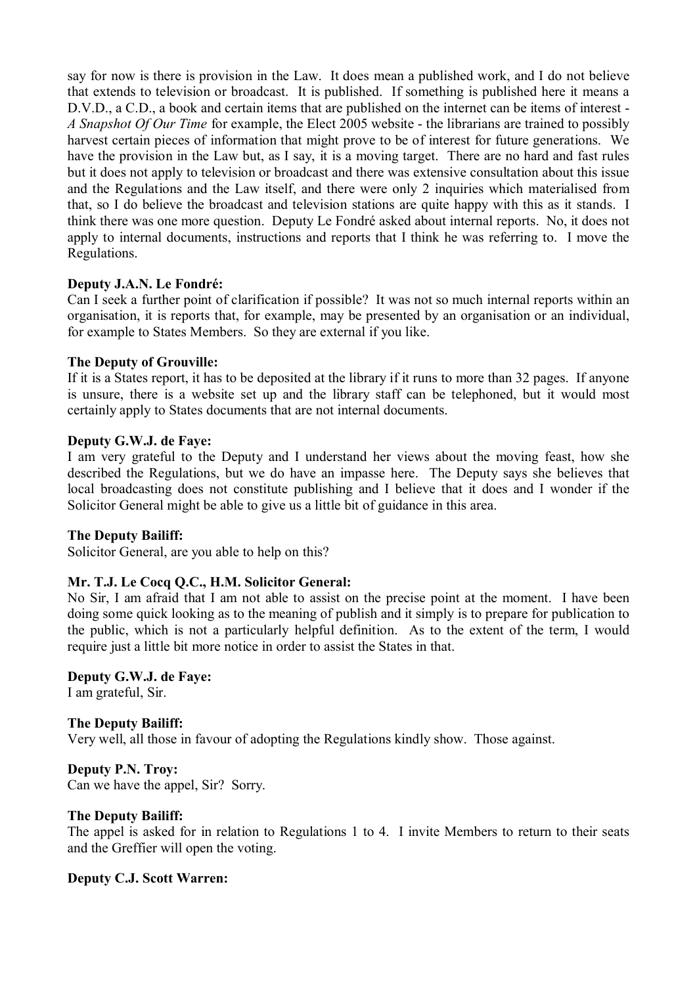say for now is there is provision in the Law. It does mean a published work, and I do not believe that extends to television or broadcast. It is published. If something is published here it means a D.V.D., a C.D., a book and certain items that are published on the internet can be items of interest - *A Snapshot Of Our Time* for example, the Elect 2005 website - the librarians are trained to possibly harvest certain pieces of information that might prove to be of interest for future generations. We have the provision in the Law but, as I say, it is a moving target. There are no hard and fast rules but it does not apply to television or broadcast and there was extensive consultation about this issue and the Regulations and the Law itself, and there were only 2 inquiries which materialised from that, so I do believe the broadcast and television stations are quite happy with this as it stands. I think there was one more question. Deputy Le Fondré asked about internal reports. No, it does not apply to internal documents, instructions and reports that I think he was referring to. I move the Regulations.

## **Deputy J.A.N. Le Fondré:**

Can I seek a further point of clarification if possible? It was not so much internal reports within an organisation, it is reports that, for example, may be presented by an organisation or an individual, for example to States Members. So they are external if you like.

### **The Deputy of Grouville:**

If it is a States report, it has to be deposited at the library if it runs to more than 32 pages. If anyone is unsure, there is a website set up and the library staff can be telephoned, but it would most certainly apply to States documents that are not internal documents.

#### **Deputy G.W.J. de Faye:**

I am very grateful to the Deputy and I understand her views about the moving feast, how she described the Regulations, but we do have an impasse here. The Deputy says she believes that local broadcasting does not constitute publishing and I believe that it does and I wonder if the Solicitor General might be able to give us a little bit of guidance in this area.

#### **The Deputy Bailiff:**

Solicitor General, are you able to help on this?

## **Mr. T.J. Le Cocq Q.C., H.M. Solicitor General:**

No Sir, I am afraid that I am not able to assist on the precise point at the moment. I have been doing some quick looking as to the meaning of publish and it simply is to prepare for publication to the public, which is not a particularly helpful definition. As to the extent of the term, I would require just a little bit more notice in order to assist the States in that.

# **Deputy G.W.J. de Faye:**

I am grateful, Sir.

## **The Deputy Bailiff:**

Very well, all those in favour of adopting the Regulations kindly show. Those against.

**Deputy P.N. Troy:** Can we have the appel, Sir? Sorry.

## **The Deputy Bailiff:**

The appel is asked for in relation to Regulations 1 to 4. I invite Members to return to their seats and the Greffier will open the voting.

## **Deputy C.J. Scott Warren:**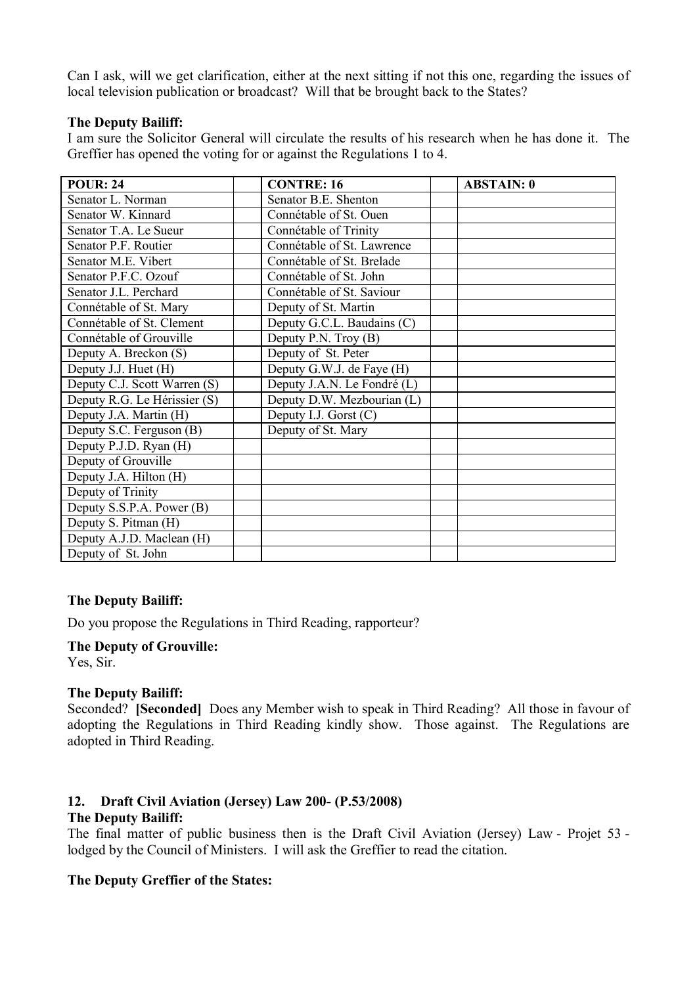Can I ask, will we get clarification, either at the next sitting if not this one, regarding the issues of local television publication or broadcast? Will that be brought back to the States?

#### **The Deputy Bailiff:**

I am sure the Solicitor General will circulate the results of his research when he has done it. The Greffier has opened the voting for or against the Regulations 1 to 4.

| <b>POUR: 24</b>              | <b>CONTRE: 16</b>           | <b>ABSTAIN: 0</b> |
|------------------------------|-----------------------------|-------------------|
| Senator L. Norman            | Senator B.E. Shenton        |                   |
| Senator W. Kinnard           | Connétable of St. Ouen      |                   |
| Senator T.A. Le Sueur        | Connétable of Trinity       |                   |
| Senator P.F. Routier         | Connétable of St. Lawrence  |                   |
| Senator M.E. Vibert          | Connétable of St. Brelade   |                   |
| Senator P.F.C. Ozouf         | Connétable of St. John      |                   |
| Senator J.L. Perchard        | Connétable of St. Saviour   |                   |
| Connétable of St. Mary       | Deputy of St. Martin        |                   |
| Connétable of St. Clement    | Deputy G.C.L. Baudains (C)  |                   |
| Connétable of Grouville      | Deputy P.N. Troy (B)        |                   |
| Deputy A. Breckon (S)        | Deputy of St. Peter         |                   |
| Deputy J.J. Huet (H)         | Deputy G.W.J. de Faye (H)   |                   |
| Deputy C.J. Scott Warren (S) | Deputy J.A.N. Le Fondré (L) |                   |
| Deputy R.G. Le Hérissier (S) | Deputy D.W. Mezbourian (L)  |                   |
| Deputy J.A. Martin (H)       | Deputy I.J. Gorst $(C)$     |                   |
| Deputy S.C. Ferguson (B)     | Deputy of St. Mary          |                   |
| Deputy P.J.D. Ryan (H)       |                             |                   |
| Deputy of Grouville          |                             |                   |
| Deputy J.A. Hilton (H)       |                             |                   |
| Deputy of Trinity            |                             |                   |
| Deputy S.S.P.A. Power (B)    |                             |                   |
| Deputy S. Pitman (H)         |                             |                   |
| Deputy A.J.D. Maclean (H)    |                             |                   |
| Deputy of St. John           |                             |                   |

#### **The Deputy Bailiff:**

Do you propose the Regulations in Third Reading, rapporteur?

# **The Deputy of Grouville:**

Yes, Sir.

## **The Deputy Bailiff:**

Seconded? **[Seconded]** Does any Member wish to speak in Third Reading? All those in favour of adopting the Regulations in Third Reading kindly show. Those against. The Regulations are adopted in Third Reading.

## **12. Draft Civil Aviation (Jersey) Law 200- (P.53/2008)**

### **The Deputy Bailiff:**

The final matter of public business then is the Draft Civil Aviation (Jersey) Law - Projet 53 lodged by the Council of Ministers. I will ask the Greffier to read the citation.

#### **The Deputy Greffier of the States:**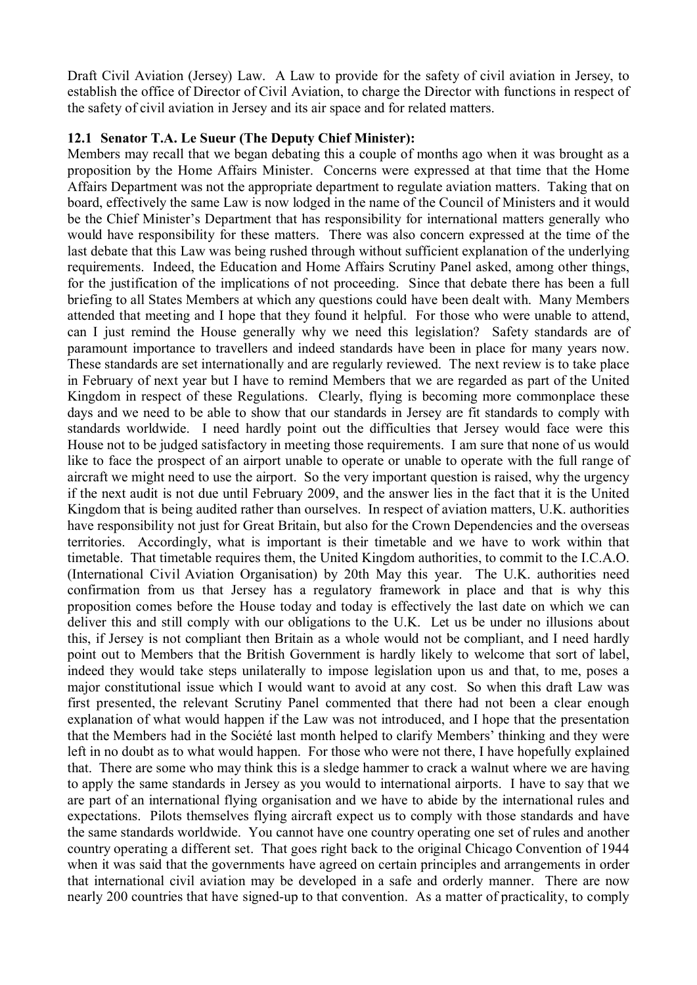Draft Civil Aviation (Jersey) Law. A Law to provide for the safety of civil aviation in Jersey, to establish the office of Director of Civil Aviation, to charge the Director with functions in respect of the safety of civil aviation in Jersey and its air space and for related matters.

#### **12.1 Senator T.A. Le Sueur (The Deputy Chief Minister):**

Members may recall that we began debating this a couple of months ago when it was brought as a proposition by the Home Affairs Minister. Concerns were expressed at that time that the Home Affairs Department was not the appropriate department to regulate aviation matters. Taking that on board, effectively the same Law is now lodged in the name of the Council of Ministers and it would be the Chief Minister's Department that has responsibility for international matters generally who would have responsibility for these matters. There was also concern expressed at the time of the last debate that this Law was being rushed through without sufficient explanation of the underlying requirements. Indeed, the Education and Home Affairs Scrutiny Panel asked, among other things, for the justification of the implications of not proceeding. Since that debate there has been a full briefing to all States Members at which any questions could have been dealt with. Many Members attended that meeting and I hope that they found it helpful. For those who were unable to attend, can I just remind the House generally why we need this legislation? Safety standards are of paramount importance to travellers and indeed standards have been in place for many years now. These standards are set internationally and are regularly reviewed. The next review is to take place in February of next year but I have to remind Members that we are regarded as part of the United Kingdom in respect of these Regulations. Clearly, flying is becoming more commonplace these days and we need to be able to show that our standards in Jersey are fit standards to comply with standards worldwide. I need hardly point out the difficulties that Jersey would face were this House not to be judged satisfactory in meeting those requirements. I am sure that none of us would like to face the prospect of an airport unable to operate or unable to operate with the full range of aircraft we might need to use the airport. So the very important question is raised, why the urgency if the next audit is not due until February 2009, and the answer lies in the fact that it is the United Kingdom that is being audited rather than ourselves. In respect of aviation matters, U.K. authorities have responsibility not just for Great Britain, but also for the Crown Dependencies and the overseas territories. Accordingly, what is important is their timetable and we have to work within that timetable. That timetable requires them, the United Kingdom authorities, to commit to the I.C.A.O. (International Civil Aviation Organisation) by 20th May this year. The U.K. authorities need confirmation from us that Jersey has a regulatory framework in place and that is why this proposition comes before the House today and today is effectively the last date on which we can deliver this and still comply with our obligations to the U.K. Let us be under no illusions about this, if Jersey is not compliant then Britain as a whole would not be compliant, and I need hardly point out to Members that the British Government is hardly likely to welcome that sort of label, indeed they would take steps unilaterally to impose legislation upon us and that, to me, poses a major constitutional issue which I would want to avoid at any cost. So when this draft Law was first presented, the relevant Scrutiny Panel commented that there had not been a clear enough explanation of what would happen if the Law was not introduced, and I hope that the presentation that the Members had in the Société last month helped to clarify Members' thinking and they were left in no doubt as to what would happen. For those who were not there, I have hopefully explained that. There are some who may think this is a sledge hammer to crack a walnut where we are having to apply the same standards in Jersey as you would to international airports. I have to say that we are part of an international flying organisation and we have to abide by the international rules and expectations. Pilots themselves flying aircraft expect us to comply with those standards and have the same standards worldwide. You cannot have one country operating one set of rules and another country operating a different set. That goes right back to the original Chicago Convention of 1944 when it was said that the governments have agreed on certain principles and arrangements in order that international civil aviation may be developed in a safe and orderly manner. There are now nearly 200 countries that have signed-up to that convention. As a matter of practicality, to comply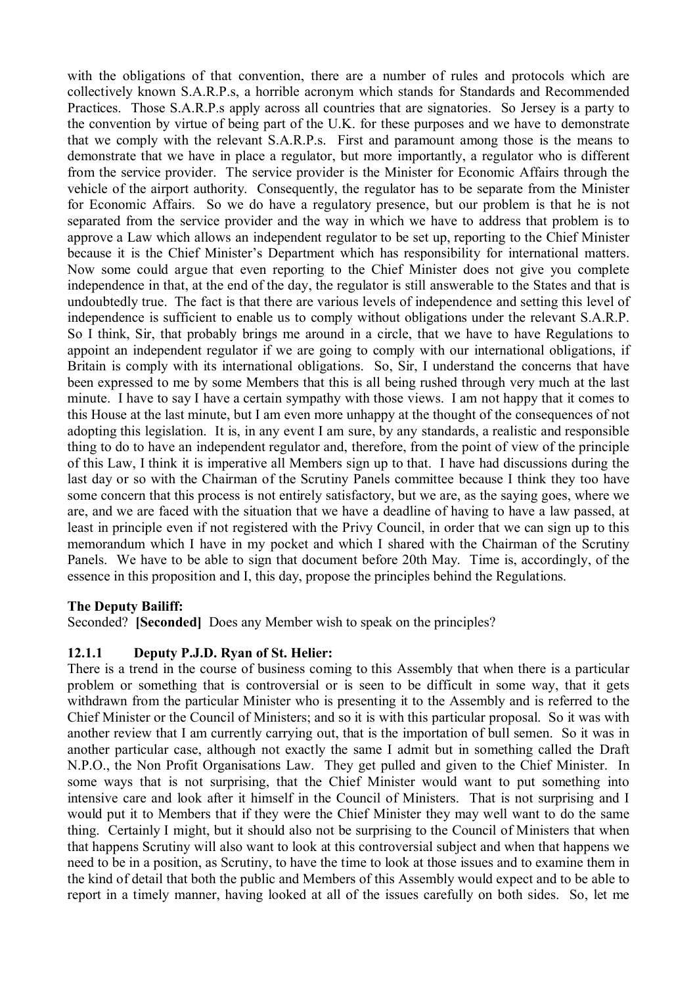with the obligations of that convention, there are a number of rules and protocols which are collectively known S.A.R.P.s, a horrible acronym which stands for Standards and Recommended Practices. Those S.A.R.P.s apply across all countries that are signatories. So Jersey is a party to the convention by virtue of being part of the U.K. for these purposes and we have to demonstrate that we comply with the relevant S.A.R.P.s. First and paramount among those is the means to demonstrate that we have in place a regulator, but more importantly, a regulator who is different from the service provider. The service provider is the Minister for Economic Affairs through the vehicle of the airport authority. Consequently, the regulator has to be separate from the Minister for Economic Affairs. So we do have a regulatory presence, but our problem is that he is not separated from the service provider and the way in which we have to address that problem is to approve a Law which allows an independent regulator to be set up, reporting to the Chief Minister because it is the Chief Minister's Department which has responsibility for international matters. Now some could argue that even reporting to the Chief Minister does not give you complete independence in that, at the end of the day, the regulator is still answerable to the States and that is undoubtedly true. The fact is that there are various levels of independence and setting this level of independence is sufficient to enable us to comply without obligations under the relevant S.A.R.P. So I think, Sir, that probably brings me around in a circle, that we have to have Regulations to appoint an independent regulator if we are going to comply with our international obligations, if Britain is comply with its international obligations. So, Sir, I understand the concerns that have been expressed to me by some Members that this is all being rushed through very much at the last minute. I have to say I have a certain sympathy with those views. I am not happy that it comes to this House at the last minute, but I am even more unhappy at the thought of the consequences of not adopting this legislation. It is, in any event I am sure, by any standards, a realistic and responsible thing to do to have an independent regulator and, therefore, from the point of view of the principle of this Law, I think it is imperative all Members sign up to that. I have had discussions during the last day or so with the Chairman of the Scrutiny Panels committee because I think they too have some concern that this process is not entirely satisfactory, but we are, as the saying goes, where we are, and we are faced with the situation that we have a deadline of having to have a law passed, at least in principle even if not registered with the Privy Council, in order that we can sign up to this memorandum which I have in my pocket and which I shared with the Chairman of the Scrutiny Panels. We have to be able to sign that document before 20th May. Time is, accordingly, of the essence in this proposition and I, this day, propose the principles behind the Regulations.

#### **The Deputy Bailiff:**

Seconded? **[Seconded]** Does any Member wish to speak on the principles?

#### **12.1.1 Deputy P.J.D. Ryan of St. Helier:**

There is a trend in the course of business coming to this Assembly that when there is a particular problem or something that is controversial or is seen to be difficult in some way, that it gets withdrawn from the particular Minister who is presenting it to the Assembly and is referred to the Chief Minister or the Council of Ministers; and so it is with this particular proposal. So it was with another review that I am currently carrying out, that is the importation of bull semen. So it was in another particular case, although not exactly the same I admit but in something called the Draft N.P.O., the Non Profit Organisations Law. They get pulled and given to the Chief Minister. In some ways that is not surprising, that the Chief Minister would want to put something into intensive care and look after it himself in the Council of Ministers. That is not surprising and I would put it to Members that if they were the Chief Minister they may well want to do the same thing. Certainly I might, but it should also not be surprising to the Council of Ministers that when that happens Scrutiny will also want to look at this controversial subject and when that happens we need to be in a position, as Scrutiny, to have the time to look at those issues and to examine them in the kind of detail that both the public and Members of this Assembly would expect and to be able to report in a timely manner, having looked at all of the issues carefully on both sides. So, let me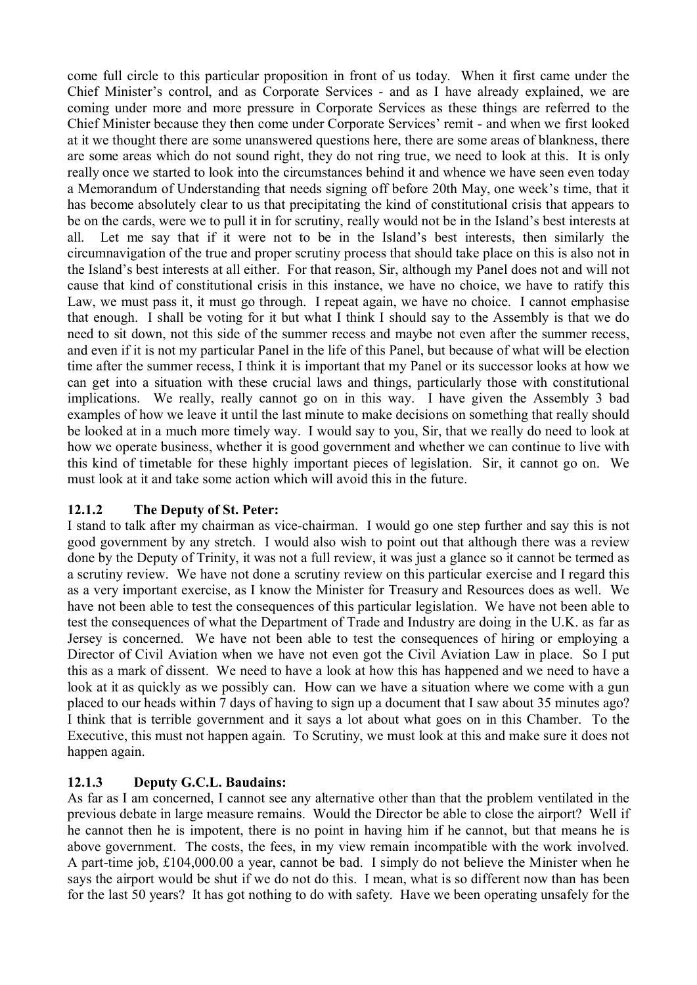come full circle to this particular proposition in front of us today. When it first came under the Chief Minister's control, and as Corporate Services - and as I have already explained, we are coming under more and more pressure in Corporate Services as these things are referred to the Chief Minister because they then come under Corporate Services' remit - and when we first looked at it we thought there are some unanswered questions here, there are some areas of blankness, there are some areas which do not sound right, they do not ring true, we need to look at this. It is only really once we started to look into the circumstances behind it and whence we have seen even today a Memorandum of Understanding that needs signing off before 20th May, one week's time, that it has become absolutely clear to us that precipitating the kind of constitutional crisis that appears to be on the cards, were we to pull it in for scrutiny, really would not be in the Island's best interests at all. Let me say that if it were not to be in the Island's best interests, then similarly the circumnavigation of the true and proper scrutiny process that should take place on this is also not in the Island's best interests at all either. For that reason, Sir, although my Panel does not and will not cause that kind of constitutional crisis in this instance, we have no choice, we have to ratify this Law, we must pass it, it must go through. I repeat again, we have no choice. I cannot emphasise that enough. I shall be voting for it but what I think I should say to the Assembly is that we do need to sit down, not this side of the summer recess and maybe not even after the summer recess, and even if it is not my particular Panel in the life of this Panel, but because of what will be election time after the summer recess, I think it is important that my Panel or its successor looks at how we can get into a situation with these crucial laws and things, particularly those with constitutional implications. We really, really cannot go on in this way. I have given the Assembly 3 bad examples of how we leave it until the last minute to make decisions on something that really should be looked at in a much more timely way. I would say to you, Sir, that we really do need to look at how we operate business, whether it is good government and whether we can continue to live with this kind of timetable for these highly important pieces of legislation. Sir, it cannot go on. We must look at it and take some action which will avoid this in the future.

# **12.1.2 The Deputy of St. Peter:**

I stand to talk after my chairman as vice-chairman. I would go one step further and say this is not good government by any stretch. I would also wish to point out that although there was a review done by the Deputy of Trinity, it was not a full review, it was just a glance so it cannot be termed as a scrutiny review. We have not done a scrutiny review on this particular exercise and I regard this as a very important exercise, as I know the Minister for Treasury and Resources does as well. We have not been able to test the consequences of this particular legislation. We have not been able to test the consequences of what the Department of Trade and Industry are doing in the U.K. as far as Jersey is concerned. We have not been able to test the consequences of hiring or employing a Director of Civil Aviation when we have not even got the Civil Aviation Law in place. So I put this as a mark of dissent. We need to have a look at how this has happened and we need to have a look at it as quickly as we possibly can. How can we have a situation where we come with a gun placed to our heads within 7 days of having to sign up a document that I saw about 35 minutes ago? I think that is terrible government and it says a lot about what goes on in this Chamber. To the Executive, this must not happen again. To Scrutiny, we must look at this and make sure it does not happen again.

# **12.1.3 Deputy G.C.L. Baudains:**

As far as I am concerned, I cannot see any alternative other than that the problem ventilated in the previous debate in large measure remains. Would the Director be able to close the airport? Well if he cannot then he is impotent, there is no point in having him if he cannot, but that means he is above government. The costs, the fees, in my view remain incompatible with the work involved. A part-time job, £104,000.00 a year, cannot be bad. I simply do not believe the Minister when he says the airport would be shut if we do not do this. I mean, what is so different now than has been for the last 50 years? It has got nothing to do with safety. Have we been operating unsafely for the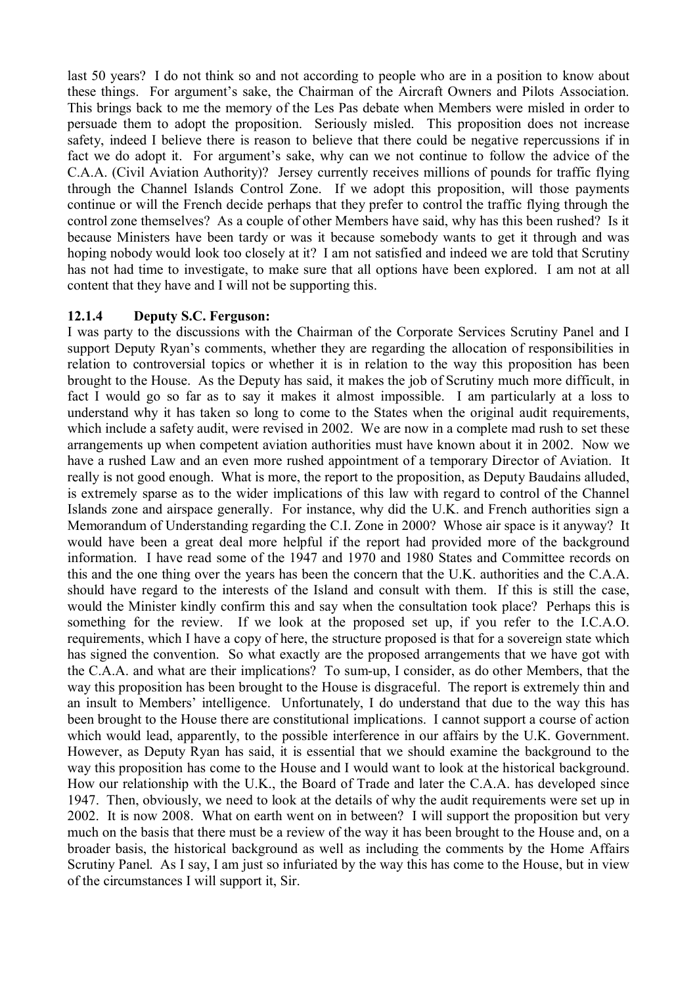last 50 years? I do not think so and not according to people who are in a position to know about these things. For argument's sake, the Chairman of the Aircraft Owners and Pilots Association. This brings back to me the memory of the Les Pas debate when Members were misled in order to persuade them to adopt the proposition. Seriously misled. This proposition does not increase safety, indeed I believe there is reason to believe that there could be negative repercussions if in fact we do adopt it. For argument's sake, why can we not continue to follow the advice of the C.A.A. (Civil Aviation Authority)? Jersey currently receives millions of pounds for traffic flying through the Channel Islands Control Zone. If we adopt this proposition, will those payments continue or will the French decide perhaps that they prefer to control the traffic flying through the control zone themselves? As a couple of other Members have said, why has this been rushed? Is it because Ministers have been tardy or was it because somebody wants to get it through and was hoping nobody would look too closely at it? I am not satisfied and indeed we are told that Scrutiny has not had time to investigate, to make sure that all options have been explored. I am not at all content that they have and I will not be supporting this.

### **12.1.4 Deputy S.C. Ferguson:**

I was party to the discussions with the Chairman of the Corporate Services Scrutiny Panel and I support Deputy Ryan's comments, whether they are regarding the allocation of responsibilities in relation to controversial topics or whether it is in relation to the way this proposition has been brought to the House. As the Deputy has said, it makes the job of Scrutiny much more difficult, in fact I would go so far as to say it makes it almost impossible. I am particularly at a loss to understand why it has taken so long to come to the States when the original audit requirements, which include a safety audit, were revised in 2002. We are now in a complete mad rush to set these arrangements up when competent aviation authorities must have known about it in 2002. Now we have a rushed Law and an even more rushed appointment of a temporary Director of Aviation. It really is not good enough. What is more, the report to the proposition, as Deputy Baudains alluded, is extremely sparse as to the wider implications of this law with regard to control of the Channel Islands zone and airspace generally. For instance, why did the U.K. and French authorities sign a Memorandum of Understanding regarding the C.I. Zone in 2000? Whose air space is it anyway? It would have been a great deal more helpful if the report had provided more of the background information. I have read some of the 1947 and 1970 and 1980 States and Committee records on this and the one thing over the years has been the concern that the U.K. authorities and the C.A.A. should have regard to the interests of the Island and consult with them. If this is still the case, would the Minister kindly confirm this and say when the consultation took place? Perhaps this is something for the review. If we look at the proposed set up, if you refer to the I.C.A.O. requirements, which I have a copy of here, the structure proposed is that for a sovereign state which has signed the convention. So what exactly are the proposed arrangements that we have got with the C.A.A. and what are their implications? To sum-up, I consider, as do other Members, that the way this proposition has been brought to the House is disgraceful. The report is extremely thin and an insult to Members' intelligence. Unfortunately, I do understand that due to the way this has been brought to the House there are constitutional implications. I cannot support a course of action which would lead, apparently, to the possible interference in our affairs by the U.K. Government. However, as Deputy Ryan has said, it is essential that we should examine the background to the way this proposition has come to the House and I would want to look at the historical background. How our relationship with the U.K., the Board of Trade and later the C.A.A. has developed since 1947. Then, obviously, we need to look at the details of why the audit requirements were set up in 2002. It is now 2008. What on earth went on in between? I will support the proposition but very much on the basis that there must be a review of the way it has been brought to the House and, on a broader basis, the historical background as well as including the comments by the Home Affairs Scrutiny Panel. As I say, I am just so infuriated by the way this has come to the House, but in view of the circumstances I will support it, Sir.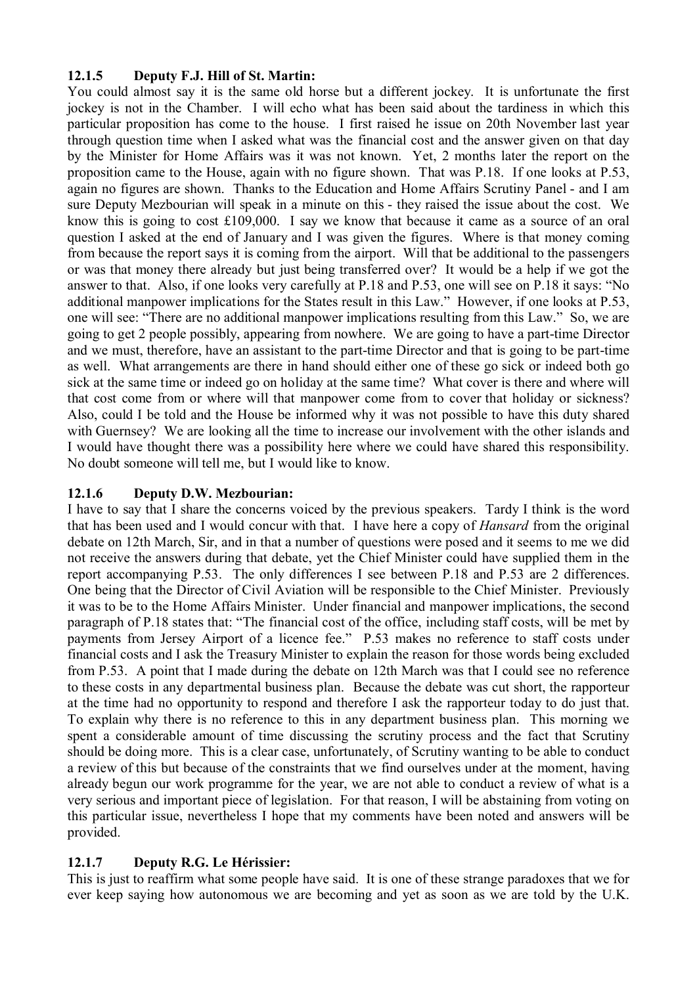# **12.1.5 Deputy F.J. Hill of St. Martin:**

You could almost say it is the same old horse but a different jockey. It is unfortunate the first jockey is not in the Chamber. I will echo what has been said about the tardiness in which this particular proposition has come to the house. I first raised he issue on 20th November last year through question time when I asked what was the financial cost and the answer given on that day by the Minister for Home Affairs was it was not known. Yet, 2 months later the report on the proposition came to the House, again with no figure shown. That was P.18. If one looks at P.53, again no figures are shown. Thanks to the Education and Home Affairs Scrutiny Panel - and I am sure Deputy Mezbourian will speak in a minute on this - they raised the issue about the cost. We know this is going to cost £109,000. I say we know that because it came as a source of an oral question I asked at the end of January and I was given the figures. Where is that money coming from because the report says it is coming from the airport. Will that be additional to the passengers or was that money there already but just being transferred over? It would be a help if we got the answer to that. Also, if one looks very carefully at P.18 and P.53, one will see on P.18 it says: "No additional manpower implications for the States result in this Law." However, if one looks at P.53, one will see: "There are no additional manpower implications resulting from this Law." So, we are going to get 2 people possibly, appearing from nowhere. We are going to have a part-time Director and we must, therefore, have an assistant to the part-time Director and that is going to be part-time as well. What arrangements are there in hand should either one of these go sick or indeed both go sick at the same time or indeed go on holiday at the same time? What cover is there and where will that cost come from or where will that manpower come from to cover that holiday or sickness? Also, could I be told and the House be informed why it was not possible to have this duty shared with Guernsey? We are looking all the time to increase our involvement with the other islands and I would have thought there was a possibility here where we could have shared this responsibility. No doubt someone will tell me, but I would like to know.

## **12.1.6 Deputy D.W. Mezbourian:**

I have to say that I share the concerns voiced by the previous speakers. Tardy I think is the word that has been used and I would concur with that. I have here a copy of *Hansard* from the original debate on 12th March, Sir, and in that a number of questions were posed and it seems to me we did not receive the answers during that debate, yet the Chief Minister could have supplied them in the report accompanying P.53. The only differences I see between P.18 and P.53 are 2 differences. One being that the Director of Civil Aviation will be responsible to the Chief Minister. Previously it was to be to the Home Affairs Minister. Under financial and manpower implications, the second paragraph of P.18 states that: "The financial cost of the office, including staff costs, will be met by payments from Jersey Airport of a licence fee." P.53 makes no reference to staff costs under financial costs and I ask the Treasury Minister to explain the reason for those words being excluded from P.53. A point that I made during the debate on 12th March was that I could see no reference to these costs in any departmental business plan. Because the debate was cut short, the rapporteur at the time had no opportunity to respond and therefore I ask the rapporteur today to do just that. To explain why there is no reference to this in any department business plan. This morning we spent a considerable amount of time discussing the scrutiny process and the fact that Scrutiny should be doing more. This is a clear case, unfortunately, of Scrutiny wanting to be able to conduct a review of this but because of the constraints that we find ourselves under at the moment, having already begun our work programme for the year, we are not able to conduct a review of what is a very serious and important piece of legislation. For that reason, I will be abstaining from voting on this particular issue, nevertheless I hope that my comments have been noted and answers will be provided.

## **12.1.7 Deputy R.G. Le Hérissier:**

This is just to reaffirm what some people have said. It is one of these strange paradoxes that we for ever keep saying how autonomous we are becoming and yet as soon as we are told by the U.K.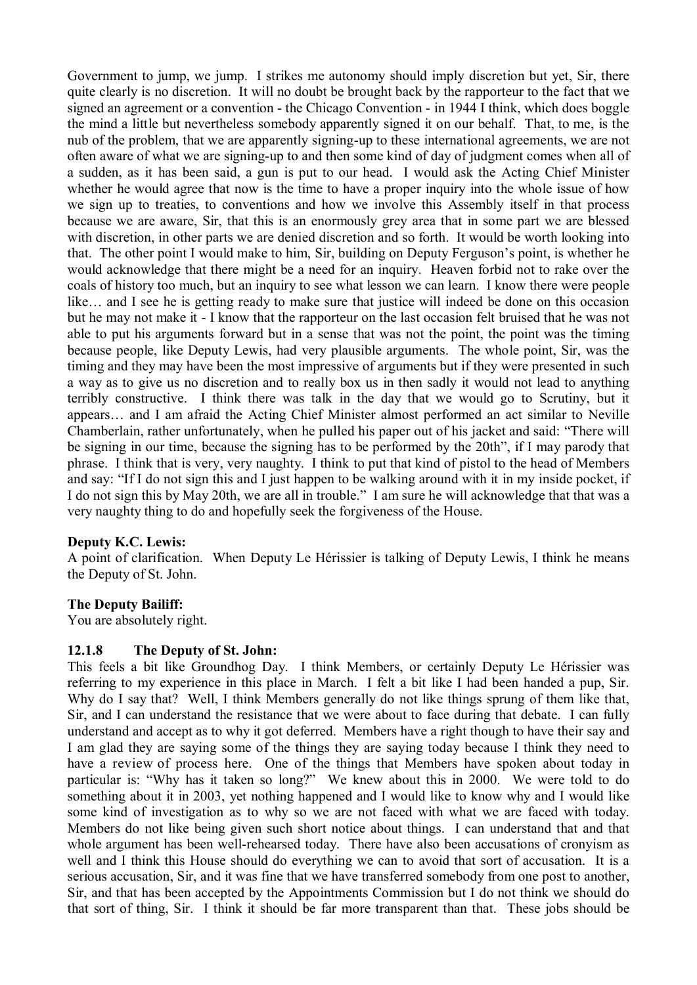Government to jump, we jump. I strikes me autonomy should imply discretion but yet, Sir, there quite clearly is no discretion. It will no doubt be brought back by the rapporteur to the fact that we signed an agreement or a convention - the Chicago Convention - in 1944 I think, which does boggle the mind a little but nevertheless somebody apparently signed it on our behalf. That, to me, is the nub of the problem, that we are apparently signing-up to these international agreements, we are not often aware of what we are signing-up to and then some kind of day of judgment comes when all of a sudden, as it has been said, a gun is put to our head. I would ask the Acting Chief Minister whether he would agree that now is the time to have a proper inquiry into the whole issue of how we sign up to treaties, to conventions and how we involve this Assembly itself in that process because we are aware, Sir, that this is an enormously grey area that in some part we are blessed with discretion, in other parts we are denied discretion and so forth. It would be worth looking into that. The other point I would make to him, Sir, building on Deputy Ferguson's point, is whether he would acknowledge that there might be a need for an inquiry. Heaven forbid not to rake over the coals of history too much, but an inquiry to see what lesson we can learn. I know there were people like… and I see he is getting ready to make sure that justice will indeed be done on this occasion but he may not make it - I know that the rapporteur on the last occasion felt bruised that he was not able to put his arguments forward but in a sense that was not the point, the point was the timing because people, like Deputy Lewis, had very plausible arguments. The whole point, Sir, was the timing and they may have been the most impressive of arguments but if they were presented in such a way as to give us no discretion and to really box us in then sadly it would not lead to anything terribly constructive. I think there was talk in the day that we would go to Scrutiny, but it appears… and I am afraid the Acting Chief Minister almost performed an act similar to Neville Chamberlain, rather unfortunately, when he pulled his paper out of his jacket and said: "There will be signing in our time, because the signing has to be performed by the 20th", if I may parody that phrase. I think that is very, very naughty. I think to put that kind of pistol to the head of Members and say: "If I do not sign this and I just happen to be walking around with it in my inside pocket, if I do not sign this by May 20th, we are all in trouble." I am sure he will acknowledge that that was a very naughty thing to do and hopefully seek the forgiveness of the House.

## **Deputy K.C. Lewis:**

A point of clarification. When Deputy Le Hérissier is talking of Deputy Lewis, I think he means the Deputy of St. John.

#### **The Deputy Bailiff:**

You are absolutely right.

#### **12.1.8 The Deputy of St. John:**

This feels a bit like Groundhog Day. I think Members, or certainly Deputy Le Hérissier was referring to my experience in this place in March. I felt a bit like I had been handed a pup, Sir. Why do I say that? Well, I think Members generally do not like things sprung of them like that, Sir, and I can understand the resistance that we were about to face during that debate. I can fully understand and accept as to why it got deferred. Members have a right though to have their say and I am glad they are saying some of the things they are saying today because I think they need to have a review of process here. One of the things that Members have spoken about today in particular is: "Why has it taken so long?" We knew about this in 2000. We were told to do something about it in 2003, yet nothing happened and I would like to know why and I would like some kind of investigation as to why so we are not faced with what we are faced with today. Members do not like being given such short notice about things. I can understand that and that whole argument has been well-rehearsed today. There have also been accusations of cronyism as well and I think this House should do everything we can to avoid that sort of accusation. It is a serious accusation, Sir, and it was fine that we have transferred somebody from one post to another, Sir, and that has been accepted by the Appointments Commission but I do not think we should do that sort of thing, Sir. I think it should be far more transparent than that. These jobs should be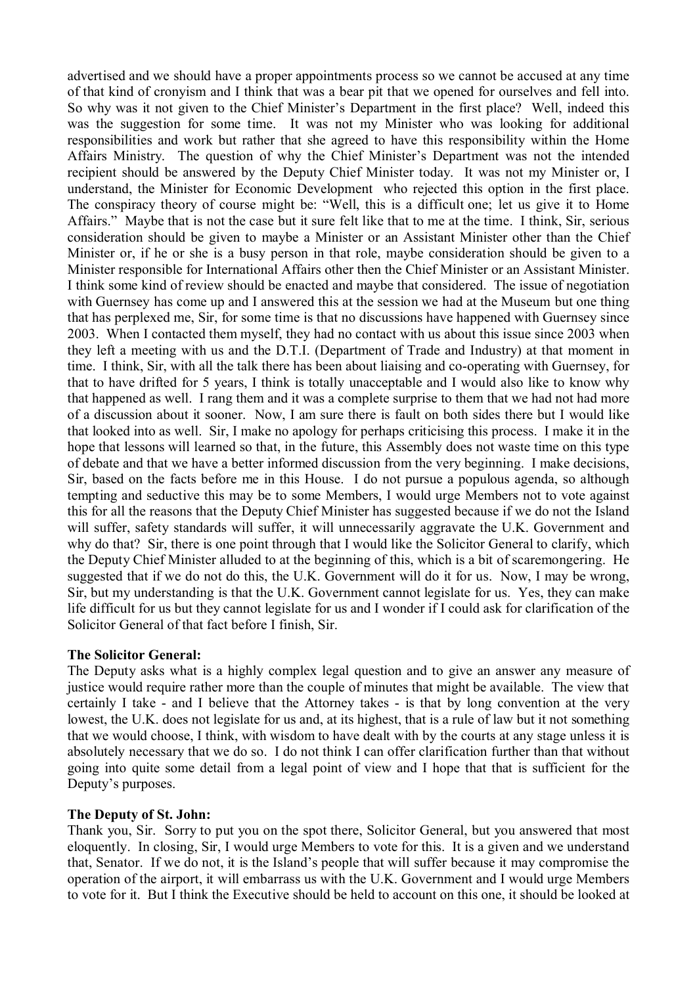advertised and we should have a proper appointments process so we cannot be accused at any time of that kind of cronyism and I think that was a bear pit that we opened for ourselves and fell into. So why was it not given to the Chief Minister's Department in the first place? Well, indeed this was the suggestion for some time. It was not my Minister who was looking for additional responsibilities and work but rather that she agreed to have this responsibility within the Home Affairs Ministry. The question of why the Chief Minister's Department was not the intended recipient should be answered by the Deputy Chief Minister today. It was not my Minister or, I understand, the Minister for Economic Development who rejected this option in the first place. The conspiracy theory of course might be: "Well, this is a difficult one; let us give it to Home Affairs." Maybe that is not the case but it sure felt like that to me at the time. I think, Sir, serious consideration should be given to maybe a Minister or an Assistant Minister other than the Chief Minister or, if he or she is a busy person in that role, maybe consideration should be given to a Minister responsible for International Affairs other then the Chief Minister or an Assistant Minister. I think some kind of review should be enacted and maybe that considered. The issue of negotiation with Guernsey has come up and I answered this at the session we had at the Museum but one thing that has perplexed me, Sir, for some time is that no discussions have happened with Guernsey since 2003. When I contacted them myself, they had no contact with us about this issue since 2003 when they left a meeting with us and the D.T.I. (Department of Trade and Industry) at that moment in time. I think, Sir, with all the talk there has been about liaising and co-operating with Guernsey, for that to have drifted for 5 years, I think is totally unacceptable and I would also like to know why that happened as well. I rang them and it was a complete surprise to them that we had not had more of a discussion about it sooner. Now, I am sure there is fault on both sides there but I would like that looked into as well. Sir, I make no apology for perhaps criticising this process. I make it in the hope that lessons will learned so that, in the future, this Assembly does not waste time on this type of debate and that we have a better informed discussion from the very beginning. I make decisions, Sir, based on the facts before me in this House. I do not pursue a populous agenda, so although tempting and seductive this may be to some Members, I would urge Members not to vote against this for all the reasons that the Deputy Chief Minister has suggested because if we do not the Island will suffer, safety standards will suffer, it will unnecessarily aggravate the U.K. Government and why do that? Sir, there is one point through that I would like the Solicitor General to clarify, which the Deputy Chief Minister alluded to at the beginning of this, which is a bit of scaremongering. He suggested that if we do not do this, the U.K. Government will do it for us. Now, I may be wrong, Sir, but my understanding is that the U.K. Government cannot legislate for us. Yes, they can make life difficult for us but they cannot legislate for us and I wonder if I could ask for clarification of the Solicitor General of that fact before I finish, Sir.

#### **The Solicitor General:**

The Deputy asks what is a highly complex legal question and to give an answer any measure of justice would require rather more than the couple of minutes that might be available. The view that certainly I take - and I believe that the Attorney takes - is that by long convention at the very lowest, the U.K. does not legislate for us and, at its highest, that is a rule of law but it not something that we would choose, I think, with wisdom to have dealt with by the courts at any stage unless it is absolutely necessary that we do so. I do not think I can offer clarification further than that without going into quite some detail from a legal point of view and I hope that that is sufficient for the Deputy's purposes.

#### **The Deputy of St. John:**

Thank you, Sir. Sorry to put you on the spot there, Solicitor General, but you answered that most eloquently. In closing, Sir, I would urge Members to vote for this. It is a given and we understand that, Senator. If we do not, it is the Island's people that will suffer because it may compromise the operation of the airport, it will embarrass us with the U.K. Government and I would urge Members to vote for it. But I think the Executive should be held to account on this one, it should be looked at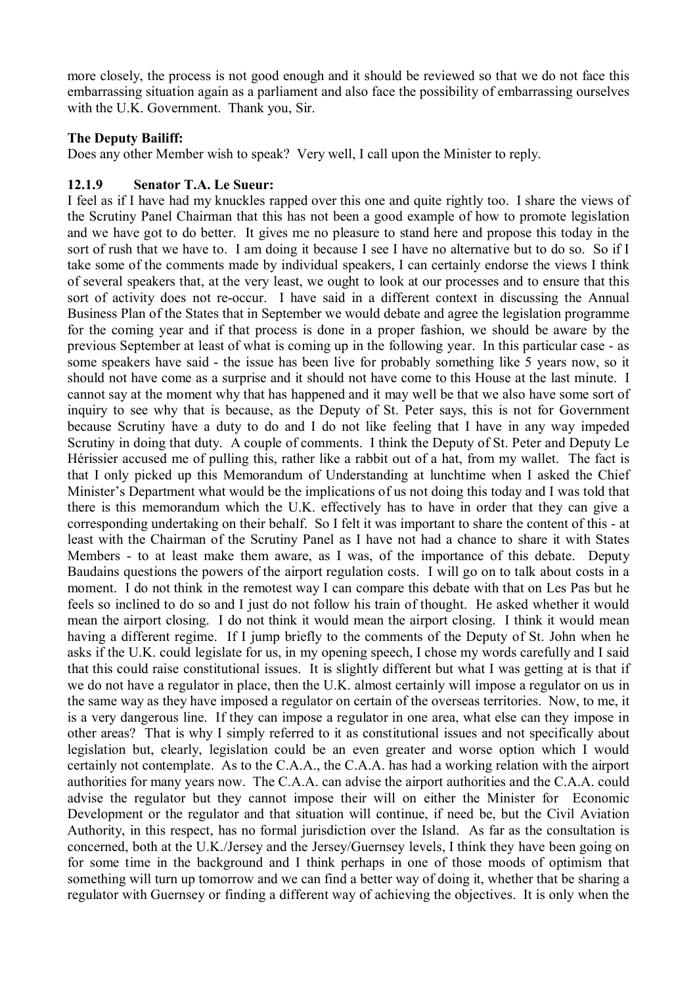more closely, the process is not good enough and it should be reviewed so that we do not face this embarrassing situation again as a parliament and also face the possibility of embarrassing ourselves with the U.K. Government. Thank you, Sir.

### **The Deputy Bailiff:**

Does any other Member wish to speak? Very well, I call upon the Minister to reply.

### **12.1.9 Senator T.A. Le Sueur:**

I feel as if I have had my knuckles rapped over this one and quite rightly too. I share the views of the Scrutiny Panel Chairman that this has not been a good example of how to promote legislation and we have got to do better. It gives me no pleasure to stand here and propose this today in the sort of rush that we have to. I am doing it because I see I have no alternative but to do so. So if I take some of the comments made by individual speakers, I can certainly endorse the views I think of several speakers that, at the very least, we ought to look at our processes and to ensure that this sort of activity does not re-occur. I have said in a different context in discussing the Annual Business Plan of the States that in September we would debate and agree the legislation programme for the coming year and if that process is done in a proper fashion, we should be aware by the previous September at least of what is coming up in the following year. In this particular case - as some speakers have said - the issue has been live for probably something like 5 years now, so it should not have come as a surprise and it should not have come to this House at the last minute. I cannot say at the moment why that has happened and it may well be that we also have some sort of inquiry to see why that is because, as the Deputy of St. Peter says, this is not for Government because Scrutiny have a duty to do and I do not like feeling that I have in any way impeded Scrutiny in doing that duty. A couple of comments. I think the Deputy of St. Peter and Deputy Le Hérissier accused me of pulling this, rather like a rabbit out of a hat, from my wallet. The fact is that I only picked up this Memorandum of Understanding at lunchtime when I asked the Chief Minister's Department what would be the implications of us not doing this today and I was told that there is this memorandum which the U.K. effectively has to have in order that they can give a corresponding undertaking on their behalf. So I felt it was important to share the content of this - at least with the Chairman of the Scrutiny Panel as I have not had a chance to share it with States Members - to at least make them aware, as I was, of the importance of this debate. Deputy Baudains questions the powers of the airport regulation costs. I will go on to talk about costs in a moment. I do not think in the remotest way I can compare this debate with that on Les Pas but he feels so inclined to do so and I just do not follow his train of thought. He asked whether it would mean the airport closing. I do not think it would mean the airport closing. I think it would mean having a different regime. If I jump briefly to the comments of the Deputy of St. John when he asks if the U.K. could legislate for us, in my opening speech, I chose my words carefully and I said that this could raise constitutional issues. It is slightly different but what I was getting at is that if we do not have a regulator in place, then the U.K. almost certainly will impose a regulator on us in the same way as they have imposed a regulator on certain of the overseas territories. Now, to me, it is a very dangerous line. If they can impose a regulator in one area, what else can they impose in other areas? That is why I simply referred to it as constitutional issues and not specifically about legislation but, clearly, legislation could be an even greater and worse option which I would certainly not contemplate. As to the C.A.A., the C.A.A. has had a working relation with the airport authorities for many years now. The C.A.A. can advise the airport authorities and the C.A.A. could advise the regulator but they cannot impose their will on either the Minister for Economic Development or the regulator and that situation will continue, if need be, but the Civil Aviation Authority, in this respect, has no formal jurisdiction over the Island. As far as the consultation is concerned, both at the U.K./Jersey and the Jersey/Guernsey levels, I think they have been going on for some time in the background and I think perhaps in one of those moods of optimism that something will turn up tomorrow and we can find a better way of doing it, whether that be sharing a regulator with Guernsey or finding a different way of achieving the objectives. It is only when the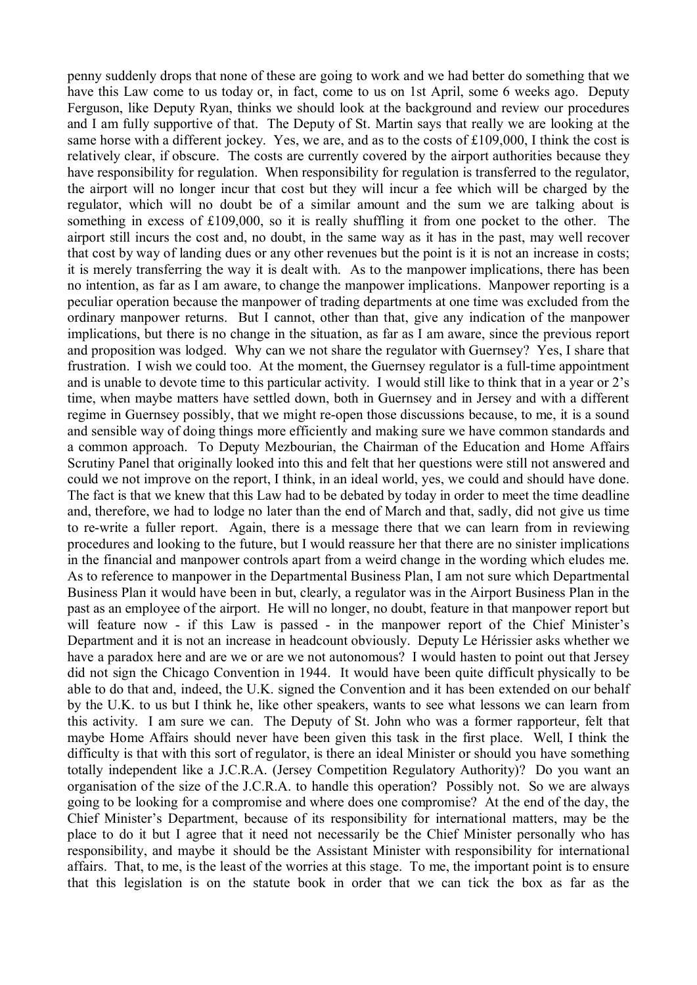penny suddenly drops that none of these are going to work and we had better do something that we have this Law come to us today or, in fact, come to us on 1st April, some 6 weeks ago. Deputy Ferguson, like Deputy Ryan, thinks we should look at the background and review our procedures and I am fully supportive of that. The Deputy of St. Martin says that really we are looking at the same horse with a different jockey. Yes, we are, and as to the costs of £109,000, I think the cost is relatively clear, if obscure. The costs are currently covered by the airport authorities because they have responsibility for regulation. When responsibility for regulation is transferred to the regulator, the airport will no longer incur that cost but they will incur a fee which will be charged by the regulator, which will no doubt be of a similar amount and the sum we are talking about is something in excess of £109,000, so it is really shuffling it from one pocket to the other. The airport still incurs the cost and, no doubt, in the same way as it has in the past, may well recover that cost by way of landing dues or any other revenues but the point is it is not an increase in costs; it is merely transferring the way it is dealt with. As to the manpower implications, there has been no intention, as far as I am aware, to change the manpower implications. Manpower reporting is a peculiar operation because the manpower of trading departments at one time was excluded from the ordinary manpower returns. But I cannot, other than that, give any indication of the manpower implications, but there is no change in the situation, as far as I am aware, since the previous report and proposition was lodged. Why can we not share the regulator with Guernsey? Yes, I share that frustration. I wish we could too. At the moment, the Guernsey regulator is a full-time appointment and is unable to devote time to this particular activity. I would still like to think that in a year or 2's time, when maybe matters have settled down, both in Guernsey and in Jersey and with a different regime in Guernsey possibly, that we might re-open those discussions because, to me, it is a sound and sensible way of doing things more efficiently and making sure we have common standards and a common approach. To Deputy Mezbourian, the Chairman of the Education and Home Affairs Scrutiny Panel that originally looked into this and felt that her questions were still not answered and could we not improve on the report, I think, in an ideal world, yes, we could and should have done. The fact is that we knew that this Law had to be debated by today in order to meet the time deadline and, therefore, we had to lodge no later than the end of March and that, sadly, did not give us time to re-write a fuller report. Again, there is a message there that we can learn from in reviewing procedures and looking to the future, but I would reassure her that there are no sinister implications in the financial and manpower controls apart from a weird change in the wording which eludes me. As to reference to manpower in the Departmental Business Plan, I am not sure which Departmental Business Plan it would have been in but, clearly, a regulator was in the Airport Business Plan in the past as an employee of the airport. He will no longer, no doubt, feature in that manpower report but will feature now - if this Law is passed - in the manpower report of the Chief Minister's Department and it is not an increase in headcount obviously. Deputy Le Hérissier asks whether we have a paradox here and are we or are we not autonomous? I would hasten to point out that Jersey did not sign the Chicago Convention in 1944. It would have been quite difficult physically to be able to do that and, indeed, the U.K. signed the Convention and it has been extended on our behalf by the U.K. to us but I think he, like other speakers, wants to see what lessons we can learn from this activity. I am sure we can. The Deputy of St. John who was a former rapporteur, felt that maybe Home Affairs should never have been given this task in the first place. Well, I think the difficulty is that with this sort of regulator, is there an ideal Minister or should you have something totally independent like a J.C.R.A. (Jersey Competition Regulatory Authority)? Do you want an organisation of the size of the J.C.R.A. to handle this operation? Possibly not. So we are always going to be looking for a compromise and where does one compromise? At the end of the day, the Chief Minister's Department, because of its responsibility for international matters, may be the place to do it but I agree that it need not necessarily be the Chief Minister personally who has responsibility, and maybe it should be the Assistant Minister with responsibility for international affairs. That, to me, is the least of the worries at this stage. To me, the important point is to ensure that this legislation is on the statute book in order that we can tick the box as far as the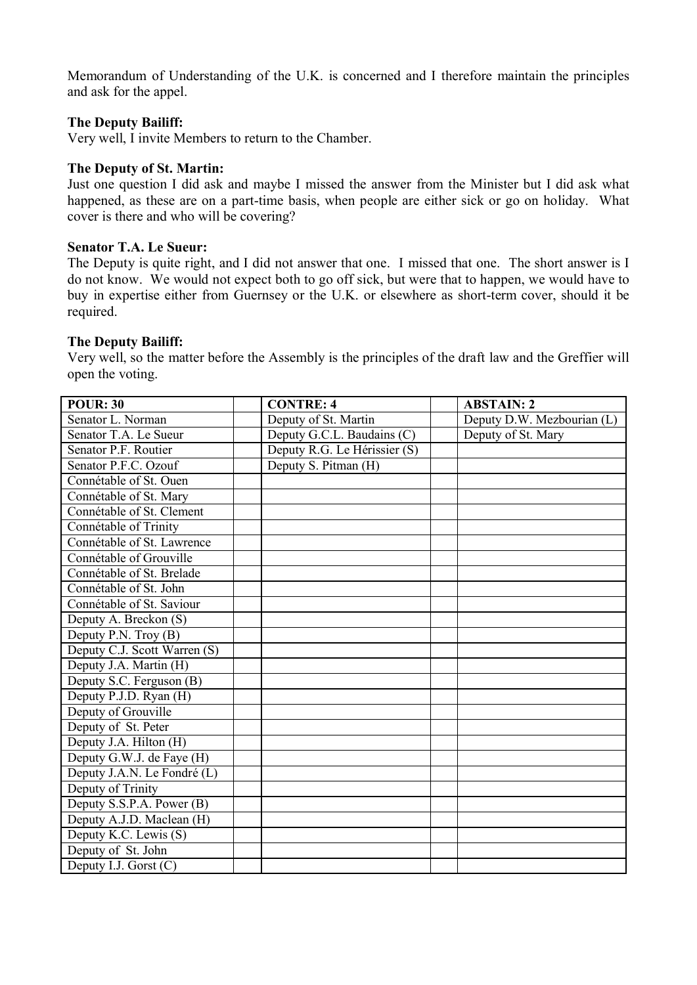Memorandum of Understanding of the U.K. is concerned and I therefore maintain the principles and ask for the appel.

#### **The Deputy Bailiff:**

Very well, I invite Members to return to the Chamber.

#### **The Deputy of St. Martin:**

Just one question I did ask and maybe I missed the answer from the Minister but I did ask what happened, as these are on a part-time basis, when people are either sick or go on holiday. What cover is there and who will be covering?

#### **Senator T.A. Le Sueur:**

The Deputy is quite right, and I did not answer that one. I missed that one. The short answer is I do not know. We would not expect both to go off sick, but were that to happen, we would have to buy in expertise either from Guernsey or the U.K. or elsewhere as short-term cover, should it be required.

#### **The Deputy Bailiff:**

Very well, so the matter before the Assembly is the principles of the draft law and the Greffier will open the voting.

| <b>POUR: 30</b>              | <b>CONTRE: 4</b>             | <b>ABSTAIN: 2</b>          |
|------------------------------|------------------------------|----------------------------|
| Senator L. Norman            | Deputy of St. Martin         | Deputy D.W. Mezbourian (L) |
| Senator T.A. Le Sueur        | Deputy G.C.L. Baudains (C)   | Deputy of St. Mary         |
| Senator P.F. Routier         | Deputy R.G. Le Hérissier (S) |                            |
| Senator P.F.C. Ozouf         | Deputy S. Pitman (H)         |                            |
| Connétable of St. Ouen       |                              |                            |
| Connétable of St. Mary       |                              |                            |
| Connétable of St. Clement    |                              |                            |
| Connétable of Trinity        |                              |                            |
| Connétable of St. Lawrence   |                              |                            |
| Connétable of Grouville      |                              |                            |
| Connétable of St. Brelade    |                              |                            |
| Connétable of St. John       |                              |                            |
| Connétable of St. Saviour    |                              |                            |
| Deputy A. Breckon (S)        |                              |                            |
| Deputy P.N. Troy $(B)$       |                              |                            |
| Deputy C.J. Scott Warren (S) |                              |                            |
| Deputy J.A. Martin (H)       |                              |                            |
| Deputy S.C. Ferguson (B)     |                              |                            |
| Deputy P.J.D. Ryan (H)       |                              |                            |
| Deputy of Grouville          |                              |                            |
| Deputy of St. Peter          |                              |                            |
| Deputy J.A. Hilton (H)       |                              |                            |
| Deputy G.W.J. de Faye (H)    |                              |                            |
| Deputy J.A.N. Le Fondré (L)  |                              |                            |
| Deputy of Trinity            |                              |                            |
| Deputy S.S.P.A. Power (B)    |                              |                            |
| Deputy A.J.D. Maclean (H)    |                              |                            |
| Deputy K.C. Lewis (S)        |                              |                            |
| Deputy of St. John           |                              |                            |
| Deputy I.J. Gorst $(C)$      |                              |                            |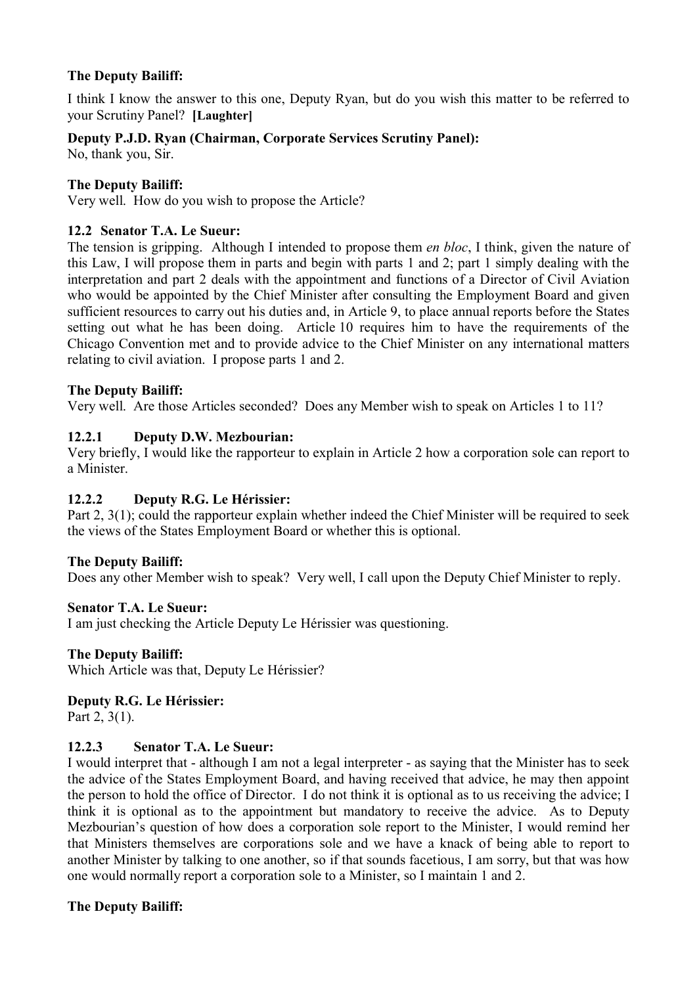# **The Deputy Bailiff:**

I think I know the answer to this one, Deputy Ryan, but do you wish this matter to be referred to your Scrutiny Panel? **[Laughter]**

# **Deputy P.J.D. Ryan (Chairman, Corporate Services Scrutiny Panel):**

No, thank you, Sir.

## **The Deputy Bailiff:**

Very well. How do you wish to propose the Article?

## **12.2 Senator T.A. Le Sueur:**

The tension is gripping. Although I intended to propose them *en bloc*, I think, given the nature of this Law, I will propose them in parts and begin with parts 1 and 2; part 1 simply dealing with the interpretation and part 2 deals with the appointment and functions of a Director of Civil Aviation who would be appointed by the Chief Minister after consulting the Employment Board and given sufficient resources to carry out his duties and, in Article 9, to place annual reports before the States setting out what he has been doing. Article 10 requires him to have the requirements of the Chicago Convention met and to provide advice to the Chief Minister on any international matters relating to civil aviation. I propose parts 1 and 2.

## **The Deputy Bailiff:**

Very well. Are those Articles seconded? Does any Member wish to speak on Articles 1 to 11?

## **12.2.1 Deputy D.W. Mezbourian:**

Very briefly, I would like the rapporteur to explain in Article 2 how a corporation sole can report to a Minister.

## **12.2.2 Deputy R.G. Le Hérissier:**

Part 2, 3(1); could the rapporteur explain whether indeed the Chief Minister will be required to seek the views of the States Employment Board or whether this is optional.

## **The Deputy Bailiff:**

Does any other Member wish to speak? Very well, I call upon the Deputy Chief Minister to reply.

## **Senator T.A. Le Sueur:**

I am just checking the Article Deputy Le Hérissier was questioning.

#### **The Deputy Bailiff:**

Which Article was that, Deputy Le Hérissier?

## **Deputy R.G. Le Hérissier:**

Part 2, 3(1).

## **12.2.3 Senator T.A. Le Sueur:**

I would interpret that - although I am not a legal interpreter - as saying that the Minister has to seek the advice of the States Employment Board, and having received that advice, he may then appoint the person to hold the office of Director. I do not think it is optional as to us receiving the advice; I think it is optional as to the appointment but mandatory to receive the advice. As to Deputy Mezbourian's question of how does a corporation sole report to the Minister, I would remind her that Ministers themselves are corporations sole and we have a knack of being able to report to another Minister by talking to one another, so if that sounds facetious, I am sorry, but that was how one would normally report a corporation sole to a Minister, so I maintain 1 and 2.

## **The Deputy Bailiff:**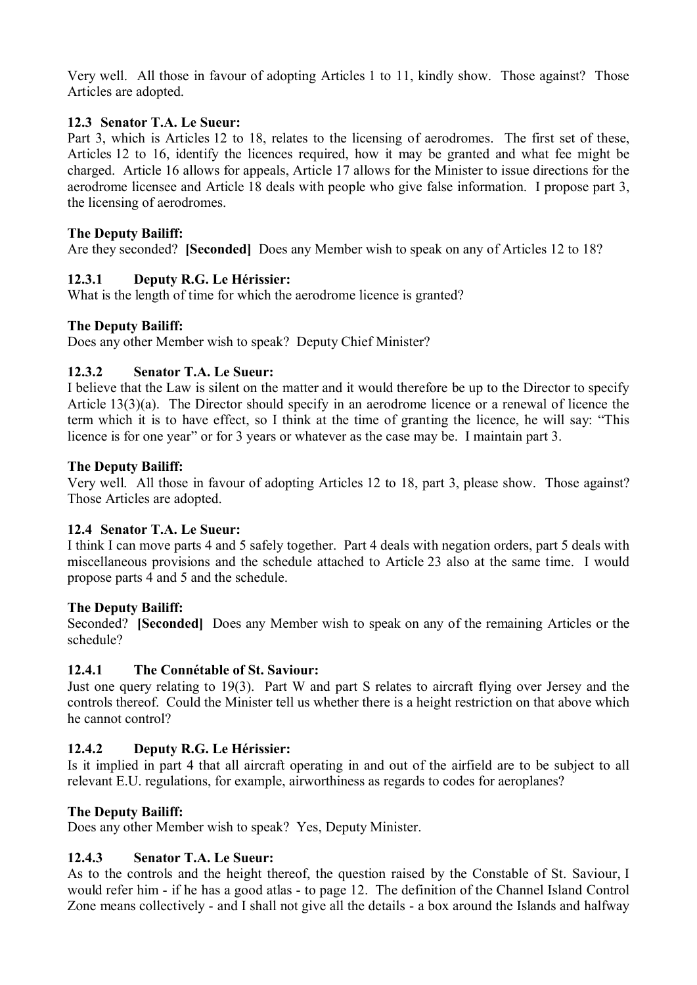Very well. All those in favour of adopting Articles 1 to 11, kindly show. Those against? Those Articles are adopted.

### **12.3 Senator T.A. Le Sueur:**

Part 3, which is Articles 12 to 18, relates to the licensing of aerodromes. The first set of these, Articles 12 to 16, identify the licences required, how it may be granted and what fee might be charged. Article 16 allows for appeals, Article 17 allows for the Minister to issue directions for the aerodrome licensee and Article 18 deals with people who give false information. I propose part 3, the licensing of aerodromes.

### **The Deputy Bailiff:**

Are they seconded? **[Seconded]** Does any Member wish to speak on any of Articles 12 to 18?

## **12.3.1 Deputy R.G. Le Hérissier:**

What is the length of time for which the aerodrome licence is granted?

#### **The Deputy Bailiff:**

Does any other Member wish to speak? Deputy Chief Minister?

### **12.3.2 Senator T.A. Le Sueur:**

I believe that the Law is silent on the matter and it would therefore be up to the Director to specify Article 13(3)(a). The Director should specify in an aerodrome licence or a renewal of licence the term which it is to have effect, so I think at the time of granting the licence, he will say: "This licence is for one year" or for 3 years or whatever as the case may be. I maintain part 3.

#### **The Deputy Bailiff:**

Very well. All those in favour of adopting Articles 12 to 18, part 3, please show. Those against? Those Articles are adopted.

#### **12.4 Senator T.A. Le Sueur:**

I think I can move parts 4 and 5 safely together. Part 4 deals with negation orders, part 5 deals with miscellaneous provisions and the schedule attached to Article 23 also at the same time. I would propose parts 4 and 5 and the schedule.

#### **The Deputy Bailiff:**

Seconded? **[Seconded]** Does any Member wish to speak on any of the remaining Articles or the schedule?

## **12.4.1 The Connétable of St. Saviour:**

Just one query relating to 19(3). Part W and part S relates to aircraft flying over Jersey and the controls thereof. Could the Minister tell us whether there is a height restriction on that above which he cannot control?

## **12.4.2 Deputy R.G. Le Hérissier:**

Is it implied in part 4 that all aircraft operating in and out of the airfield are to be subject to all relevant E.U. regulations, for example, airworthiness as regards to codes for aeroplanes?

## **The Deputy Bailiff:**

Does any other Member wish to speak? Yes, Deputy Minister.

## **12.4.3 Senator T.A. Le Sueur:**

As to the controls and the height thereof, the question raised by the Constable of St. Saviour, I would refer him - if he has a good atlas - to page 12. The definition of the Channel Island Control Zone means collectively - and I shall not give all the details - a box around the Islands and halfway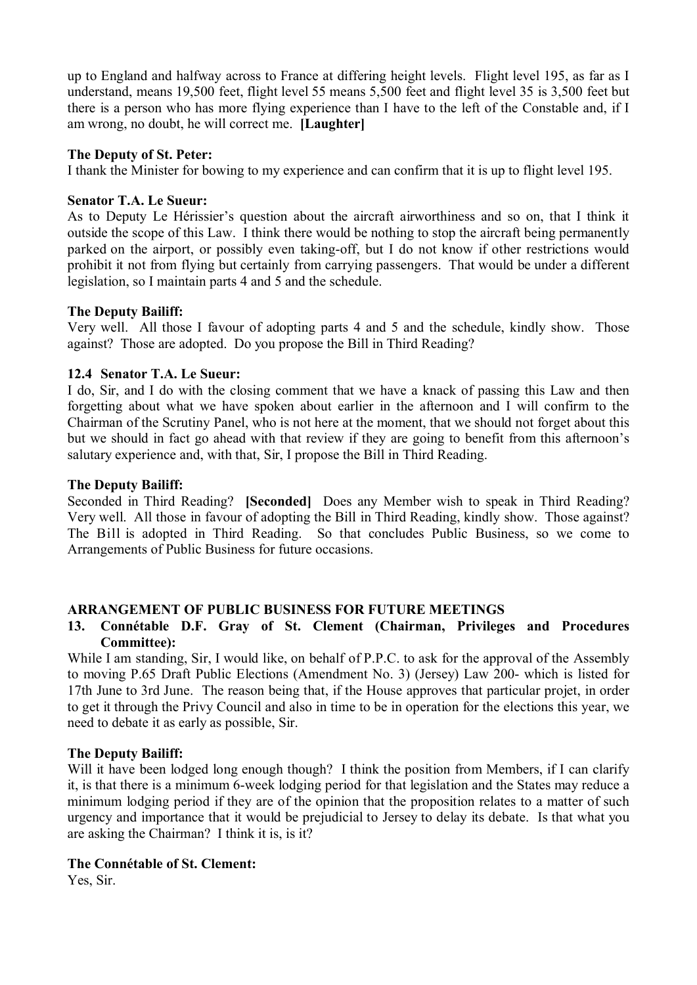up to England and halfway across to France at differing height levels. Flight level 195, as far as I understand, means 19,500 feet, flight level 55 means 5,500 feet and flight level 35 is 3,500 feet but there is a person who has more flying experience than I have to the left of the Constable and, if I am wrong, no doubt, he will correct me. **[Laughter]**

#### **The Deputy of St. Peter:**

I thank the Minister for bowing to my experience and can confirm that it is up to flight level 195.

### **Senator T.A. Le Sueur:**

As to Deputy Le Hérissier's question about the aircraft airworthiness and so on, that I think it outside the scope of this Law. I think there would be nothing to stop the aircraft being permanently parked on the airport, or possibly even taking-off, but I do not know if other restrictions would prohibit it not from flying but certainly from carrying passengers. That would be under a different legislation, so I maintain parts 4 and 5 and the schedule.

### **The Deputy Bailiff:**

Very well. All those I favour of adopting parts 4 and 5 and the schedule, kindly show. Those against? Those are adopted. Do you propose the Bill in Third Reading?

### **12.4 Senator T.A. Le Sueur:**

I do, Sir, and I do with the closing comment that we have a knack of passing this Law and then forgetting about what we have spoken about earlier in the afternoon and I will confirm to the Chairman of the Scrutiny Panel, who is not here at the moment, that we should not forget about this but we should in fact go ahead with that review if they are going to benefit from this afternoon's salutary experience and, with that, Sir, I propose the Bill in Third Reading.

### **The Deputy Bailiff:**

Seconded in Third Reading? **[Seconded]** Does any Member wish to speak in Third Reading? Very well. All those in favour of adopting the Bill in Third Reading, kindly show. Those against? The Bill is adopted in Third Reading. So that concludes Public Business, so we come to Arrangements of Public Business for future occasions.

## **ARRANGEMENT OF PUBLIC BUSINESS FOR FUTURE MEETINGS**

### **13. Connétable D.F. Gray of St. Clement (Chairman, Privileges and Procedures Committee):**

While I am standing, Sir, I would like, on behalf of P.P.C. to ask for the approval of the Assembly to moving P.65 Draft Public Elections (Amendment No. 3) (Jersey) Law 200- which is listed for 17th June to 3rd June. The reason being that, if the House approves that particular projet, in order to get it through the Privy Council and also in time to be in operation for the elections this year, we need to debate it as early as possible, Sir.

#### **The Deputy Bailiff:**

Will it have been lodged long enough though? I think the position from Members, if I can clarify it, is that there is a minimum 6-week lodging period for that legislation and the States may reduce a minimum lodging period if they are of the opinion that the proposition relates to a matter of such urgency and importance that it would be prejudicial to Jersey to delay its debate. Is that what you are asking the Chairman? I think it is, is it?

#### **The Connétable of St. Clement:**

Yes, Sir.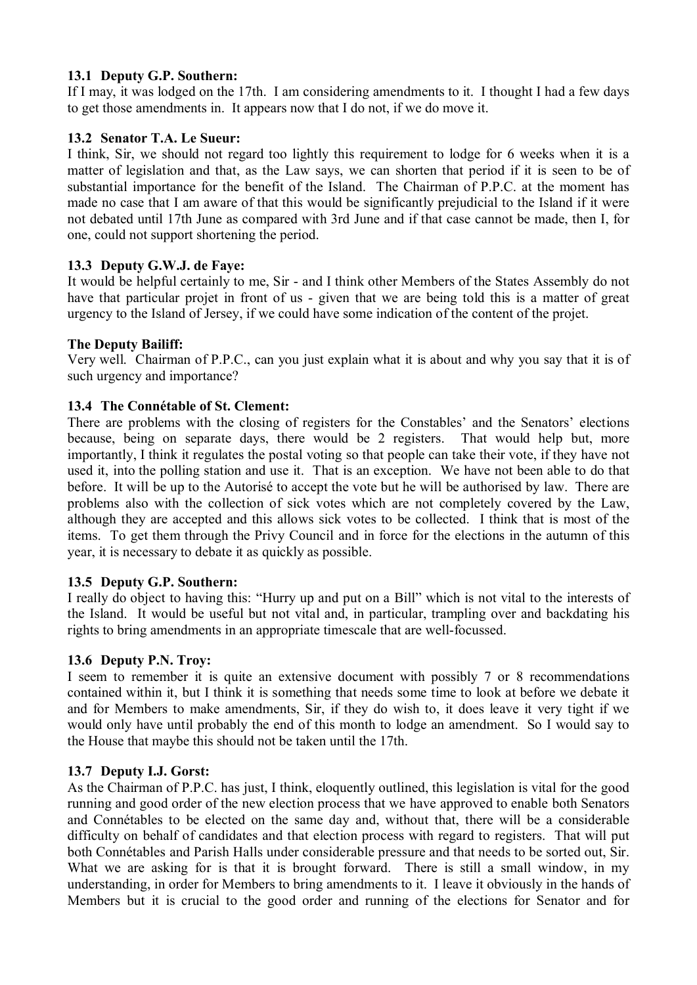## **13.1 Deputy G.P. Southern:**

If I may, it was lodged on the 17th. I am considering amendments to it. I thought I had a few days to get those amendments in. It appears now that I do not, if we do move it.

# **13.2 Senator T.A. Le Sueur:**

I think, Sir, we should not regard too lightly this requirement to lodge for 6 weeks when it is a matter of legislation and that, as the Law says, we can shorten that period if it is seen to be of substantial importance for the benefit of the Island. The Chairman of P.P.C. at the moment has made no case that I am aware of that this would be significantly prejudicial to the Island if it were not debated until 17th June as compared with 3rd June and if that case cannot be made, then I, for one, could not support shortening the period.

# **13.3 Deputy G.W.J. de Faye:**

It would be helpful certainly to me, Sir - and I think other Members of the States Assembly do not have that particular projet in front of us - given that we are being told this is a matter of great urgency to the Island of Jersey, if we could have some indication of the content of the projet.

# **The Deputy Bailiff:**

Very well. Chairman of P.P.C., can you just explain what it is about and why you say that it is of such urgency and importance?

# **13.4 The Connétable of St. Clement:**

There are problems with the closing of registers for the Constables' and the Senators' elections because, being on separate days, there would be 2 registers. That would help but, more importantly, I think it regulates the postal voting so that people can take their vote, if they have not used it, into the polling station and use it. That is an exception. We have not been able to do that before. It will be up to the Autorisé to accept the vote but he will be authorised by law. There are problems also with the collection of sick votes which are not completely covered by the Law, although they are accepted and this allows sick votes to be collected. I think that is most of the items. To get them through the Privy Council and in force for the elections in the autumn of this year, it is necessary to debate it as quickly as possible.

## **13.5 Deputy G.P. Southern:**

I really do object to having this: "Hurry up and put on a Bill" which is not vital to the interests of the Island. It would be useful but not vital and, in particular, trampling over and backdating his rights to bring amendments in an appropriate timescale that are well-focussed.

## **13.6 Deputy P.N. Troy:**

I seem to remember it is quite an extensive document with possibly 7 or 8 recommendations contained within it, but I think it is something that needs some time to look at before we debate it and for Members to make amendments, Sir, if they do wish to, it does leave it very tight if we would only have until probably the end of this month to lodge an amendment. So I would say to the House that maybe this should not be taken until the 17th.

## **13.7 Deputy I.J. Gorst:**

As the Chairman of P.P.C. has just, I think, eloquently outlined, this legislation is vital for the good running and good order of the new election process that we have approved to enable both Senators and Connétables to be elected on the same day and, without that, there will be a considerable difficulty on behalf of candidates and that election process with regard to registers. That will put both Connétables and Parish Halls under considerable pressure and that needs to be sorted out, Sir. What we are asking for is that it is brought forward. There is still a small window, in my understanding, in order for Members to bring amendments to it. I leave it obviously in the hands of Members but it is crucial to the good order and running of the elections for Senator and for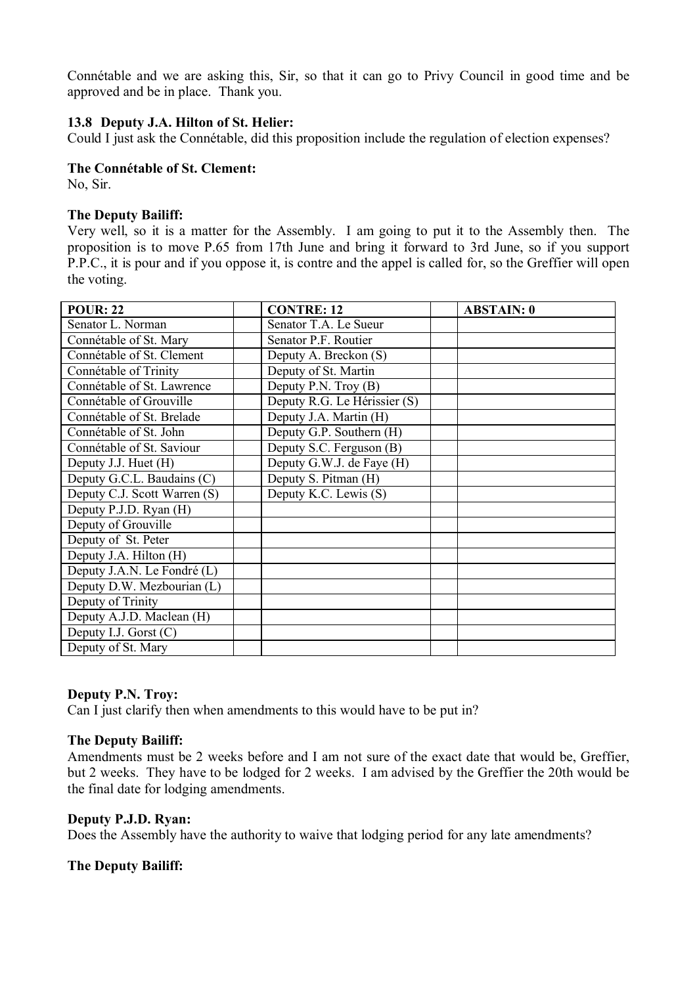Connétable and we are asking this, Sir, so that it can go to Privy Council in good time and be approved and be in place. Thank you.

#### **13.8 Deputy J.A. Hilton of St. Helier:**

Could I just ask the Connétable, did this proposition include the regulation of election expenses?

#### **The Connétable of St. Clement:**

No, Sir.

#### **The Deputy Bailiff:**

Very well, so it is a matter for the Assembly. I am going to put it to the Assembly then. The proposition is to move P.65 from 17th June and bring it forward to 3rd June, so if you support P.P.C., it is pour and if you oppose it, is contre and the appel is called for, so the Greffier will open the voting.

| <b>POUR: 22</b>              | <b>CONTRE: 12</b>            | <b>ABSTAIN: 0</b> |
|------------------------------|------------------------------|-------------------|
| Senator L. Norman            | Senator T.A. Le Sueur        |                   |
| Connétable of St. Mary       | Senator P.F. Routier         |                   |
| Connétable of St. Clement    | Deputy A. Breckon (S)        |                   |
| Connétable of Trinity        | Deputy of St. Martin         |                   |
| Connétable of St. Lawrence   | Deputy P.N. Troy (B)         |                   |
| Connétable of Grouville      | Deputy R.G. Le Hérissier (S) |                   |
| Connétable of St. Brelade    | Deputy J.A. Martin (H)       |                   |
| Connétable of St. John       | Deputy G.P. Southern (H)     |                   |
| Connétable of St. Saviour    | Deputy S.C. Ferguson (B)     |                   |
| Deputy J.J. Huet (H)         | Deputy G.W.J. de Faye (H)    |                   |
| Deputy G.C.L. Baudains (C)   | Deputy S. Pitman (H)         |                   |
| Deputy C.J. Scott Warren (S) | Deputy K.C. Lewis (S)        |                   |
| Deputy P.J.D. Ryan (H)       |                              |                   |
| Deputy of Grouville          |                              |                   |
| Deputy of St. Peter          |                              |                   |
| Deputy J.A. Hilton (H)       |                              |                   |
| Deputy J.A.N. Le Fondré (L)  |                              |                   |
| Deputy D.W. Mezbourian (L)   |                              |                   |
| Deputy of Trinity            |                              |                   |
| Deputy A.J.D. Maclean (H)    |                              |                   |
| Deputy I.J. Gorst $(C)$      |                              |                   |
| Deputy of St. Mary           |                              |                   |

#### **Deputy P.N. Troy:**

Can I just clarify then when amendments to this would have to be put in?

#### **The Deputy Bailiff:**

Amendments must be 2 weeks before and I am not sure of the exact date that would be, Greffier, but 2 weeks. They have to be lodged for 2 weeks. I am advised by the Greffier the 20th would be the final date for lodging amendments.

### **Deputy P.J.D. Ryan:**

Does the Assembly have the authority to waive that lodging period for any late amendments?

#### **The Deputy Bailiff:**